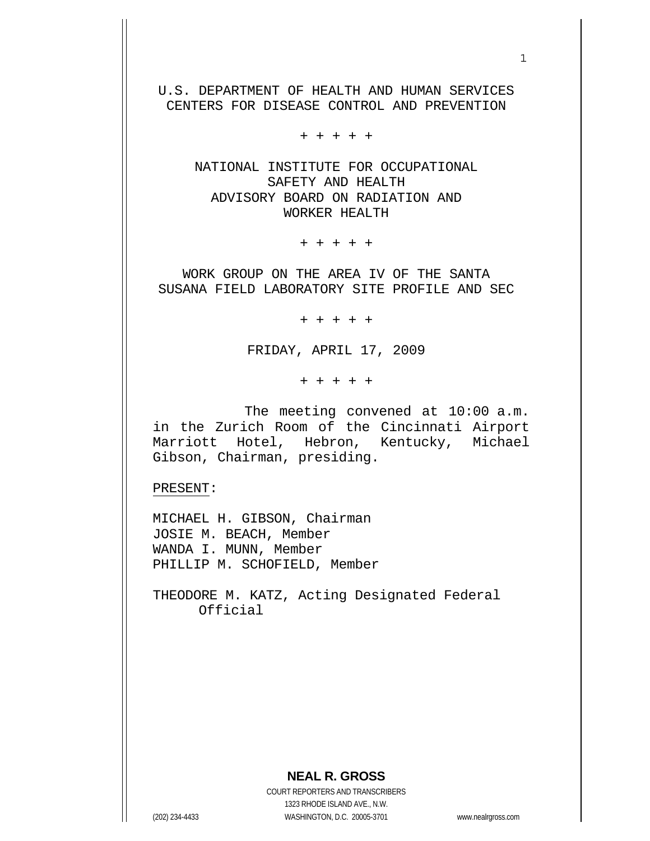U.S. DEPARTMENT OF HEALTH AND HUMAN SERVICES CENTERS FOR DISEASE CONTROL AND PREVENTION

+ + + + +

 NATIONAL INSTITUTE FOR OCCUPATIONAL SAFETY AND HEALTH ADVISORY BOARD ON RADIATION AND WORKER HEALTH

+ + + + +

 WORK GROUP ON THE AREA IV OF THE SANTA SUSANA FIELD LABORATORY SITE PROFILE AND SEC

+ + + + +

FRIDAY, APRIL 17, 2009

+ + + + +

 The meeting convened at 10:00 a.m. in the Zurich Room of the Cincinnati Airport Marriott Hotel, Hebron, Kentucky, Michael Gibson, Chairman, presiding.

PRESENT:

MICHAEL H. GIBSON, Chairman JOSIE M. BEACH, Member WANDA I. MUNN, Member PHILLIP M. SCHOFIELD, Member

THEODORE M. KATZ, Acting Designated Federal Official

**NEAL R. GROSS**

COURT REPORTERS AND TRANSCRIBERS 1323 RHODE ISLAND AVE., N.W. (202) 234-4433 WASHINGTON, D.C. 20005-3701 www.nealrgross.com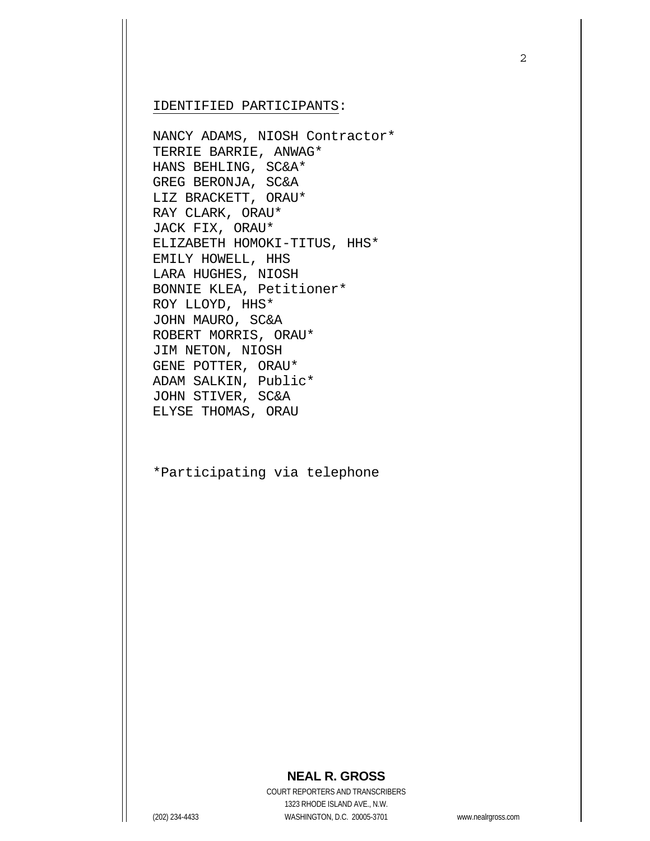IDENTIFIED PARTICIPANTS:

NANCY ADAMS, NIOSH Contractor\* TERRIE BARRIE, ANWAG\* HANS BEHLING, SC&A\* GREG BERONJA, SC&A LIZ BRACKETT, ORAU\* RAY CLARK, ORAU\* JACK FIX, ORAU\* ELIZABETH HOMOKI-TITUS, HHS\* EMILY HOWELL, HHS LARA HUGHES, NIOSH BONNIE KLEA, Petitioner\* ROY LLOYD, HHS\* JOHN MAURO, SC&A ROBERT MORRIS, ORAU\* JIM NETON, NIOSH GENE POTTER, ORAU\* ADAM SALKIN, Public\* JOHN STIVER, SC&A ELYSE THOMAS, ORAU

\*Participating via telephone

## **NEAL R. GROSS**

COURT REPORTERS AND TRANSCRIBERS 1323 RHODE ISLAND AVE., N.W. (202) 234-4433 WASHINGTON, D.C. 20005-3701 www.nealrgross.com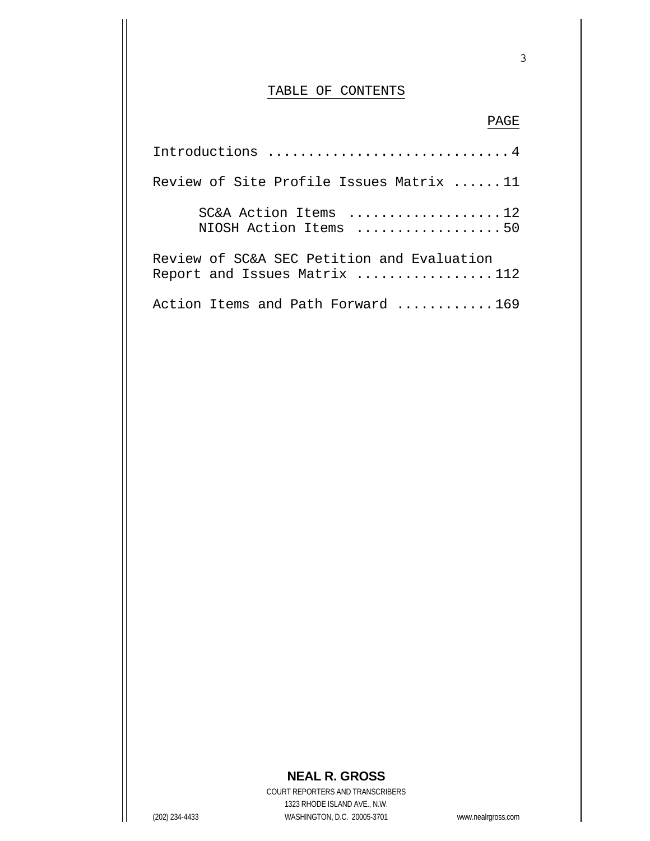## TABLE OF CONTENTS

| PAGE.                                                                      |
|----------------------------------------------------------------------------|
| Introductions 4                                                            |
| Review of Site Profile Issues Matrix 11                                    |
| SC&A Action Items 12<br>NIOSH Action Items 50                              |
| Review of SC&A SEC Petition and Evaluation<br>Report and Issues Matrix 112 |
| Action Items and Path Forward 169                                          |

## **NEAL R. GROSS**

COURT REPORTERS AND TRANSCRIBERS 1323 RHODE ISLAND AVE., N.W. (202) 234-4433 WASHINGTON, D.C. 20005-3701 www.nealrgross.com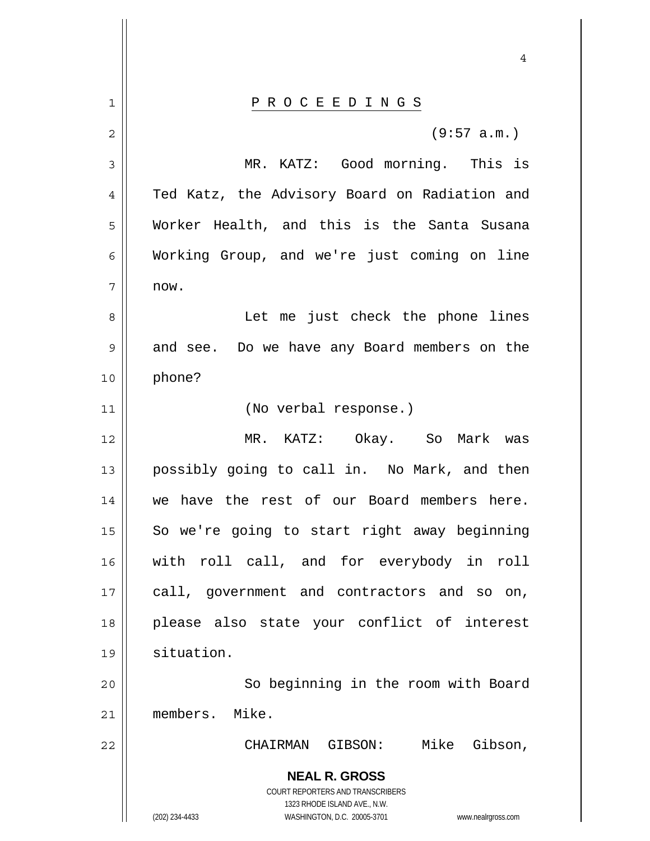**NEAL R. GROSS** COURT REPORTERS AND TRANSCRIBERS 1323 RHODE ISLAND AVE., N.W. (202) 234-4433 WASHINGTON, D.C. 20005-3701 www.nealrgross.com 4 1 P R O C E E D I N G S 2 3 4 5 6 7 8 9 10 11 12 13 14 15 16 17 18 19 20 21 22 (9:57 a.m.) MR. KATZ: Good morning. This is Ted Katz, the Advisory Board on Radiation and Worker Health, and this is the Santa Susana Working Group, and we're just coming on line now. Let me just check the phone lines and see. Do we have any Board members on the phone? (No verbal response.) MR. KATZ: Okay. So Mark was possibly going to call in. No Mark, and then we have the rest of our Board members here. So we're going to start right away beginning with roll call, and for everybody in roll call, government and contractors and so on, please also state your conflict of interest situation. So beginning in the room with Board members. Mike. CHAIRMAN GIBSON: Mike Gibson,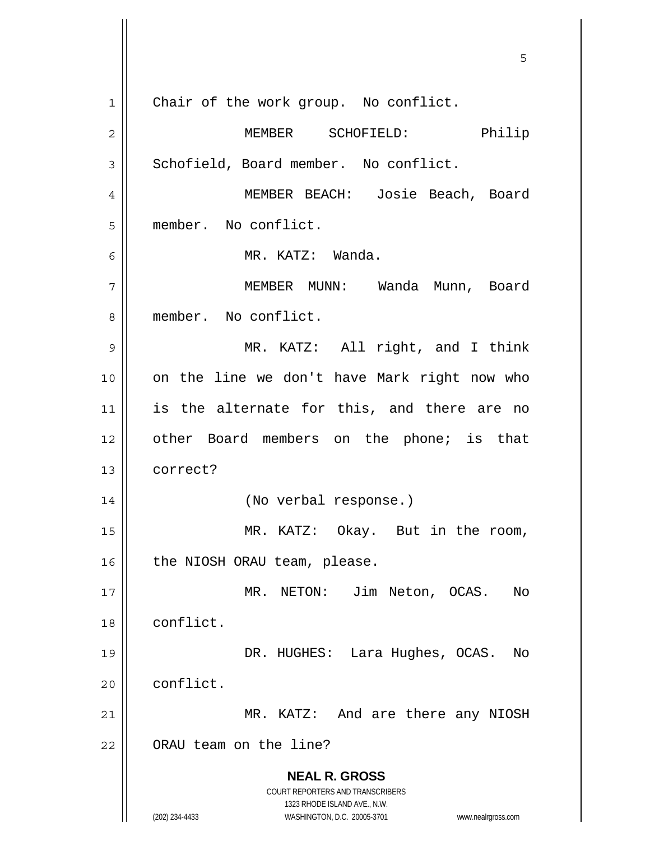**NEAL R. GROSS** COURT REPORTERS AND TRANSCRIBERS 1323 RHODE ISLAND AVE., N.W. (202) 234-4433 WASHINGTON, D.C. 20005-3701 www.nealrgross.com  $\sim$  5  $\sim$  5  $\sim$  5  $\sim$  5  $\sim$  5  $\sim$  5  $\sim$  5  $\sim$  5  $\sim$  5  $\sim$  5  $\sim$  5  $\sim$  5  $\sim$  5  $\sim$  5  $\sim$  5  $\sim$  5  $\sim$  5  $\sim$  5  $\sim$  5  $\sim$  5  $\sim$  5  $\sim$  5  $\sim$  5  $\sim$  5  $\sim$  5  $\sim$  5  $\sim$  5  $\sim$  5  $\sim$  5  $\sim$  5  $\sim$  5  $\sim$ 1 2 3 4 5 6 7 8 9 10 11 12 13 14 15 16 17 18 19 20 21 22 Chair of the work group. No conflict. MEMBER SCHOFIELD: Philip Schofield, Board member. No conflict. MEMBER BEACH: Josie Beach, Board member. No conflict. MR. KATZ: Wanda. MEMBER MUNN: Wanda Munn, Board member. No conflict. MR. KATZ: All right, and I think on the line we don't have Mark right now who is the alternate for this, and there are no other Board members on the phone; is that correct? (No verbal response.) MR. KATZ: Okay. But in the room, the NIOSH ORAU team, please. MR. NETON: Jim Neton, OCAS. No conflict. DR. HUGHES: Lara Hughes, OCAS. No conflict. MR. KATZ: And are there any NIOSH ORAU team on the line?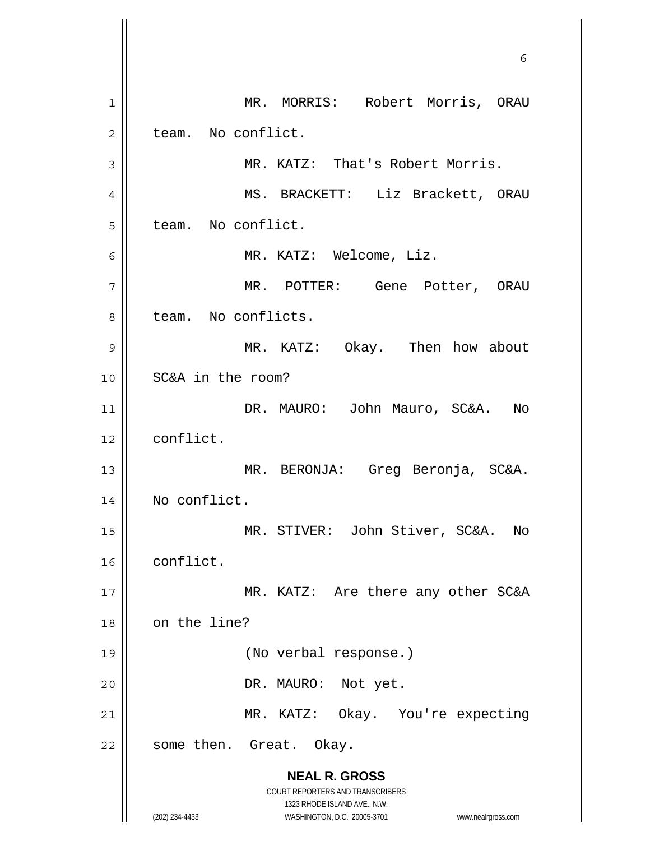**NEAL R. GROSS** COURT REPORTERS AND TRANSCRIBERS 1323 RHODE ISLAND AVE., N.W. (202) 234-4433 WASHINGTON, D.C. 20005-3701 www.nealrgross.com  $\sim$  6 1 2 3 4 5 6 7 8 9 10 11 12 13 14 15 16 17 18 19 20 21 22 MR. MORRIS: Robert Morris, ORAU team. No conflict. MR. KATZ: That's Robert Morris. MS. BRACKETT: Liz Brackett, ORAU team. No conflict. MR. KATZ: Welcome, Liz. MR. POTTER: Gene Potter, ORAU team. No conflicts. MR. KATZ: Okay. Then how about SC&A in the room? DR. MAURO: John Mauro, SC&A. No conflict. MR. BERONJA: Greg Beronja, SC&A. No conflict. MR. STIVER: John Stiver, SC&A. No conflict. MR. KATZ: Are there any other SC&A on the line? (No verbal response.) DR. MAURO: Not yet. MR. KATZ: Okay. You're expecting some then. Great. Okay.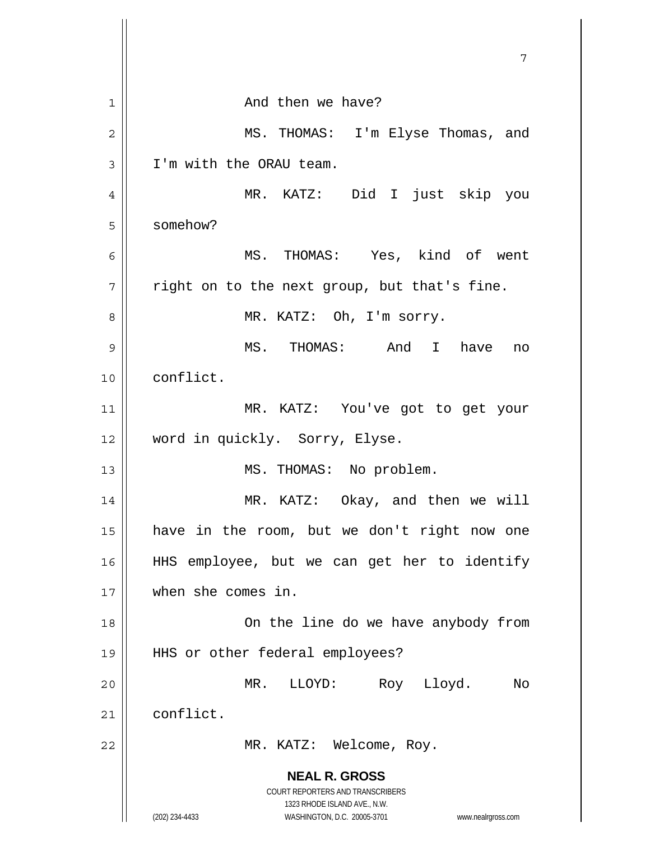**NEAL R. GROSS** COURT REPORTERS AND TRANSCRIBERS 1323 RHODE ISLAND AVE., N.W. (202) 234-4433 WASHINGTON, D.C. 20005-3701 www.nealrgross.com 7 1 2 3 4 5 6 7 8 9 10 11 12 13 14 15 16 17 18 19 20 21 22 And then we have? MS. THOMAS: I'm Elyse Thomas, and I'm with the ORAU team. MR. KATZ: Did I just skip you somehow? MS. THOMAS: Yes, kind of went right on to the next group, but that's fine. MR. KATZ: Oh, I'm sorry. MS. THOMAS: And I have no conflict. MR. KATZ: You've got to get your word in quickly. Sorry, Elyse. MS. THOMAS: No problem. MR. KATZ: Okay, and then we will have in the room, but we don't right now one HHS employee, but we can get her to identify when she comes in. On the line do we have anybody from HHS or other federal employees? MR. LLOYD: Roy Lloyd. No conflict. MR. KATZ: Welcome, Roy.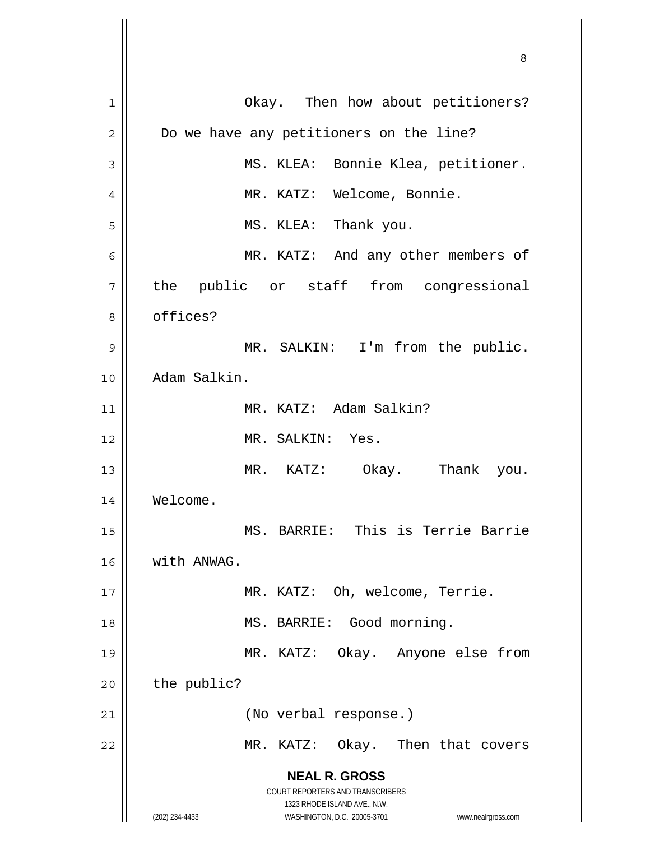**NEAL R. GROSS** COURT REPORTERS AND TRANSCRIBERS 1323 RHODE ISLAND AVE., N.W. (202) 234-4433 WASHINGTON, D.C. 20005-3701 www.nealrgross.com <u>83 - Santa Carlos de Santa Carlos de Santa Carlos de Santa Carlos de Santa Carlos de Santa Carlos de Santa Ca</u> 1 2 3 4 5 6 7 8 9 10 11 12 13 14 15 16 17 18 19 20 21 22 Okay. Then how about petitioners? Do we have any petitioners on the line? MS. KLEA: Bonnie Klea, petitioner. MR. KATZ: Welcome, Bonnie. MS. KLEA: Thank you. MR. KATZ: And any other members of the public or staff from congressional offices? MR. SALKIN: I'm from the public. Adam Salkin. MR. KATZ: Adam Salkin? MR. SALKIN: Yes. MR. KATZ: Okay. Thank you. Welcome. MS. BARRIE: This is Terrie Barrie with ANWAG. MR. KATZ: Oh, welcome, Terrie. MS. BARRIE: Good morning. MR. KATZ: Okay. Anyone else from the public? (No verbal response.) MR. KATZ: Okay. Then that covers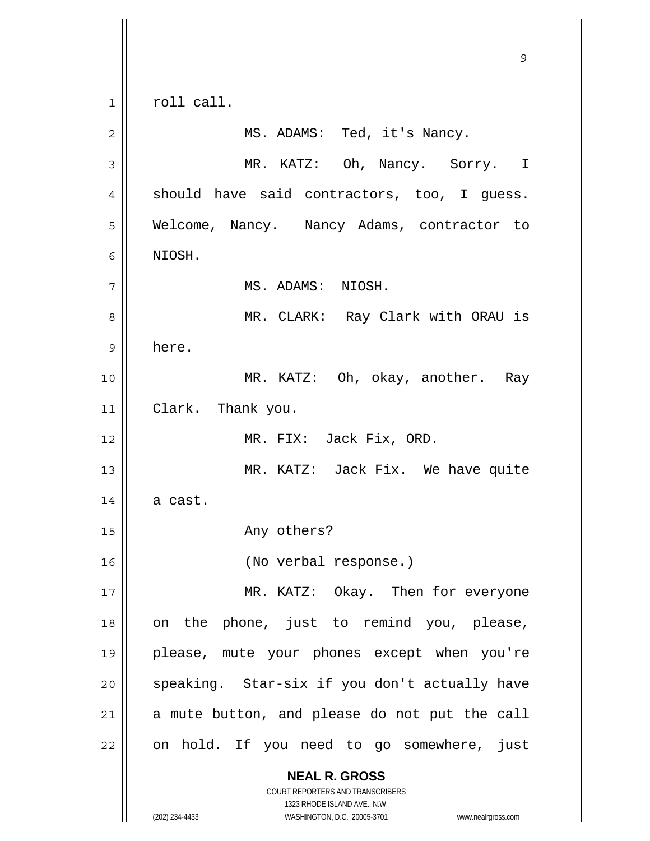**NEAL R. GROSS** COURT REPORTERS AND TRANSCRIBERS 9 1 2 3 4 5 6 7 8 9 10 11 12 13 14 15 16 17 18 19 20 21 22 roll call. MS. ADAMS: Ted, it's Nancy. MR. KATZ: Oh, Nancy. Sorry. I should have said contractors, too, I guess. Welcome, Nancy. Nancy Adams, contractor to NIOSH. MS. ADAMS: NIOSH. MR. CLARK: Ray Clark with ORAU is here. MR. KATZ: Oh, okay, another. Ray Clark. Thank you. MR. FIX: Jack Fix, ORD. MR. KATZ: Jack Fix. We have quite a cast. Any others? (No verbal response.) MR. KATZ: Okay. Then for everyone on the phone, just to remind you, please, please, mute your phones except when you're speaking. Star-six if you don't actually have a mute button, and please do not put the call on hold. If you need to go somewhere, just

1323 RHODE ISLAND AVE., N.W.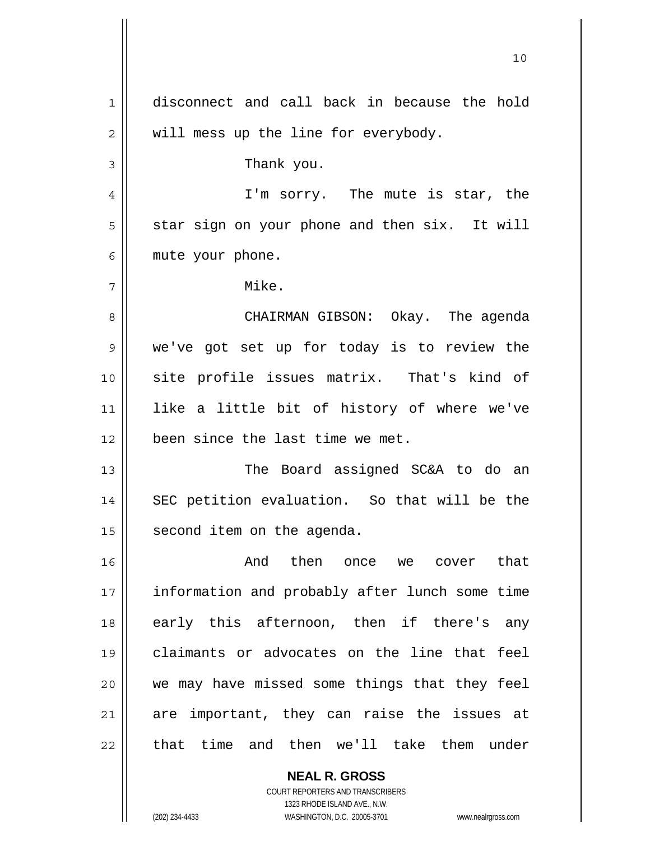| $\mathbf{1}$ | disconnect and call back in because the hold   |
|--------------|------------------------------------------------|
| 2            | will mess up the line for everybody.           |
| 3            | Thank you.                                     |
| 4            | I'm sorry. The mute is star, the               |
| 5            | star sign on your phone and then six. It will  |
| 6            | mute your phone.                               |
| 7            | Mike.                                          |
| 8            | CHAIRMAN GIBSON: Okay. The agenda              |
| 9            | we've got set up for today is to review the    |
| 10           | site profile issues matrix. That's kind of     |
| 11           | like a little bit of history of where we've    |
| 12           | been since the last time we met.               |
| 13           | The Board assigned SC&A to do an               |
| 14           | SEC petition evaluation. So that will be the   |
| 15           | second item on the agenda.                     |
| 16           | And then once we cover that                    |
| 17           | information and probably after lunch some time |
| 18           | early this afternoon, then if there's any      |
| 19           | claimants or advocates on the line that feel   |
| 20           | we may have missed some things that they feel  |
| 21           | are important, they can raise the issues at    |
| 22           | that time and then we'll take them under       |
|              | <b>NEAL R. GROSS</b>                           |

10

COURT REPORTERS AND TRANSCRIBERS 1323 RHODE ISLAND AVE., N.W.

 $\mathsf{I}$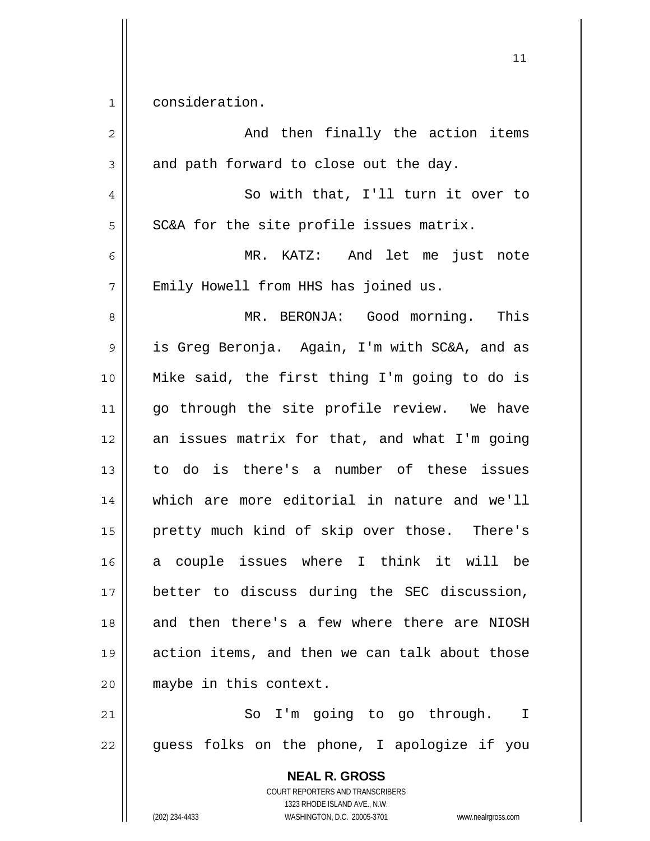1 consideration.

| $\overline{2}$ | And then finally the action items                               |
|----------------|-----------------------------------------------------------------|
| 3              | and path forward to close out the day.                          |
| 4              | So with that, I'll turn it over to                              |
| 5              | SC&A for the site profile issues matrix.                        |
| 6              | MR. KATZ: And let me just note                                  |
| 7              | Emily Howell from HHS has joined us.                            |
| 8              | MR. BERONJA: Good morning. This                                 |
| 9              | is Greg Beronja. Again, I'm with SC&A, and as                   |
| 10             | Mike said, the first thing I'm going to do is                   |
| 11             | go through the site profile review. We have                     |
| 12             | an issues matrix for that, and what I'm going                   |
| 13             | to do is there's a number of these issues                       |
| 14             | which are more editorial in nature and we'll                    |
| 15             | pretty much kind of skip over those. There's                    |
| 16             | a couple issues where I think it will be                        |
| 17             | better to discuss during the SEC discussion,                    |
| 18             | and then there's a few where there are NIOSH                    |
| 19             | action items, and then we can talk about those                  |
| 20             | maybe in this context.                                          |
| 21             | So I'm going to go through.<br>$\mathbb{I}$                     |
| 22             | guess folks on the phone, I apologize if you                    |
|                | <b>NEAL R. GROSS</b><br><b>COURT REPORTERS AND TRANSCRIBERS</b> |

1323 RHODE ISLAND AVE., N.W.

 $\mathop{\text{||}}$ 

(202) 234-4433 WASHINGTON, D.C. 20005-3701 www.nealrgross.com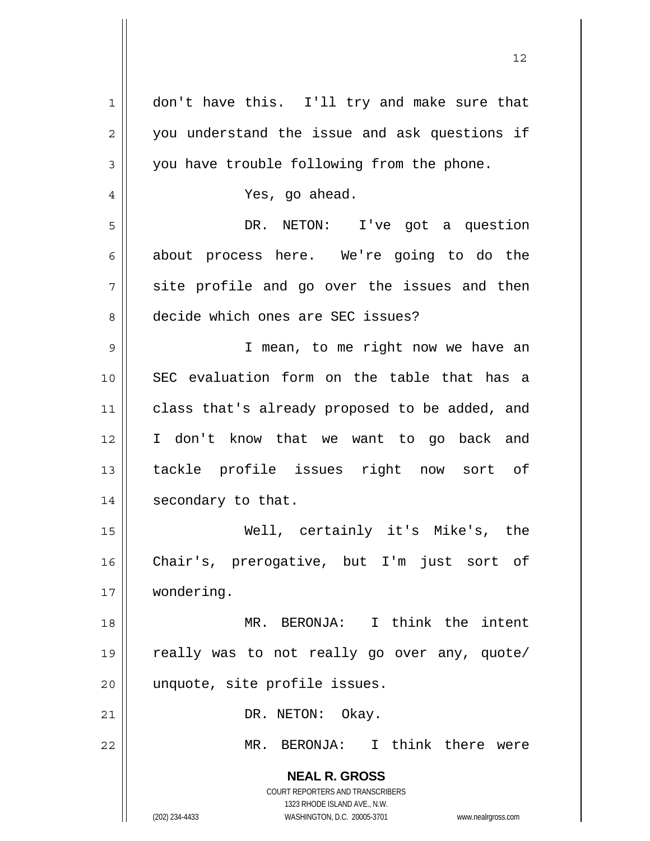| 1  | don't have this. I'll try and make sure that      |
|----|---------------------------------------------------|
| 2  | you understand the issue and ask questions if     |
| 3  | you have trouble following from the phone.        |
| 4  | Yes, go ahead.                                    |
| 5  | DR. NETON: I've got a question                    |
| 6  | about process here. We're going to do the         |
| 7  | site profile and go over the issues and then      |
| 8  | decide which ones are SEC issues?                 |
| 9  | I mean, to me right now we have an                |
| 10 | SEC evaluation form on the table that has a       |
| 11 | class that's already proposed to be added, and    |
| 12 | I don't know that we want to go back and          |
| 13 | tackle profile issues right now sort of           |
| 14 | secondary to that.                                |
| 15 | Well, certainly it's Mike's, the                  |
| 16 | Chair's, prerogative, but I'm just sort of        |
| 17 | wondering.                                        |
| 18 | MR. BERONJA: I think the intent                   |
| 19 | really was to not really go over any, quote/      |
|    |                                                   |
| 20 | unquote, site profile issues.                     |
| 21 | DR. NETON: Okay.                                  |
| 22 | MR. BERONJA: I think there were                   |
|    | <b>NEAL R. GROSS</b>                              |
|    | COURT REPORTERS AND TRANSCRIBERS                  |
|    | 1323 RHODE ISLAND AVE., N.W.<br>(202) 234-4433    |
|    | WASHINGTON, D.C. 20005-3701<br>www.nealrgross.com |

 $\mathsf{I}$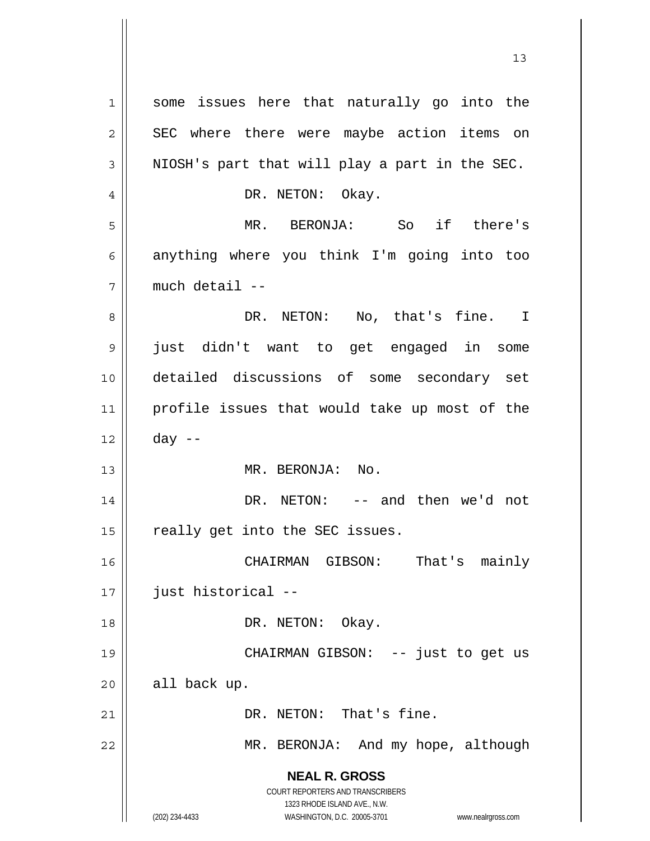**NEAL R. GROSS** COURT REPORTERS AND TRANSCRIBERS 1323 RHODE ISLAND AVE., N.W. (202) 234-4433 WASHINGTON, D.C. 20005-3701 www.nealrgross.com 1 2 3 4 5 6 7 8 9 10 11 12 13 14 15 16 17 18 19 20 21 22 some issues here that naturally go into the SEC where there were maybe action items on NIOSH's part that will play a part in the SEC. DR. NETON: Okay. MR. BERONJA: So if there's anything where you think I'm going into too much detail -- DR. NETON: No, that's fine. I just didn't want to get engaged in some detailed discussions of some secondary set profile issues that would take up most of the day  $--$  MR. BERONJA: No. DR. NETON: -- and then we'd not really get into the SEC issues. CHAIRMAN GIBSON: That's mainly just historical -- DR. NETON: Okay. CHAIRMAN GIBSON: -- just to get us all back up. DR. NETON: That's fine. MR. BERONJA: And my hope, although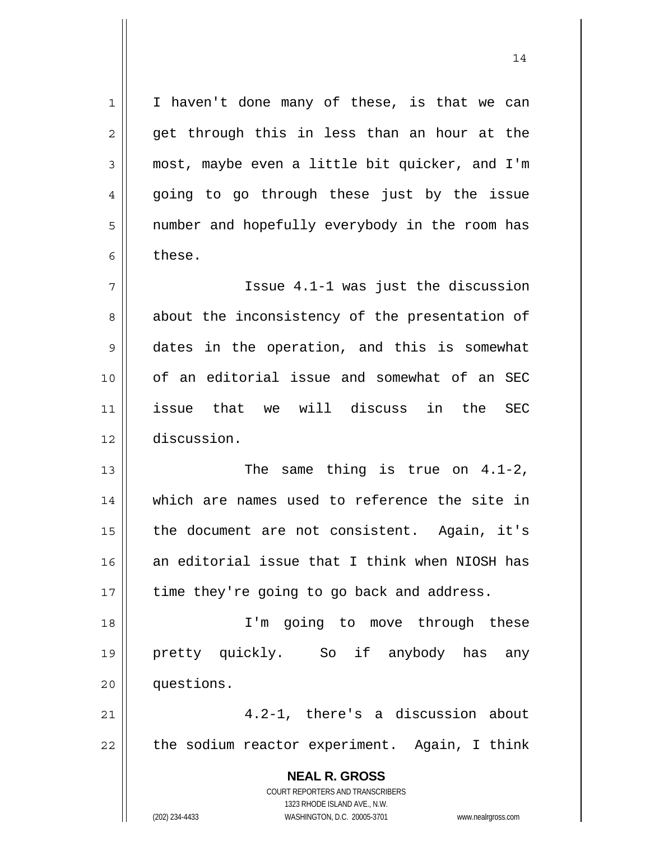**NEAL R. GROSS** COURT REPORTERS AND TRANSCRIBERS 1323 RHODE ISLAND AVE., N.W. (202) 234-4433 WASHINGTON, D.C. 20005-3701 www.nealrgross.com 1 2 3 4 5 6 7 8 9 10 11 12 13 14 15 16 17 18 19 20 21 22 I haven't done many of these, is that we can get through this in less than an hour at the most, maybe even a little bit quicker, and I'm going to go through these just by the issue number and hopefully everybody in the room has these. Issue 4.1-1 was just the discussion about the inconsistency of the presentation of dates in the operation, and this is somewhat of an editorial issue and somewhat of an SEC issue that we will discuss in the SEC discussion. The same thing is true on 4.1-2, which are names used to reference the site in the document are not consistent. Again, it's an editorial issue that I think when NIOSH has time they're going to go back and address. I'm going to move through these pretty quickly. So if anybody has any questions. 4.2-1, there's a discussion about the sodium reactor experiment. Again, I think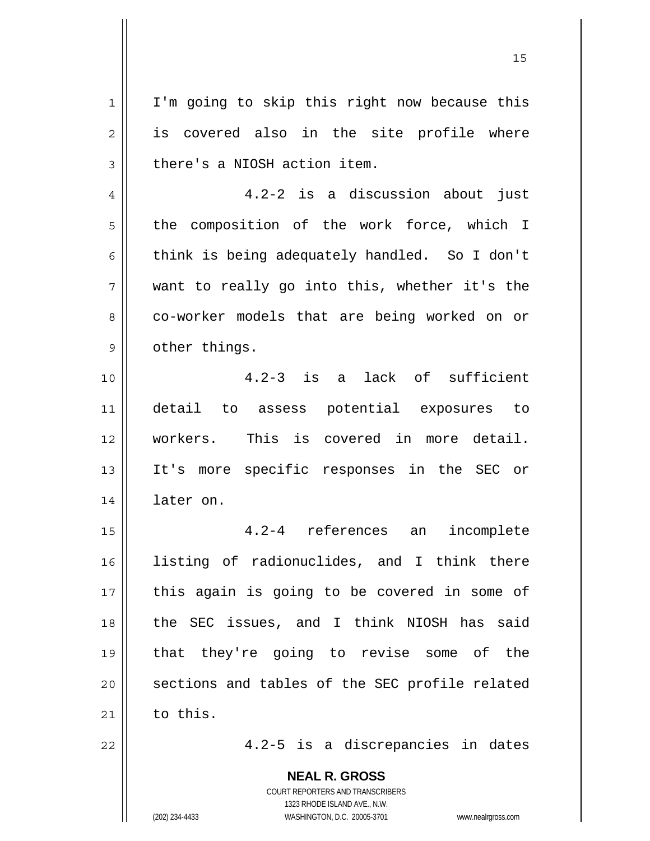1 2 3 4 I'm going to skip this right now because this is covered also in the site profile where there's a NIOSH action item. 4.2-2 is a discussion about just

15

the composition of the work force, which I think is being adequately handled. So I don't want to really go into this, whether it's the co-worker models that are being worked on or other things.

10 11 12 13 14 4.2-3 is a lack of sufficient detail to assess potential exposures to workers. This is covered in more detail. It's more specific responses in the SEC or later on.

15 16 17 18 19 20 21 4.2-4 references an incomplete listing of radionuclides, and I think there this again is going to be covered in some of the SEC issues, and I think NIOSH has said that they're going to revise some of the sections and tables of the SEC profile related to this.

22

5

6

7

8

9

4.2-5 is a discrepancies in dates

**NEAL R. GROSS** COURT REPORTERS AND TRANSCRIBERS 1323 RHODE ISLAND AVE., N.W. (202) 234-4433 WASHINGTON, D.C. 20005-3701 www.nealrgross.com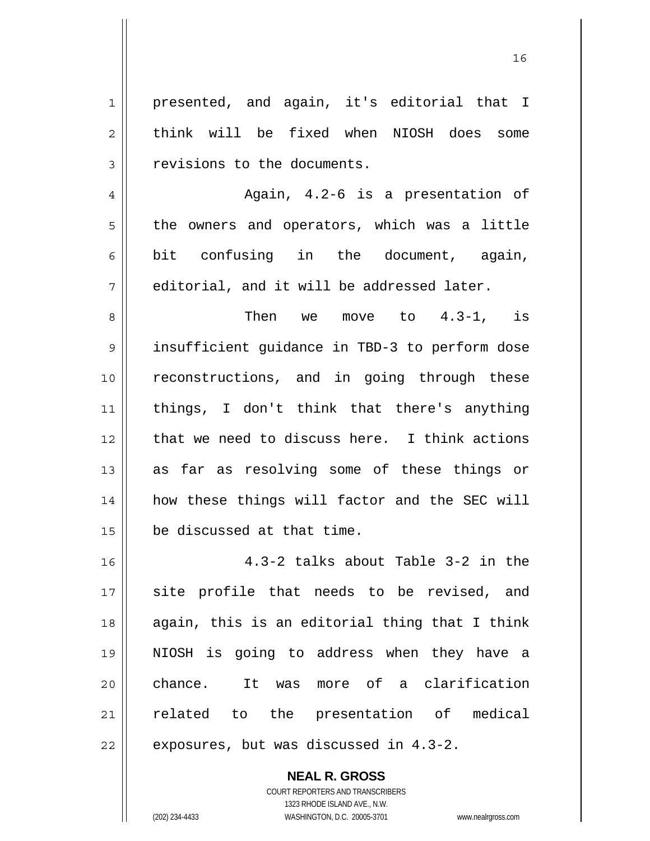1 2 3 4 5 6 7 8 9 10 11 12 13 14 15 16 17 18 19 20 21 22 presented, and again, it's editorial that I think will be fixed when NIOSH does some revisions to the documents. Again, 4.2-6 is a presentation of the owners and operators, which was a little bit confusing in the document, again, editorial, and it will be addressed later. Then we move to 4.3-1, is insufficient guidance in TBD-3 to perform dose reconstructions, and in going through these things, I don't think that there's anything that we need to discuss here. I think actions as far as resolving some of these things or how these things will factor and the SEC will be discussed at that time. 4.3-2 talks about Table 3-2 in the site profile that needs to be revised, and again, this is an editorial thing that I think NIOSH is going to address when they have a chance. It was more of a clarification related to the presentation of medical exposures, but was discussed in 4.3-2.

> **NEAL R. GROSS** COURT REPORTERS AND TRANSCRIBERS

> > 1323 RHODE ISLAND AVE., N.W.

(202) 234-4433 WASHINGTON, D.C. 20005-3701 www.nealrgross.com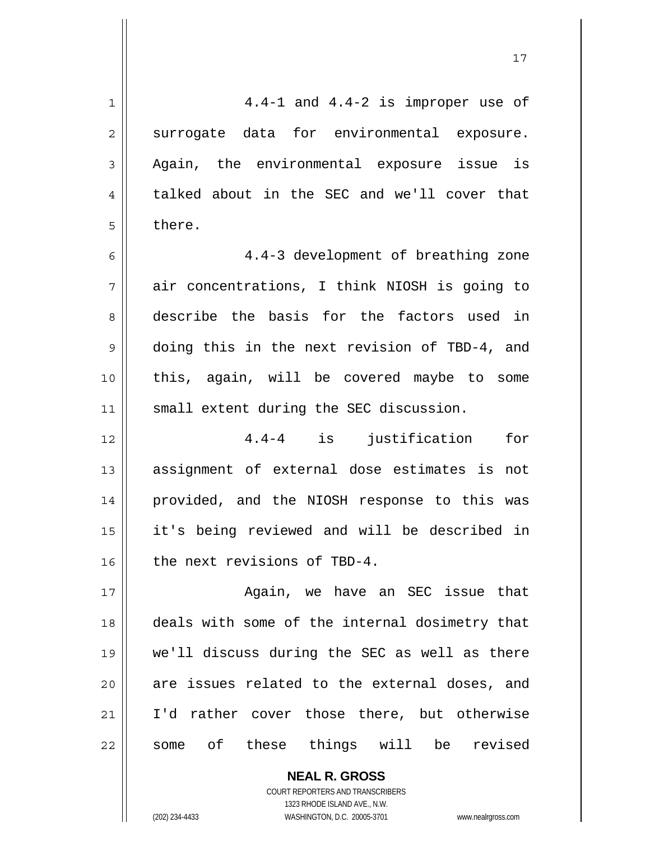| 1  | 4.4-1 and 4.4-2 is improper use of             |
|----|------------------------------------------------|
| 2  | surrogate data for environmental exposure.     |
| 3  | Again, the environmental exposure issue is     |
| 4  | talked about in the SEC and we'll cover that   |
| 5  | there.                                         |
| 6  | 4.4-3 development of breathing zone            |
| 7  | air concentrations, I think NIOSH is going to  |
| 8  | describe the basis for the factors used in     |
| 9  | doing this in the next revision of TBD-4, and  |
| 10 | this, again, will be covered maybe to some     |
| 11 | small extent during the SEC discussion.        |
| 12 | 4.4-4 is justification for                     |
| 13 | assignment of external dose estimates is not   |
| 14 | provided, and the NIOSH response to this was   |
| 15 | it's being reviewed and will be described in   |
| 16 | the next revisions of TBD-4.                   |
| 17 | Again, we have an SEC issue that               |
| 18 | deals with some of the internal dosimetry that |
| 19 | we'll discuss during the SEC as well as there  |
| 20 | are issues related to the external doses, and  |
| 21 | I'd rather cover those there, but otherwise    |
| 22 | some of these things will be<br>revised        |
|    |                                                |

17

**NEAL R. GROSS** COURT REPORTERS AND TRANSCRIBERS 1323 RHODE ISLAND AVE., N.W.

 $\mathbf{I}$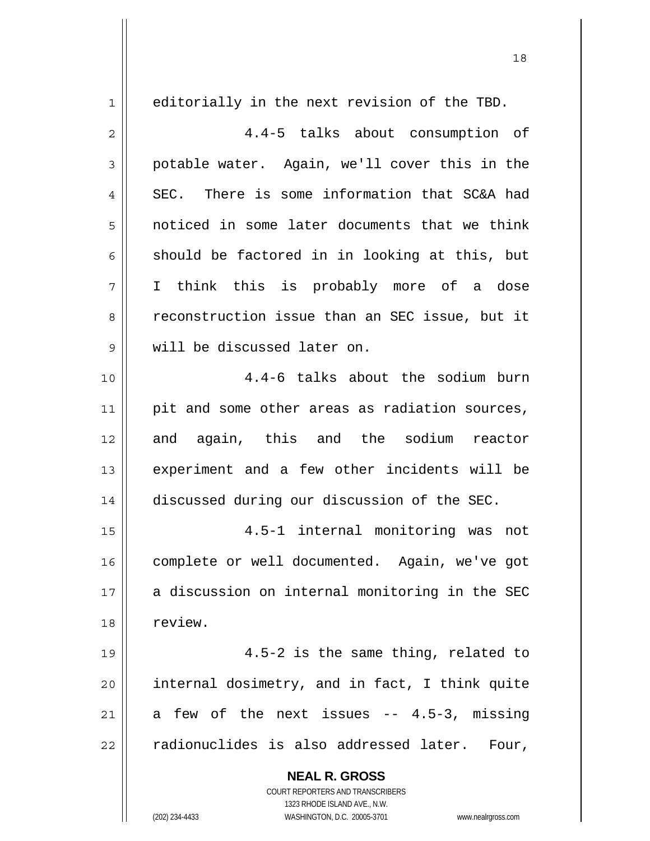**NEAL R. GROSS** COURT REPORTERS AND TRANSCRIBERS 1323 RHODE ISLAND AVE., N.W. 1 2 3 4 5 6 7 8 9 10 11 12 13 14 15 16 17 18 19 20 21 22 editorially in the next revision of the TBD. 4.4-5 talks about consumption of potable water. Again, we'll cover this in the SEC. There is some information that SC&A had noticed in some later documents that we think should be factored in in looking at this, but I think this is probably more of a dose reconstruction issue than an SEC issue, but it will be discussed later on. 4.4-6 talks about the sodium burn pit and some other areas as radiation sources, and again, this and the sodium reactor experiment and a few other incidents will be discussed during our discussion of the SEC. 4.5-1 internal monitoring was not complete or well documented. Again, we've got a discussion on internal monitoring in the SEC review. 4.5-2 is the same thing, related to internal dosimetry, and in fact, I think quite a few of the next issues -- 4.5-3, missing radionuclides is also addressed later. Four,

(202) 234-4433 WASHINGTON, D.C. 20005-3701 www.nealrgross.com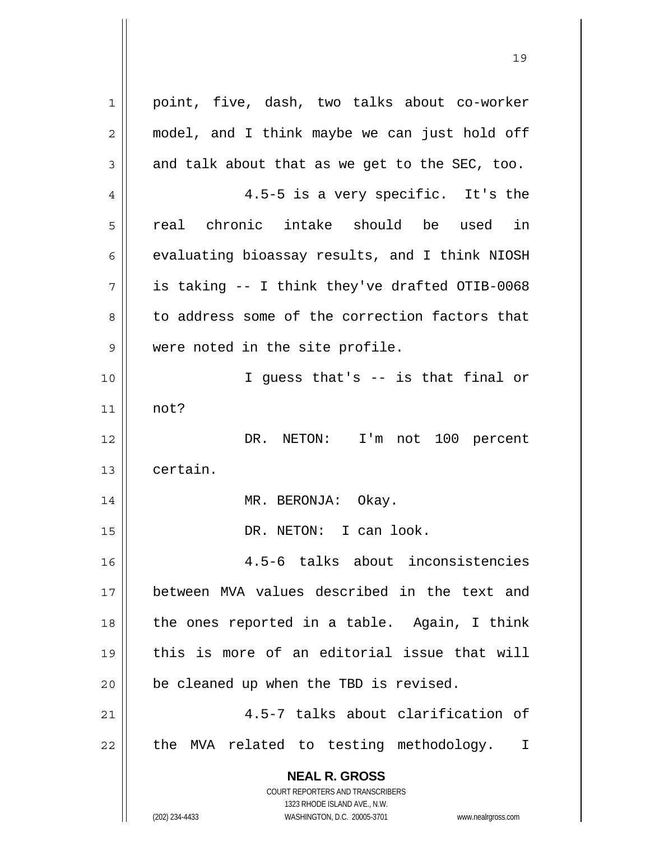| $\mathbf 1$    | point, five, dash, two talks about co-worker                                                        |
|----------------|-----------------------------------------------------------------------------------------------------|
| $\overline{2}$ | model, and I think maybe we can just hold off                                                       |
| 3              | and talk about that as we get to the SEC, too.                                                      |
| 4              | 4.5-5 is a very specific. It's the                                                                  |
| 5              | real chronic intake should be used in                                                               |
| 6              | evaluating bioassay results, and I think NIOSH                                                      |
| 7              | is taking -- I think they've drafted OTIB-0068                                                      |
| 8              | to address some of the correction factors that                                                      |
| 9              | were noted in the site profile.                                                                     |
| 10             | I guess that's -- is that final or                                                                  |
| 11             | not?                                                                                                |
| 12             | DR. NETON: I'm not 100 percent                                                                      |
| 13             | certain.                                                                                            |
| 14             | MR. BERONJA: Okay.                                                                                  |
| 15             | DR. NETON: I can look.                                                                              |
| 16             | 4.5-6 talks about inconsistencies                                                                   |
| 17             | between MVA values described in the text and                                                        |
| 18             | the ones reported in a table. Again, I think                                                        |
| 19             | this is more of an editorial issue that will                                                        |
| 20             | be cleaned up when the TBD is revised.                                                              |
| 21             | 4.5-7 talks about clarification of                                                                  |
| 22             | the MVA related to testing methodology.<br>I                                                        |
|                | <b>NEAL R. GROSS</b>                                                                                |
|                | <b>COURT REPORTERS AND TRANSCRIBERS</b>                                                             |
|                | 1323 RHODE ISLAND AVE., N.W.<br>(202) 234-4433<br>WASHINGTON, D.C. 20005-3701<br>www.nealrgross.com |
|                |                                                                                                     |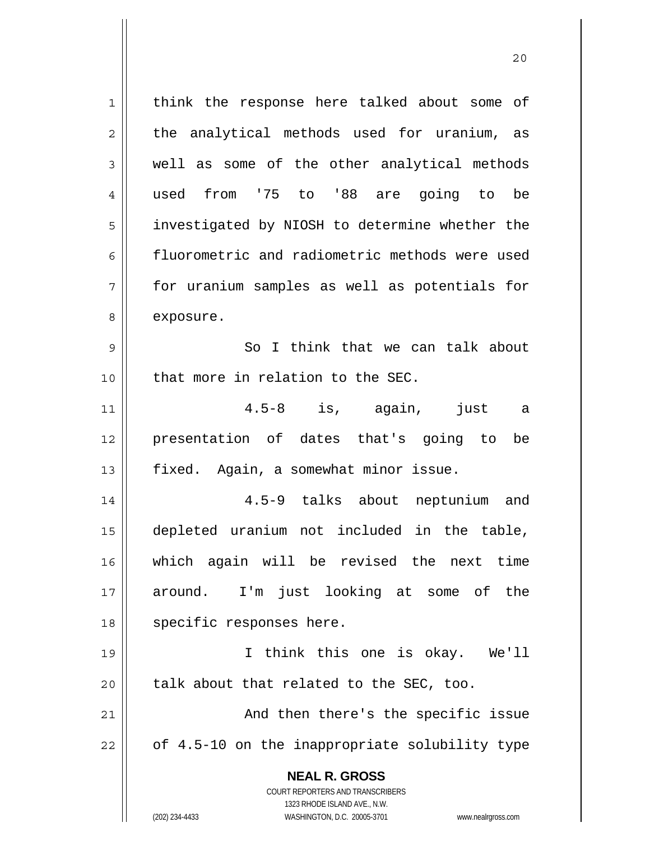**NEAL R. GROSS** COURT REPORTERS AND TRANSCRIBERS 1323 RHODE ISLAND AVE., N.W. (202) 234-4433 WASHINGTON, D.C. 20005-3701 www.nealrgross.com 1 2 3 4 5 6 7 8 9 10 11 12 13 14 15 16 17 18 19 20 21 22 think the response here talked about some of the analytical methods used for uranium, as well as some of the other analytical methods used from '75 to '88 are going to be investigated by NIOSH to determine whether the fluorometric and radiometric methods were used for uranium samples as well as potentials for exposure. So I think that we can talk about that more in relation to the SEC. 4.5-8 is, again, just a presentation of dates that's going to be fixed. Again, a somewhat minor issue. 4.5-9 talks about neptunium and depleted uranium not included in the table, which again will be revised the next time around. I'm just looking at some of the specific responses here. I think this one is okay. We'll talk about that related to the SEC, too. And then there's the specific issue of 4.5-10 on the inappropriate solubility type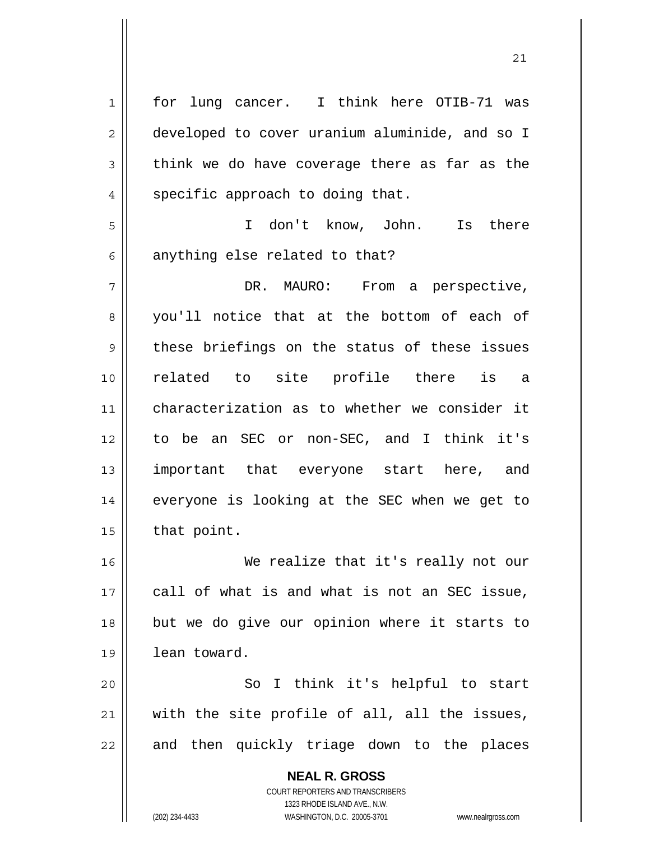**NEAL R. GROSS** COURT REPORTERS AND TRANSCRIBERS 1323 RHODE ISLAND AVE., N.W. 1 2 3 4 5 6 7 8 9 10 11 12 13 14 15 16 17 18 19 20 21 22 for lung cancer. I think here OTIB-71 was developed to cover uranium aluminide, and so I think we do have coverage there as far as the specific approach to doing that. I don't know, John. Is there anything else related to that? DR. MAURO: From a perspective, you'll notice that at the bottom of each of these briefings on the status of these issues related to site profile there is a characterization as to whether we consider it to be an SEC or non-SEC, and I think it's important that everyone start here, and everyone is looking at the SEC when we get to that point. We realize that it's really not our call of what is and what is not an SEC issue, but we do give our opinion where it starts to lean toward. So I think it's helpful to start with the site profile of all, all the issues, and then quickly triage down to the places

21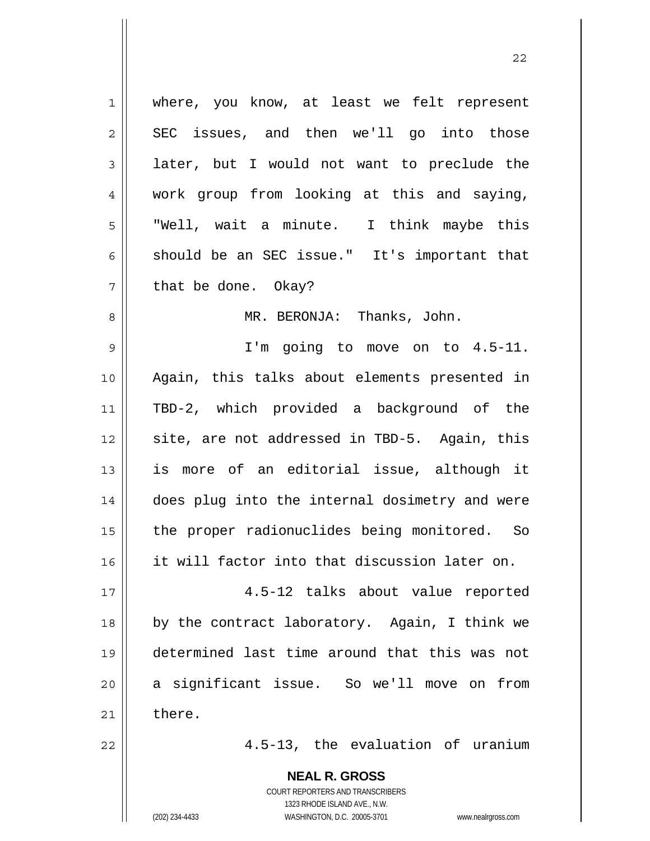1 2 3 4 5 6 7 8 9 10 11 12 13 14 15 16 17 18 19 20 21 22 where, you know, at least we felt represent SEC issues, and then we'll go into those later, but I would not want to preclude the work group from looking at this and saying, "Well, wait a minute. I think maybe this should be an SEC issue." It's important that that be done. Okay? MR. BERONJA: Thanks, John. I'm going to move on to 4.5-11. Again, this talks about elements presented in TBD-2, which provided a background of the site, are not addressed in TBD-5. Again, this is more of an editorial issue, although it does plug into the internal dosimetry and were the proper radionuclides being monitored. So it will factor into that discussion later on. 4.5-12 talks about value reported by the contract laboratory. Again, I think we determined last time around that this was not a significant issue. So we'll move on from there. 4.5-13, the evaluation of uranium

22

**NEAL R. GROSS** COURT REPORTERS AND TRANSCRIBERS 1323 RHODE ISLAND AVE., N.W. (202) 234-4433 WASHINGTON, D.C. 20005-3701 www.nealrgross.com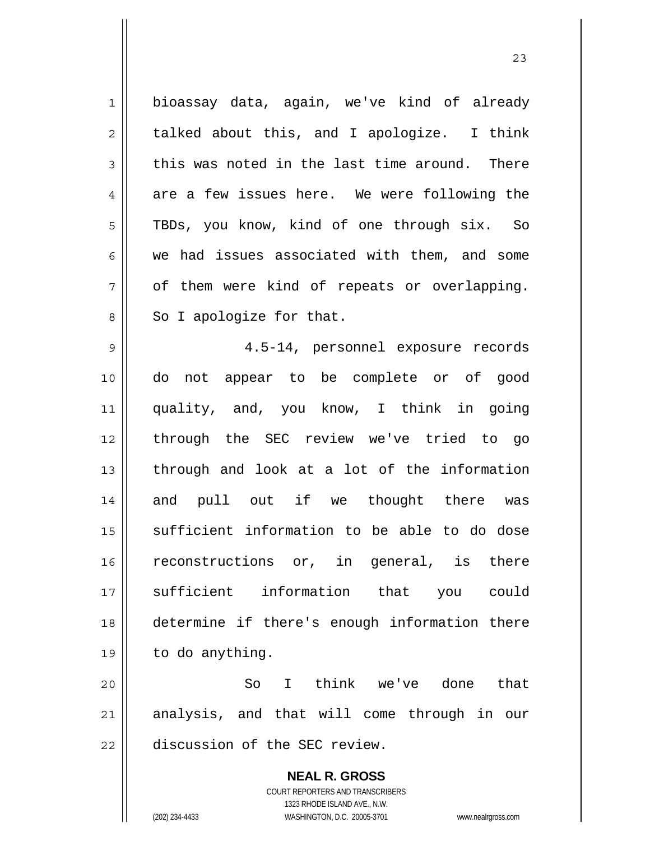1 2 3 4 5 6 7 8 9 10 11 12 13 14 15 16 17 18 19 20 21 22 bioassay data, again, we've kind of already talked about this, and I apologize. I think this was noted in the last time around. There are a few issues here. We were following the TBDs, you know, kind of one through six. So we had issues associated with them, and some of them were kind of repeats or overlapping. So I apologize for that. 4.5-14, personnel exposure records do not appear to be complete or of good quality, and, you know, I think in going through the SEC review we've tried to go through and look at a lot of the information and pull out if we thought there was sufficient information to be able to do dose reconstructions or, in general, is there sufficient information that you could determine if there's enough information there to do anything. So I think we've done that analysis, and that will come through in our discussion of the SEC review.

23

**NEAL R. GROSS** COURT REPORTERS AND TRANSCRIBERS 1323 RHODE ISLAND AVE., N.W.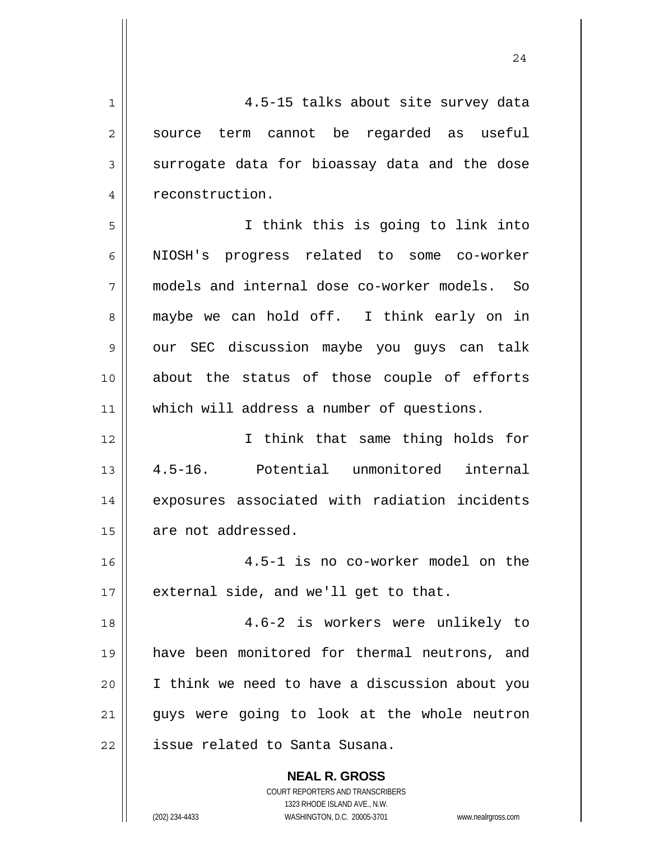**NEAL R. GROSS** 1 2 3 4 5 6 7 8 9 10 11 12 13 14 15 16 17 18 19 20 21 22 4.5-15 talks about site survey data source term cannot be regarded as useful surrogate data for bioassay data and the dose reconstruction. I think this is going to link into NIOSH's progress related to some co-worker models and internal dose co-worker models. So maybe we can hold off. I think early on in our SEC discussion maybe you guys can talk about the status of those couple of efforts which will address a number of questions. I think that same thing holds for 4.5-16. Potential unmonitored internal exposures associated with radiation incidents are not addressed. 4.5-1 is no co-worker model on the external side, and we'll get to that. 4.6-2 is workers were unlikely to have been monitored for thermal neutrons, and I think we need to have a discussion about you guys were going to look at the whole neutron issue related to Santa Susana.

24

COURT REPORTERS AND TRANSCRIBERS 1323 RHODE ISLAND AVE., N.W.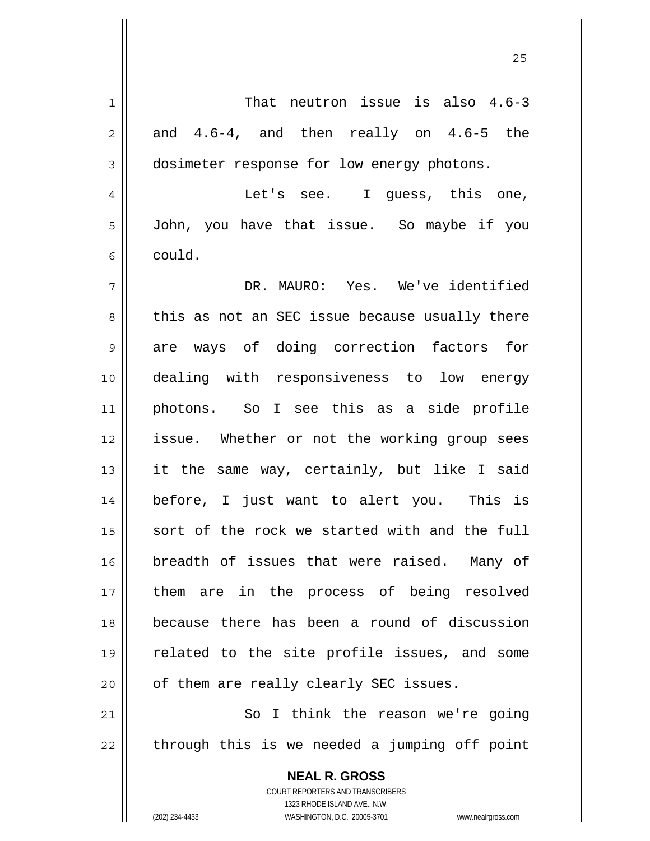| $\mathbf 1$    | That neutron issue is also 4.6-3               |
|----------------|------------------------------------------------|
| $\overline{c}$ | and 4.6-4, and then really on 4.6-5 the        |
| 3              | dosimeter response for low energy photons.     |
| 4              | Let's see. I guess, this one,                  |
| 5              | John, you have that issue. So maybe if you     |
| 6              | could.                                         |
| 7              | DR. MAURO: Yes. We've identified               |
| 8              | this as not an SEC issue because usually there |
| 9              | are ways of doing correction factors for       |
| 10             | dealing with responsiveness to low energy      |
| 11             | photons. So I see this as a side profile       |
| 12             | issue. Whether or not the working group sees   |
| 13             | it the same way, certainly, but like I said    |
| 14             | before, I just want to alert you. This is      |
| 15             | sort of the rock we started with and the full  |
| 16             | breadth of issues that were raised. Many of    |
| 17             | them are in the process of being resolved      |
| 18             | because there has been a round of discussion   |
| 19             | related to the site profile issues, and some   |
| 20             | of them are really clearly SEC issues.         |
| 21             | So I think the reason we're going              |
| 22             | through this is we needed a jumping off point  |
|                |                                                |

<u>25</u>

**NEAL R. GROSS** COURT REPORTERS AND TRANSCRIBERS 1323 RHODE ISLAND AVE., N.W.

 $\mathbf{I}$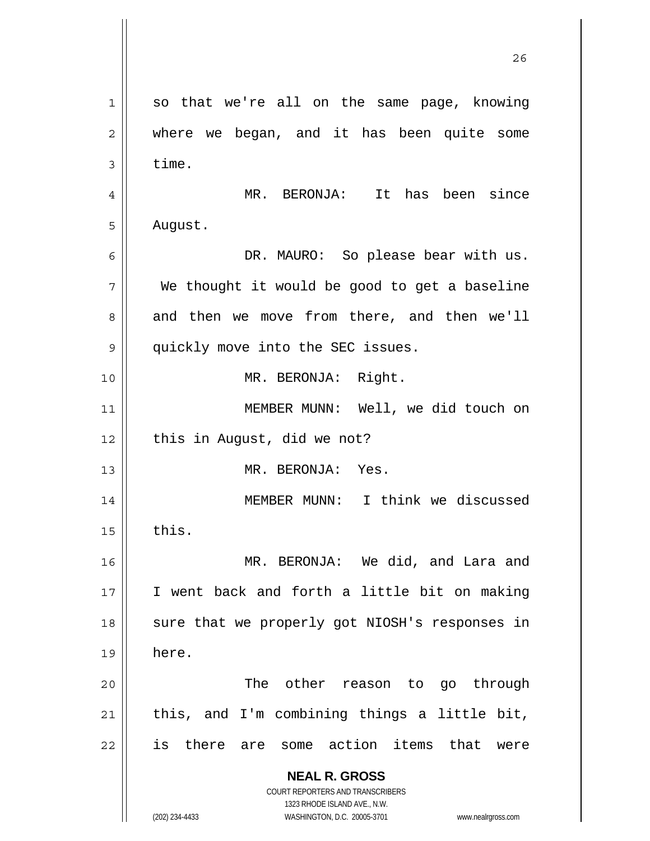**NEAL R. GROSS** COURT REPORTERS AND TRANSCRIBERS 1323 RHODE ISLAND AVE., N.W. (202) 234-4433 WASHINGTON, D.C. 20005-3701 www.nealrgross.com <u>26</u> 1 2 3 4 5 6 7 8 9 10 11 12 13 14 15 16 17 18 19 20 21 22 so that we're all on the same page, knowing where we began, and it has been quite some time. MR. BERONJA: It has been since August. DR. MAURO: So please bear with us. We thought it would be good to get a baseline and then we move from there, and then we'll quickly move into the SEC issues. MR. BERONJA: Right. MEMBER MUNN: Well, we did touch on this in August, did we not? MR. BERONJA: Yes. MEMBER MUNN: I think we discussed this. MR. BERONJA: We did, and Lara and I went back and forth a little bit on making sure that we properly got NIOSH's responses in here. The other reason to go through this, and I'm combining things a little bit, is there are some action items that were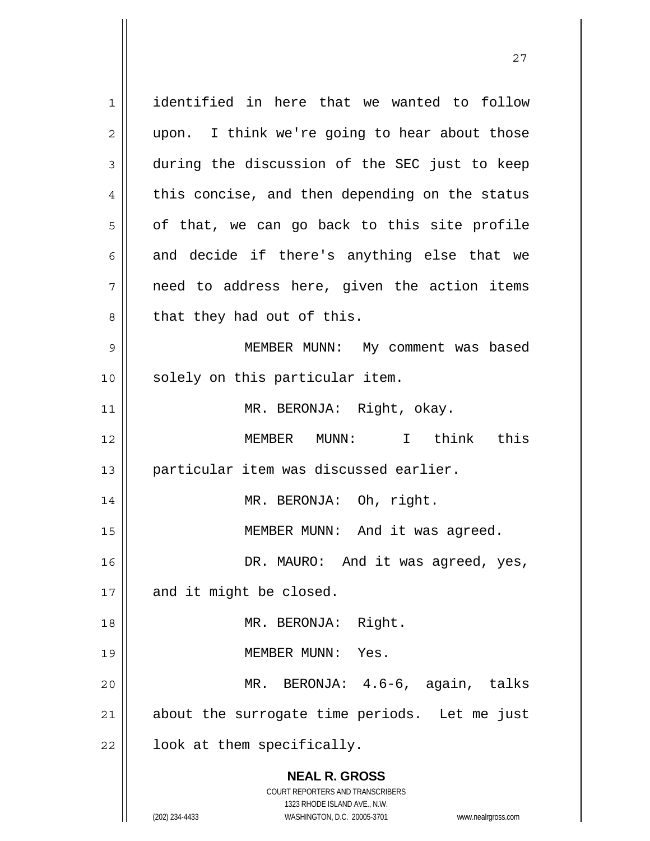**NEAL R. GROSS** COURT REPORTERS AND TRANSCRIBERS 1323 RHODE ISLAND AVE., N.W. (202) 234-4433 WASHINGTON, D.C. 20005-3701 www.nealrgross.com 1 2 3 4 5 6 7 8 9 10 11 12 13 14 15 16 17 18 19 20 21 22 identified in here that we wanted to follow upon. I think we're going to hear about those during the discussion of the SEC just to keep this concise, and then depending on the status of that, we can go back to this site profile and decide if there's anything else that we need to address here, given the action items that they had out of this. MEMBER MUNN: My comment was based solely on this particular item. MR. BERONJA: Right, okay. MEMBER MUNN: I think this particular item was discussed earlier. MR. BERONJA: Oh, right. MEMBER MUNN: And it was agreed. DR. MAURO: And it was agreed, yes, and it might be closed. MR. BERONJA: Right. MEMBER MUNN: Yes. MR. BERONJA: 4.6-6, again, talks about the surrogate time periods. Let me just look at them specifically.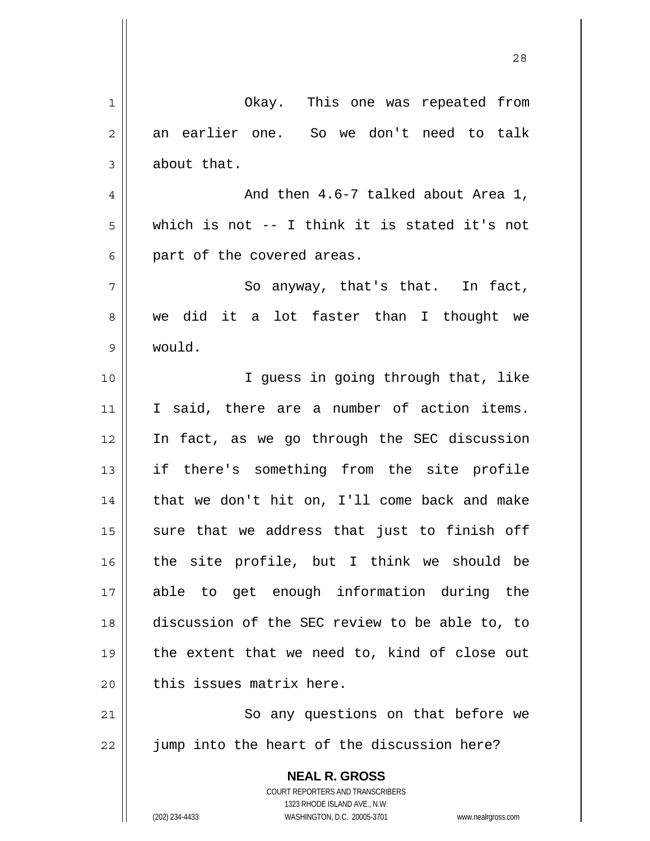| 1  | Okay. This one was repeated from                                                                    |
|----|-----------------------------------------------------------------------------------------------------|
| 2  | an earlier one. So we don't need to talk                                                            |
| 3  | about that.                                                                                         |
| 4  | And then 4.6-7 talked about Area 1,                                                                 |
| 5  | which is not -- I think it is stated it's not                                                       |
| 6  | part of the covered areas.                                                                          |
| 7  | So anyway, that's that. In fact,                                                                    |
| 8  | we did it a lot faster than I thought we                                                            |
| 9  | would.                                                                                              |
| 10 | I guess in going through that, like                                                                 |
| 11 | I said, there are a number of action items.                                                         |
| 12 | In fact, as we go through the SEC discussion                                                        |
| 13 | if there's something from the site profile                                                          |
| 14 | that we don't hit on, I'll come back and make                                                       |
| 15 | sure that we address that just to finish off                                                        |
| 16 | the site profile, but I think we should be                                                          |
| 17 | able to get enough information during the                                                           |
| 18 | discussion of the SEC review to be able to, to                                                      |
| 19 | the extent that we need to, kind of close out                                                       |
| 20 | this issues matrix here.                                                                            |
| 21 | So any questions on that before we                                                                  |
|    | jump into the heart of the discussion here?                                                         |
|    |                                                                                                     |
|    | COURT REPORTERS AND TRANSCRIBERS                                                                    |
|    | 1323 RHODE ISLAND AVE., N.W.<br>(202) 234-4433<br>WASHINGTON, D.C. 20005-3701<br>www.nealrgross.com |
| 22 | <b>NEAL R. GROSS</b>                                                                                |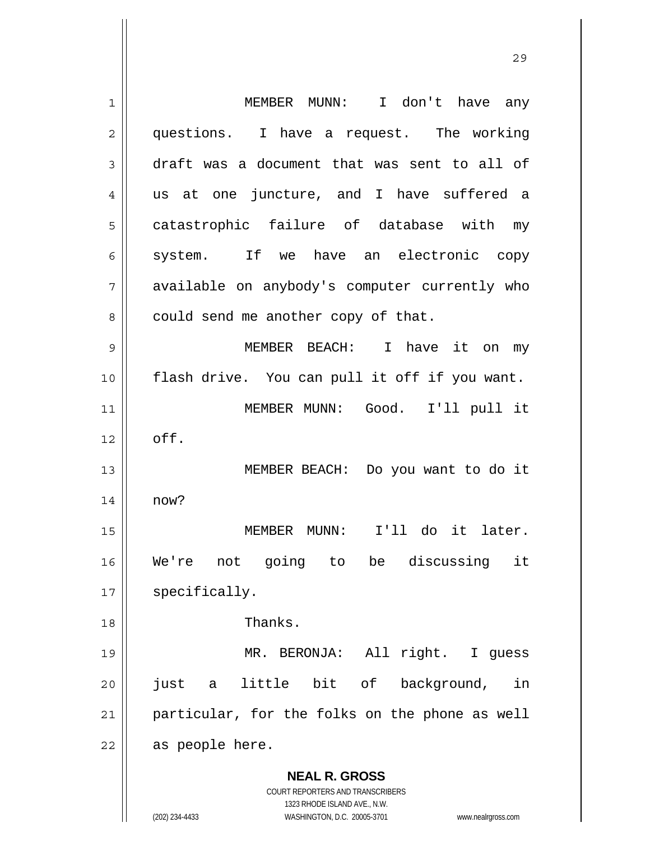| 1  | MEMBER MUNN: I don't have any                                       |
|----|---------------------------------------------------------------------|
| 2  | questions. I have a request. The working                            |
| 3  | draft was a document that was sent to all of                        |
| 4  | us at one juncture, and I have suffered a                           |
| 5  | catastrophic failure of database with my                            |
| 6  | system. If we have an electronic copy                               |
| 7  | available on anybody's computer currently who                       |
| 8  | could send me another copy of that.                                 |
| 9  | MEMBER BEACH: I have it on<br>my                                    |
| 10 | flash drive. You can pull it off if you want.                       |
| 11 | MEMBER MUNN: Good.<br>I'll pull it                                  |
| 12 | off.                                                                |
| 13 | MEMBER BEACH: Do you want to do it                                  |
| 14 | now?                                                                |
| 15 | I'll do<br>it later.<br>MEMBER MUNN:                                |
| 16 | it<br>going to<br>be<br>discussing<br>We're<br>not                  |
| 17 | specifically.                                                       |
| 18 | Thanks.                                                             |
| 19 | MR. BERONJA: All right. I guess                                     |
| 20 | of background,<br>just<br>little bit<br>in<br>a                     |
| 21 | particular, for the folks on the phone as well                      |
| 22 | as people here.                                                     |
|    |                                                                     |
|    | <b>NEAL R. GROSS</b><br>COURT REPORTERS AND TRANSCRIBERS            |
|    | 1323 RHODE ISLAND AVE., N.W.                                        |
|    | (202) 234-4433<br>WASHINGTON, D.C. 20005-3701<br>www.nealrgross.com |

<u>29</u>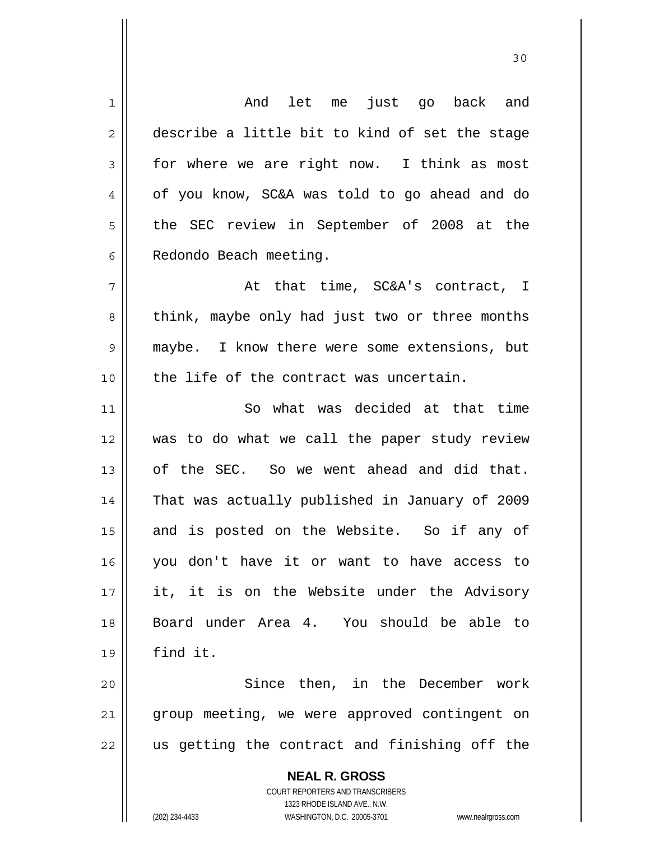**NEAL R. GROSS** COURT REPORTERS AND TRANSCRIBERS 1323 RHODE ISLAND AVE., N.W. 1 2 3 4 5 6 7 8 9 10 11 12 13 14 15 16 17 18 19 20 21 22 And let me just go back and describe a little bit to kind of set the stage for where we are right now. I think as most of you know, SC&A was told to go ahead and do the SEC review in September of 2008 at the Redondo Beach meeting. At that time, SC&A's contract, I think, maybe only had just two or three months maybe. I know there were some extensions, but the life of the contract was uncertain. So what was decided at that time was to do what we call the paper study review of the SEC. So we went ahead and did that. That was actually published in January of 2009 and is posted on the Website. So if any of you don't have it or want to have access to it, it is on the Website under the Advisory Board under Area 4. You should be able to find it. Since then, in the December work group meeting, we were approved contingent on us getting the contract and finishing off the

30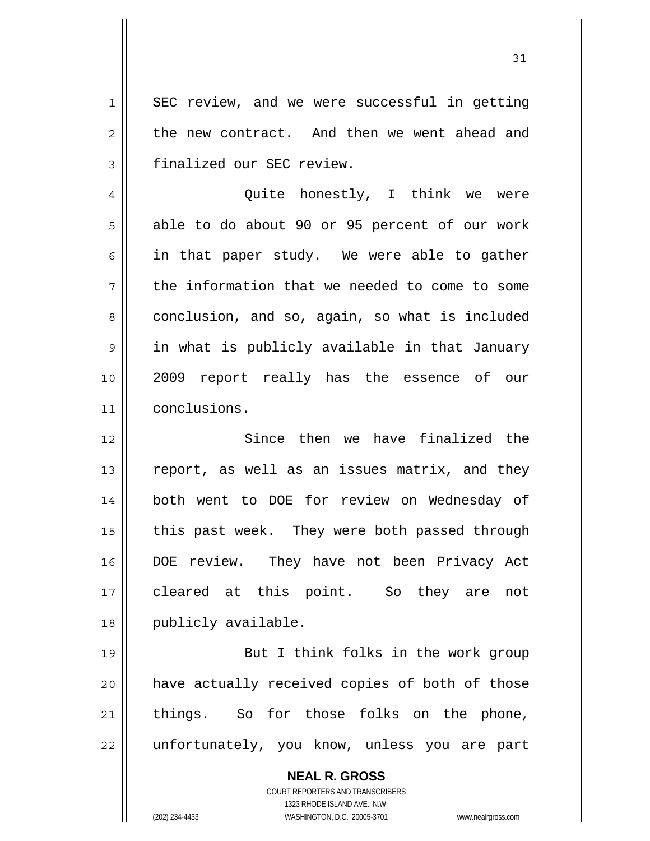1 2 3 SEC review, and we were successful in getting the new contract. And then we went ahead and finalized our SEC review.

4 5 6 7 8 9 10 11 Quite honestly, I think we were able to do about 90 or 95 percent of our work in that paper study. We were able to gather the information that we needed to come to some conclusion, and so, again, so what is included in what is publicly available in that January 2009 report really has the essence of our conclusions.

12 13 14 15 16 17 18 Since then we have finalized the report, as well as an issues matrix, and they both went to DOE for review on Wednesday of this past week. They were both passed through DOE review. They have not been Privacy Act cleared at this point. So they are not publicly available.

19 20 21 22 But I think folks in the work group have actually received copies of both of those things. So for those folks on the phone, unfortunately, you know, unless you are part

> **NEAL R. GROSS** COURT REPORTERS AND TRANSCRIBERS 1323 RHODE ISLAND AVE., N.W. (202) 234-4433 WASHINGTON, D.C. 20005-3701 www.nealrgross.com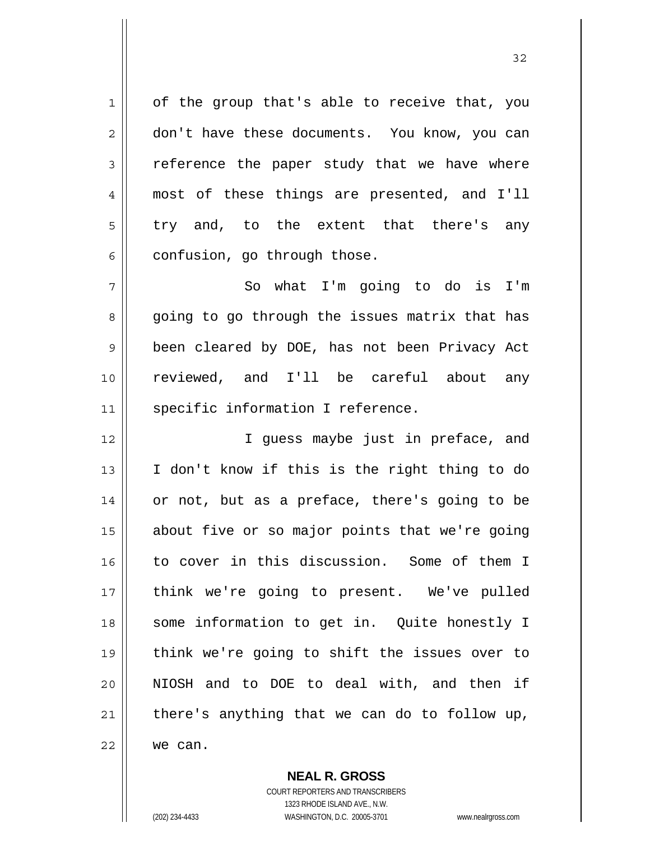of the group that's able to receive that, you don't have these documents. You know, you can reference the paper study that we have where most of these things are presented, and I'll try and, to the extent that there's any confusion, go through those.

7 8 9 10 11 So what I'm going to do is I'm going to go through the issues matrix that has been cleared by DOE, has not been Privacy Act reviewed, and I'll be careful about any specific information I reference.

12 13 14 15 16 17 18 19 20 21 22 I guess maybe just in preface, and I don't know if this is the right thing to do or not, but as a preface, there's going to be about five or so major points that we're going to cover in this discussion. Some of them I think we're going to present. We've pulled some information to get in. Quite honestly I think we're going to shift the issues over to NIOSH and to DOE to deal with, and then if there's anything that we can do to follow up, we can.

> **NEAL R. GROSS** COURT REPORTERS AND TRANSCRIBERS 1323 RHODE ISLAND AVE., N.W. (202) 234-4433 WASHINGTON, D.C. 20005-3701 www.nealrgross.com

1

2

3

4

5

6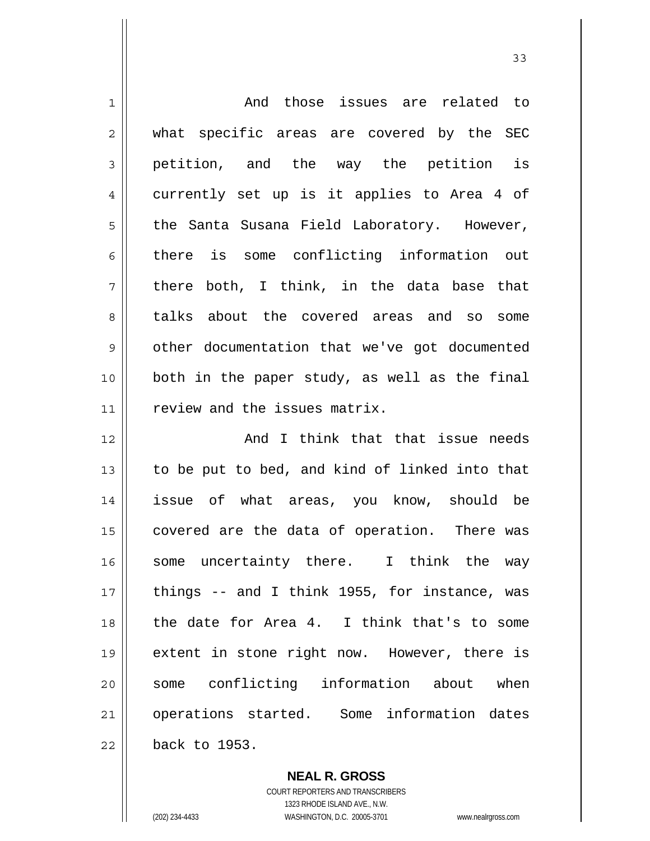| $\mathbf 1$    | And those issues are related to                |
|----------------|------------------------------------------------|
| $\overline{2}$ | what specific areas are covered by the SEC     |
| $\mathfrak{Z}$ | petition, and the way the petition is          |
| 4              | currently set up is it applies to Area 4 of    |
| 5              | the Santa Susana Field Laboratory. However,    |
| 6              | there is some conflicting information out      |
| 7              | there both, I think, in the data base that     |
| 8              | talks about the covered areas and so<br>some   |
| 9              | other documentation that we've got documented  |
| 10             | both in the paper study, as well as the final  |
| 11             | review and the issues matrix.                  |
| 12             | And I think that that issue needs              |
|                |                                                |
| 13             | to be put to bed, and kind of linked into that |
| 14             | issue of what areas, you know, should be       |
| 15             | covered are the data of operation. There was   |
| 16             | some uncertainty there. I think the way        |
| 17             | things -- and I think 1955, for instance, was  |
| 18             | the date for Area 4. I think that's to some    |
| 19             | extent in stone right now. However, there is   |
| 20             | some conflicting information about when        |
| 21             | operations started. Some information dates     |

33

**NEAL R. GROSS** COURT REPORTERS AND TRANSCRIBERS 1323 RHODE ISLAND AVE., N.W. (202) 234-4433 WASHINGTON, D.C. 20005-3701 www.nealrgross.com

 $\mathsf{I}$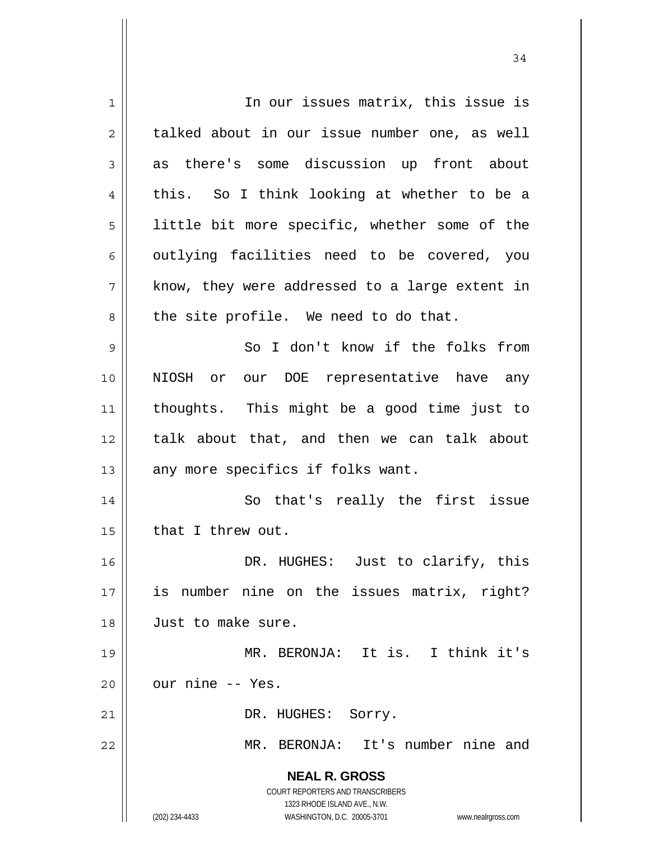**NEAL R. GROSS** COURT REPORTERS AND TRANSCRIBERS 1323 RHODE ISLAND AVE., N.W. (202) 234-4433 WASHINGTON, D.C. 20005-3701 www.nealrgross.com 1 2 3 4 5 6 7 8 9 10 11 12 13 14 15 16 17 18 19 20 21 22 In our issues matrix, this issue is talked about in our issue number one, as well as there's some discussion up front about this. So I think looking at whether to be a little bit more specific, whether some of the outlying facilities need to be covered, you know, they were addressed to a large extent in the site profile. We need to do that. So I don't know if the folks from NIOSH or our DOE representative have any thoughts. This might be a good time just to talk about that, and then we can talk about any more specifics if folks want. So that's really the first issue that I threw out. DR. HUGHES: Just to clarify, this is number nine on the issues matrix, right? Just to make sure. MR. BERONJA: It is. I think it's our nine -- Yes. DR. HUGHES: Sorry. MR. BERONJA: It's number nine and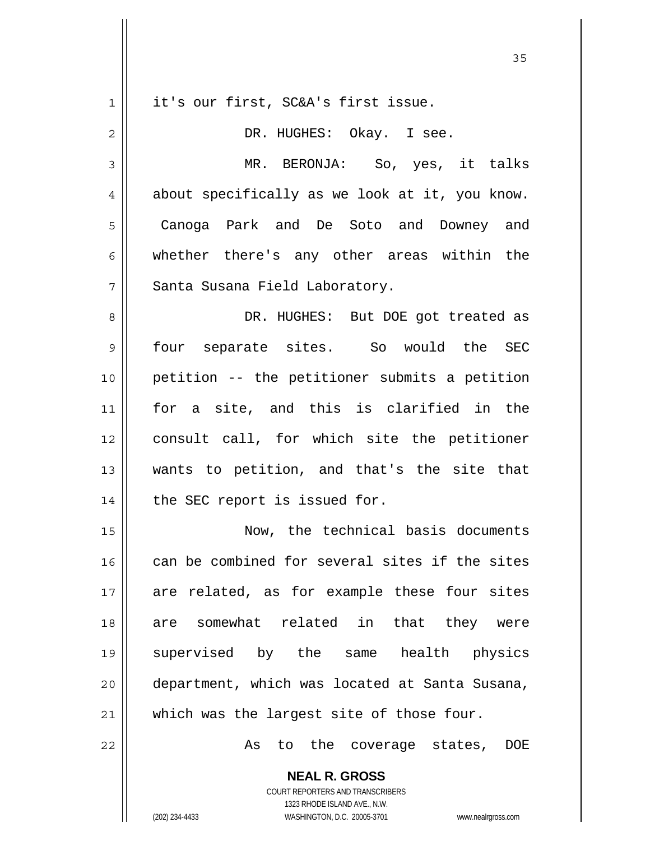| $\mathbf 1$    | it's our first, SC&A's first issue.                                                                 |
|----------------|-----------------------------------------------------------------------------------------------------|
| $\overline{c}$ | DR. HUGHES: Okay. I see.                                                                            |
| 3              | MR. BERONJA: So, yes, it talks                                                                      |
| $\overline{4}$ | about specifically as we look at it, you know.                                                      |
| 5              | Canoga Park and De Soto and Downey and                                                              |
| 6              | whether there's any other areas within the                                                          |
| 7              | Santa Susana Field Laboratory.                                                                      |
| 8              | DR. HUGHES: But DOE got treated as                                                                  |
| $\mathsf 9$    | four separate sites. So would the SEC                                                               |
| 10             | petition -- the petitioner submits a petition                                                       |
| 11             | for a site, and this is clarified in the                                                            |
| 12             | consult call, for which site the petitioner                                                         |
| 13             | wants to petition, and that's the site that                                                         |
| 14             | the SEC report is issued for.                                                                       |
| 15             | Now, the technical basis documents                                                                  |
|                |                                                                                                     |
| 16             | can be combined for several sites if the sites                                                      |
| 17             | are related, as for example these four sites                                                        |
| 18             | are somewhat related in that they were                                                              |
| 19             | supervised by the same health physics                                                               |
| 20             | department, which was located at Santa Susana,                                                      |
| 21             | which was the largest site of those four.                                                           |
| 22             | to the coverage states,<br><b>DOE</b><br>As                                                         |
|                | <b>NEAL R. GROSS</b>                                                                                |
|                | COURT REPORTERS AND TRANSCRIBERS                                                                    |
|                | 1323 RHODE ISLAND AVE., N.W.<br>(202) 234-4433<br>WASHINGTON, D.C. 20005-3701<br>www.nealrgross.com |

<u>35</u>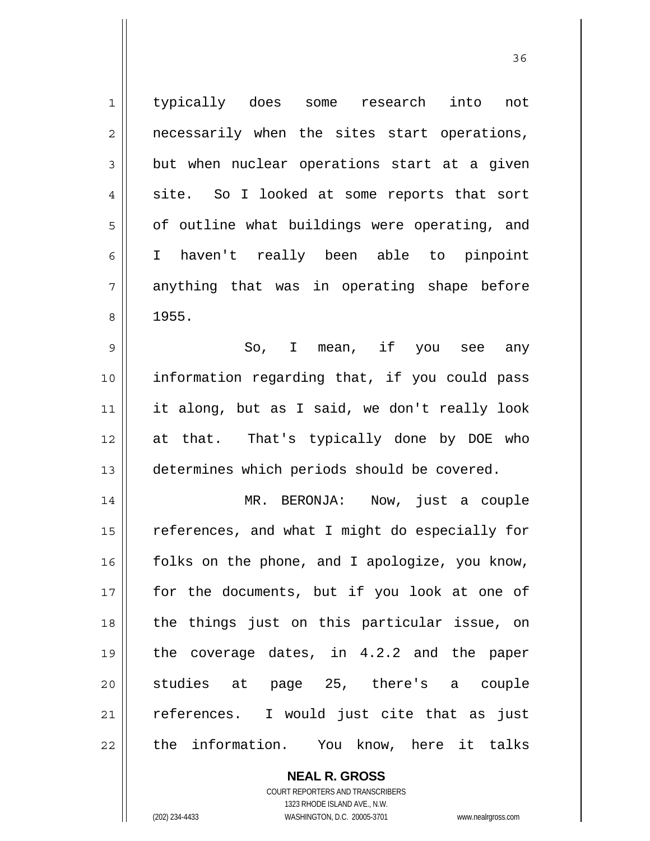| $\mathbf 1$    | typically does some research<br>into<br>not    |
|----------------|------------------------------------------------|
| $\mathbf 2$    | necessarily when the sites start operations,   |
| $\mathfrak{Z}$ | but when nuclear operations start at a given   |
| $\overline{4}$ | site. So I looked at some reports that sort    |
| 5              | of outline what buildings were operating, and  |
| 6              | I haven't really been able to pinpoint         |
| 7              | anything that was in operating shape before    |
| 8              | 1955.                                          |
| $\mathsf 9$    | I mean, if you see any<br>So,                  |
| 10             | information regarding that, if you could pass  |
| 11             | it along, but as I said, we don't really look  |
| 12             | at that. That's typically done by DOE who      |
| 13             | determines which periods should be covered.    |
| 14             | MR. BERONJA: Now, just a couple                |
| 15             | references, and what I might do especially for |
| 16             | folks on the phone, and I apologize, you know, |
| 17             | for the documents, but if you look at one of   |
| 18             | the things just on this particular issue, on   |
| 19             | the coverage dates, in 4.2.2 and the paper     |
| 20             | studies at page 25, there's a couple           |
| 21             | references. I would just cite that as just     |
| 22             | the information. You know, here it talks       |

<u>36 and 36</u>

COURT REPORTERS AND TRANSCRIBERS 1323 RHODE ISLAND AVE., N.W. (202) 234-4433 WASHINGTON, D.C. 20005-3701 www.nealrgross.com

**NEAL R. GROSS**

 $\mathsf{II}$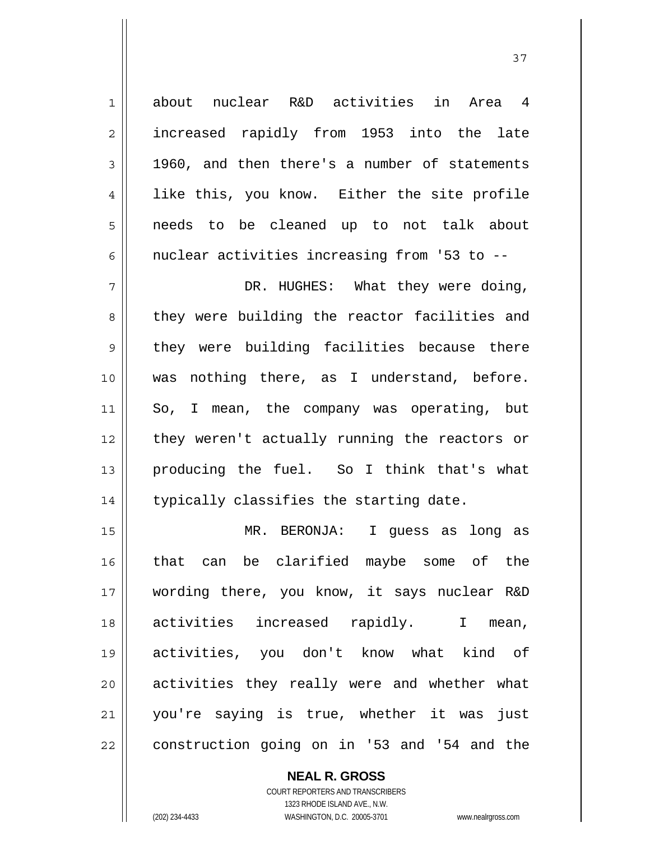about nuclear R&D activities in Area 4 increased rapidly from 1953 into the late 1960, and then there's a number of statements like this, you know. Either the site profile needs to be cleaned up to not talk about nuclear activities increasing from '53 to --

7 8 9 10 11 12 13 14 DR. HUGHES: What they were doing, they were building the reactor facilities and they were building facilities because there was nothing there, as I understand, before. So, I mean, the company was operating, but they weren't actually running the reactors or producing the fuel. So I think that's what typically classifies the starting date.

15 16 17 18 19 20 21 22 MR. BERONJA: I guess as long as that can be clarified maybe some of the wording there, you know, it says nuclear R&D activities increased rapidly. I mean, activities, you don't know what kind of activities they really were and whether what you're saying is true, whether it was just construction going on in '53 and '54 and the

> **NEAL R. GROSS** COURT REPORTERS AND TRANSCRIBERS 1323 RHODE ISLAND AVE., N.W. (202) 234-4433 WASHINGTON, D.C. 20005-3701 www.nealrgross.com

1

2

3

4

5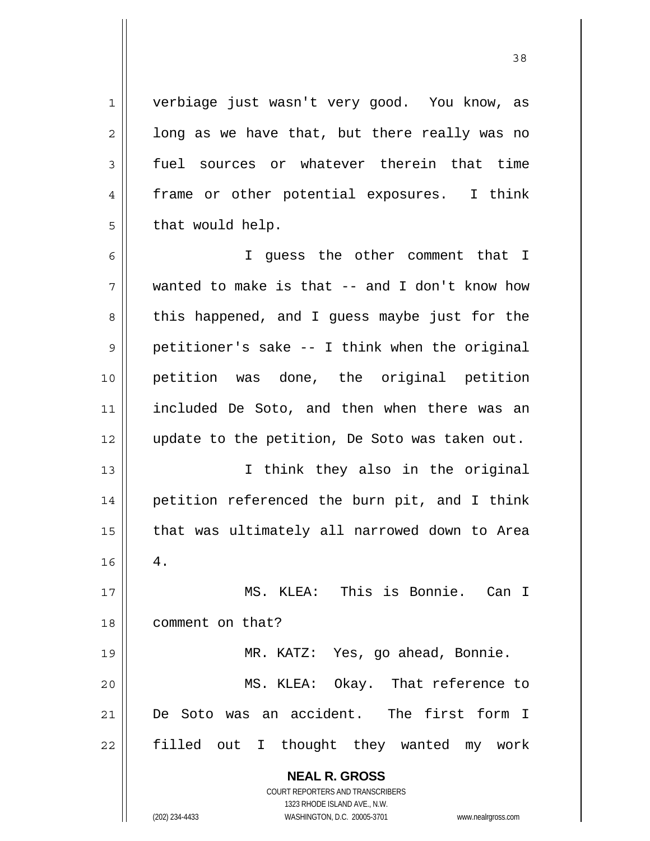1 2 3 4 5 6 7 8 9 10 11 12 13 verbiage just wasn't very good. You know, as long as we have that, but there really was no fuel sources or whatever therein that time frame or other potential exposures. I think that would help. I guess the other comment that I wanted to make is that -- and I don't know how this happened, and I guess maybe just for the petitioner's sake -- I think when the original petition was done, the original petition included De Soto, and then when there was an update to the petition, De Soto was taken out. I think they also in the original

14 15 16 petition referenced the burn pit, and I think that was ultimately all narrowed down to Area 4.

17 18 MS. KLEA: This is Bonnie. Can I comment on that?

19 20 21 22 MR. KATZ: Yes, go ahead, Bonnie. MS. KLEA: Okay. That reference to De Soto was an accident. The first form I filled out I thought they wanted my work

> **NEAL R. GROSS** COURT REPORTERS AND TRANSCRIBERS 1323 RHODE ISLAND AVE., N.W.

(202) 234-4433 WASHINGTON, D.C. 20005-3701 www.nealrgross.com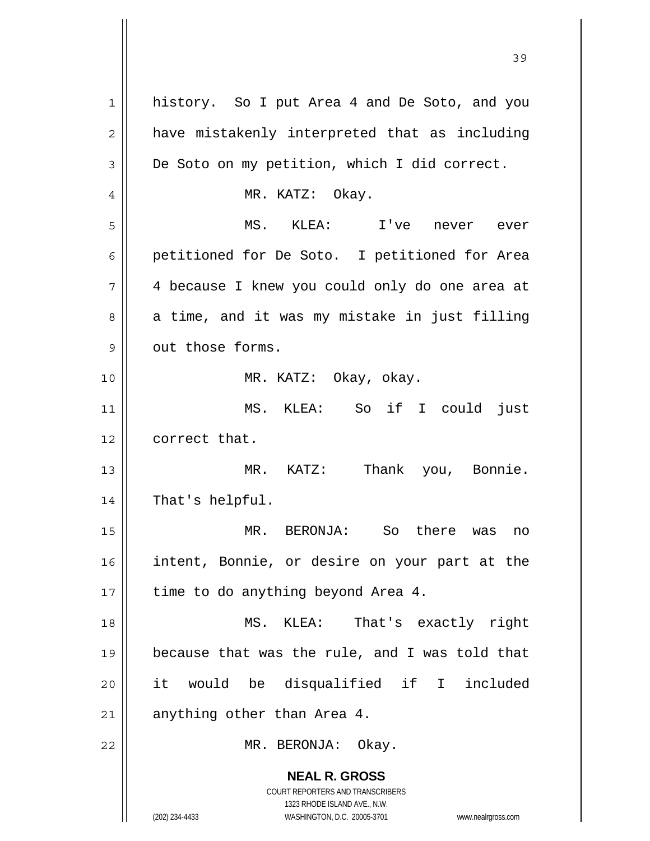| $\mathbf{1}$ | history. So I put Area 4 and De Soto, and you                       |
|--------------|---------------------------------------------------------------------|
| 2            | have mistakenly interpreted that as including                       |
| 3            | De Soto on my petition, which I did correct.                        |
| 4            | MR. KATZ: Okay.                                                     |
| 5            | MS. KLEA:<br>I've never ever                                        |
| 6            | petitioned for De Soto. I petitioned for Area                       |
| 7            | 4 because I knew you could only do one area at                      |
| 8            | a time, and it was my mistake in just filling                       |
| 9            | out those forms.                                                    |
| 10           | MR. KATZ: Okay, okay.                                               |
| 11           | MS. KLEA: So if I could just                                        |
| 12           | correct that.                                                       |
| 13           | Thank you, Bonnie.<br>$MR.$ $KATZ:$                                 |
| 14           | That's helpful.                                                     |
| 15           | MR.<br>So<br>there<br>BERONJA:<br>was<br>no                         |
| 16           | intent, Bonnie, or desire on your part at the                       |
| 17           | time to do anything beyond Area 4.                                  |
| 18           | MS. KLEA: That's exactly right                                      |
| 19           | because that was the rule, and I was told that                      |
| 20           | it would be disqualified if I included                              |
| 21           | anything other than Area 4.                                         |
| 22           | MR. BERONJA: Okay.                                                  |
|              |                                                                     |
|              | <b>NEAL R. GROSS</b><br>COURT REPORTERS AND TRANSCRIBERS            |
|              | 1323 RHODE ISLAND AVE., N.W.                                        |
|              | (202) 234-4433<br>WASHINGTON, D.C. 20005-3701<br>www.nealrgross.com |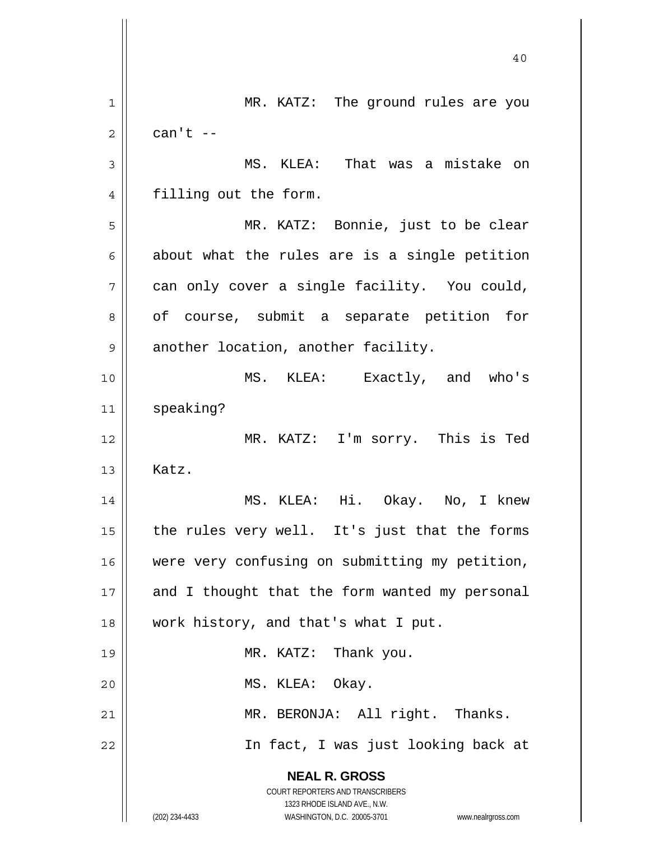**NEAL R. GROSS** COURT REPORTERS AND TRANSCRIBERS 1323 RHODE ISLAND AVE., N.W. (202) 234-4433 WASHINGTON, D.C. 20005-3701 www.nealrgross.com 40 1 2 3 4 5 6 7 8 9 10 11 12 13 14 15 16 17 18 19 20 21 22 MR. KATZ: The ground rules are you  $can't --$  MS. KLEA: That was a mistake on filling out the form. MR. KATZ: Bonnie, just to be clear about what the rules are is a single petition can only cover a single facility. You could, of course, submit a separate petition for another location, another facility. MS. KLEA: Exactly, and who's speaking? MR. KATZ: I'm sorry. This is Ted Katz. MS. KLEA: Hi. Okay. No, I knew the rules very well. It's just that the forms were very confusing on submitting my petition, and I thought that the form wanted my personal work history, and that's what I put. MR. KATZ: Thank you. MS. KLEA: Okay. MR. BERONJA: All right. Thanks. In fact, I was just looking back at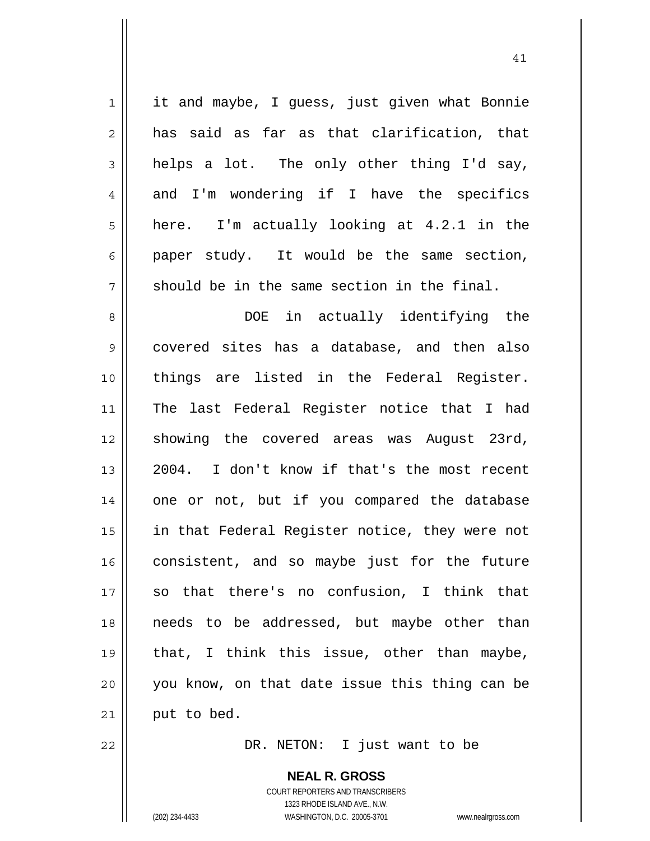1 2 3 4 5 6 7 8 9 10 11 12 13 14 15 16 17 18 19 20 21 it and maybe, I guess, just given what Bonnie has said as far as that clarification, that helps a lot. The only other thing I'd say, and I'm wondering if I have the specifics here. I'm actually looking at 4.2.1 in the paper study. It would be the same section, should be in the same section in the final. DOE in actually identifying the covered sites has a database, and then also things are listed in the Federal Register. The last Federal Register notice that I had showing the covered areas was August 23rd, 2004. I don't know if that's the most recent one or not, but if you compared the database in that Federal Register notice, they were not consistent, and so maybe just for the future so that there's no confusion, I think that needs to be addressed, but maybe other than that, I think this issue, other than maybe, you know, on that date issue this thing can be put to bed.

41

DR. NETON: I just want to be

**NEAL R. GROSS** COURT REPORTERS AND TRANSCRIBERS 1323 RHODE ISLAND AVE., N.W. (202) 234-4433 WASHINGTON, D.C. 20005-3701 www.nealrgross.com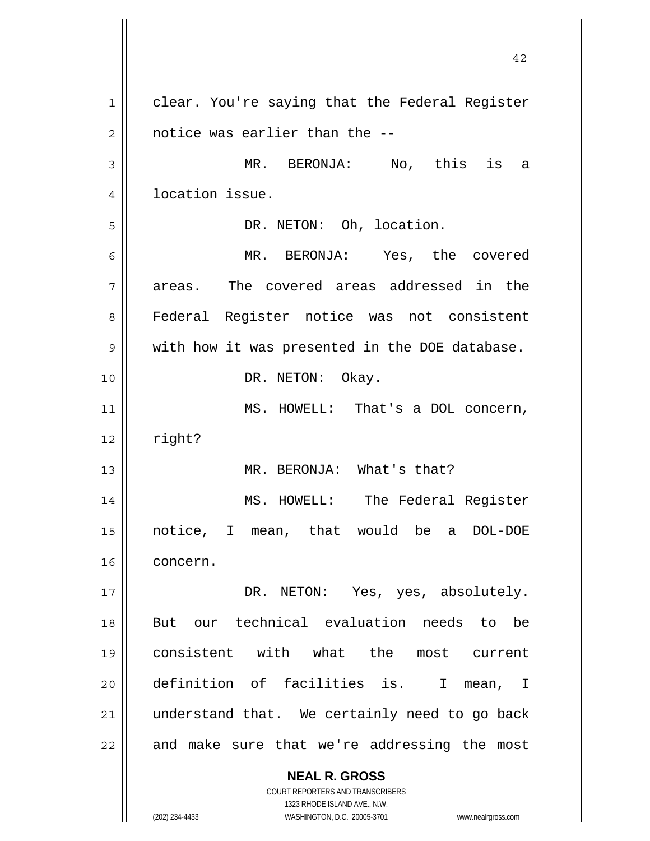**NEAL R. GROSS** COURT REPORTERS AND TRANSCRIBERS 1 2 3 4 5 6 7 8 9 10 11 12 13 14 15 16 17 18 19 20 21 22 clear. You're saying that the Federal Register notice was earlier than the -- MR. BERONJA: No, this is a location issue. DR. NETON: Oh, location. MR. BERONJA: Yes, the covered areas. The covered areas addressed in the Federal Register notice was not consistent with how it was presented in the DOE database. DR. NETON: Okay. MS. HOWELL: That's a DOL concern, right? MR. BERONJA: What's that? MS. HOWELL: The Federal Register notice, I mean, that would be a DOL-DOE concern. DR. NETON: Yes, yes, absolutely. But our technical evaluation needs to be consistent with what the most current definition of facilities is. I mean, I understand that. We certainly need to go back and make sure that we're addressing the most

42

1323 RHODE ISLAND AVE., N.W. (202) 234-4433 WASHINGTON, D.C. 20005-3701 www.nealrgross.com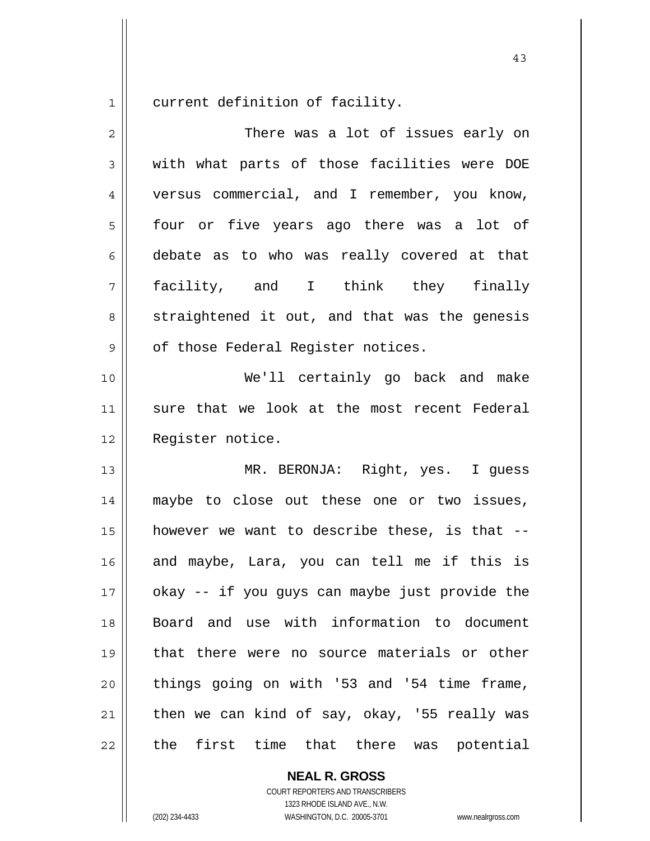1 current definition of facility.

| $\overline{2}$ | There was a lot of issues early on             |
|----------------|------------------------------------------------|
| $\mathfrak{Z}$ | with what parts of those facilities were DOE   |
| 4              | versus commercial, and I remember, you know,   |
| 5              | four or five years ago there was a lot of      |
| 6              | debate as to who was really covered at that    |
| 7              | facility, and I think they finally             |
| 8              | straightened it out, and that was the genesis  |
| 9              | of those Federal Register notices.             |
| 10             | We'll certainly go back and make               |
| 11             | sure that we look at the most recent Federal   |
| 12             | Register notice.                               |
| 13             | MR. BERONJA: Right, yes. I guess               |
| 14             | maybe to close out these one or two issues,    |
| 15             | however we want to describe these, is that --  |
| 16             | and maybe, Lara, you can tell me if this is    |
| 17             | okay -- if you guys can maybe just provide the |
| 18             | Board and use with information to document     |
| 19             | that there were no source materials or other   |
| 20             | things going on with '53 and '54 time frame,   |
| 21             | then we can kind of say, okay, '55 really was  |
| 22             | the first time that there was potential        |

**NEAL R. GROSS** COURT REPORTERS AND TRANSCRIBERS

1323 RHODE ISLAND AVE., N.W.

(202) 234-4433 WASHINGTON, D.C. 20005-3701 www.nealrgross.com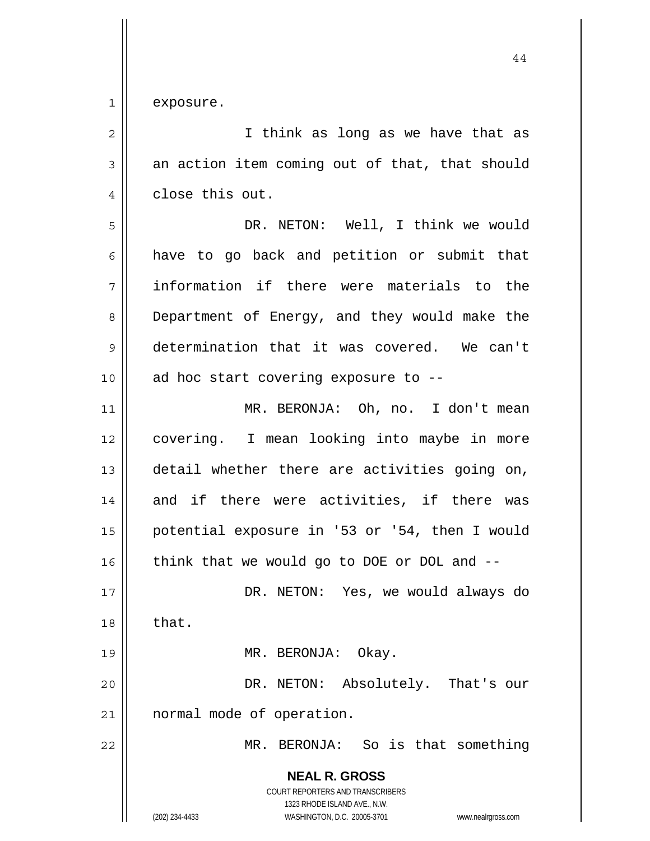1 exposure.

| $\overline{2}$ | I think as long as we have that as                                                       |
|----------------|------------------------------------------------------------------------------------------|
| 3              | an action item coming out of that, that should                                           |
| 4              | close this out.                                                                          |
| 5              | DR. NETON: Well, I think we would                                                        |
| 6              | have to go back and petition or submit that                                              |
| 7              | information if there were materials to the                                               |
| 8              | Department of Energy, and they would make the                                            |
| 9              | determination that it was covered. We can't                                              |
| 10             | ad hoc start covering exposure to --                                                     |
| 11             | MR. BERONJA: Oh, no. I don't mean                                                        |
| 12             | covering. I mean looking into maybe in more                                              |
| 13             | detail whether there are activities going on,                                            |
| 14             | and if there were activities, if there was                                               |
| 15             | potential exposure in '53 or '54, then I would                                           |
| 16             | think that we would go to DOE or DOL and --                                              |
| 17             | DR. NETON: Yes, we would always do                                                       |
| 18             | that.                                                                                    |
| 19             | MR. BERONJA: Okay.                                                                       |
| 20             | Absolutely. That's our<br>DR. NETON:                                                     |
| 21             | normal mode of operation.                                                                |
| 22             | BERONJA: So is that something<br>MR.                                                     |
|                | <b>NEAL R. GROSS</b><br>COURT REPORTERS AND TRANSCRIBERS<br>1323 RHODE ISLAND AVE., N.W. |
|                | WASHINGTON, D.C. 20005-3701<br>(202) 234-4433<br>www.nealrgross.com                      |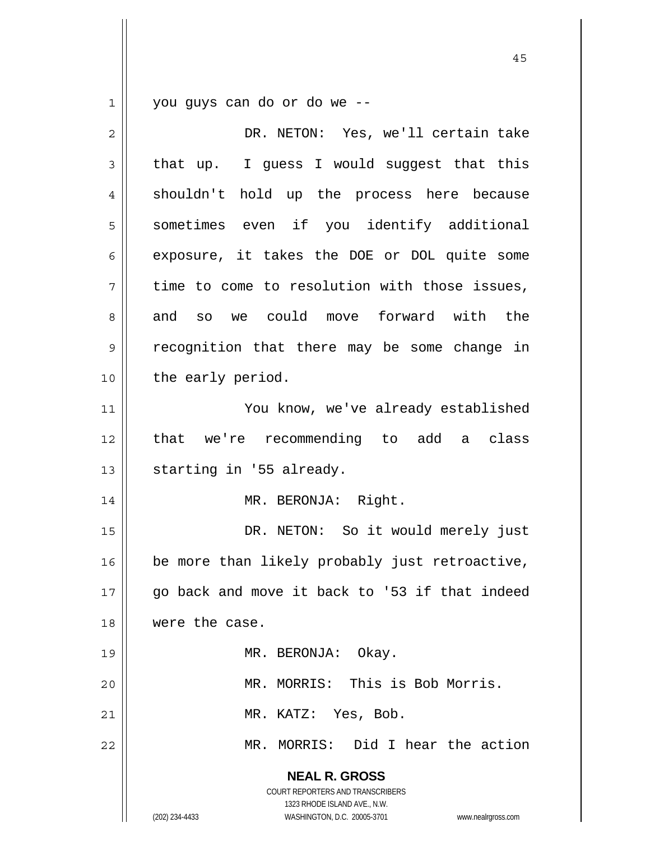1 you guys can do or do we --

| $\overline{2}$ | DR. NETON: Yes, we'll certain take                                                                                                                                     |
|----------------|------------------------------------------------------------------------------------------------------------------------------------------------------------------------|
| 3              | that up. I guess I would suggest that this                                                                                                                             |
| 4              | shouldn't hold up the process here because                                                                                                                             |
| 5              | sometimes even if you identify additional                                                                                                                              |
| 6              | exposure, it takes the DOE or DOL quite some                                                                                                                           |
| 7              | time to come to resolution with those issues,                                                                                                                          |
| 8              | and so we could move forward with<br>the                                                                                                                               |
| 9              | recognition that there may be some change in                                                                                                                           |
| 10             | the early period.                                                                                                                                                      |
| 11             | You know, we've already established                                                                                                                                    |
| 12             | we're recommending to add a class<br>that                                                                                                                              |
| 13             | starting in '55 already.                                                                                                                                               |
| 14             | MR. BERONJA: Right.                                                                                                                                                    |
| 15             | DR. NETON: So it would merely just                                                                                                                                     |
| 16             | be more than likely probably just retroactive,                                                                                                                         |
| $17$           | go back and move it back to '53 if that indeed                                                                                                                         |
| 18             | were the case.                                                                                                                                                         |
| 19             | MR. BERONJA: Okay.                                                                                                                                                     |
| 20             | MR. MORRIS: This is Bob Morris.                                                                                                                                        |
| 21             | MR. KATZ: Yes, Bob.                                                                                                                                                    |
| 22             | MR. MORRIS: Did I hear the action                                                                                                                                      |
|                | <b>NEAL R. GROSS</b><br><b>COURT REPORTERS AND TRANSCRIBERS</b><br>1323 RHODE ISLAND AVE., N.W.<br>(202) 234-4433<br>WASHINGTON, D.C. 20005-3701<br>www.nealrgross.com |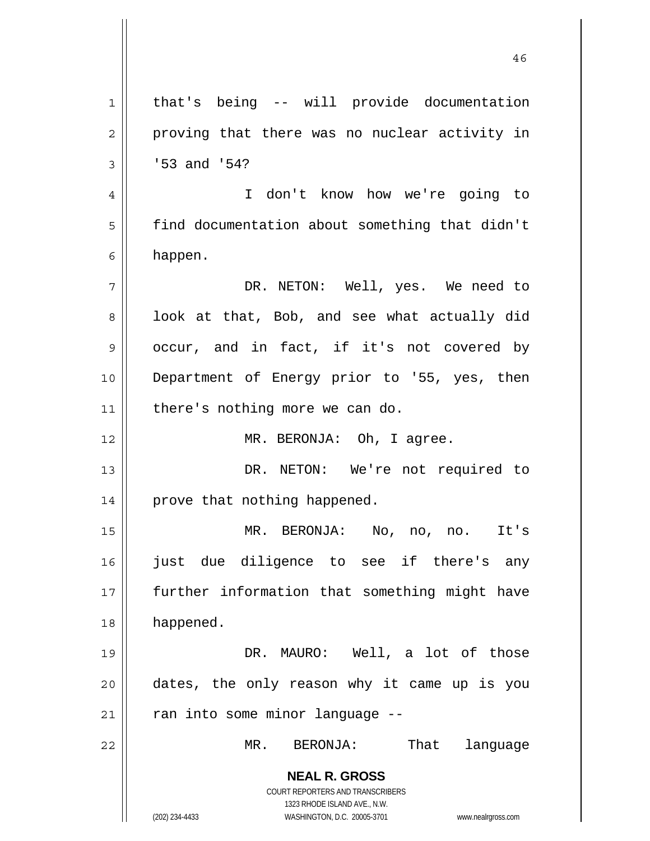|                | 46                                                                                                  |
|----------------|-----------------------------------------------------------------------------------------------------|
| 1              | that's being -- will provide documentation                                                          |
| $\overline{2}$ | proving that there was no nuclear activity in                                                       |
| 3              | '53 and '54?                                                                                        |
| 4              | I don't know how we're going to                                                                     |
| 5              | find documentation about something that didn't                                                      |
| 6              | happen.                                                                                             |
| 7              | DR. NETON: Well, yes. We need to                                                                    |
| 8              | look at that, Bob, and see what actually did                                                        |
| 9              | occur, and in fact, if it's not covered by                                                          |
| 10             | Department of Energy prior to '55, yes, then                                                        |
| 11             | there's nothing more we can do.                                                                     |
| 12             | MR. BERONJA: Oh, I agree.                                                                           |
| 13             | DR. NETON: We're not required to                                                                    |
| 14             | prove that nothing happened.                                                                        |
| 15             | MR. BERONJA: No, no, no. It's                                                                       |
| 16             | just due diligence to see if there's any                                                            |
| 17             | further information that something might have                                                       |
| 18             | happened.                                                                                           |
| 19             | DR. MAURO: Well, a lot of those                                                                     |
| 20             | dates, the only reason why it came up is you                                                        |
| 21             | ran into some minor language --                                                                     |
| 22             | MR. BERONJA:<br>That<br>language                                                                    |
|                | <b>NEAL R. GROSS</b><br>COURT REPORTERS AND TRANSCRIBERS                                            |
|                | 1323 RHODE ISLAND AVE., N.W.<br>(202) 234-4433<br>WASHINGTON, D.C. 20005-3701<br>www.nealrgross.com |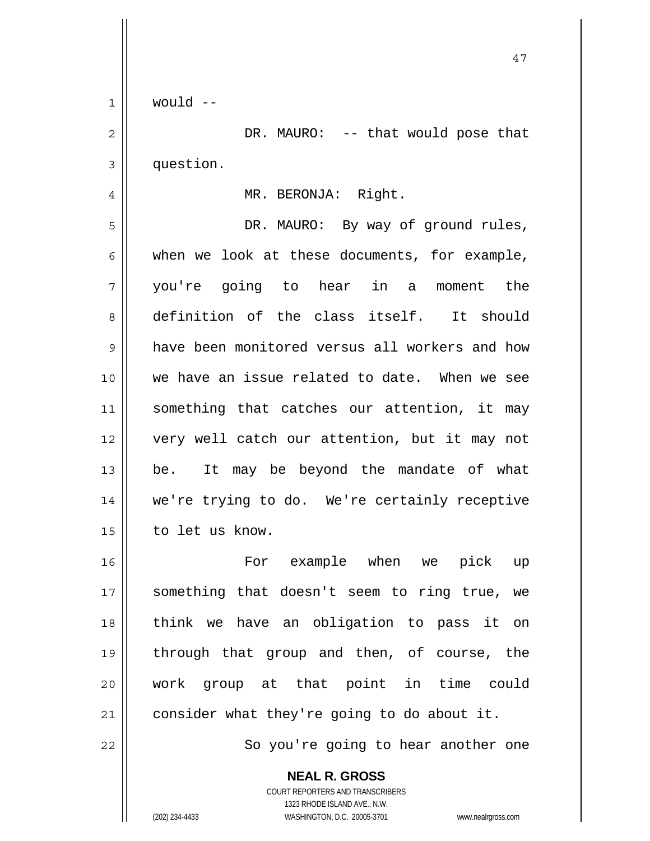|    | 47                                             |
|----|------------------------------------------------|
| 1  | would $--$                                     |
| 2  | DR. MAURO: -- that would pose that             |
| 3  | question.                                      |
| 4  | MR. BERONJA: Right.                            |
| 5  | DR. MAURO: By way of ground rules,             |
| 6  | when we look at these documents, for example,  |
| 7  | you're going to hear in a moment the           |
| 8  | definition of the class itself. It should      |
| 9  | have been monitored versus all workers and how |
| 10 | we have an issue related to date. When we see  |
| 11 | something that catches our attention, it may   |
| 12 | very well catch our attention, but it may not  |
| 13 | be. It may be beyond the mandate of what       |
| 14 | we're trying to do. We're certainly receptive  |
| 15 | to let us know.                                |
| 16 | For example when we pick up                    |
| 17 | something that doesn't seem to ring true, we   |
| 18 | think we have an obligation to pass it on      |
| 19 | through that group and then, of course, the    |
| 20 | work group at that point in time could         |
| 21 | consider what they're going to do about it.    |
| 22 | So you're going to hear another one            |

**NEAL R. GROSS** COURT REPORTERS AND TRANSCRIBERS 1323 RHODE ISLAND AVE., N.W.

 $\mathsf{II}$ 

 $\mathbf{\mathcal{L}}$ 

(202) 234-4433 WASHINGTON, D.C. 20005-3701 www.nealrgross.com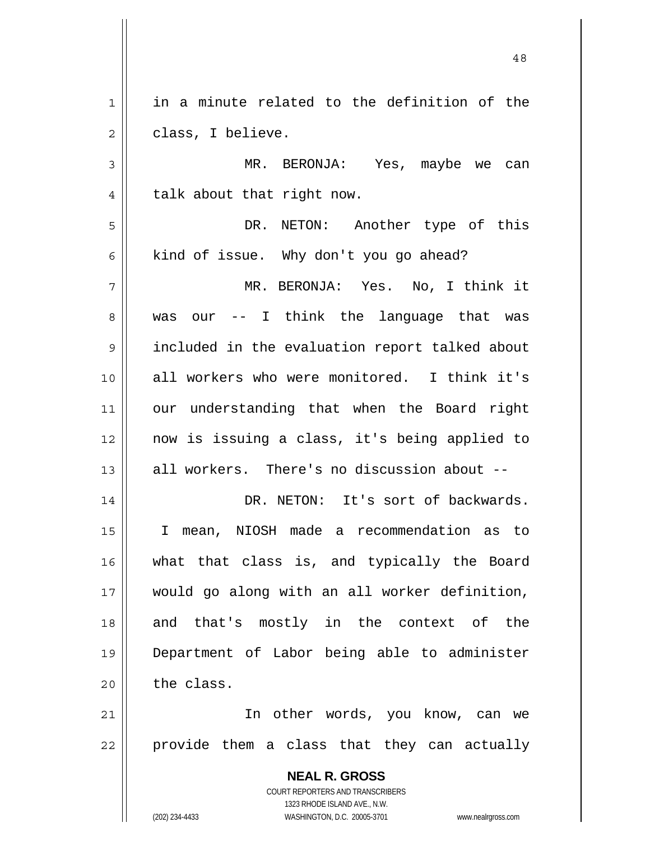1 2 in a minute related to the definition of the class, I believe.

48

3 4 MR. BERONJA: Yes, maybe we can talk about that right now.

5 6 DR. NETON: Another type of this kind of issue. Why don't you go ahead?

7 8 9 10 11 12 13 MR. BERONJA: Yes. No, I think it was our -- I think the language that was included in the evaluation report talked about all workers who were monitored. I think it's our understanding that when the Board right now is issuing a class, it's being applied to all workers. There's no discussion about --

14 15 16 17 18 19 20 DR. NETON: It's sort of backwards. I mean, NIOSH made a recommendation as to what that class is, and typically the Board would go along with an all worker definition, and that's mostly in the context of the Department of Labor being able to administer the class.

21 22 In other words, you know, can we provide them a class that they can actually

> **NEAL R. GROSS** COURT REPORTERS AND TRANSCRIBERS 1323 RHODE ISLAND AVE., N.W. (202) 234-4433 WASHINGTON, D.C. 20005-3701 www.nealrgross.com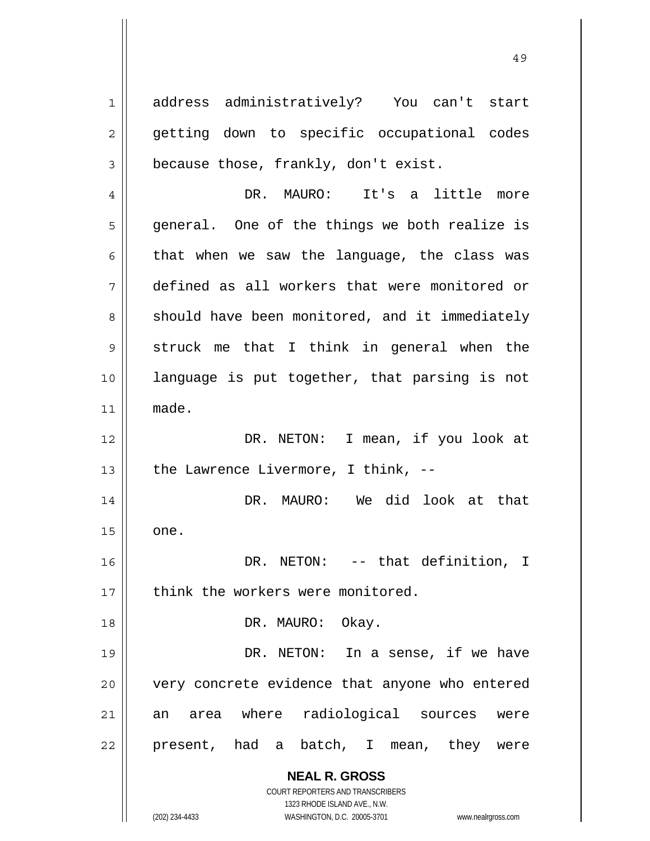**NEAL R. GROSS** COURT REPORTERS AND TRANSCRIBERS 1 2 3 4 5 6 7 8 9 10 11 12 13 14 15 16 17 18 19 20 21 22 address administratively? You can't start getting down to specific occupational codes because those, frankly, don't exist. DR. MAURO: It's a little more general. One of the things we both realize is that when we saw the language, the class was defined as all workers that were monitored or should have been monitored, and it immediately struck me that I think in general when the language is put together, that parsing is not made. DR. NETON: I mean, if you look at the Lawrence Livermore, I think, -- DR. MAURO: We did look at that one. DR. NETON: -- that definition, I think the workers were monitored. DR. MAURO: Okay. DR. NETON: In a sense, if we have very concrete evidence that anyone who entered an area where radiological sources were present, had a batch, I mean, they were

49

1323 RHODE ISLAND AVE., N.W. (202) 234-4433 WASHINGTON, D.C. 20005-3701 www.nealrgross.com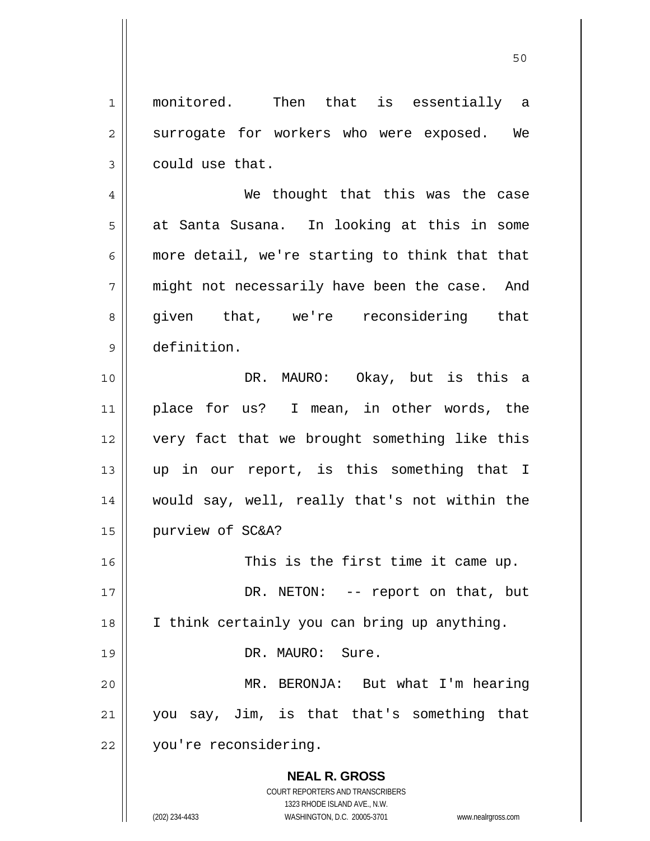1 2 3 4 monitored. Then that is essentially a surrogate for workers who were exposed. We could use that. We thought that this was the case

50

5 6 7 8 9 at Santa Susana. In looking at this in some more detail, we're starting to think that that might not necessarily have been the case. And given that, we're reconsidering that definition.

10 11 12 13 14 15 DR. MAURO: Okay, but is this a place for us? I mean, in other words, the very fact that we brought something like this up in our report, is this something that I would say, well, really that's not within the purview of SC&A?

16 17 18 19 20 21 22 This is the first time it came up. DR. NETON: -- report on that, but I think certainly you can bring up anything. DR. MAURO: Sure. MR. BERONJA: But what I'm hearing you say, Jim, is that that's something that you're reconsidering.

> **NEAL R. GROSS** COURT REPORTERS AND TRANSCRIBERS 1323 RHODE ISLAND AVE., N.W. (202) 234-4433 WASHINGTON, D.C. 20005-3701 www.nealrgross.com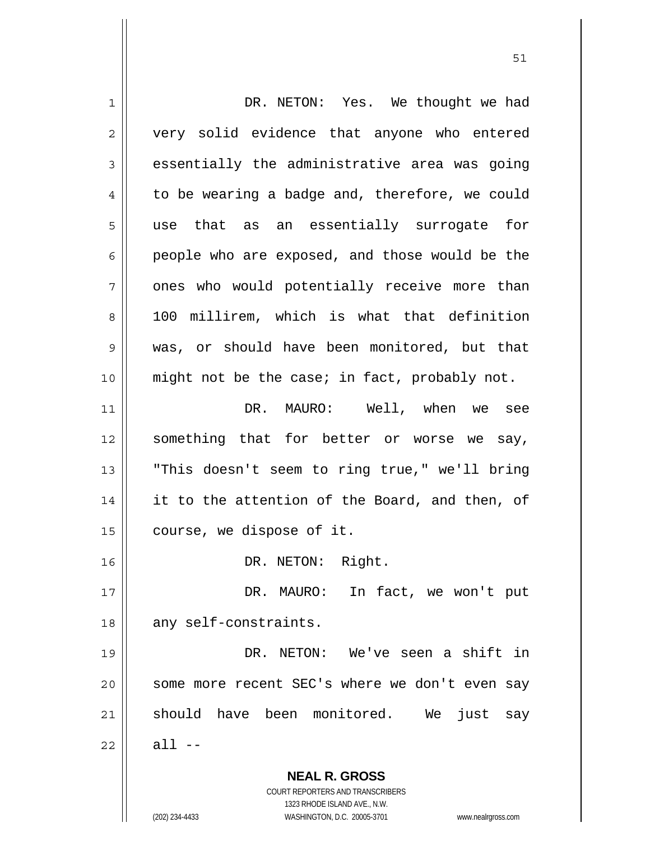| 1              | DR. NETON: Yes. We thought we had                                                                   |
|----------------|-----------------------------------------------------------------------------------------------------|
| $\overline{c}$ | very solid evidence that anyone who entered                                                         |
| $\mathfrak{Z}$ | essentially the administrative area was going                                                       |
| 4              | to be wearing a badge and, therefore, we could                                                      |
| 5              | use that as an essentially surrogate for                                                            |
| 6              | people who are exposed, and those would be the                                                      |
| 7              | ones who would potentially receive more than                                                        |
| 8              | 100 millirem, which is what that definition                                                         |
| 9              | was, or should have been monitored, but that                                                        |
| 10             | might not be the case; in fact, probably not.                                                       |
| 11             | DR. MAURO: Well, when we see                                                                        |
| 12             | something that for better or worse we say,                                                          |
| 13             | "This doesn't seem to ring true," we'll bring                                                       |
| 14             | it to the attention of the Board, and then, of                                                      |
| 15             | course, we dispose of it.                                                                           |
| 16             | DR. NETON: Right.                                                                                   |
| 17             | DR. MAURO: In fact, we won't put                                                                    |
| 18             | any self-constraints.                                                                               |
| 19             | DR. NETON: We've seen a shift in                                                                    |
| 20             | some more recent SEC's where we don't even say                                                      |
| 21             | been monitored.<br>should have<br>We<br>just<br>say                                                 |
| 22             | $all --$                                                                                            |
|                | <b>NEAL R. GROSS</b>                                                                                |
|                | <b>COURT REPORTERS AND TRANSCRIBERS</b>                                                             |
|                | 1323 RHODE ISLAND AVE., N.W.<br>(202) 234-4433<br>WASHINGTON, D.C. 20005-3701<br>www.nealrgross.com |
|                |                                                                                                     |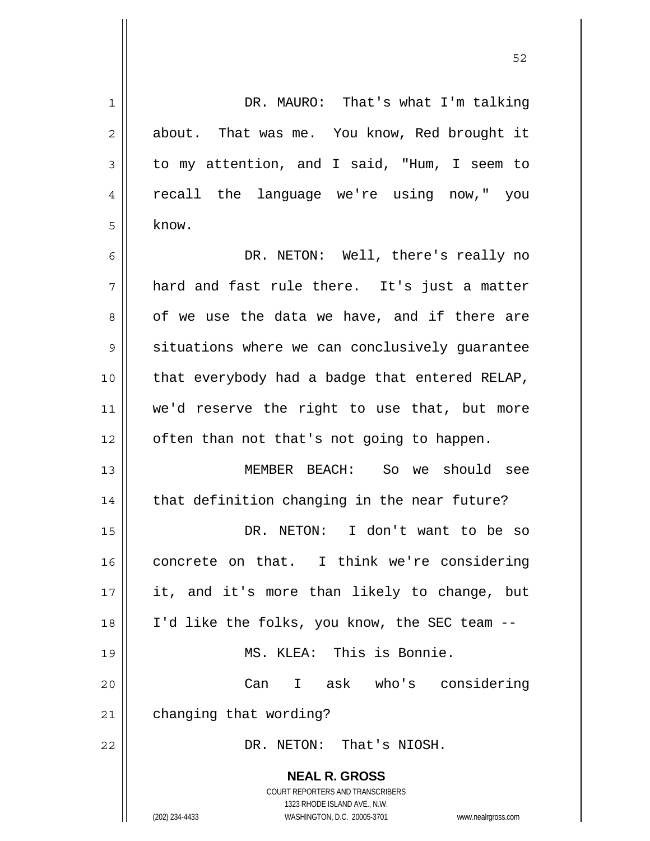**NEAL R. GROSS** COURT REPORTERS AND TRANSCRIBERS 1323 RHODE ISLAND AVE., N.W. (202) 234-4433 WASHINGTON, D.C. 20005-3701 www.nealrgross.com 1 2 3 4 5 6 7 8 9 10 11 12 13 14 15 16 17 18 19 20 21 22 DR. MAURO: That's what I'm talking about. That was me. You know, Red brought it to my attention, and I said, "Hum, I seem to recall the language we're using now," you know. DR. NETON: Well, there's really no hard and fast rule there. It's just a matter of we use the data we have, and if there are situations where we can conclusively guarantee that everybody had a badge that entered RELAP, we'd reserve the right to use that, but more often than not that's not going to happen. MEMBER BEACH: So we should see that definition changing in the near future? DR. NETON: I don't want to be so concrete on that. I think we're considering it, and it's more than likely to change, but I'd like the folks, you know, the SEC team -- MS. KLEA: This is Bonnie. Can I ask who's considering changing that wording? DR. NETON: That's NIOSH.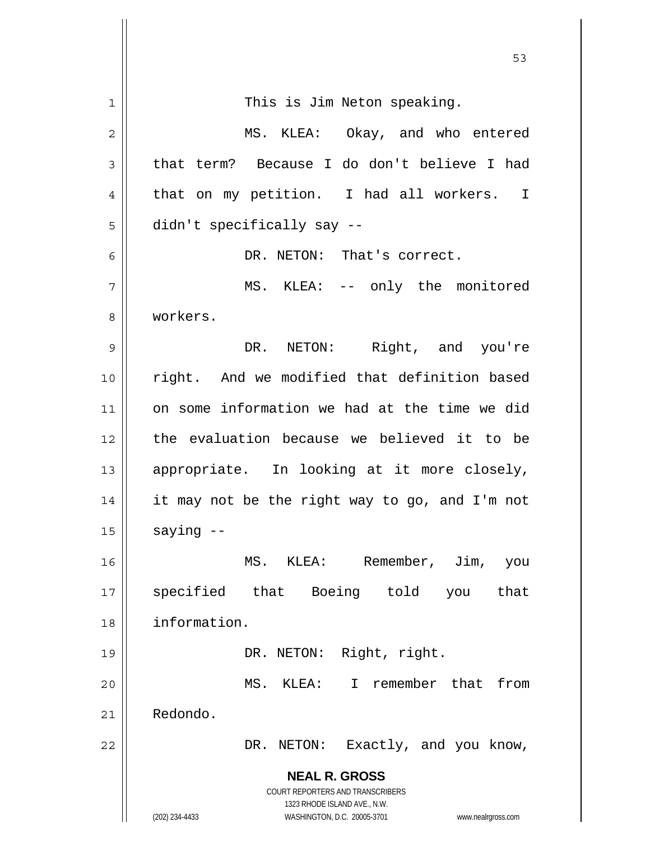|             | 53                                                                                                  |
|-------------|-----------------------------------------------------------------------------------------------------|
|             |                                                                                                     |
| $\mathbf 1$ | This is Jim Neton speaking.                                                                         |
| 2           | MS. KLEA: Okay, and who entered                                                                     |
| 3           | that term? Because I do don't believe I had                                                         |
| 4           | that on my petition. I had all workers.<br>I                                                        |
| 5           | didn't specifically say --                                                                          |
| 6           | DR. NETON: That's correct.                                                                          |
| 7           | MS. KLEA: -- only the monitored                                                                     |
| 8           | workers.                                                                                            |
| 9           | DR. NETON: Right, and you're                                                                        |
| 10          | right. And we modified that definition based                                                        |
| 11          | on some information we had at the time we did                                                       |
| 12          | the evaluation because we believed it to be                                                         |
| 13          | appropriate. In looking at it more closely,                                                         |
| 14          | it may not be the right way to go, and I'm not                                                      |
| 15          | saying --                                                                                           |
| 16          | MS. KLEA: Remember, Jim, you                                                                        |
| 17          | specified that Boeing told you that                                                                 |
| 18          | information.                                                                                        |
| 19          | DR. NETON: Right, right.                                                                            |
| 20          | MS. KLEA: I remember that from                                                                      |
| 21          | Redondo.                                                                                            |
| 22          | DR. NETON:<br>Exactly, and you know,                                                                |
|             | <b>NEAL R. GROSS</b>                                                                                |
|             | COURT REPORTERS AND TRANSCRIBERS                                                                    |
|             | 1323 RHODE ISLAND AVE., N.W.<br>(202) 234-4433<br>WASHINGTON, D.C. 20005-3701<br>www.nealrgross.com |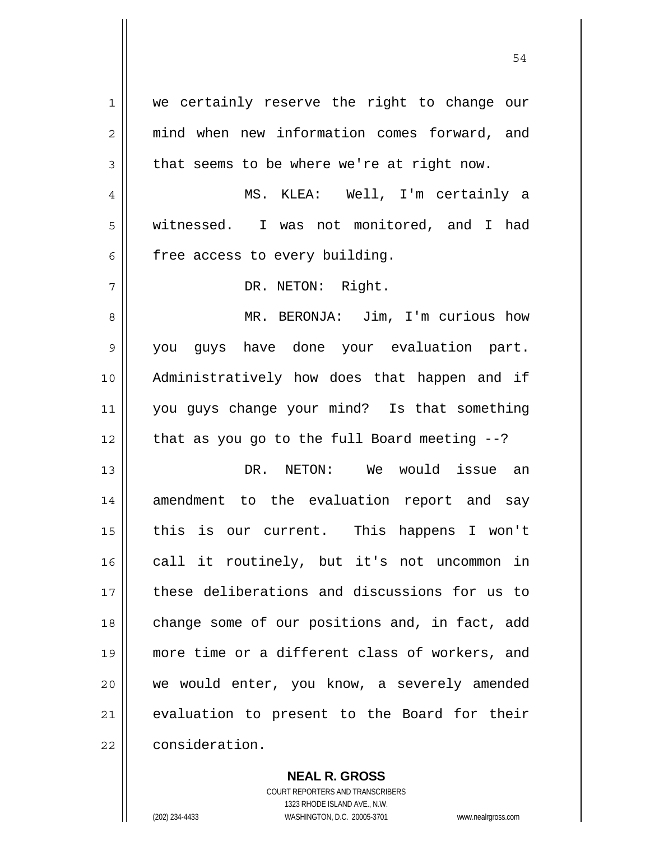1 2 3 4 5 6 7 8 9 10 11 12 13 14 15 16 17 18 19 20 21 22 we certainly reserve the right to change our mind when new information comes forward, and that seems to be where we're at right now. MS. KLEA: Well, I'm certainly a witnessed. I was not monitored, and I had free access to every building. DR. NETON: Right. MR. BERONJA: Jim, I'm curious how you guys have done your evaluation part. Administratively how does that happen and if you guys change your mind? Is that something that as you go to the full Board meeting --? DR. NETON: We would issue an amendment to the evaluation report and say this is our current. This happens I won't call it routinely, but it's not uncommon in these deliberations and discussions for us to change some of our positions and, in fact, add more time or a different class of workers, and we would enter, you know, a severely amended evaluation to present to the Board for their consideration.

54

**NEAL R. GROSS**

COURT REPORTERS AND TRANSCRIBERS 1323 RHODE ISLAND AVE., N.W. (202) 234-4433 WASHINGTON, D.C. 20005-3701 www.nealrgross.com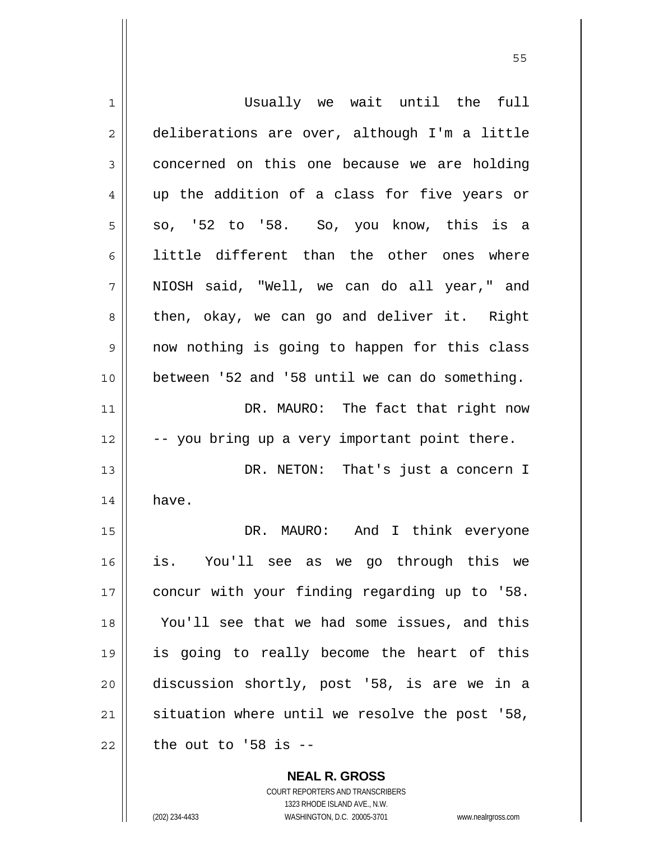| 1  | Usually we wait until the full                 |
|----|------------------------------------------------|
| 2  | deliberations are over, although I'm a little  |
| 3  | concerned on this one because we are holding   |
| 4  | up the addition of a class for five years or   |
| 5  | so, '52 to '58. So, you know, this is a        |
| 6  | little different than the other ones where     |
| 7  | NIOSH said, "Well, we can do all year," and    |
| 8  | then, okay, we can go and deliver it. Right    |
| 9  | now nothing is going to happen for this class  |
| 10 | between '52 and '58 until we can do something. |
| 11 | DR. MAURO: The fact that right now             |
| 12 | -- you bring up a very important point there.  |
| 13 | DR. NETON: That's just a concern I             |
| 14 | have.                                          |
| 15 | DR. MAURO: And I think everyone                |
| 16 | is. You'll see as we go through this we        |
| 17 | concur with your finding regarding up to '58.  |
| 18 | You'll see that we had some issues, and this   |
| 19 | is going to really become the heart of this    |
| 20 | discussion shortly, post '58, is are we in a   |
| 21 | situation where until we resolve the post '58, |
| 22 | the out to $158$ is $-$                        |

**NEAL R. GROSS** COURT REPORTERS AND TRANSCRIBERS

1323 RHODE ISLAND AVE., N.W.

(202) 234-4433 WASHINGTON, D.C. 20005-3701 www.nealrgross.com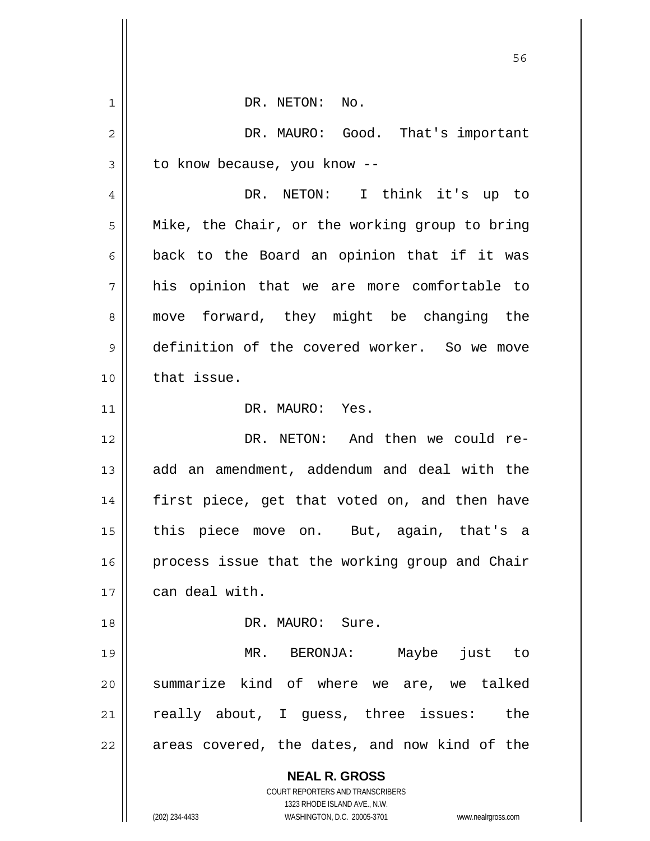|              | 56                                                                  |
|--------------|---------------------------------------------------------------------|
| $\mathbf 1$  | DR. NETON: No.                                                      |
| $\mathbf{2}$ | DR. MAURO: Good. That's important                                   |
| 3            | to know because, you know --                                        |
| 4            | DR. NETON: I think it's up to                                       |
| 5            | Mike, the Chair, or the working group to bring                      |
| 6            | back to the Board an opinion that if it was                         |
| 7            | his opinion that we are more comfortable to                         |
| 8            | move forward, they might be changing the                            |
| 9            | definition of the covered worker. So we move                        |
| 10           | that issue.                                                         |
| 11           | DR. MAURO: Yes.                                                     |
| 12           | DR. NETON: And then we could re-                                    |
| 13           | add an amendment, addendum and deal with the                        |
| 14           | first piece, get that voted on, and then have                       |
| 15           | this piece move on. But, again, that's a                            |
| 16           | process issue that the working group and Chair                      |
| 17           | can deal with.                                                      |
| 18           | DR. MAURO: Sure.                                                    |
| 19           | MR. BERONJA: Maybe just to                                          |
| 20           | summarize kind of where we are, we talked                           |
| 21           | really about, I guess, three issues: the                            |
| 22           | areas covered, the dates, and now kind of the                       |
|              | <b>NEAL R. GROSS</b>                                                |
|              | COURT REPORTERS AND TRANSCRIBERS<br>1323 RHODE ISLAND AVE., N.W.    |
|              | (202) 234-4433<br>WASHINGTON, D.C. 20005-3701<br>www.nealrgross.com |

 $\mathbf{I}$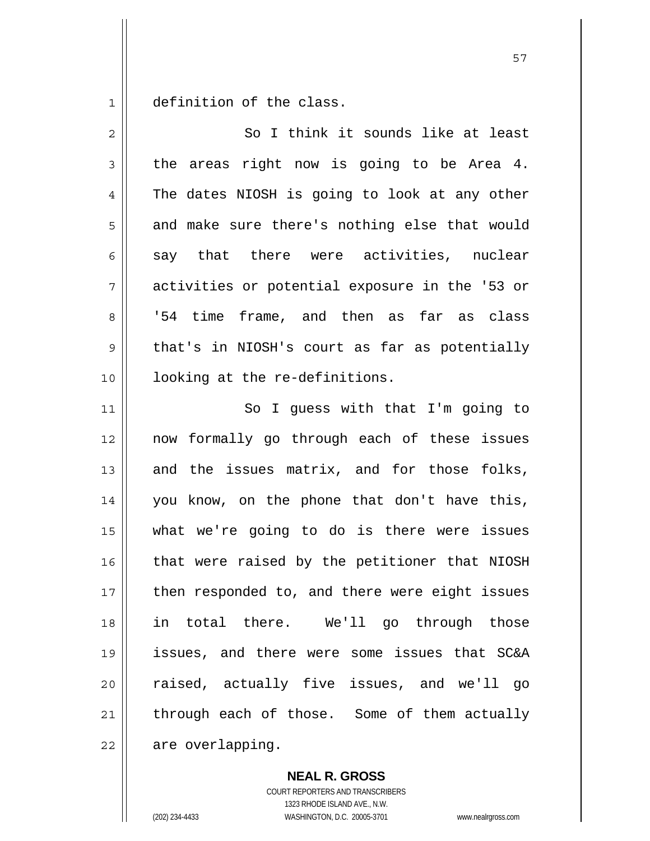1 definition of the class.

| $\overline{2}$ | So I think it sounds like at least             |
|----------------|------------------------------------------------|
| 3              | the areas right now is going to be Area 4.     |
| 4              | The dates NIOSH is going to look at any other  |
| 5              | and make sure there's nothing else that would  |
| 6              | say that there were activities, nuclear        |
| 7              | activities or potential exposure in the '53 or |
| 8              | '54 time frame, and then as far as class       |
| $\mathsf 9$    | that's in NIOSH's court as far as potentially  |
| 10             | looking at the re-definitions.                 |
| 11             | So I guess with that I'm going to              |
| 12             | now formally go through each of these issues   |
| 13             | and the issues matrix, and for those folks,    |
| 14             | you know, on the phone that don't have this,   |
| 15             | what we're going to do is there were issues    |
| 16             | that were raised by the petitioner that NIOSH  |
| 17             | then responded to, and there were eight issues |
| 18             | in total there. We'll go through those         |
| 19             | issues, and there were some issues that SC&A   |
| 20             | raised, actually five issues, and we'll go     |
| 21             | through each of those. Some of them actually   |
| 22             | are overlapping.                               |

**NEAL R. GROSS** COURT REPORTERS AND TRANSCRIBERS

1323 RHODE ISLAND AVE., N.W.

(202) 234-4433 WASHINGTON, D.C. 20005-3701 www.nealrgross.com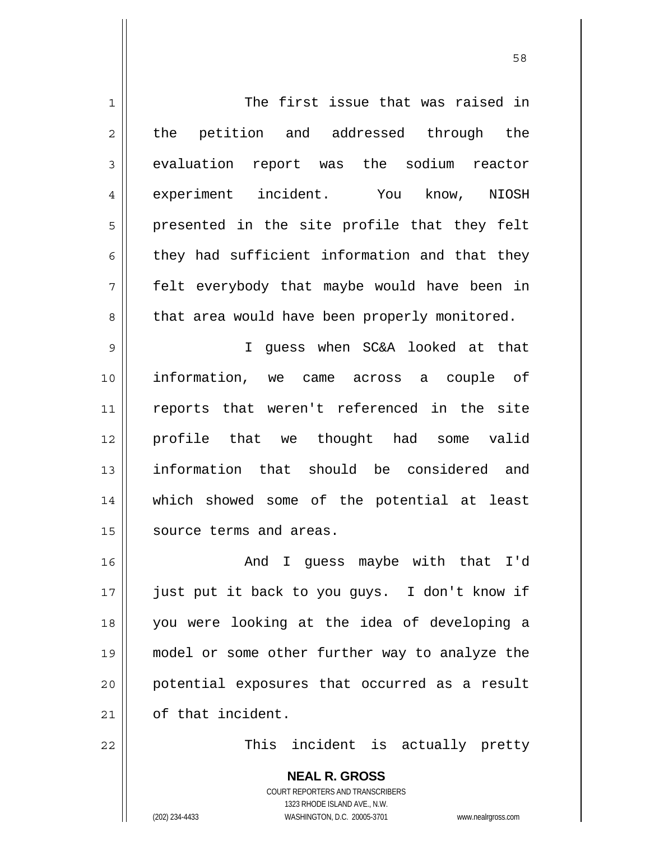| 1              | The first issue that was raised in             |
|----------------|------------------------------------------------|
| $\overline{2}$ | petition and addressed through the<br>the      |
| 3              | evaluation report was the sodium reactor       |
| 4              | experiment incident. You<br>know, NIOSH        |
| 5              | presented in the site profile that they felt   |
| 6              | they had sufficient information and that they  |
| 7              | felt everybody that maybe would have been in   |
| 8              | that area would have been properly monitored.  |
| 9              | I guess when SC&A looked at that               |
| 10             | information, we came across a couple of        |
| 11             | reports that weren't referenced in the site    |
| 12             | profile that we thought had some valid         |
| 13             | information that should be considered and      |
| 14             | which showed some of the potential at least    |
| 15             | source terms and areas.                        |
| 16             | And I guess maybe with that I'd                |
| 17             | just put it back to you guys. I don't know if  |
| 18             | you were looking at the idea of developing a   |
| 19             | model or some other further way to analyze the |
| 20             | potential exposures that occurred as a result  |
| 21             | of that incident.                              |
| 22             | This incident is actually pretty               |
|                | <b>NEAL R. GROSS</b>                           |

COURT REPORTERS AND TRANSCRIBERS 1323 RHODE ISLAND AVE., N.W.

(202) 234-4433 WASHINGTON, D.C. 20005-3701 www.nealrgross.com

 $\prod$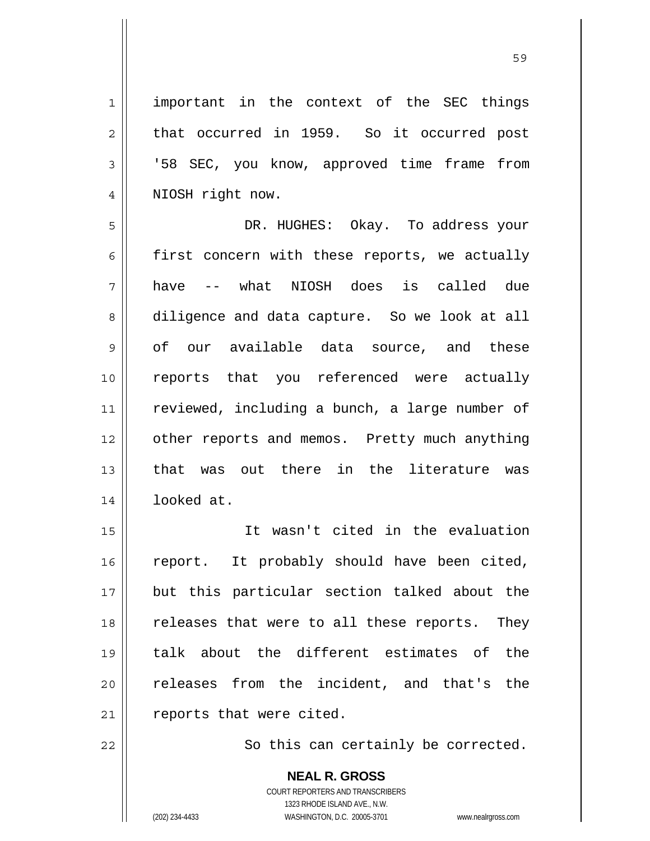1 4 important in the context of the SEC things that occurred in 1959. So it occurred post '58 SEC, you know, approved time frame from NIOSH right now.

5 6 7 8 9 10 11 12 13 14 DR. HUGHES: Okay. To address your first concern with these reports, we actually have -- what NIOSH does is called due diligence and data capture. So we look at all of our available data source, and these reports that you referenced were actually reviewed, including a bunch, a large number of other reports and memos. Pretty much anything that was out there in the literature was looked at.

15 16 17 18 19 20 21 It wasn't cited in the evaluation report. It probably should have been cited, but this particular section talked about the releases that were to all these reports. They talk about the different estimates of the releases from the incident, and that's the reports that were cited.

22

2

3

So this can certainly be corrected.

**NEAL R. GROSS** COURT REPORTERS AND TRANSCRIBERS 1323 RHODE ISLAND AVE., N.W. (202) 234-4433 WASHINGTON, D.C. 20005-3701 www.nealrgross.com

<u>59 September 2005 September 2005 September 2005 September 2005 September 2005 September 2005 September 2005 S</u>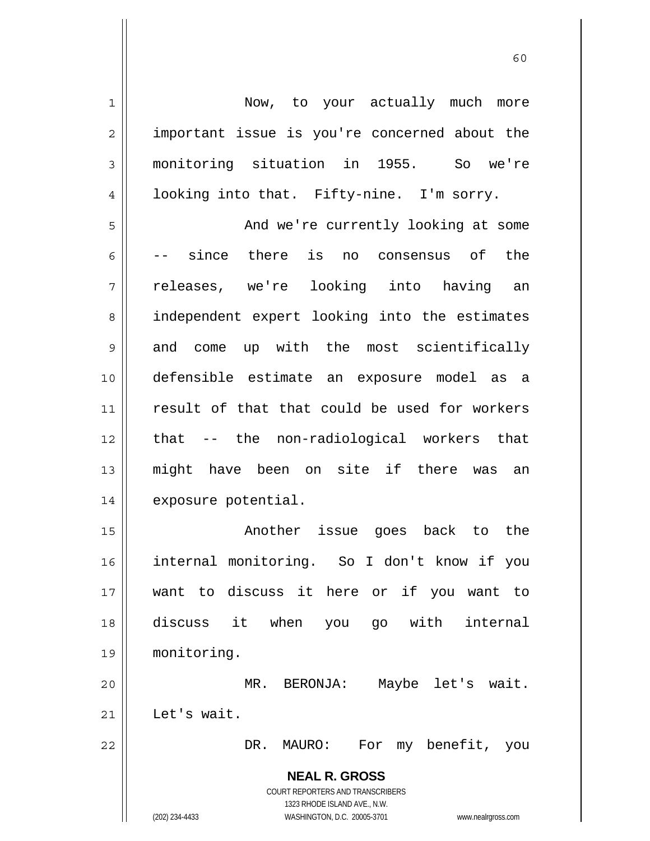1 2 3 4 5 6 7 8 9 10 11 12 13 14 15 16 Now, to your actually much more important issue is you're concerned about the monitoring situation in 1955. So we're looking into that. Fifty-nine. I'm sorry. And we're currently looking at some -- since there is no consensus of the releases, we're looking into having an independent expert looking into the estimates and come up with the most scientifically defensible estimate an exposure model as a result of that that could be used for workers that -- the non-radiological workers that might have been on site if there was an exposure potential. Another issue goes back to the internal monitoring. So I don't know if you

17 18 19 want to discuss it here or if you want to discuss it when you go with internal monitoring.

20 21 MR. BERONJA: Maybe let's wait. Let's wait.

DR. MAURO: For my benefit, you

**NEAL R. GROSS** COURT REPORTERS AND TRANSCRIBERS 1323 RHODE ISLAND AVE., N.W.

22

(202) 234-4433 WASHINGTON, D.C. 20005-3701 www.nealrgross.com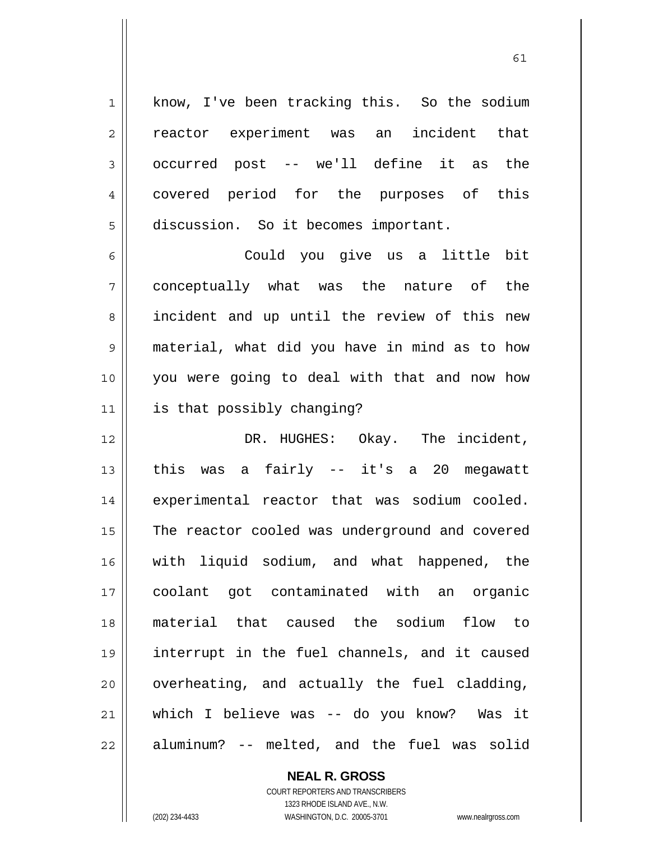know, I've been tracking this. So the sodium reactor experiment was an incident that occurred post -- we'll define it as the covered period for the purposes of this discussion. So it becomes important.

6 7 8 9 10 11 Could you give us a little bit conceptually what was the nature of the incident and up until the review of this new material, what did you have in mind as to how you were going to deal with that and now how is that possibly changing?

12 13 14 15 16 17 18 19 20 21 22 DR. HUGHES: Okay. The incident, this was a fairly -- it's a 20 megawatt experimental reactor that was sodium cooled. The reactor cooled was underground and covered with liquid sodium, and what happened, the coolant got contaminated with an organic material that caused the sodium flow to interrupt in the fuel channels, and it caused overheating, and actually the fuel cladding, which I believe was -- do you know? Was it aluminum? -- melted, and the fuel was solid

> **NEAL R. GROSS** COURT REPORTERS AND TRANSCRIBERS 1323 RHODE ISLAND AVE., N.W. (202) 234-4433 WASHINGTON, D.C. 20005-3701 www.nealrgross.com

1

2

3

4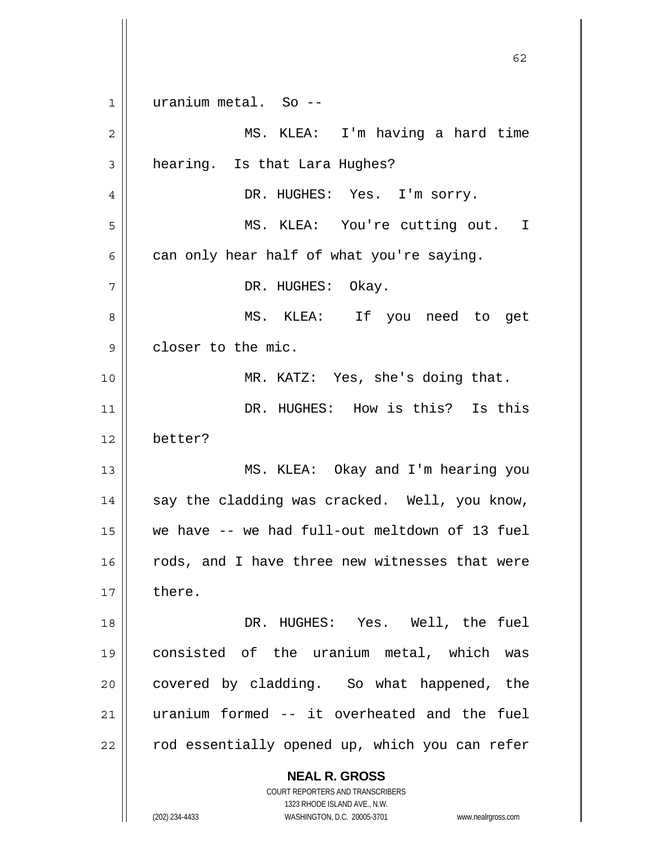**NEAL R. GROSS** COURT REPORTERS AND TRANSCRIBERS 1323 RHODE ISLAND AVE., N.W. (202) 234-4433 WASHINGTON, D.C. 20005-3701 www.nealrgross.com  $\sim$  62 1 2 3 4 5 6 7 8 9 10 11 12 13 14 15 16 17 18 19 20 21 22 uranium metal. So -- MS. KLEA: I'm having a hard time hearing. Is that Lara Hughes? DR. HUGHES: Yes. I'm sorry. MS. KLEA: You're cutting out. I can only hear half of what you're saying. DR. HUGHES: Okay. MS. KLEA: If you need to get closer to the mic. MR. KATZ: Yes, she's doing that. DR. HUGHES: How is this? Is this better? MS. KLEA: Okay and I'm hearing you say the cladding was cracked. Well, you know, we have -- we had full-out meltdown of 13 fuel rods, and I have three new witnesses that were there. DR. HUGHES: Yes. Well, the fuel consisted of the uranium metal, which was covered by cladding. So what happened, the uranium formed -- it overheated and the fuel rod essentially opened up, which you can refer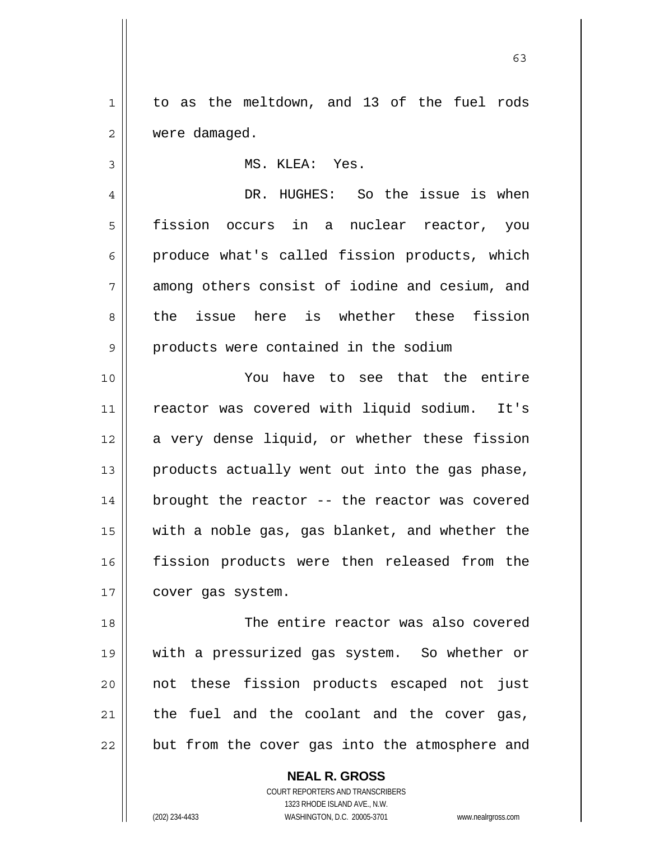1 2 to as the meltdown, and 13 of the fuel rods were damaged.

3 4 5 6 7 8 9 MS. KLEA: Yes. DR. HUGHES: So the issue is when fission occurs in a nuclear reactor, you produce what's called fission products, which among others consist of iodine and cesium, and the issue here is whether these fission products were contained in the sodium

10 11 12 13 14 15 16 17 You have to see that the entire reactor was covered with liquid sodium. It's a very dense liquid, or whether these fission products actually went out into the gas phase, brought the reactor -- the reactor was covered with a noble gas, gas blanket, and whether the fission products were then released from the cover gas system.

18 19 20 21 22 The entire reactor was also covered with a pressurized gas system. So whether or not these fission products escaped not just the fuel and the coolant and the cover gas, but from the cover gas into the atmosphere and

> **NEAL R. GROSS** COURT REPORTERS AND TRANSCRIBERS 1323 RHODE ISLAND AVE., N.W. (202) 234-4433 WASHINGTON, D.C. 20005-3701 www.nealrgross.com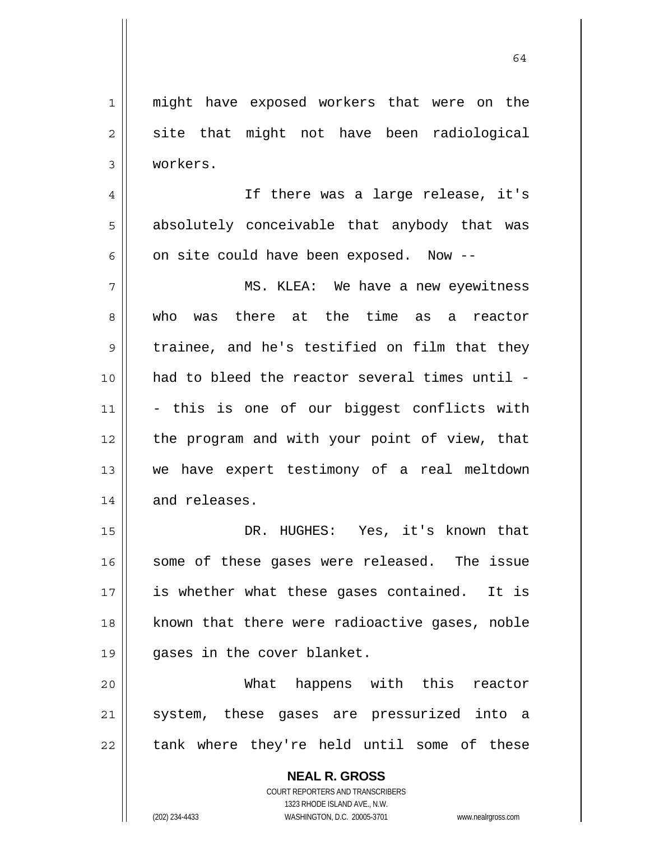**NEAL R. GROSS** 1 2 3 4 5 6 7 8 9 10 11 12 13 14 15 16 17 18 19 20 21 22 might have exposed workers that were on the site that might not have been radiological workers. If there was a large release, it's absolutely conceivable that anybody that was on site could have been exposed. Now -- MS. KLEA: We have a new eyewitness who was there at the time as a reactor trainee, and he's testified on film that they had to bleed the reactor several times until - - this is one of our biggest conflicts with the program and with your point of view, that we have expert testimony of a real meltdown and releases. DR. HUGHES: Yes, it's known that some of these gases were released. The issue is whether what these gases contained. It is known that there were radioactive gases, noble gases in the cover blanket. What happens with this reactor system, these gases are pressurized into a tank where they're held until some of these

> COURT REPORTERS AND TRANSCRIBERS 1323 RHODE ISLAND AVE., N.W.

(202) 234-4433 WASHINGTON, D.C. 20005-3701 www.nealrgross.com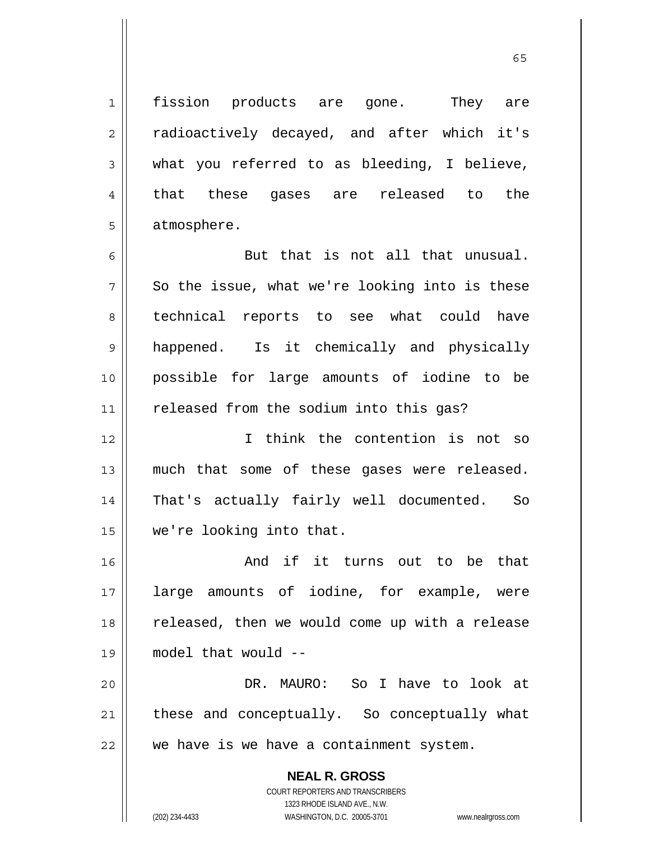fission products are gone. They are radioactively decayed, and after which it's what you referred to as bleeding, I believe, that these gases are released to the

6 7 8 9 10 11 But that is not all that unusual. So the issue, what we're looking into is these technical reports to see what could have happened. Is it chemically and physically possible for large amounts of iodine to be released from the sodium into this gas?

12 13 14 15 I think the contention is not so much that some of these gases were released. That's actually fairly well documented. So we're looking into that.

16 17 18 19 And if it turns out to be that large amounts of iodine, for example, were released, then we would come up with a release model that would --

20 21 22 DR. MAURO: So I have to look at these and conceptually. So conceptually what we have is we have a containment system.

> **NEAL R. GROSS** COURT REPORTERS AND TRANSCRIBERS 1323 RHODE ISLAND AVE., N.W. (202) 234-4433 WASHINGTON, D.C. 20005-3701 www.nealrgross.com

1

2

3

4

5

atmosphere.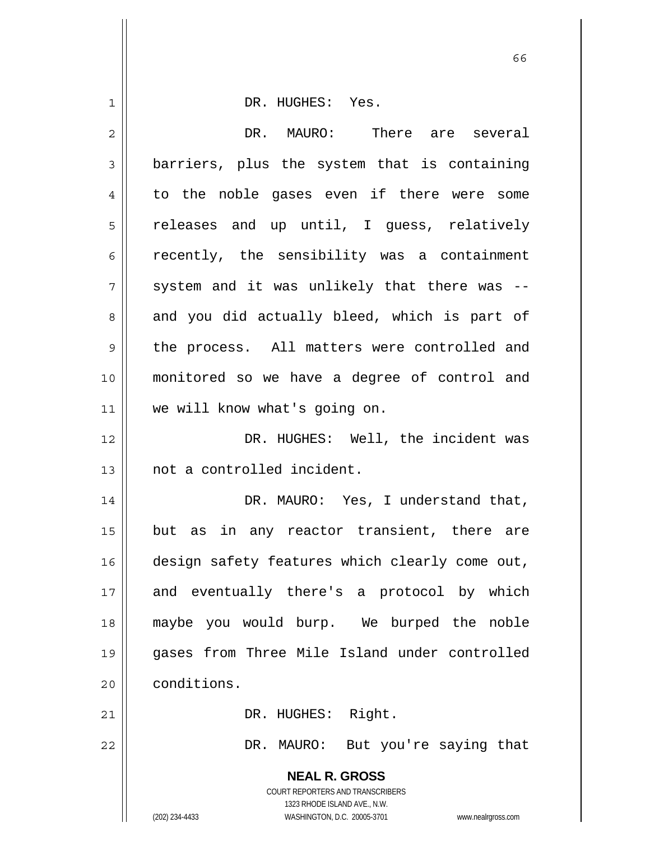| 1  | DR. HUGHES: Yes.                                                                                    |
|----|-----------------------------------------------------------------------------------------------------|
| 2  | DR. MAURO: There are several                                                                        |
| 3  | barriers, plus the system that is containing                                                        |
| 4  | to the noble gases even if there were some                                                          |
| 5  | releases and up until, I guess, relatively                                                          |
| 6  | recently, the sensibility was a containment                                                         |
| 7  | system and it was unlikely that there was --                                                        |
| 8  | and you did actually bleed, which is part of                                                        |
| 9  | the process. All matters were controlled and                                                        |
| 10 | monitored so we have a degree of control and                                                        |
| 11 | we will know what's going on.                                                                       |
| 12 | DR. HUGHES: Well, the incident was                                                                  |
| 13 | not a controlled incident.                                                                          |
| 14 | DR. MAURO: Yes, I understand that,                                                                  |
| 15 | but as in any reactor transient, there are                                                          |
| 16 | design safety features which clearly come out,                                                      |
| 17 | and eventually there's a protocol by which                                                          |
| 18 | maybe you would burp. We burped the noble                                                           |
| 19 | gases from Three Mile Island under controlled                                                       |
| 20 | conditions.                                                                                         |
| 21 | DR. HUGHES: Right.                                                                                  |
| 22 | DR. MAURO: But you're saying that                                                                   |
|    | <b>NEAL R. GROSS</b>                                                                                |
|    | COURT REPORTERS AND TRANSCRIBERS                                                                    |
|    | 1323 RHODE ISLAND AVE., N.W.<br>(202) 234-4433<br>WASHINGTON, D.C. 20005-3701<br>www.nealrgross.com |
|    |                                                                                                     |

 $\sim$  66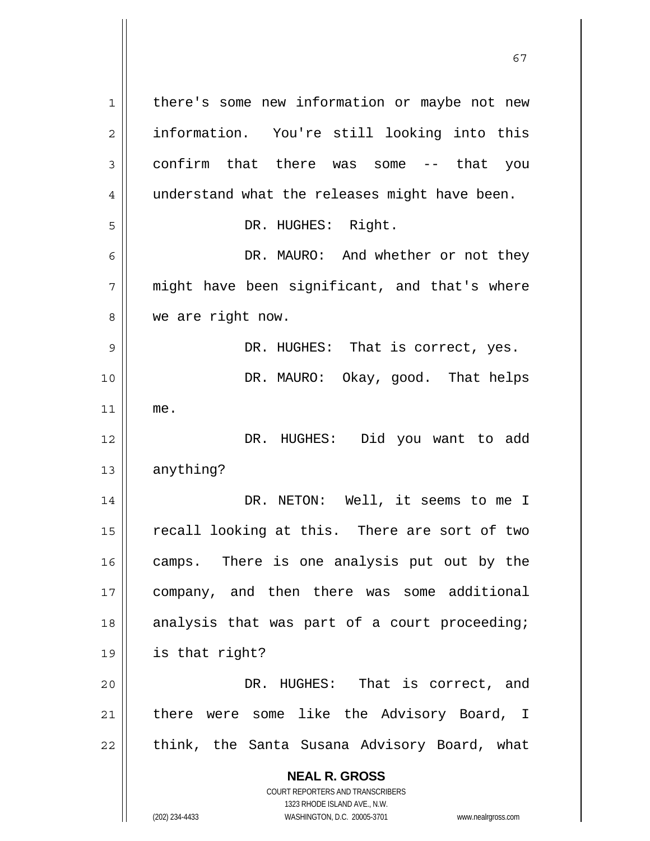**NEAL R. GROSS** COURT REPORTERS AND TRANSCRIBERS 1323 RHODE ISLAND AVE., N.W. (202) 234-4433 WASHINGTON, D.C. 20005-3701 www.nealrgross.com 1 2 3 4 5 6 7 8 9 10 11 12 13 14 15 16 17 18 19 20 21 22 there's some new information or maybe not new information. You're still looking into this confirm that there was some -- that you understand what the releases might have been. DR. HUGHES: Right. DR. MAURO: And whether or not they might have been significant, and that's where we are right now. DR. HUGHES: That is correct, yes. DR. MAURO: Okay, good. That helps me. DR. HUGHES: Did you want to add anything? DR. NETON: Well, it seems to me I recall looking at this. There are sort of two camps. There is one analysis put out by the company, and then there was some additional analysis that was part of a court proceeding; is that right? DR. HUGHES: That is correct, and there were some like the Advisory Board, I think, the Santa Susana Advisory Board, what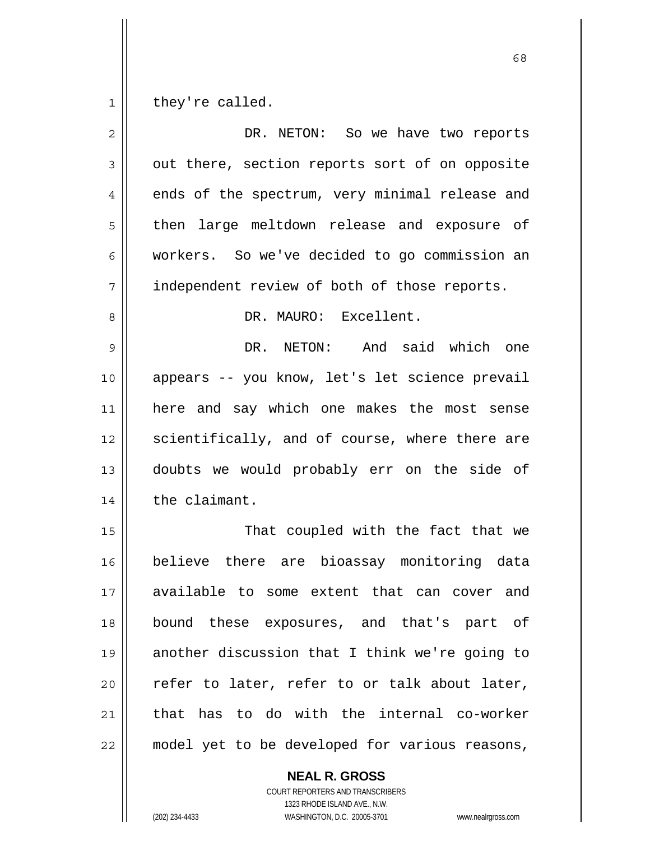1 they're called.

| $\overline{2}$ | DR. NETON: So we have two reports              |
|----------------|------------------------------------------------|
| 3              | out there, section reports sort of on opposite |
| 4              | ends of the spectrum, very minimal release and |
| 5              | then large meltdown release and exposure of    |
| 6              | workers. So we've decided to go commission an  |
| 7              | independent review of both of those reports.   |
| 8              | DR. MAURO: Excellent.                          |
| 9              | DR. NETON: And said which one                  |
| 10             | appears -- you know, let's let science prevail |
| 11             | here and say which one makes the most sense    |
| 12             | scientifically, and of course, where there are |
| 13             | doubts we would probably err on the side of    |
| 14             | the claimant.                                  |
| 15             | That coupled with the fact that we             |
| 16             | believe there are bioassay monitoring data     |
| 17             | available to some extent that can cover and    |
| 18             | bound these exposures, and that's part of      |
| 19             | another discussion that I think we're going to |
| 20             | refer to later, refer to or talk about later,  |
| 21             | that has to do with the internal co-worker     |
| 22             | model yet to be developed for various reasons, |

**NEAL R. GROSS**

COURT REPORTERS AND TRANSCRIBERS 1323 RHODE ISLAND AVE., N.W. (202) 234-4433 WASHINGTON, D.C. 20005-3701 www.nealrgross.com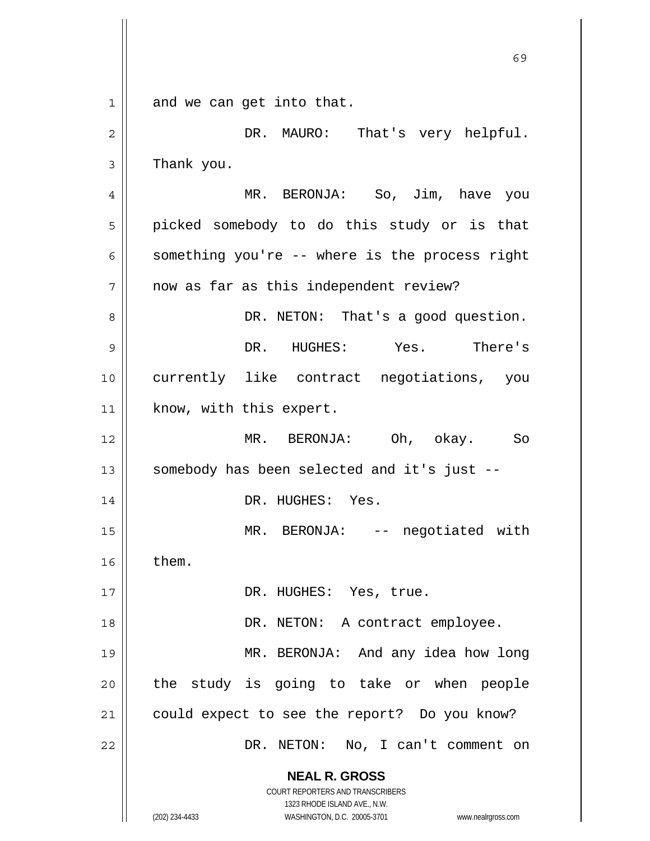**NEAL R. GROSS** COURT REPORTERS AND TRANSCRIBERS 1323 RHODE ISLAND AVE., N.W.  $\sim$  69 1 2 3 4 5 6 7 8 9 10 11 12 13 14 15 16 17 18 19 20 21 22 and we can get into that. DR. MAURO: That's very helpful. Thank you. MR. BERONJA: So, Jim, have you picked somebody to do this study or is that something you're -- where is the process right now as far as this independent review? DR. NETON: That's a good question. DR. HUGHES: Yes. There's currently like contract negotiations, you know, with this expert. MR. BERONJA: Oh, okay. So somebody has been selected and it's just -- DR. HUGHES: Yes. MR. BERONJA: -- negotiated with them. DR. HUGHES: Yes, true. DR. NETON: A contract employee. MR. BERONJA: And any idea how long the study is going to take or when people could expect to see the report? Do you know? DR. NETON: No, I can't comment on

(202) 234-4433 WASHINGTON, D.C. 20005-3701 www.nealrgross.com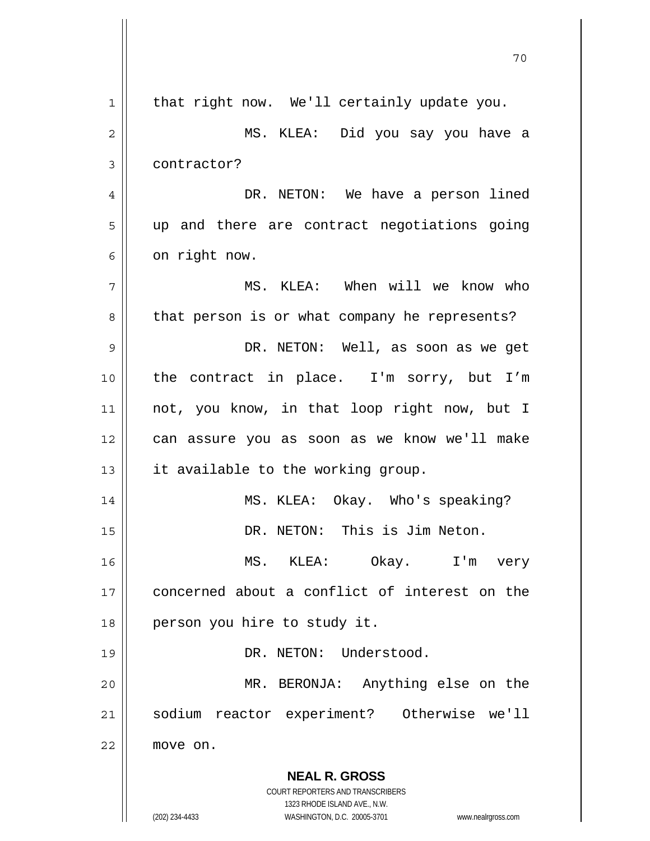|    | 70                                                                                                  |
|----|-----------------------------------------------------------------------------------------------------|
| 1  | that right now. We'll certainly update you.                                                         |
| 2  | MS. KLEA: Did you say you have a                                                                    |
| 3  | contractor?                                                                                         |
| 4  | DR. NETON: We have a person lined                                                                   |
| 5  | up and there are contract negotiations going                                                        |
| 6  | on right now.                                                                                       |
| 7  | MS. KLEA: When will we know who                                                                     |
| 8  | that person is or what company he represents?                                                       |
| 9  | DR. NETON: Well, as soon as we get                                                                  |
| 10 | the contract in place. I'm sorry, but I'm                                                           |
| 11 | not, you know, in that loop right now, but I                                                        |
| 12 | can assure you as soon as we know we'll make                                                        |
| 13 | it available to the working group.                                                                  |
| 14 | MS. KLEA: Okay. Who's speaking?                                                                     |
| 15 | DR. NETON: This is Jim Neton.                                                                       |
| 16 | Okay. I'm<br>MS. KLEA:<br>very                                                                      |
| 17 | concerned about a conflict of interest on the                                                       |
| 18 | person you hire to study it.                                                                        |
| 19 | DR. NETON: Understood.                                                                              |
| 20 | MR. BERONJA: Anything else on the                                                                   |
| 21 | sodium reactor experiment? Otherwise we'll                                                          |
| 22 | move on.                                                                                            |
|    | <b>NEAL R. GROSS</b>                                                                                |
|    | COURT REPORTERS AND TRANSCRIBERS                                                                    |
|    | 1323 RHODE ISLAND AVE., N.W.<br>(202) 234-4433<br>WASHINGTON, D.C. 20005-3701<br>www.nealrgross.com |

 $\mathsf{l}$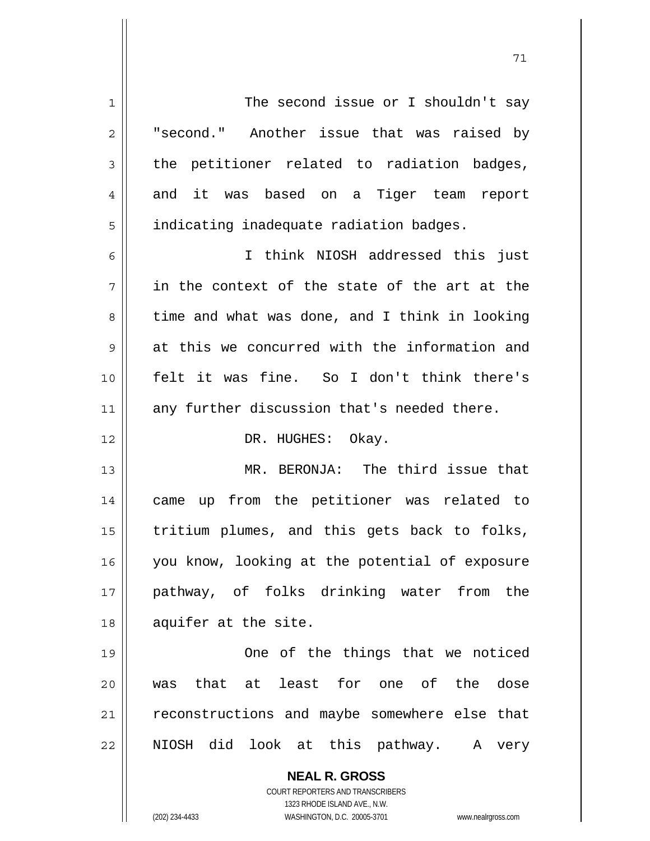| $\mathbf 1$ | The second issue or I shouldn't say            |
|-------------|------------------------------------------------|
| 2           | "second." Another issue that was raised by     |
| 3           | the petitioner related to radiation badges,    |
| 4           | and it was based on a Tiger team report        |
| 5           | indicating inadequate radiation badges.        |
| 6           | I think NIOSH addressed this just              |
| 7           | in the context of the state of the art at the  |
| 8           | time and what was done, and I think in looking |
| 9           | at this we concurred with the information and  |
| 10          | felt it was fine. So I don't think there's     |
| 11          | any further discussion that's needed there.    |
| 12          | DR. HUGHES: Okay.                              |
| 13          | MR. BERONJA: The third issue that              |
| 14          | up from the petitioner was related to<br>came  |
| 15          | tritium plumes, and this gets back to folks,   |
| 16          | you know, looking at the potential of exposure |
| 17          | pathway, of folks drinking water from the      |
| 18          | aquifer at the site.                           |
| 19          | One of the things that we noticed              |
| 20          | that at least for one of the dose<br>was       |
| 21          | reconstructions and maybe somewhere else that  |
| 22          | NIOSH did look at this pathway. A very         |
|             | <b>NEAL R. GROSS</b>                           |

COURT REPORTERS AND TRANSCRIBERS 1323 RHODE ISLAND AVE., N.W.

 $\mathsf{II}$ 

(202) 234-4433 WASHINGTON, D.C. 20005-3701 www.nealrgross.com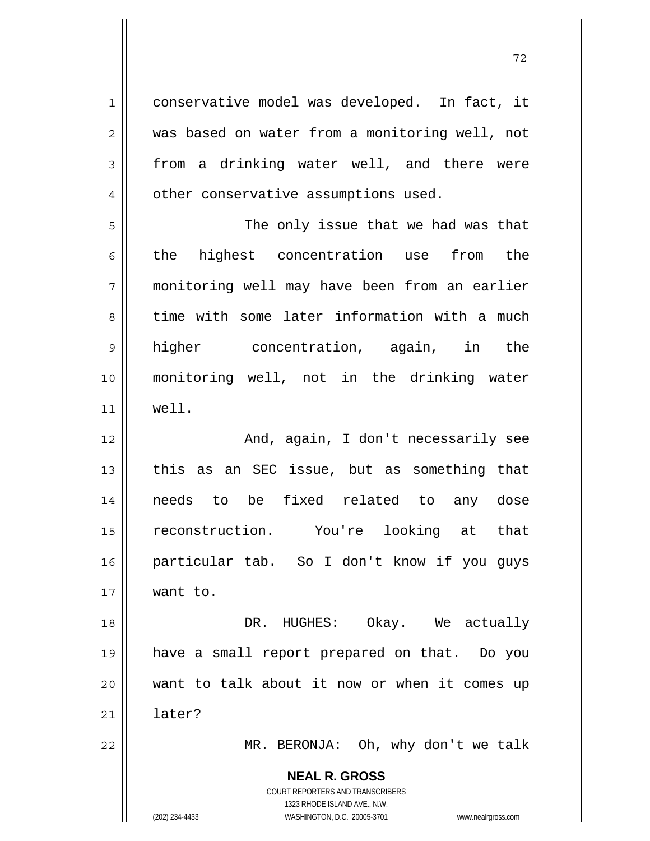| $\mathbf 1$    | conservative model was developed. In fact, it                                                                                                                   |
|----------------|-----------------------------------------------------------------------------------------------------------------------------------------------------------------|
| $\sqrt{2}$     | was based on water from a monitoring well, not                                                                                                                  |
| 3              | from a drinking water well, and there were                                                                                                                      |
| $\overline{4}$ | other conservative assumptions used.                                                                                                                            |
| 5              | The only issue that we had was that                                                                                                                             |
| 6              | the highest concentration use<br>from the                                                                                                                       |
| 7              | monitoring well may have been from an earlier                                                                                                                   |
| 8              | time with some later information with a much                                                                                                                    |
| 9              | higher concentration, again, in the                                                                                                                             |
| 10             | monitoring well, not in the drinking water                                                                                                                      |
| 11             | well.                                                                                                                                                           |
| 12             | And, again, I don't necessarily see                                                                                                                             |
| 13             | this as an SEC issue, but as something that                                                                                                                     |
| 14             | needs to be fixed related to any dose                                                                                                                           |
| 15             | reconstruction. You're looking at<br>that                                                                                                                       |
| 16             | particular tab. So I don't know if you guys                                                                                                                     |
| 17             | want to.                                                                                                                                                        |
| 18             | DR. HUGHES: Okay. We actually                                                                                                                                   |
| 19             | have a small report prepared on that. Do you                                                                                                                    |
| 20             | want to talk about it now or when it comes up                                                                                                                   |
| 21             | later?                                                                                                                                                          |
| 22             | MR. BERONJA: Oh, why don't we talk                                                                                                                              |
|                | <b>NEAL R. GROSS</b><br>COURT REPORTERS AND TRANSCRIBERS<br>1323 RHODE ISLAND AVE., N.W.<br>(202) 234-4433<br>WASHINGTON, D.C. 20005-3701<br>www.nealrgross.com |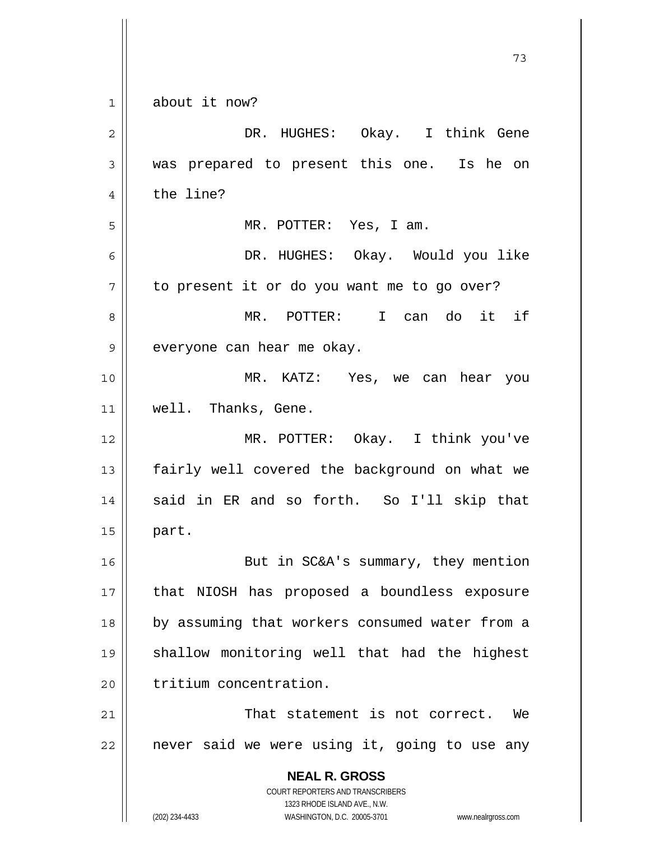**NEAL R. GROSS** COURT REPORTERS AND TRANSCRIBERS 1323 RHODE ISLAND AVE., N.W. (202) 234-4433 WASHINGTON, D.C. 20005-3701 www.nealrgross.com 1 2 3 4 5 6 7 8 9 10 11 12 13 14 15 16 17 18 19 20 21 22 about it now? DR. HUGHES: Okay. I think Gene was prepared to present this one. Is he on the line? MR. POTTER: Yes, I am. DR. HUGHES: Okay. Would you like to present it or do you want me to go over? MR. POTTER: I can do it if everyone can hear me okay. MR. KATZ: Yes, we can hear you well. Thanks, Gene. MR. POTTER: Okay. I think you've fairly well covered the background on what we said in ER and so forth. So I'll skip that part. But in SC&A's summary, they mention that NIOSH has proposed a boundless exposure by assuming that workers consumed water from a shallow monitoring well that had the highest tritium concentration. That statement is not correct. We never said we were using it, going to use any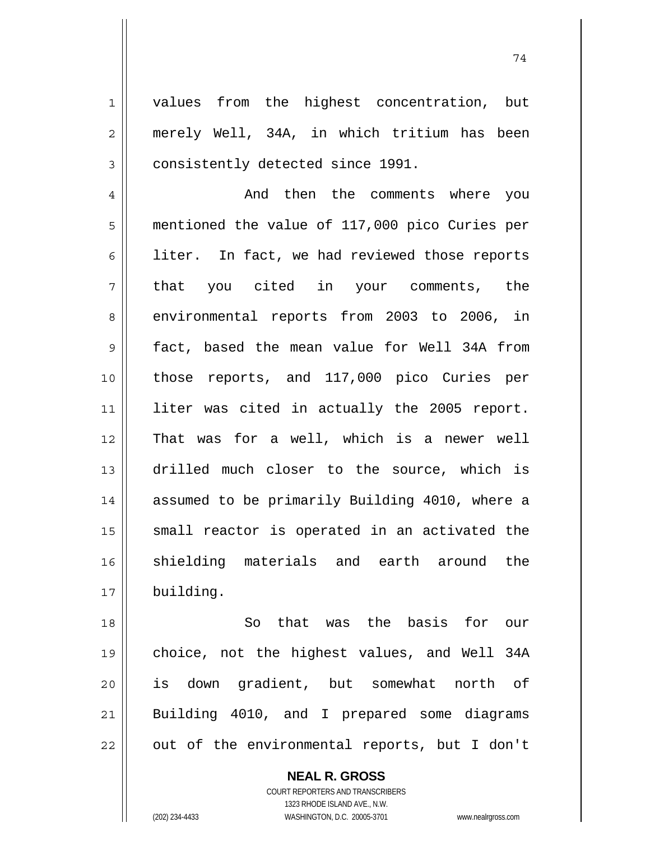values from the highest concentration, but merely Well, 34A, in which tritium has been consistently detected since 1991.

4 5 6 7 8 9 10 11 12 13 14 15 16 17 And then the comments where you mentioned the value of 117,000 pico Curies per liter. In fact, we had reviewed those reports that you cited in your comments, the environmental reports from 2003 to 2006, in fact, based the mean value for Well 34A from those reports, and 117,000 pico Curies per liter was cited in actually the 2005 report. That was for a well, which is a newer well drilled much closer to the source, which is assumed to be primarily Building 4010, where a small reactor is operated in an activated the shielding materials and earth around the building.

18 19 20 21 22 So that was the basis for our choice, not the highest values, and Well 34A is down gradient, but somewhat north of Building 4010, and I prepared some diagrams out of the environmental reports, but I don't

> **NEAL R. GROSS** COURT REPORTERS AND TRANSCRIBERS 1323 RHODE ISLAND AVE., N.W.

1

2

3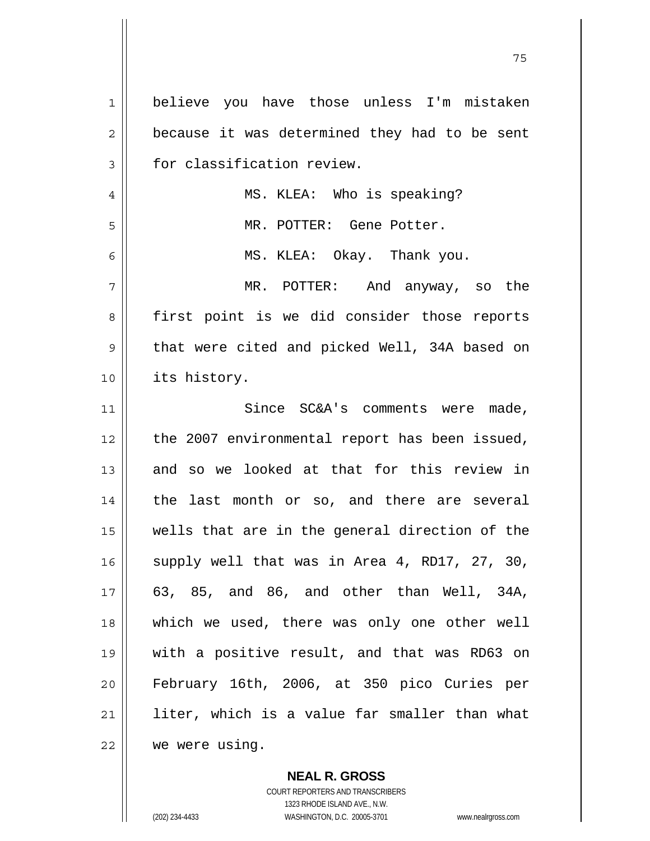1 2 3 4 5 6 7 8 9 10 11 12 13 14 15 16 17 18 19 20 21 22 believe you have those unless I'm mistaken because it was determined they had to be sent for classification review. MS. KLEA: Who is speaking? MR. POTTER: Gene Potter. MS. KLEA: Okay. Thank you. MR. POTTER: And anyway, so the first point is we did consider those reports that were cited and picked Well, 34A based on its history. Since SC&A's comments were made, the 2007 environmental report has been issued, and so we looked at that for this review in the last month or so, and there are several wells that are in the general direction of the supply well that was in Area 4, RD17, 27, 30, 63, 85, and 86, and other than Well, 34A, which we used, there was only one other well with a positive result, and that was RD63 on February 16th, 2006, at 350 pico Curies per liter, which is a value far smaller than what we were using.

> **NEAL R. GROSS** COURT REPORTERS AND TRANSCRIBERS

> > 1323 RHODE ISLAND AVE., N.W.

(202) 234-4433 WASHINGTON, D.C. 20005-3701 www.nealrgross.com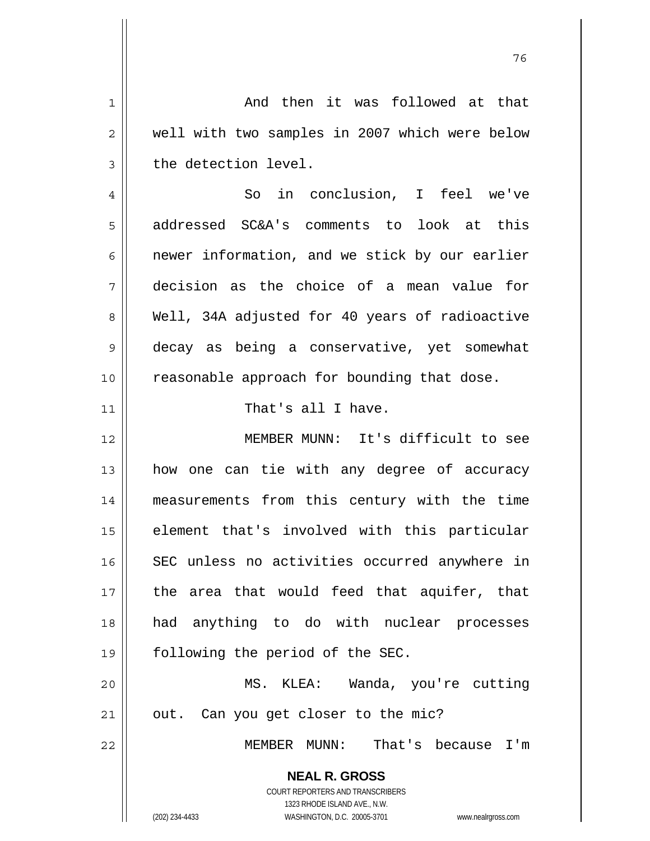**NEAL R. GROSS** COURT REPORTERS AND TRANSCRIBERS 1323 RHODE ISLAND AVE., N.W. (202) 234-4433 WASHINGTON, D.C. 20005-3701 www.nealrgross.com 1 2 3 4 5 6 7 8 9 10 11 12 13 14 15 16 17 18 19 20 21 22 And then it was followed at that well with two samples in 2007 which were below the detection level. So in conclusion, I feel we've addressed SC&A's comments to look at this newer information, and we stick by our earlier decision as the choice of a mean value for Well, 34A adjusted for 40 years of radioactive decay as being a conservative, yet somewhat reasonable approach for bounding that dose. That's all I have. MEMBER MUNN: It's difficult to see how one can tie with any degree of accuracy measurements from this century with the time element that's involved with this particular SEC unless no activities occurred anywhere in the area that would feed that aquifer, that had anything to do with nuclear processes following the period of the SEC. MS. KLEA: Wanda, you're cutting out. Can you get closer to the mic? MEMBER MUNN: That's because I'm

и процесс в политическиот представление в 176 године. В 176 године в 176 године. В 176 године в 176 године в 1<br>В 176 године в 176 године в 176 године в 176 године в 176 године в 176 године в 176 године в 176 године в 176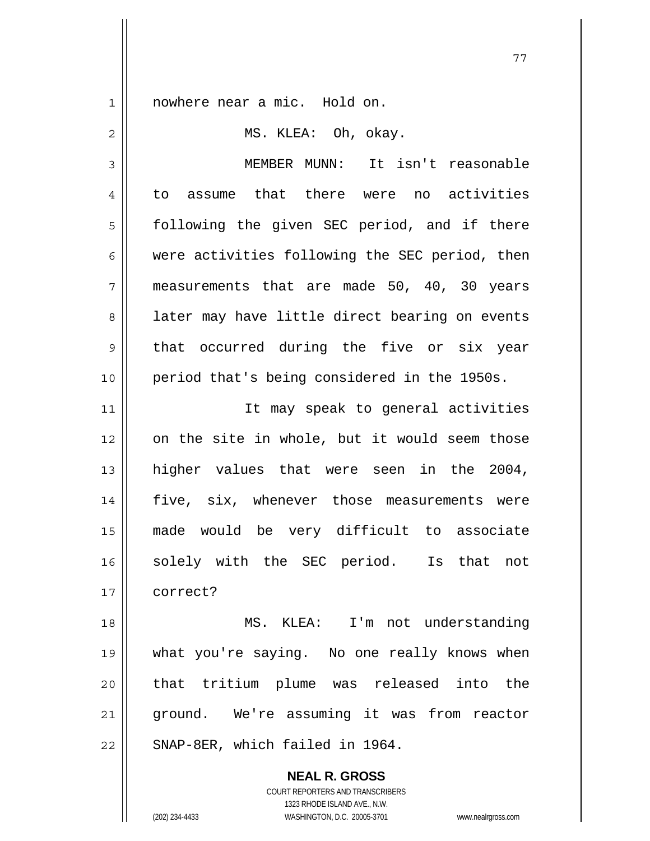1 nowhere near a mic. Hold on.

| $\overline{2}$ | MS. KLEA: Oh, okay.                            |
|----------------|------------------------------------------------|
| 3              | MEMBER MUNN: It isn't reasonable               |
| 4              | assume that there were no activities<br>to     |
| 5              | following the given SEC period, and if there   |
| 6              | were activities following the SEC period, then |
| 7              | measurements that are made 50, 40, 30 years    |
| 8              | later may have little direct bearing on events |
| 9              | that occurred during the five or six year      |
| 10             | period that's being considered in the 1950s.   |
| 11             | It may speak to general activities             |
| 12             | on the site in whole, but it would seem those  |
| 13             | higher values that were seen in the 2004,      |
| 14             | five, six, whenever those measurements were    |
| 15             | made would be very difficult to associate      |
| 16             | solely with the SEC period. Is that not        |
| 17             | correct?                                       |
| 18             | MS. KLEA: I'm not understanding                |
| 19             | what you're saying. No one really knows when   |
| 20             | that tritium plume was released into the       |
| 21             | ground. We're assuming it was from reactor     |
| 22             | SNAP-8ER, which failed in 1964.                |

**NEAL R. GROSS** COURT REPORTERS AND TRANSCRIBERS 1323 RHODE ISLAND AVE., N.W. (202) 234-4433 WASHINGTON, D.C. 20005-3701 www.nealrgross.com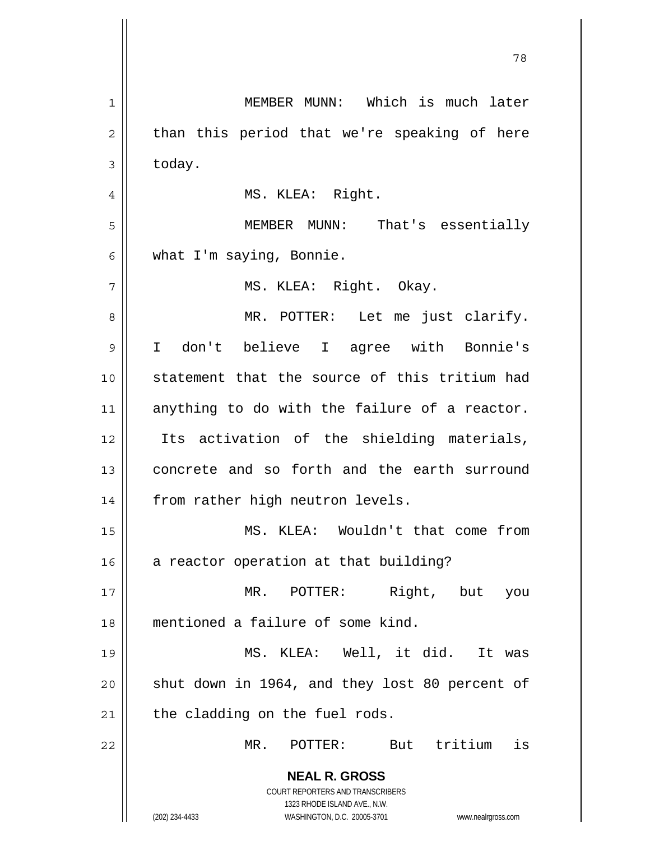**NEAL R. GROSS** COURT REPORTERS AND TRANSCRIBERS 1323 RHODE ISLAND AVE., N.W. (202) 234-4433 WASHINGTON, D.C. 20005-3701 www.nealrgross.com 1 2 3 4 5 6 7 8 9 10 11 12 13 14 15 16 17 18 19 20 21 22 MEMBER MUNN: Which is much later than this period that we're speaking of here today. MS. KLEA: Right. MEMBER MUNN: That's essentially what I'm saying, Bonnie. MS. KLEA: Right. Okay. MR. POTTER: Let me just clarify. I don't believe I agree with Bonnie's statement that the source of this tritium had anything to do with the failure of a reactor. Its activation of the shielding materials, concrete and so forth and the earth surround from rather high neutron levels. MS. KLEA: Wouldn't that come from a reactor operation at that building? MR. POTTER: Right, but you mentioned a failure of some kind. MS. KLEA: Well, it did. It was shut down in 1964, and they lost 80 percent of the cladding on the fuel rods. MR. POTTER: But tritium is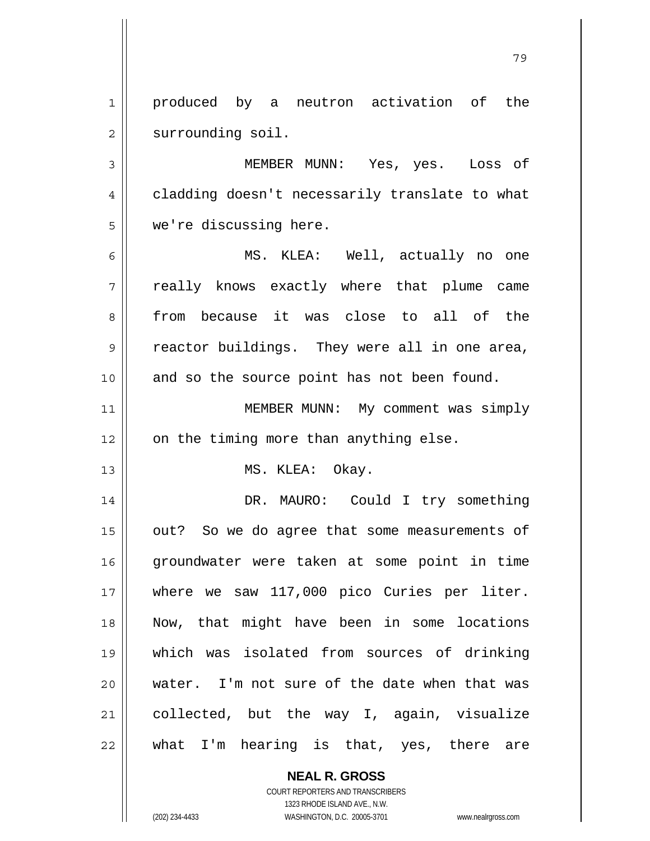1 2 produced by a neutron activation of the surrounding soil.

79

3 4 5 MEMBER MUNN: Yes, yes. Loss of cladding doesn't necessarily translate to what we're discussing here.

6 7 8 9 10 MS. KLEA: Well, actually no one really knows exactly where that plume came from because it was close to all of the reactor buildings. They were all in one area, and so the source point has not been found.

11 12 MEMBER MUNN: My comment was simply on the timing more than anything else.

MS. KLEA: Okay.

14 15 16 17 18 19 20 21 22 DR. MAURO: Could I try something out? So we do agree that some measurements of groundwater were taken at some point in time where we saw 117,000 pico Curies per liter. Now, that might have been in some locations which was isolated from sources of drinking water. I'm not sure of the date when that was collected, but the way I, again, visualize what I'm hearing is that, yes, there are

> **NEAL R. GROSS** COURT REPORTERS AND TRANSCRIBERS 1323 RHODE ISLAND AVE., N.W.

13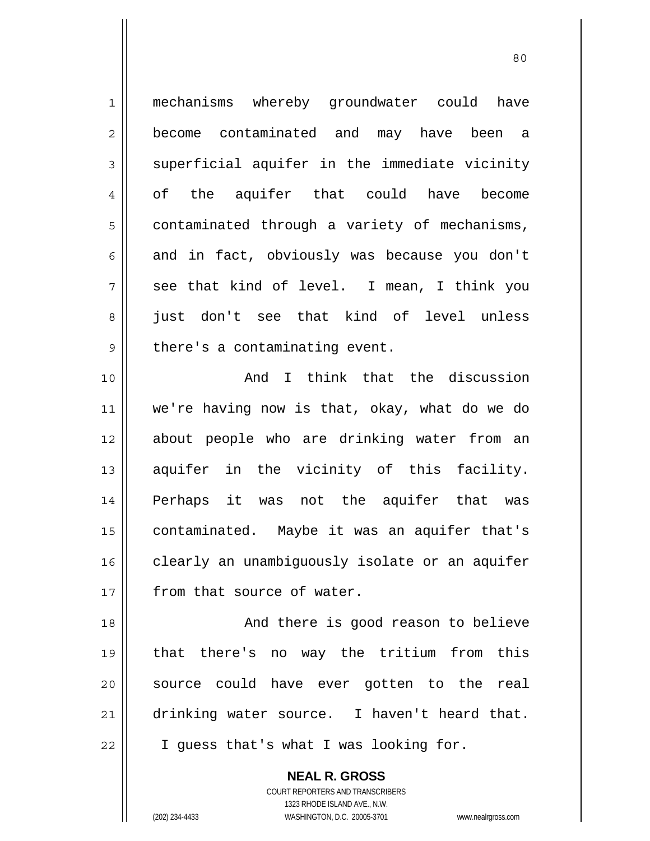| $\mathbf 1$    | mechanisms whereby groundwater could have      |
|----------------|------------------------------------------------|
| $\overline{2}$ | become contaminated and may have been a        |
| 3              | superficial aquifer in the immediate vicinity  |
| $\overline{4}$ | of the aquifer that could have become          |
| 5              | contaminated through a variety of mechanisms,  |
| 6              | and in fact, obviously was because you don't   |
| 7              | see that kind of level. I mean, I think you    |
| 8              | just don't see that kind of level unless       |
| $\mathsf 9$    | there's a contaminating event.                 |
| 10             | And I think that the discussion                |
| 11             | we're having now is that, okay, what do we do  |
| 12             | about people who are drinking water from an    |
| 13             | aquifer in the vicinity of this facility.      |
| 14             | Perhaps it was not the aquifer that was        |
| 15             | contaminated. Maybe it was an aquifer that's   |
| 16             | clearly an unambiguously isolate or an aquifer |
| 17             | from that source of water.                     |
| 18             | And there is good reason to believe            |
| 19             | that there's no way the tritium from this      |
| 20             | source could have ever gotten to the real      |
| 21             | drinking water source. I haven't heard that.   |
| 22             | I guess that's what I was looking for.         |

**NEAL R. GROSS** COURT REPORTERS AND TRANSCRIBERS 1323 RHODE ISLAND AVE., N.W. (202) 234-4433 WASHINGTON, D.C. 20005-3701 www.nealrgross.com

 $\mathsf{I}$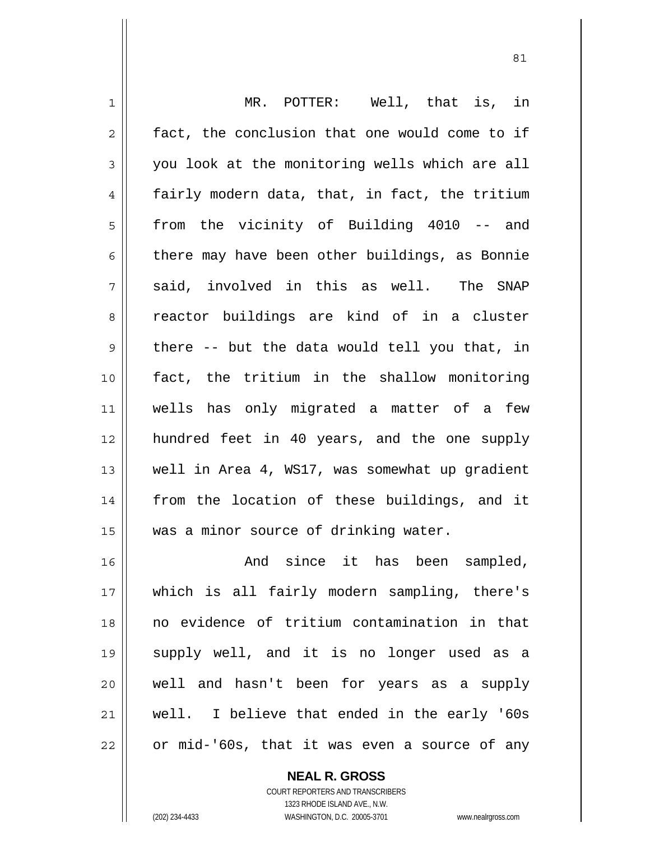| $\mathbf 1$    | MR. POTTER: Well, that is, in                  |
|----------------|------------------------------------------------|
| $\overline{2}$ | fact, the conclusion that one would come to if |
| 3              | you look at the monitoring wells which are all |
| $\overline{4}$ | fairly modern data, that, in fact, the tritium |
| 5              | from the vicinity of Building 4010 -- and      |
| 6              | there may have been other buildings, as Bonnie |
| 7              | said, involved in this as well. The SNAP       |
| 8              | reactor buildings are kind of in a cluster     |
| $\mathsf 9$    | there -- but the data would tell you that, in  |
| 10             | fact, the tritium in the shallow monitoring    |
| 11             | wells has only migrated a matter of a few      |
| 12             | hundred feet in 40 years, and the one supply   |
| 13             | well in Area 4, WS17, was somewhat up gradient |
| 14             | from the location of these buildings, and it   |
| 15             | was a minor source of drinking water.          |
| 16             | And since it has been sampled,                 |
| 17             | which is all fairly modern sampling, there's   |
| 18             | no evidence of tritium contamination in that   |
| 19             | supply well, and it is no longer used as a     |
| 20             | well and hasn't been for years as a supply     |
| 21             | well. I believe that ended in the early '60s   |

<u>81</u>

22

**NEAL R. GROSS**

or mid-'60s, that it was even a source of any

COURT REPORTERS AND TRANSCRIBERS 1323 RHODE ISLAND AVE., N.W. (202) 234-4433 WASHINGTON, D.C. 20005-3701 www.nealrgross.com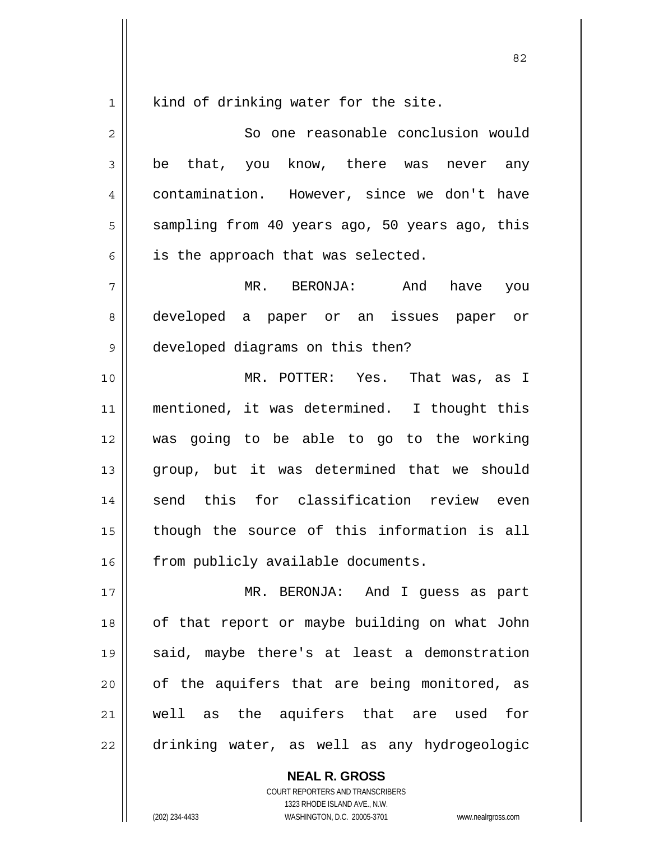1

kind of drinking water for the site.

2 3 4 5 6 7 8 9 So one reasonable conclusion would be that, you know, there was never any contamination. However, since we don't have sampling from 40 years ago, 50 years ago, this is the approach that was selected. MR. BERONJA: And have you developed a paper or an issues paper or developed diagrams on this then?

10 11 12 13 14 15 16 MR. POTTER: Yes. That was, as I mentioned, it was determined. I thought this was going to be able to go to the working group, but it was determined that we should send this for classification review even though the source of this information is all from publicly available documents.

17 18 19 20 21 22 MR. BERONJA: And I guess as part of that report or maybe building on what John said, maybe there's at least a demonstration of the aquifers that are being monitored, as well as the aquifers that are used for drinking water, as well as any hydrogeologic

> **NEAL R. GROSS** COURT REPORTERS AND TRANSCRIBERS 1323 RHODE ISLAND AVE., N.W. (202) 234-4433 WASHINGTON, D.C. 20005-3701 www.nealrgross.com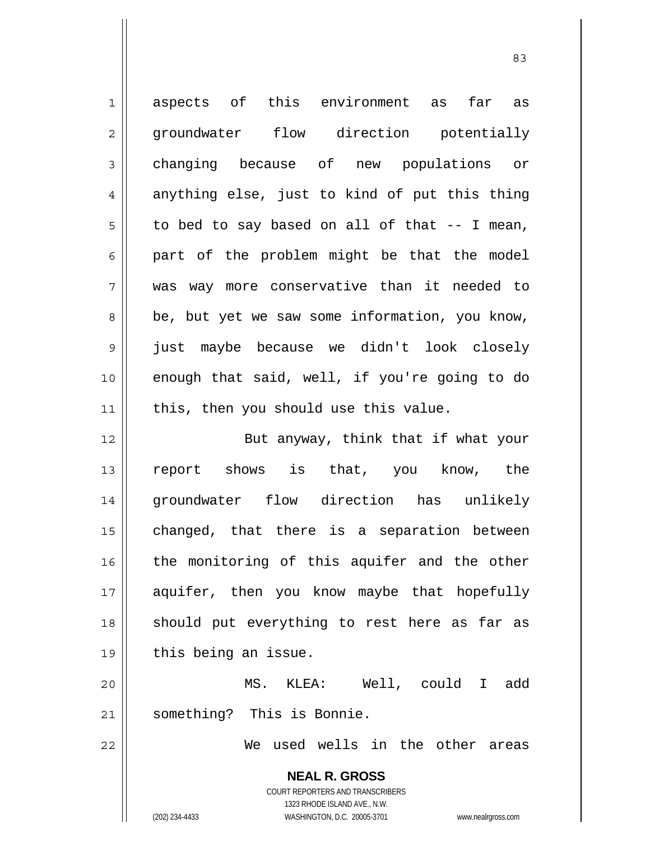| $\mathbf 1$    | aspects of this environment as<br>far as                                |
|----------------|-------------------------------------------------------------------------|
| $\mathbf 2$    | groundwater flow direction potentially                                  |
| $\mathfrak{Z}$ | changing because of new populations or                                  |
| 4              | anything else, just to kind of put this thing                           |
| 5              | to bed to say based on all of that -- I mean,                           |
| 6              | part of the problem might be that the model                             |
| 7              | was way more conservative than it needed to                             |
| 8              | be, but yet we saw some information, you know,                          |
| $\mathsf 9$    | just maybe because we didn't look closely                               |
| 10             | enough that said, well, if you're going to do                           |
| 11             | this, then you should use this value.                                   |
| 12             | But anyway, think that if what your                                     |
| 13             | report shows is that, you know, the                                     |
| 14             | groundwater flow direction has unlikely                                 |
| 15             | changed, that there is a separation between                             |
| 16             | the monitoring of this aquifer and the other                            |
| 17             | aquifer, then you know maybe that hopefully                             |
| 18             | should put everything to rest here as far as                            |
| 19             | this being an issue.                                                    |
| 20             | MS. KLEA: Well, could I add                                             |
| 21             | something? This is Bonnie.                                              |
| 22             | We used wells in the other areas                                        |
|                | <b>NEAL R. GROSS</b>                                                    |
|                | <b>COURT REPORTERS AND TRANSCRIBERS</b><br>1323 RHODE ISLAND AVE., N.W. |
|                | (202) 234-4433<br>WASHINGTON, D.C. 20005-3701<br>www.nealrgross.com     |

<u>83</u>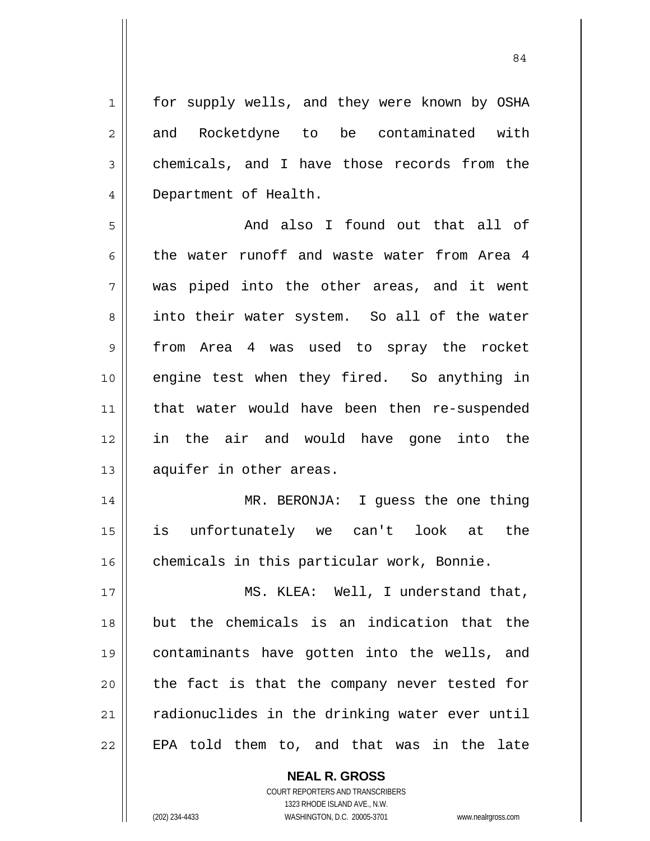1 for supply wells, and they were known by OSHA and Rocketdyne to be contaminated with chemicals, and I have those records from the Department of Health.

5 6 7 8 9 10 11 12 13 And also I found out that all of the water runoff and waste water from Area 4 was piped into the other areas, and it went into their water system. So all of the water from Area 4 was used to spray the rocket engine test when they fired. So anything in that water would have been then re-suspended in the air and would have gone into the aquifer in other areas.

14 15 16 MR. BERONJA: I guess the one thing is unfortunately we can't look at the chemicals in this particular work, Bonnie.

17 18 19 20 21 22 MS. KLEA: Well, I understand that, but the chemicals is an indication that the contaminants have gotten into the wells, and the fact is that the company never tested for radionuclides in the drinking water ever until EPA told them to, and that was in the late

> COURT REPORTERS AND TRANSCRIBERS 1323 RHODE ISLAND AVE., N.W. (202) 234-4433 WASHINGTON, D.C. 20005-3701 www.nealrgross.com

**NEAL R. GROSS**

2

3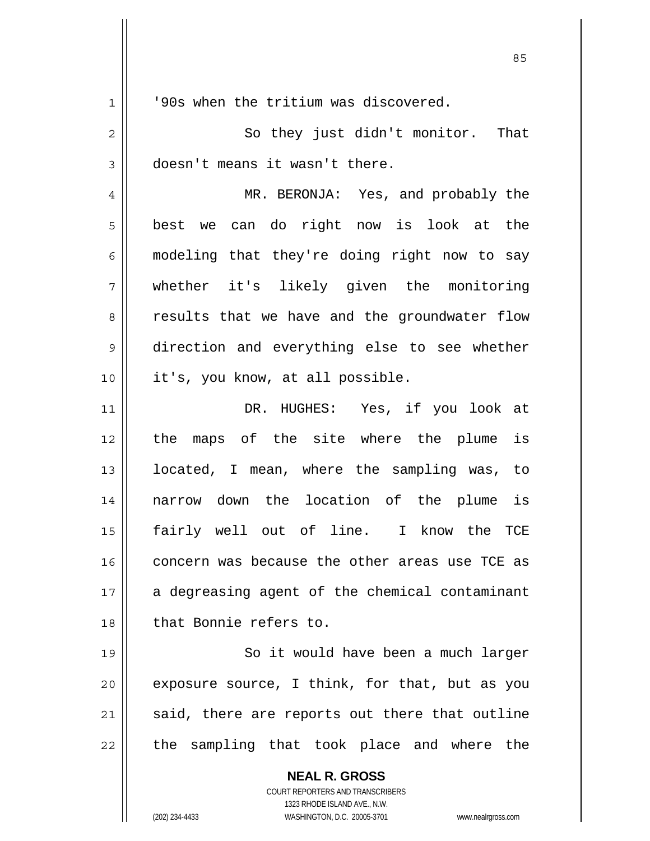**NEAL R. GROSS** 1 2 3 4 5 6 7 8 9 10 11 12 13 14 15 16 17 18 19 20 21 22 '90s when the tritium was discovered. So they just didn't monitor. That doesn't means it wasn't there. MR. BERONJA: Yes, and probably the best we can do right now is look at the modeling that they're doing right now to say whether it's likely given the monitoring results that we have and the groundwater flow direction and everything else to see whether it's, you know, at all possible. DR. HUGHES: Yes, if you look at the maps of the site where the plume is located, I mean, where the sampling was, to narrow down the location of the plume is fairly well out of line. I know the TCE concern was because the other areas use TCE as a degreasing agent of the chemical contaminant that Bonnie refers to. So it would have been a much larger exposure source, I think, for that, but as you said, there are reports out there that outline the sampling that took place and where the

<u>85 and 2001 and 2001 and 2001 and 2001 and 2001 and 2001 and 2001 and 2001 and 2001 and 2001 and 2001 and 200</u>

COURT REPORTERS AND TRANSCRIBERS 1323 RHODE ISLAND AVE., N.W.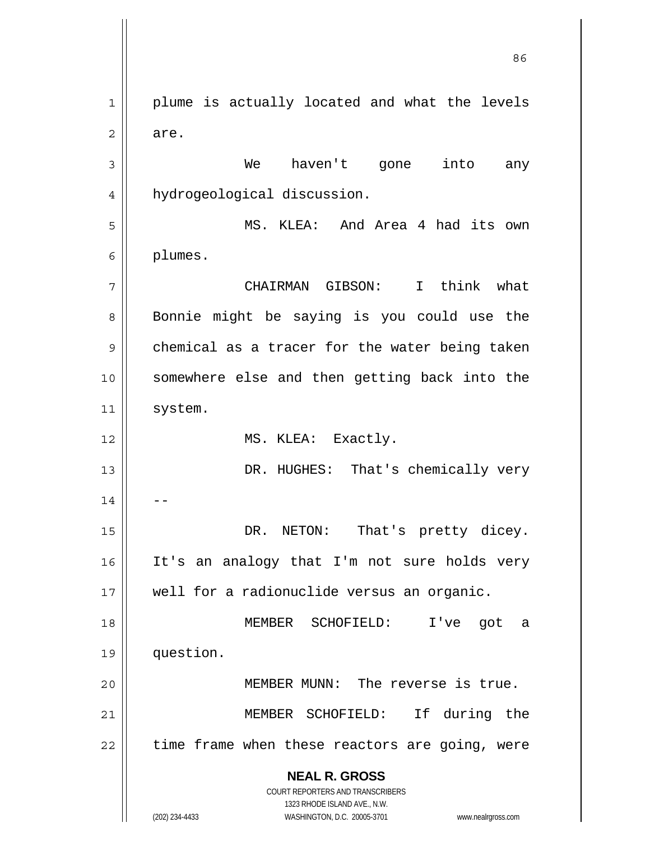**NEAL R. GROSS** COURT REPORTERS AND TRANSCRIBERS 1323 RHODE ISLAND AVE., N.W. 1 2 3 4 5 6 7 8 9 10 11 12 13 14 15 16 17 18 19 20 21 22 plume is actually located and what the levels are. We haven't gone into any hydrogeological discussion. MS. KLEA: And Area 4 had its own plumes. CHAIRMAN GIBSON: I think what Bonnie might be saying is you could use the chemical as a tracer for the water being taken somewhere else and then getting back into the system. MS. KLEA: Exactly. DR. HUGHES: That's chemically very -- DR. NETON: That's pretty dicey. It's an analogy that I'm not sure holds very well for a radionuclide versus an organic. MEMBER SCHOFIELD: I've got a question. MEMBER MUNN: The reverse is true. MEMBER SCHOFIELD: If during the time frame when these reactors are going, were

<u>86 and 2001 and 2002 and 2003 and 2003 and 2003 and 2003 and 2003 and 2003 and 2003 and 2003 and 2003 and 200</u>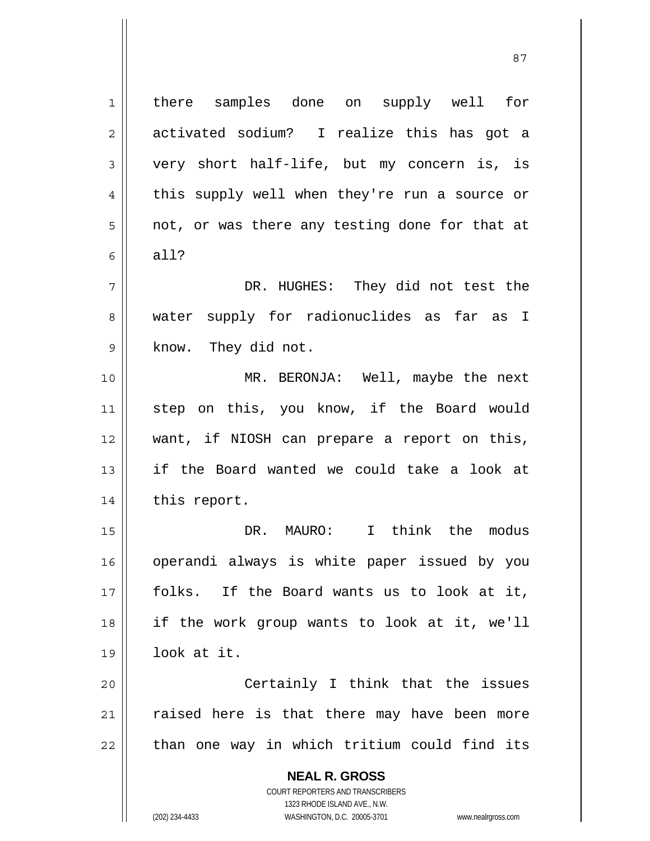**NEAL R. GROSS** COURT REPORTERS AND TRANSCRIBERS 1323 RHODE ISLAND AVE., N.W. 1 2 3 4 5 6 7 8 9 10 11 12 13 14 15 16 17 18 19 20 21 22 there samples done on supply well for activated sodium? I realize this has got a very short half-life, but my concern is, is this supply well when they're run a source or not, or was there any testing done for that at all? DR. HUGHES: They did not test the water supply for radionuclides as far as I know. They did not. MR. BERONJA: Well, maybe the next step on this, you know, if the Board would want, if NIOSH can prepare a report on this, if the Board wanted we could take a look at this report. DR. MAURO: I think the modus operandi always is white paper issued by you folks. If the Board wants us to look at it, if the work group wants to look at it, we'll look at it. Certainly I think that the issues raised here is that there may have been more than one way in which tritium could find its

<u>87 and 2014 and 2014 and 2014 and 2014 and 2014 and 2014 and 2014 and 2014 and 2014 and 2014 and 2014 and 201</u>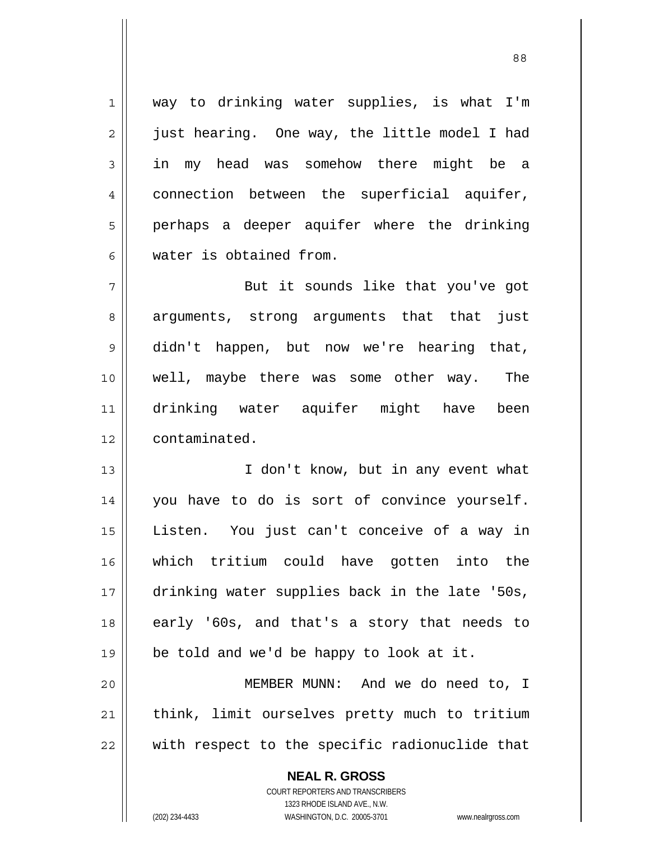1 way to drinking water supplies, is what I'm just hearing. One way, the little model I had in my head was somehow there might be a connection between the superficial aquifer, perhaps a deeper aquifer where the drinking water is obtained from.

7 8 9 10 11 12 But it sounds like that you've got arguments, strong arguments that that just didn't happen, but now we're hearing that, well, maybe there was some other way. The drinking water aquifer might have been contaminated.

13 14 15 16 17 18 19 20 I don't know, but in any event what you have to do is sort of convince yourself. Listen. You just can't conceive of a way in which tritium could have gotten into the drinking water supplies back in the late '50s, early '60s, and that's a story that needs to be told and we'd be happy to look at it. MEMBER MUNN: And we do need to, I

21 22 think, limit ourselves pretty much to tritium with respect to the specific radionuclide that

**NEAL R. GROSS**

COURT REPORTERS AND TRANSCRIBERS 1323 RHODE ISLAND AVE., N.W. (202) 234-4433 WASHINGTON, D.C. 20005-3701 www.nealrgross.com

2

3

4

5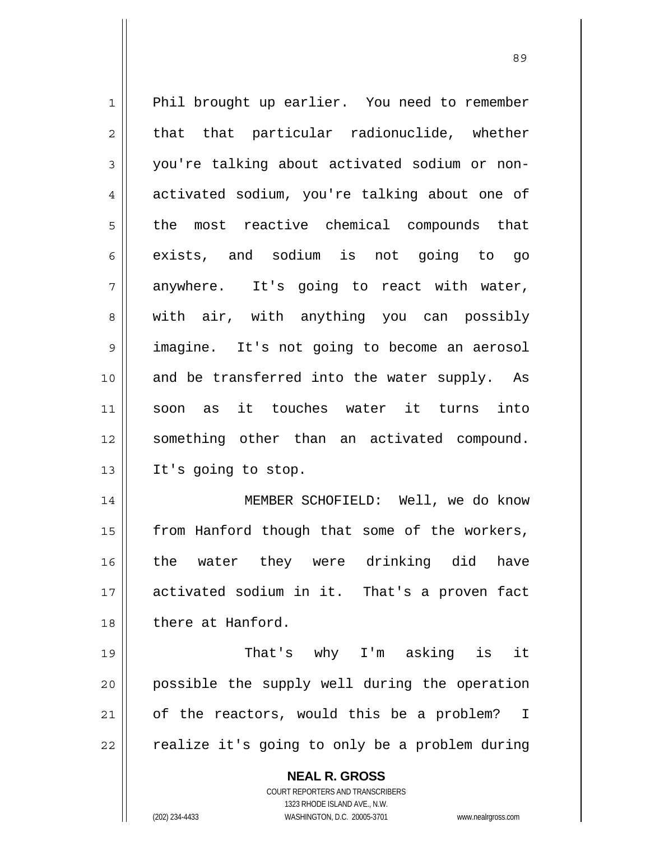**NEAL R. GROSS** COURT REPORTERS AND TRANSCRIBERS 1323 RHODE ISLAND AVE., N.W. 1 2 3 4 5 6 7 8 9 10 11 12 13 14 15 16 17 18 19 20 21 22 Phil brought up earlier. You need to remember that that particular radionuclide, whether you're talking about activated sodium or nonactivated sodium, you're talking about one of the most reactive chemical compounds that exists, and sodium is not going to go anywhere. It's going to react with water, with air, with anything you can possibly imagine. It's not going to become an aerosol and be transferred into the water supply. As soon as it touches water it turns into something other than an activated compound. It's going to stop. MEMBER SCHOFIELD: Well, we do know from Hanford though that some of the workers, the water they were drinking did have activated sodium in it. That's a proven fact there at Hanford. That's why I'm asking is it possible the supply well during the operation of the reactors, would this be a problem? I realize it's going to only be a problem during

(202) 234-4433 WASHINGTON, D.C. 20005-3701 www.nealrgross.com

<u>89 and 2001 and 2002 and 2003 and 2003 and 2003 and 2003 and 2003 and 2003 and 2003 and 2003 and 2003 and 200</u>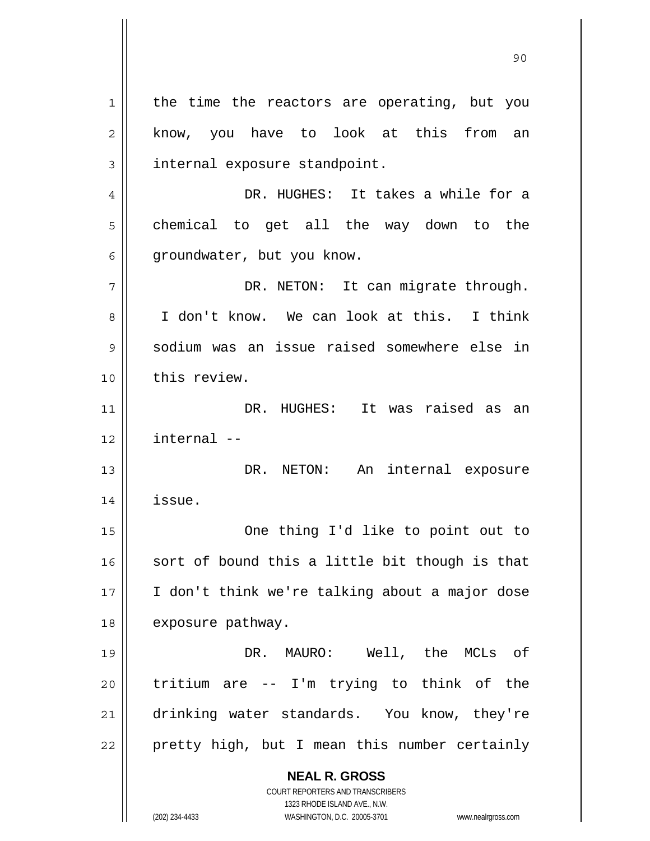**NEAL R. GROSS** COURT REPORTERS AND TRANSCRIBERS 1 2 3 4 5 6 7 8 9 10 11 12 13 14 15 16 17 18 19 20 21 22 the time the reactors are operating, but you know, you have to look at this from an internal exposure standpoint. DR. HUGHES: It takes a while for a chemical to get all the way down to the groundwater, but you know. DR. NETON: It can migrate through. I don't know. We can look at this. I think sodium was an issue raised somewhere else in this review. DR. HUGHES: It was raised as an internal -- DR. NETON: An internal exposure issue. One thing I'd like to point out to sort of bound this a little bit though is that I don't think we're talking about a major dose exposure pathway. DR. MAURO: Well, the MCLs of tritium are -- I'm trying to think of the drinking water standards. You know, they're pretty high, but I mean this number certainly

90

1323 RHODE ISLAND AVE., N.W.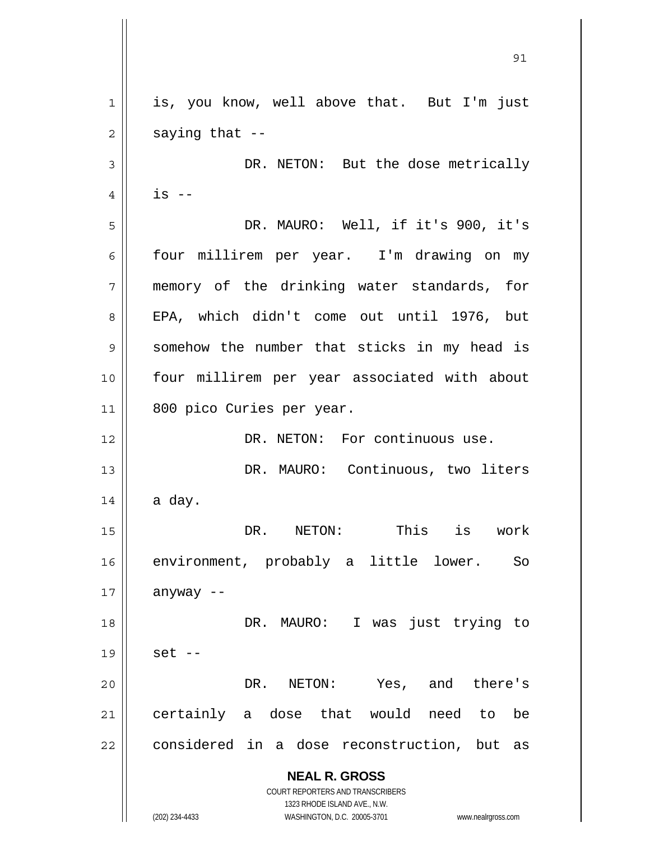**NEAL R. GROSS** COURT REPORTERS AND TRANSCRIBERS 1323 RHODE ISLAND AVE., N.W. (202) 234-4433 WASHINGTON, D.C. 20005-3701 www.nealrgross.com 1 2 3 4 5 6 7 8 9 10 11 12 13 14 15 16 17 18 19 20 21 22 is, you know, well above that. But I'm just saying that -- DR. NETON: But the dose metrically  $is$   $-$  DR. MAURO: Well, if it's 900, it's four millirem per year. I'm drawing on my memory of the drinking water standards, for EPA, which didn't come out until 1976, but somehow the number that sticks in my head is four millirem per year associated with about 800 pico Curies per year. DR. NETON: For continuous use. DR. MAURO: Continuous, two liters a day. DR. NETON: This is work environment, probably a little lower. So anyway -- DR. MAURO: I was just trying to set -- DR. NETON: Yes, and there's certainly a dose that would need to be considered in a dose reconstruction, but as

<u>91</u>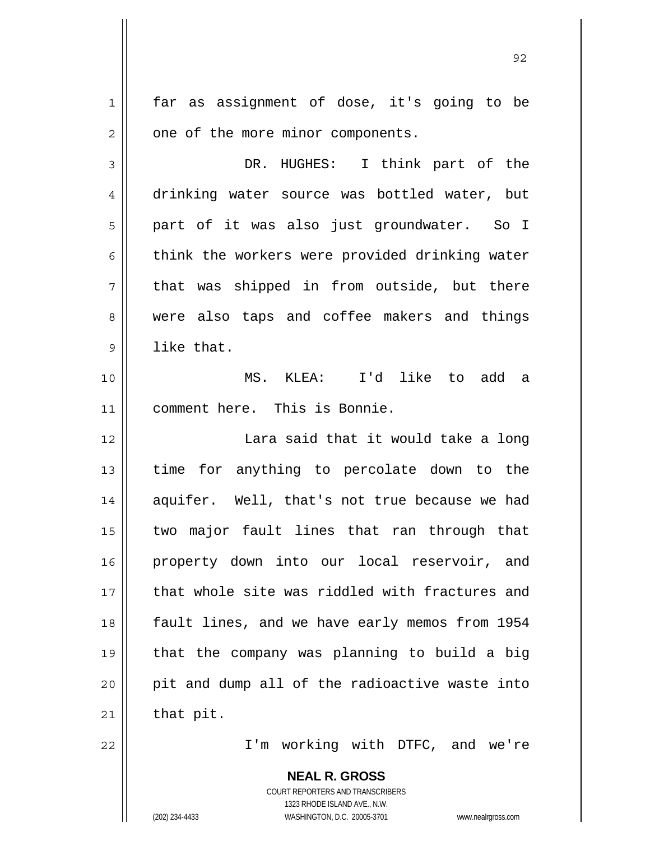1 2 far as assignment of dose, it's going to be one of the more minor components.

<u>92 and 2014 and 2014 and 2014 and 2014 and 2014 and 2014 and 2014 and 2014 and 2014 and 2014 and 2014 and 201</u>

3 4 5 6 7 8 9 DR. HUGHES: I think part of the drinking water source was bottled water, but part of it was also just groundwater. So I think the workers were provided drinking water that was shipped in from outside, but there were also taps and coffee makers and things like that.

10 11 MS. KLEA: I'd like to add a comment here. This is Bonnie.

12 13 14 15 16 17 18 19 20 21 Lara said that it would take a long time for anything to percolate down to the aquifer. Well, that's not true because we had two major fault lines that ran through that property down into our local reservoir, and that whole site was riddled with fractures and fault lines, and we have early memos from 1954 that the company was planning to build a big pit and dump all of the radioactive waste into that pit.

22

I'm working with DTFC, and we're

**NEAL R. GROSS** COURT REPORTERS AND TRANSCRIBERS 1323 RHODE ISLAND AVE., N.W. (202) 234-4433 WASHINGTON, D.C. 20005-3701 www.nealrgross.com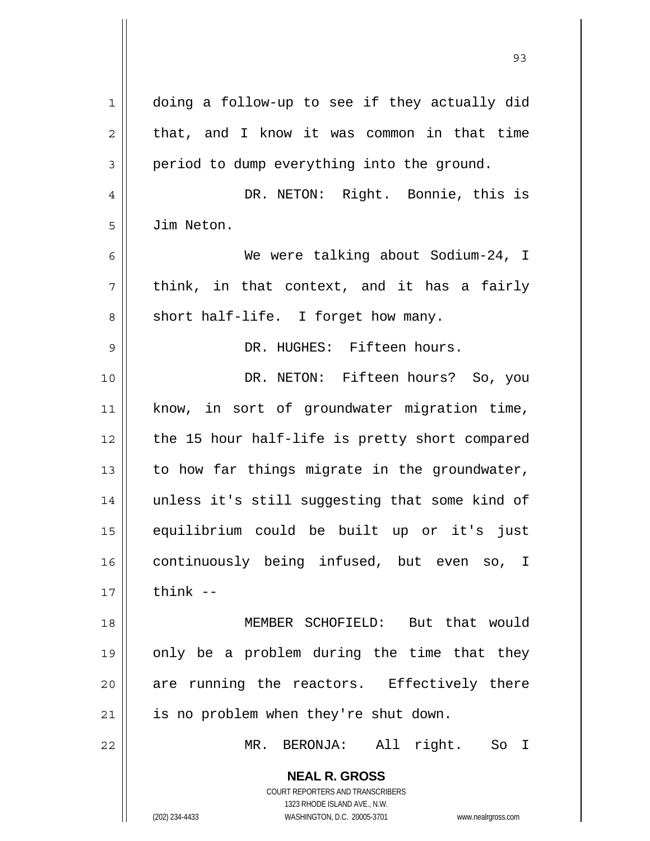| $\mathbf 1$    | doing a follow-up to see if they actually did                       |
|----------------|---------------------------------------------------------------------|
| $\overline{c}$ | that, and I know it was common in that time                         |
| 3              | period to dump everything into the ground.                          |
| 4              | DR. NETON: Right. Bonnie, this is                                   |
| 5              | Jim Neton.                                                          |
| 6              | We were talking about Sodium-24, I                                  |
| $\overline{7}$ | think, in that context, and it has a fairly                         |
| 8              | short half-life. I forget how many.                                 |
| 9              | DR. HUGHES: Fifteen hours.                                          |
| 10             | DR. NETON: Fifteen hours? So, you                                   |
| 11             | know, in sort of groundwater migration time,                        |
| 12             | the 15 hour half-life is pretty short compared                      |
| 13             | to how far things migrate in the groundwater,                       |
| 14             | unless it's still suggesting that some kind of                      |
| 15             | equilibrium could be built up or it's just                          |
| 16             | continuously being infused, but even so, I                          |
| 17             | think $--$                                                          |
| 18             | MEMBER SCHOFIELD: But that would                                    |
| 19             | only be a problem during the time that they                         |
| 20             | are running the reactors. Effectively there                         |
| 21             | is no problem when they're shut down.                               |
| 22             | MR. BERONJA: All right. So I                                        |
|                |                                                                     |
|                | <b>NEAL R. GROSS</b><br><b>COURT REPORTERS AND TRANSCRIBERS</b>     |
|                | 1323 RHODE ISLAND AVE., N.W.                                        |
|                | (202) 234-4433<br>WASHINGTON, D.C. 20005-3701<br>www.nealrgross.com |

<u>93 and 200 and 200 and 200 and 200 and 200 and 200 and 200 and 200 and 200 and 200 and 200 and 200 and 200 an</u>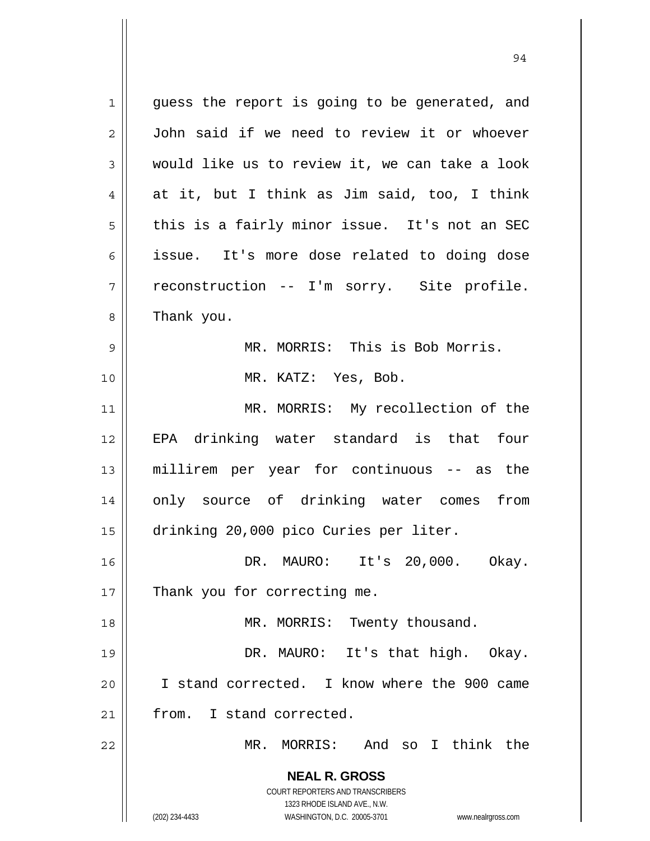**NEAL R. GROSS** COURT REPORTERS AND TRANSCRIBERS 1323 RHODE ISLAND AVE., N.W. (202) 234-4433 WASHINGTON, D.C. 20005-3701 www.nealrgross.com 1 2 3 4 5 6 7 8 9 10 11 12 13 14 15 16 17 18 19 20 21 22 guess the report is going to be generated, and John said if we need to review it or whoever would like us to review it, we can take a look at it, but I think as Jim said, too, I think this is a fairly minor issue. It's not an SEC issue. It's more dose related to doing dose reconstruction -- I'm sorry. Site profile. Thank you. MR. MORRIS: This is Bob Morris. MR. KATZ: Yes, Bob. MR. MORRIS: My recollection of the EPA drinking water standard is that four millirem per year for continuous -- as the only source of drinking water comes from drinking 20,000 pico Curies per liter. DR. MAURO: It's 20,000. Okay. Thank you for correcting me. MR. MORRIS: Twenty thousand. DR. MAURO: It's that high. Okay. I stand corrected. I know where the 900 came from. I stand corrected. MR. MORRIS: And so I think the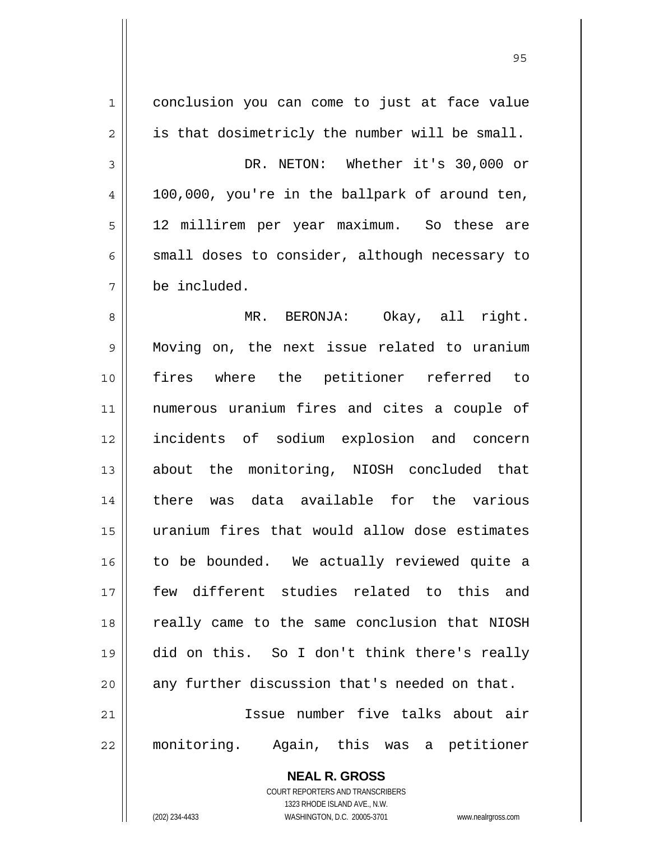| 1              | conclusion you can come to just at face value            |
|----------------|----------------------------------------------------------|
| $\overline{2}$ | is that dosimetricly the number will be small.           |
| 3              | DR. NETON: Whether it's 30,000 or                        |
| 4              | 100,000, you're in the ballpark of around ten,           |
| 5              | 12 millirem per year maximum. So these are               |
| 6              | small doses to consider, although necessary to           |
| 7              | be included.                                             |
| 8              | MR. BERONJA: Okay, all right.                            |
| $\mathsf 9$    | Moving on, the next issue related to uranium             |
| 10             | fires where the petitioner referred to                   |
| 11             | numerous uranium fires and cites a couple of             |
| 12             | incidents of sodium explosion and concern                |
| 13             | about the monitoring, NIOSH concluded that               |
| 14             | there was data available for the various                 |
| 15             | uranium fires that would allow dose estimates            |
| 16             | to be bounded. We actually reviewed quite a              |
| 17             | few different studies related to this and                |
| 18             | really came to the same conclusion that NIOSH            |
| 19             | did on this. So I don't think there's really             |
| 20             | any further discussion that's needed on that.            |
| 21             | Issue number five talks about air                        |
| 22             | monitoring. Again, this was a petitioner                 |
|                | <b>NEAL R. GROSS</b><br>COURT REPORTERS AND TRANSCRIBERS |

<u>95 and 2001 and 2001 and 2001 and 2001 and 2001 and 2001 and 2001 and 2001 and 2001 and 2001 and 2001 and 200</u>

1323 RHODE ISLAND AVE., N.W.

 $\prod$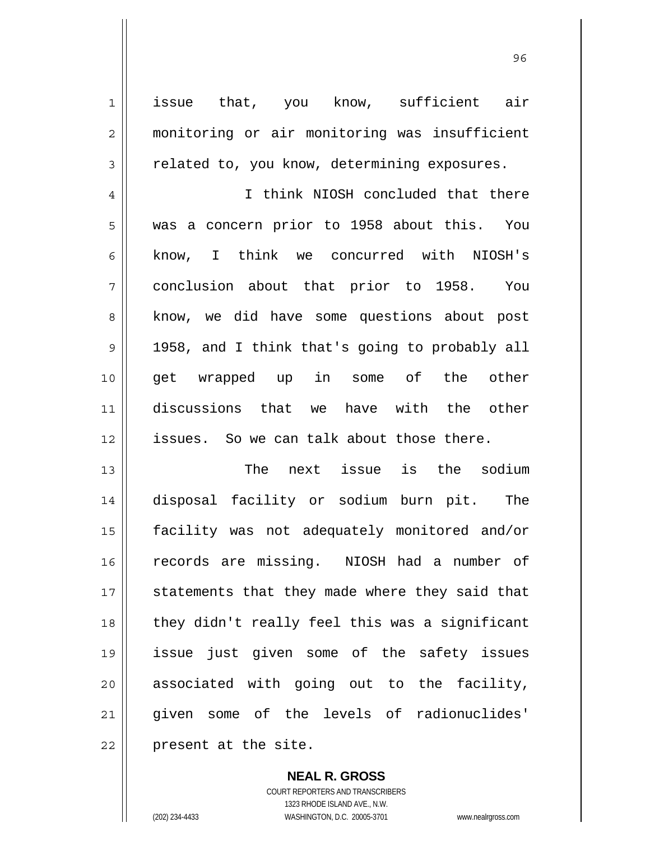issue that, you know, sufficient air monitoring or air monitoring was insufficient related to, you know, determining exposures.

4 5 6 7 8 9 10 11 12 I think NIOSH concluded that there was a concern prior to 1958 about this. You know, I think we concurred with NIOSH's conclusion about that prior to 1958. You know, we did have some questions about post 1958, and I think that's going to probably all get wrapped up in some of the other discussions that we have with the other issues. So we can talk about those there.

13 14 15 16 17 18 19 20 21 22 The next issue is the sodium disposal facility or sodium burn pit. The facility was not adequately monitored and/or records are missing. NIOSH had a number of statements that they made where they said that they didn't really feel this was a significant issue just given some of the safety issues associated with going out to the facility, given some of the levels of radionuclides' present at the site.

> **NEAL R. GROSS** COURT REPORTERS AND TRANSCRIBERS 1323 RHODE ISLAND AVE., N.W. (202) 234-4433 WASHINGTON, D.C. 20005-3701 www.nealrgross.com

1

2

3

<u>96 and 200 million and 200 million and 200 million and 200 million and 200 million and 200 million and 200 million and 200 million and 200 million and 200 million and 200 million and 200 million and 200 million and 200 mi</u>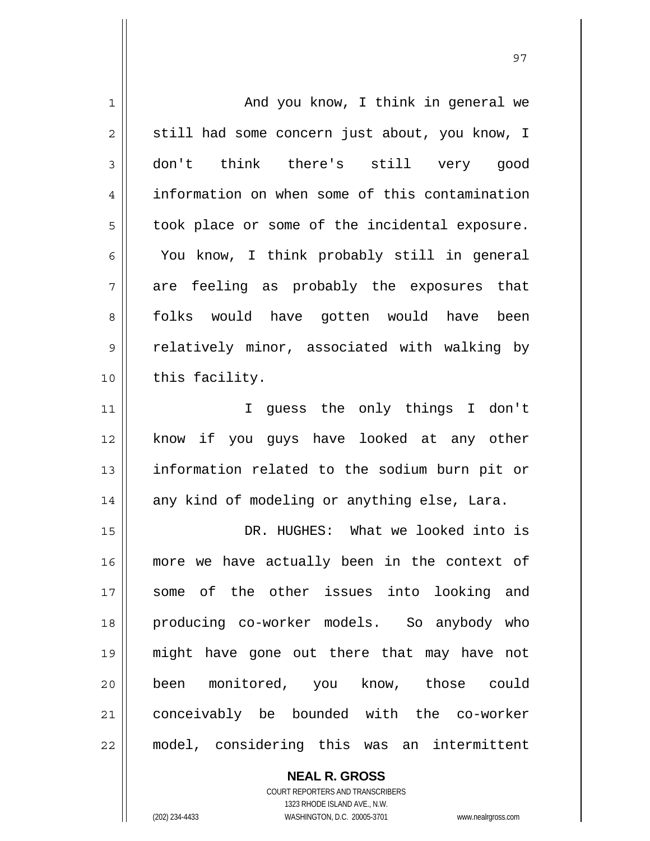| $\mathbf 1$    | And you know, I think in general we            |
|----------------|------------------------------------------------|
| $\overline{2}$ | still had some concern just about, you know, I |
| 3              | don't think there's still very good            |
| $\overline{4}$ | information on when some of this contamination |
| 5              | took place or some of the incidental exposure. |
| 6              | You know, I think probably still in general    |
| 7              | are feeling as probably the exposures that     |
| 8              | folks would have gotten would have been        |
| 9              | relatively minor, associated with walking by   |
| 10             | this facility.                                 |
| 11             | I guess the only things I don't                |
| 12             | know if you guys have looked at any other      |
| 13             | information related to the sodium burn pit or  |
| 14             | any kind of modeling or anything else, Lara.   |
| 15             | DR. HUGHES: What we looked into is             |
| 16             | more we have actually been in the context of   |
| 17             | some of the other issues into looking and      |
| 18             | producing co-worker models. So anybody who     |
| 19             | might have gone out there that may have not    |
| 20             | been monitored, you know, those could          |
| 21             | conceivably be bounded with the co-worker      |
| 22             | model, considering this was an intermittent    |

97

**NEAL R. GROSS** COURT REPORTERS AND TRANSCRIBERS 1323 RHODE ISLAND AVE., N.W.

 $\mathsf{II}$ 

 $\mathsf{I}$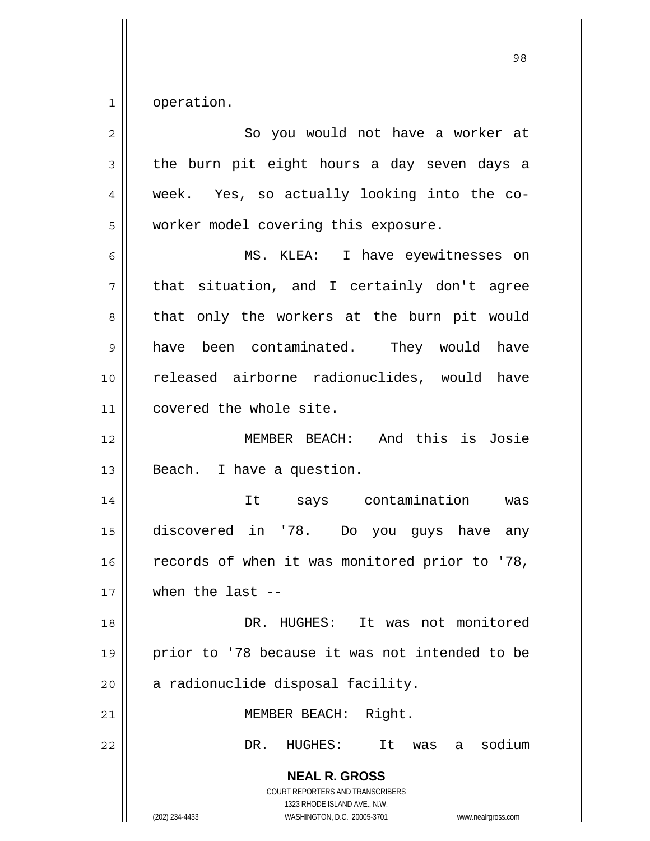1 operation.

| $\overline{2}$ | So you would not have a worker at                                                                                                                               |
|----------------|-----------------------------------------------------------------------------------------------------------------------------------------------------------------|
| 3              | the burn pit eight hours a day seven days a                                                                                                                     |
| 4              | week. Yes, so actually looking into the co-                                                                                                                     |
| 5              | worker model covering this exposure.                                                                                                                            |
| 6              | MS. KLEA: I have eyewitnesses on                                                                                                                                |
| 7              | that situation, and I certainly don't agree                                                                                                                     |
| 8              | that only the workers at the burn pit would                                                                                                                     |
| 9              | have been contaminated. They would have                                                                                                                         |
| 10             | released airborne radionuclides, would have                                                                                                                     |
| 11             | covered the whole site.                                                                                                                                         |
| 12             | MEMBER BEACH: And this is Josie                                                                                                                                 |
| 13             | Beach. I have a question.                                                                                                                                       |
| 14             | It says contamination was                                                                                                                                       |
| 15             | discovered in '78. Do you guys have any                                                                                                                         |
| 16             | records of when it was monitored prior to '78,                                                                                                                  |
| 17             | when the last $-$                                                                                                                                               |
| 18             | DR. HUGHES: It was not monitored                                                                                                                                |
| 19             | prior to '78 because it was not intended to be                                                                                                                  |
| 20             | a radionuclide disposal facility.                                                                                                                               |
| 21             | Right.<br>MEMBER BEACH:                                                                                                                                         |
| 22             | a sodium<br>DR.<br>HUGHES:<br>It<br>was                                                                                                                         |
|                | <b>NEAL R. GROSS</b><br>COURT REPORTERS AND TRANSCRIBERS<br>1323 RHODE ISLAND AVE., N.W.<br>(202) 234-4433<br>WASHINGTON, D.C. 20005-3701<br>www.nealrgross.com |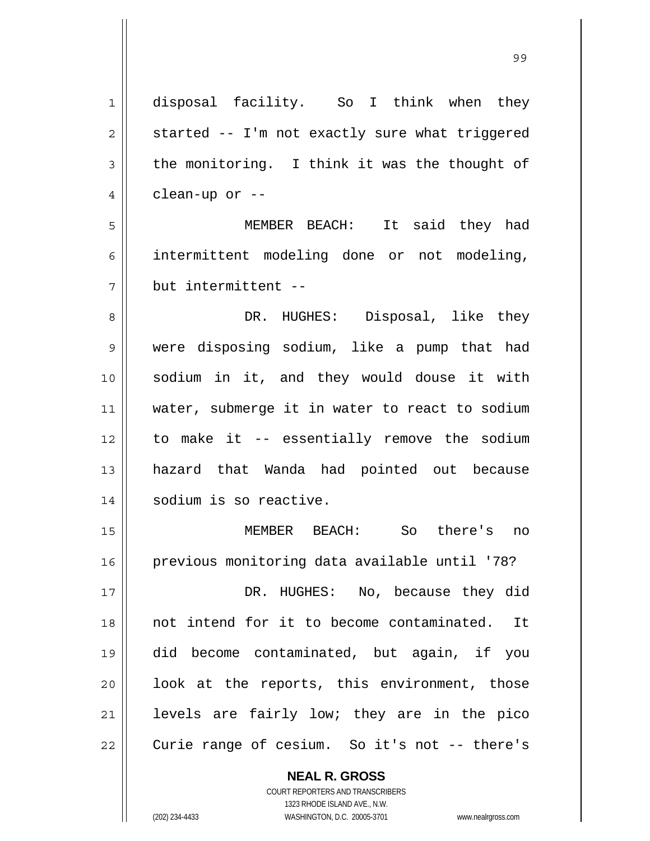| 1  | disposal facility. So I think when they         |
|----|-------------------------------------------------|
| 2  | started -- I'm not exactly sure what triggered  |
| 3  | the monitoring. I think it was the thought of   |
| 4  | clean-up or $-$ -                               |
| 5  | MEMBER BEACH: It said they had                  |
| 6  | intermittent modeling done or not modeling,     |
| 7  | but intermittent --                             |
| 8  | DR. HUGHES: Disposal, like they                 |
| 9  | were disposing sodium, like a pump that had     |
| 10 | sodium in it, and they would douse it with      |
| 11 | water, submerge it in water to react to sodium  |
| 12 | to make it -- essentially remove the sodium     |
| 13 | hazard that Wanda had pointed out because       |
| 14 | sodium is so reactive.                          |
| 15 | So<br>MEMBER<br>there's<br>BEACH:<br>no         |
| 16 | previous monitoring data available until '78?   |
| 17 | DR. HUGHES: No, because they did                |
| 18 | not intend for it to become contaminated.<br>It |
| 19 | did become contaminated, but again, if you      |
| 20 | look at the reports, this environment, those    |
| 21 | levels are fairly low; they are in the pico     |
| 22 | Curie range of cesium. So it's not -- there's   |
|    |                                                 |

99 - Paul Barbara, poeta e a contra de 1999 - Paul Barbara, español de 1999 - Paul Barbara, español de 1999 -<br>1990 - Paul Barbara, poeta español de 1990 - Paul Barbara, español de 1990 - Paul Barbara, español de 1990 -

COURT REPORTERS AND TRANSCRIBERS 1323 RHODE ISLAND AVE., N.W. (202) 234-4433 WASHINGTON, D.C. 20005-3701 www.nealrgross.com

**NEAL R. GROSS**

 $\mathbf{I}$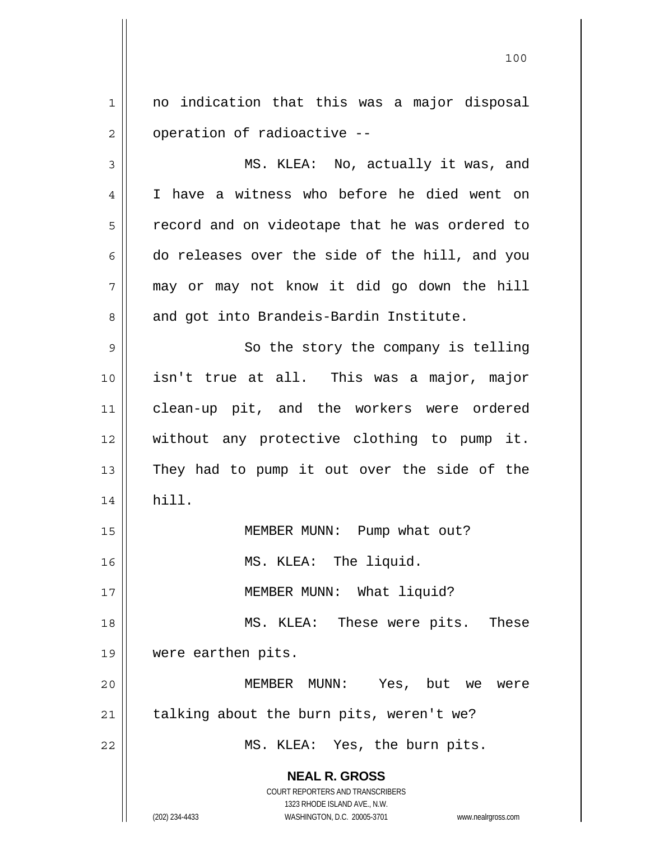1 2 no indication that this was a major disposal operation of radioactive --

3 4 5 6 7 8 MS. KLEA: No, actually it was, and I have a witness who before he died went on record and on videotape that he was ordered to do releases over the side of the hill, and you may or may not know it did go down the hill and got into Brandeis-Bardin Institute.

9 10 11 12 13 14 So the story the company is telling isn't true at all. This was a major, major clean-up pit, and the workers were ordered without any protective clothing to pump it. They had to pump it out over the side of the hill.

MEMBER MUNN: Pump what out?

MS. KLEA: The liquid.

MEMBER MUNN: What liquid?

18 19 MS. KLEA: These were pits. These were earthen pits.

20 21 MEMBER MUNN: Yes, but we were talking about the burn pits, weren't we?

MS. KLEA: Yes, the burn pits.

**NEAL R. GROSS**

COURT REPORTERS AND TRANSCRIBERS 1323 RHODE ISLAND AVE., N.W. (202) 234-4433 WASHINGTON, D.C. 20005-3701 www.nealrgross.com

15

16

17

22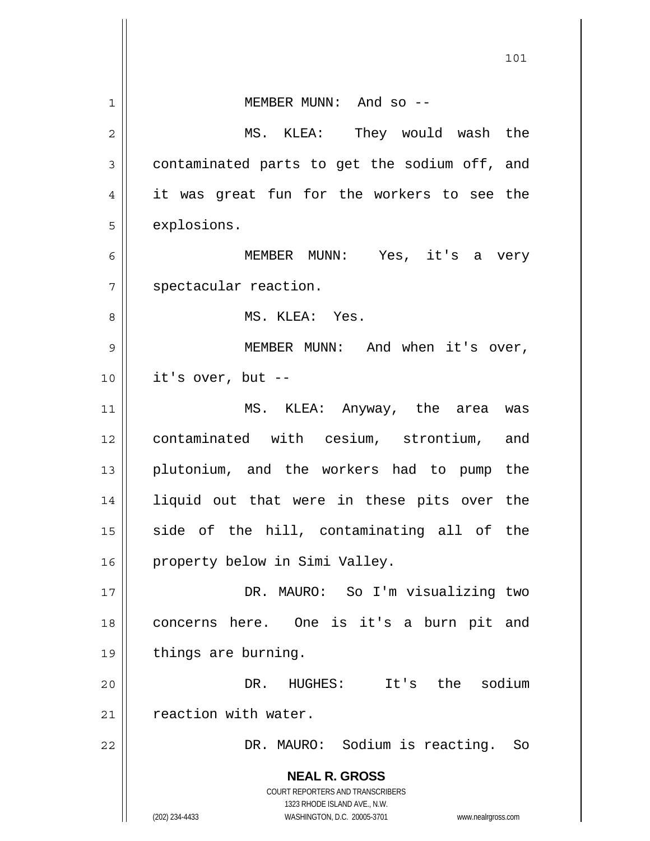|    | 101                                                                                                 |
|----|-----------------------------------------------------------------------------------------------------|
| 1  | MEMBER MUNN: And so --                                                                              |
| 2  | MS. KLEA: They would wash the                                                                       |
| 3  | contaminated parts to get the sodium off, and                                                       |
| 4  | it was great fun for the workers to see the                                                         |
| 5  | explosions.                                                                                         |
| 6  | MEMBER MUNN: Yes, it's a<br>very                                                                    |
| 7  | spectacular reaction.                                                                               |
| 8  | MS. KLEA: Yes.                                                                                      |
| 9  | MEMBER MUNN: And when it's over,                                                                    |
| 10 | it's over, but --                                                                                   |
| 11 | MS. KLEA: Anyway, the area was                                                                      |
| 12 | contaminated with cesium, strontium, and                                                            |
| 13 | plutonium, and the workers had to pump the                                                          |
| 14 | liquid out that were in these pits over the                                                         |
| 15 | side of the hill, contaminating all of the                                                          |
| 16 | property below in Simi Valley.                                                                      |
| 17 | DR. MAURO: So I'm visualizing two                                                                   |
| 18 | concerns here. One is it's a burn pit and                                                           |
| 19 | things are burning.                                                                                 |
| 20 | HUGHES: It's the sodium<br>DR.                                                                      |
| 21 | reaction with water.                                                                                |
| 22 | DR. MAURO: Sodium is reacting.<br>So                                                                |
|    | <b>NEAL R. GROSS</b>                                                                                |
|    | <b>COURT REPORTERS AND TRANSCRIBERS</b>                                                             |
|    | 1323 RHODE ISLAND AVE., N.W.<br>(202) 234-4433<br>WASHINGTON, D.C. 20005-3701<br>www.nealrgross.com |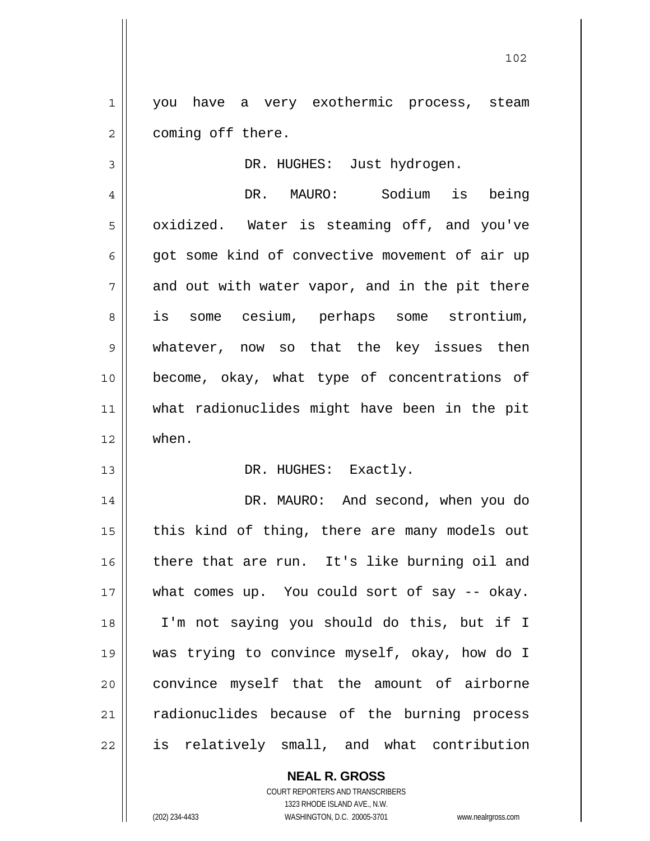1 2 you have a very exothermic process, steam coming off there.

DR. HUGHES: Just hydrogen.

4 5 6 7 8 9 10 11 12 DR. MAURO: Sodium is being oxidized. Water is steaming off, and you've got some kind of convective movement of air up and out with water vapor, and in the pit there is some cesium, perhaps some strontium, whatever, now so that the key issues then become, okay, what type of concentrations of what radionuclides might have been in the pit when.

DR. HUGHES: Exactly.

14 15 16 17 18 19 20 21 22 DR. MAURO: And second, when you do this kind of thing, there are many models out there that are run. It's like burning oil and what comes up. You could sort of say -- okay. I'm not saying you should do this, but if I was trying to convince myself, okay, how do I convince myself that the amount of airborne radionuclides because of the burning process is relatively small, and what contribution

> **NEAL R. GROSS** COURT REPORTERS AND TRANSCRIBERS 1323 RHODE ISLAND AVE., N.W. (202) 234-4433 WASHINGTON, D.C. 20005-3701 www.nealrgross.com

3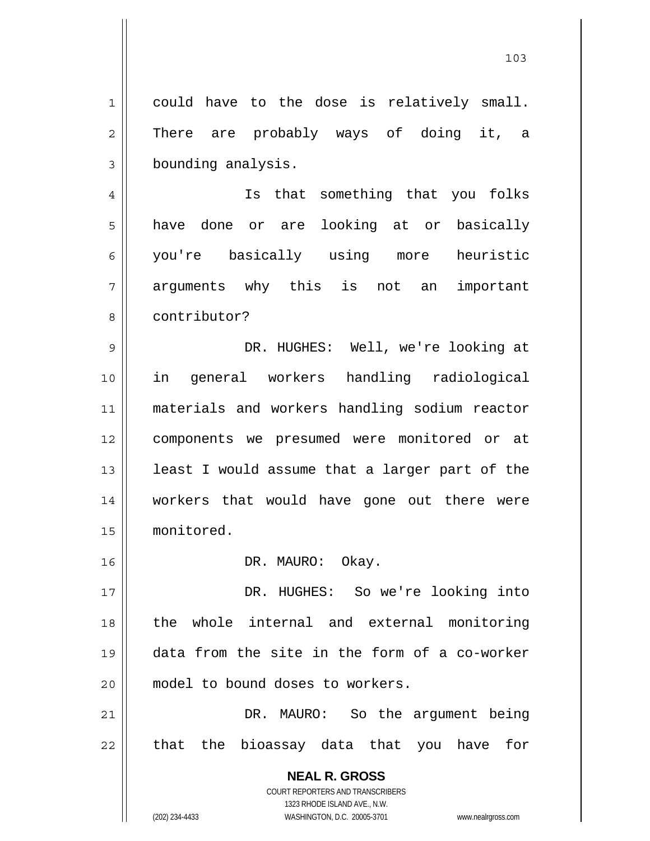1 2 3 could have to the dose is relatively small. There are probably ways of doing it, a bounding analysis.

4 5 6 7 8 Is that something that you folks have done or are looking at or basically you're basically using more heuristic arguments why this is not an important contributor?

9 10 11 12 13 14 15 DR. HUGHES: Well, we're looking at in general workers handling radiological materials and workers handling sodium reactor components we presumed were monitored or at least I would assume that a larger part of the workers that would have gone out there were monitored.

DR. MAURO: Okay.

17 18 19 20 DR. HUGHES: So we're looking into the whole internal and external monitoring data from the site in the form of a co-worker model to bound doses to workers.

21 22 DR. MAURO: So the argument being that the bioassay data that you have for

> **NEAL R. GROSS** COURT REPORTERS AND TRANSCRIBERS 1323 RHODE ISLAND AVE., N.W. (202) 234-4433 WASHINGTON, D.C. 20005-3701 www.nealrgross.com

16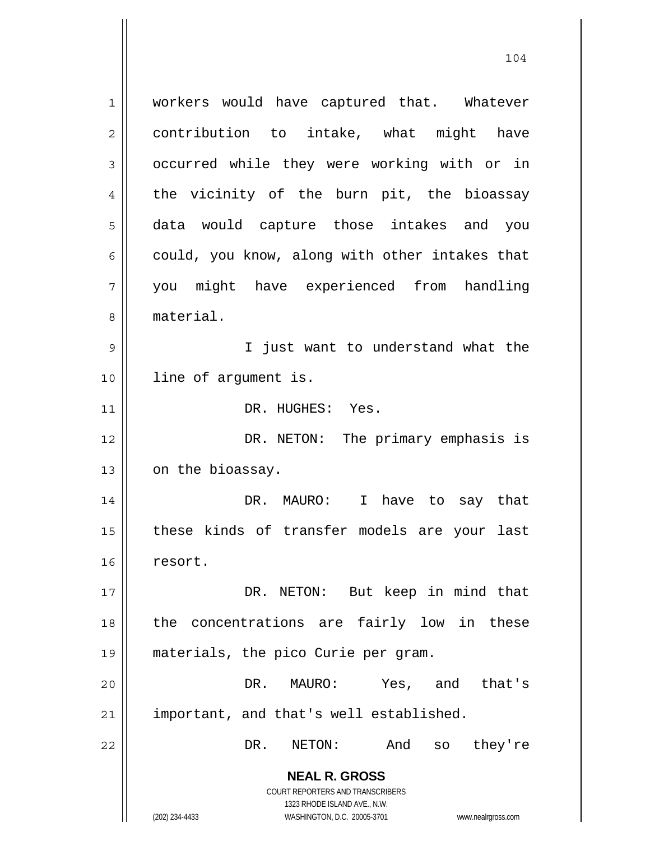**NEAL R. GROSS** COURT REPORTERS AND TRANSCRIBERS 1323 RHODE ISLAND AVE., N.W. 1 2 3 4 5 6 7 8 9 10 11 12 13 14 15 16 17 18 19 20 21 22 workers would have captured that. Whatever contribution to intake, what might have occurred while they were working with or in the vicinity of the burn pit, the bioassay data would capture those intakes and you could, you know, along with other intakes that you might have experienced from handling material. I just want to understand what the line of argument is. DR. HUGHES: Yes. DR. NETON: The primary emphasis is on the bioassay. DR. MAURO: I have to say that these kinds of transfer models are your last resort. DR. NETON: But keep in mind that the concentrations are fairly low in these materials, the pico Curie per gram. DR. MAURO: Yes, and that's important, and that's well established. DR. NETON: And so they're

104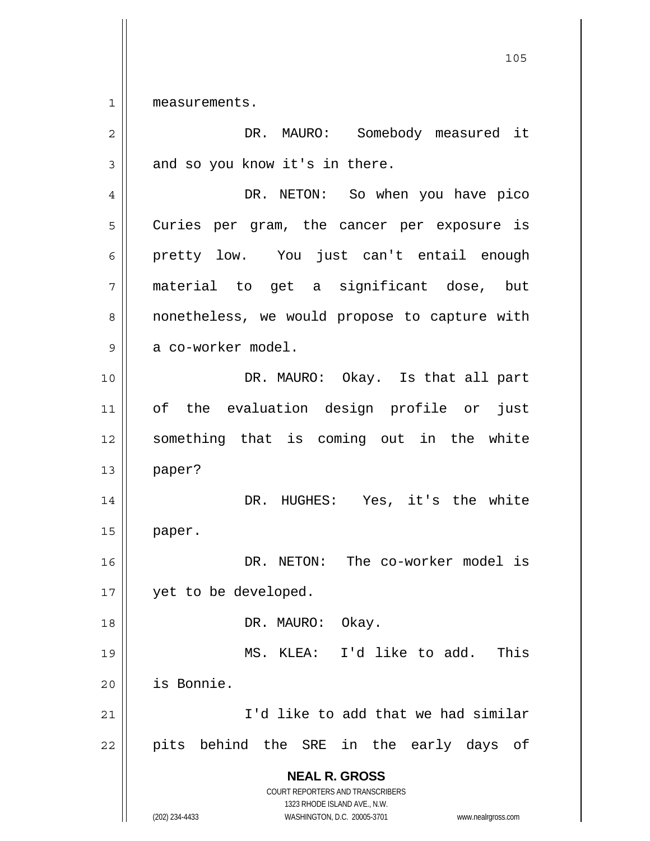1 measurements.

| $\overline{2}$ | DR. MAURO: Somebody measured it                                                                                                                                        |
|----------------|------------------------------------------------------------------------------------------------------------------------------------------------------------------------|
| 3              | and so you know it's in there.                                                                                                                                         |
| 4              | DR. NETON: So when you have pico                                                                                                                                       |
| 5              | Curies per gram, the cancer per exposure is                                                                                                                            |
| 6              | pretty low. You just can't entail enough                                                                                                                               |
| 7              | material to get a significant dose, but                                                                                                                                |
| 8              | nonetheless, we would propose to capture with                                                                                                                          |
| 9              | a co-worker model.                                                                                                                                                     |
| 10             | DR. MAURO: Okay. Is that all part                                                                                                                                      |
| 11             | of the evaluation design profile or just                                                                                                                               |
| 12             | something that is coming out in the white                                                                                                                              |
| 13             | paper?                                                                                                                                                                 |
| 14             | DR. HUGHES: Yes, it's the white                                                                                                                                        |
| 15             | paper.                                                                                                                                                                 |
| 16             | The co-worker model is<br>DR. NETON:                                                                                                                                   |
| 17             | yet to be developed.                                                                                                                                                   |
| 18             | DR. MAURO: Okay.                                                                                                                                                       |
| 19             | MS. KLEA: I'd like to add.<br>This                                                                                                                                     |
| 20             | is Bonnie.                                                                                                                                                             |
| 21             | I'd like to add that we had similar                                                                                                                                    |
| 22             | pits behind the SRE in the early days of                                                                                                                               |
|                | <b>NEAL R. GROSS</b><br><b>COURT REPORTERS AND TRANSCRIBERS</b><br>1323 RHODE ISLAND AVE., N.W.<br>(202) 234-4433<br>WASHINGTON, D.C. 20005-3701<br>www.nealrgross.com |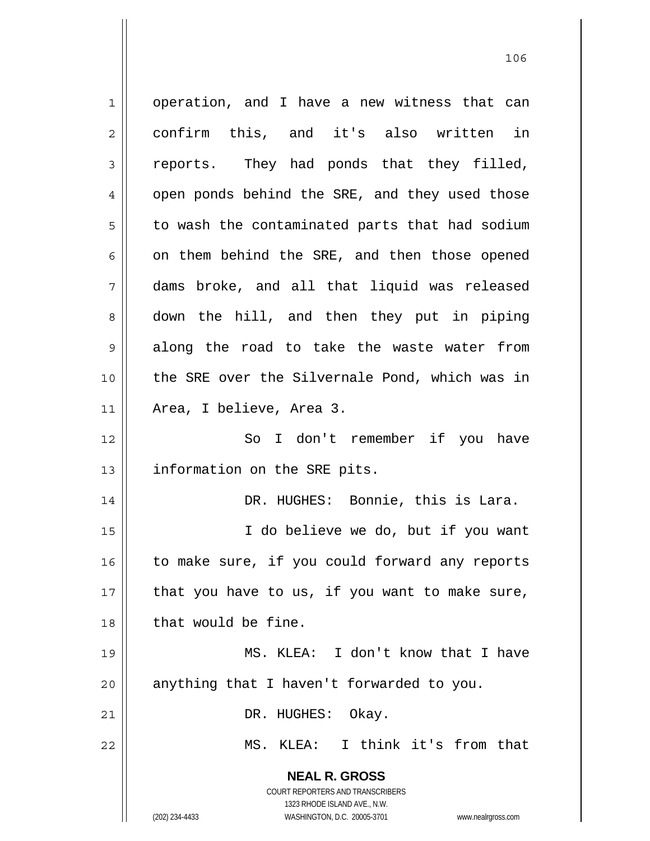**NEAL R. GROSS** COURT REPORTERS AND TRANSCRIBERS 1323 RHODE ISLAND AVE., N.W. (202) 234-4433 WASHINGTON, D.C. 20005-3701 www.nealrgross.com 1 2 3 4 5 6 7 8 9 10 11 12 13 14 15 16 17 18 19 20 21 22 operation, and I have a new witness that can confirm this, and it's also written in reports. They had ponds that they filled, open ponds behind the SRE, and they used those to wash the contaminated parts that had sodium on them behind the SRE, and then those opened dams broke, and all that liquid was released down the hill, and then they put in piping along the road to take the waste water from the SRE over the Silvernale Pond, which was in Area, I believe, Area 3. So I don't remember if you have information on the SRE pits. DR. HUGHES: Bonnie, this is Lara. I do believe we do, but if you want to make sure, if you could forward any reports that you have to us, if you want to make sure, that would be fine. MS. KLEA: I don't know that I have anything that I haven't forwarded to you. DR. HUGHES: Okay. MS. KLEA: I think it's from that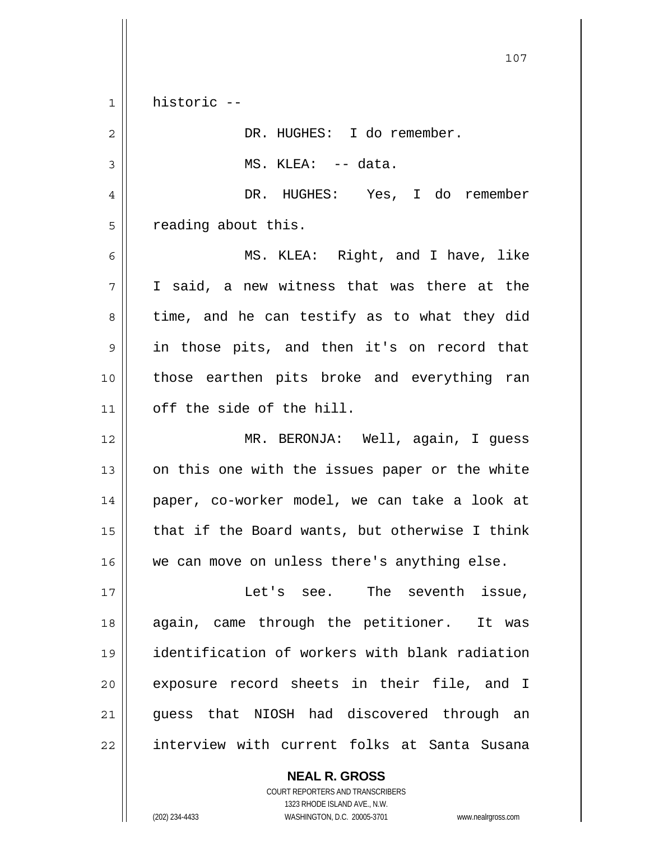107 1 2 3 4 5 6 7 8 9 10 11 12 13 14 15 16 17 18 19 20 21 22 historic -- DR. HUGHES: I do remember. MS. KLEA: -- data. DR. HUGHES: Yes, I do remember reading about this. MS. KLEA: Right, and I have, like I said, a new witness that was there at the time, and he can testify as to what they did in those pits, and then it's on record that those earthen pits broke and everything ran off the side of the hill. MR. BERONJA: Well, again, I guess on this one with the issues paper or the white paper, co-worker model, we can take a look at that if the Board wants, but otherwise I think we can move on unless there's anything else. Let's see. The seventh issue, again, came through the petitioner. It was identification of workers with blank radiation exposure record sheets in their file, and I guess that NIOSH had discovered through an interview with current folks at Santa Susana

> COURT REPORTERS AND TRANSCRIBERS 1323 RHODE ISLAND AVE., N.W. (202) 234-4433 WASHINGTON, D.C. 20005-3701 www.nealrgross.com

**NEAL R. GROSS**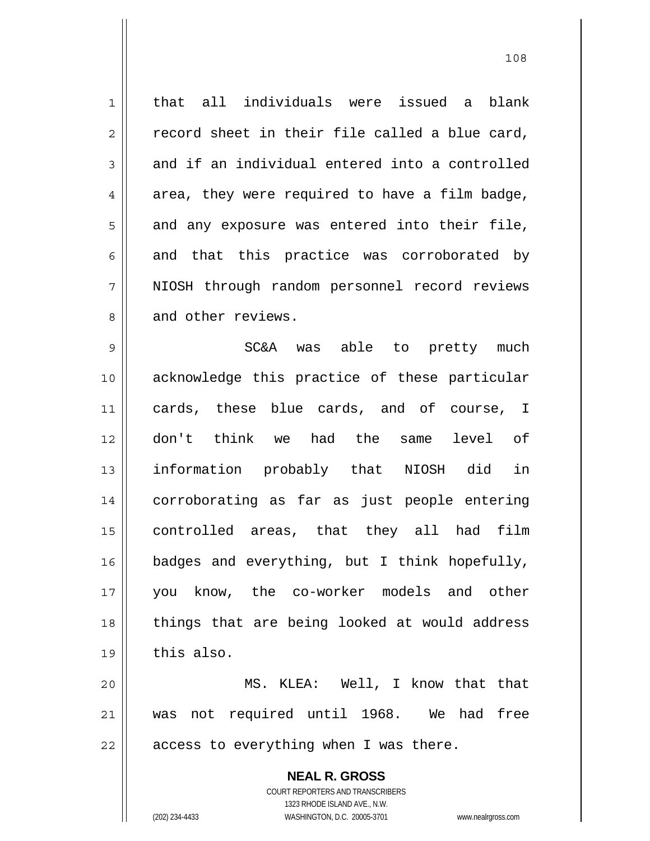1 2 3 4 5 6 7 8 9 10 11 12 13 14 15 16 17 18 19 20 21 that all individuals were issued a blank record sheet in their file called a blue card, and if an individual entered into a controlled area, they were required to have a film badge, and any exposure was entered into their file, and that this practice was corroborated by NIOSH through random personnel record reviews and other reviews. SC&A was able to pretty much acknowledge this practice of these particular cards, these blue cards, and of course, I don't think we had the same level of information probably that NIOSH did in corroborating as far as just people entering controlled areas, that they all had film badges and everything, but I think hopefully, you know, the co-worker models and other things that are being looked at would address this also. MS. KLEA: Well, I know that that was not required until 1968. We had free

access to everything when I was there.

**NEAL R. GROSS** COURT REPORTERS AND TRANSCRIBERS 1323 RHODE ISLAND AVE., N.W.

22

(202) 234-4433 WASHINGTON, D.C. 20005-3701 www.nealrgross.com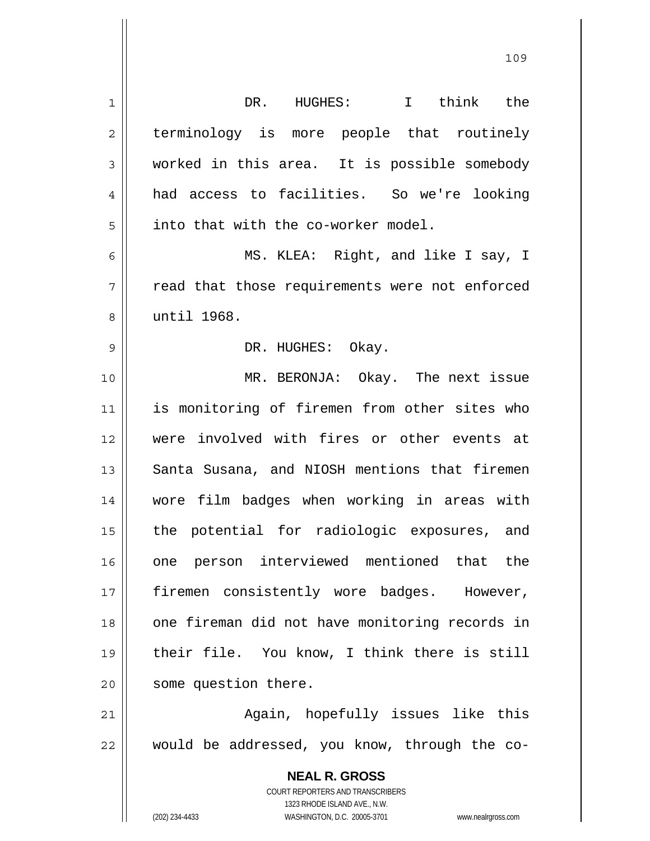| 1  | DR. HUGHES: I think the                                             |
|----|---------------------------------------------------------------------|
| 2  | terminology is more people that routinely                           |
| 3  | worked in this area. It is possible somebody                        |
| 4  | had access to facilities. So we're looking                          |
| 5  | into that with the co-worker model.                                 |
| 6  | MS. KLEA: Right, and like I say, I                                  |
| 7  | read that those requirements were not enforced                      |
| 8  | until 1968.                                                         |
| 9  | DR. HUGHES: Okay.                                                   |
| 10 | MR. BERONJA: Okay. The next issue                                   |
| 11 | is monitoring of firemen from other sites who                       |
| 12 | were involved with fires or other events at                         |
| 13 | Santa Susana, and NIOSH mentions that firemen                       |
| 14 | wore film badges when working in areas with                         |
| 15 | the potential for radiologic exposures, and                         |
| 16 | one person interviewed mentioned that the                           |
| 17 | firemen consistently wore badges. However,                          |
| 18 | one fireman did not have monitoring records in                      |
| 19 | their file. You know, I think there is still                        |
| 20 | some question there.                                                |
| 21 | Again, hopefully issues like this                                   |
| 22 | would be addressed, you know, through the co-                       |
|    |                                                                     |
|    | <b>NEAL R. GROSS</b><br>COURT REPORTERS AND TRANSCRIBERS            |
|    | 1323 RHODE ISLAND AVE., N.W.                                        |
|    | (202) 234-4433<br>WASHINGTON, D.C. 20005-3701<br>www.nealrgross.com |

109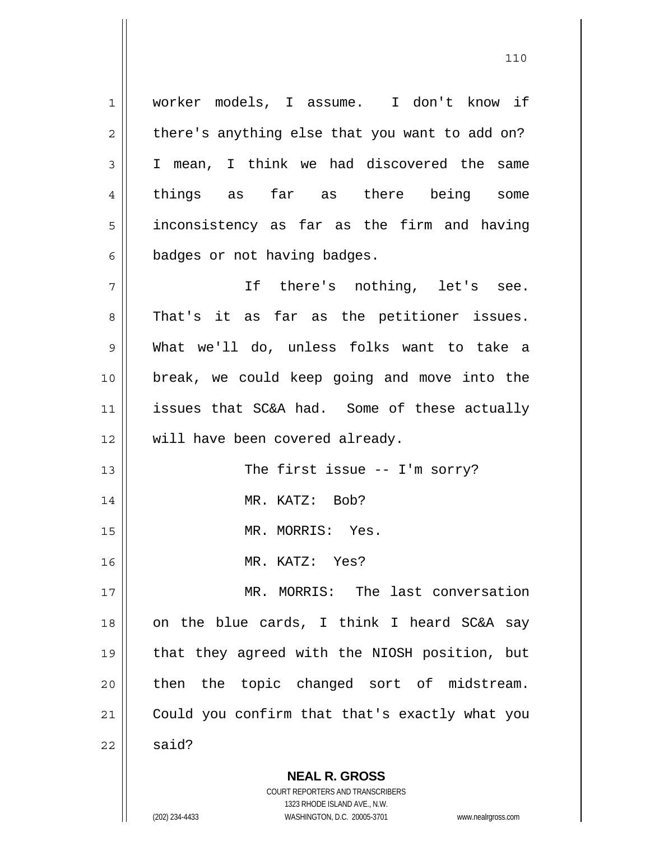**NEAL R. GROSS** 1 2 3 4 5 6 7 8 9 10 11 12 13 14 15 16 17 18 19 20 21 22 worker models, I assume. I don't know if there's anything else that you want to add on? I mean, I think we had discovered the same things as far as there being some inconsistency as far as the firm and having badges or not having badges. If there's nothing, let's see. That's it as far as the petitioner issues. What we'll do, unless folks want to take a break, we could keep going and move into the issues that SC&A had. Some of these actually will have been covered already. The first issue -- I'm sorry? MR. KATZ: Bob? MR. MORRIS: Yes. MR. KATZ: Yes? MR. MORRIS: The last conversation on the blue cards, I think I heard SC&A say that they agreed with the NIOSH position, but then the topic changed sort of midstream. Could you confirm that that's exactly what you said?

> COURT REPORTERS AND TRANSCRIBERS 1323 RHODE ISLAND AVE., N.W.

(202) 234-4433 WASHINGTON, D.C. 20005-3701 www.nealrgross.com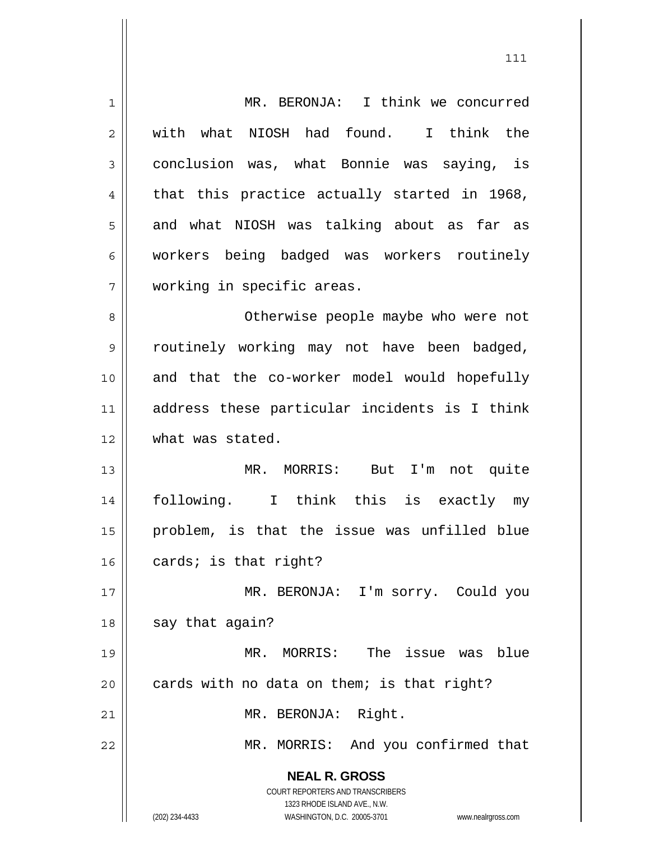**NEAL R. GROSS** COURT REPORTERS AND TRANSCRIBERS 1323 RHODE ISLAND AVE., N.W. (202) 234-4433 WASHINGTON, D.C. 20005-3701 www.nealrgross.com 1 2 3 4 5 6 7 8 9 10 11 12 13 14 15 16 17 18 19 20 21 22 MR. BERONJA: I think we concurred with what NIOSH had found. I think the conclusion was, what Bonnie was saying, is that this practice actually started in 1968, and what NIOSH was talking about as far as workers being badged was workers routinely working in specific areas. Otherwise people maybe who were not routinely working may not have been badged, and that the co-worker model would hopefully address these particular incidents is I think what was stated. MR. MORRIS: But I'm not quite following. I think this is exactly my problem, is that the issue was unfilled blue cards; is that right? MR. BERONJA: I'm sorry. Could you say that again? MR. MORRIS: The issue was blue cards with no data on them; is that right? MR. BERONJA: Right. MR. MORRIS: And you confirmed that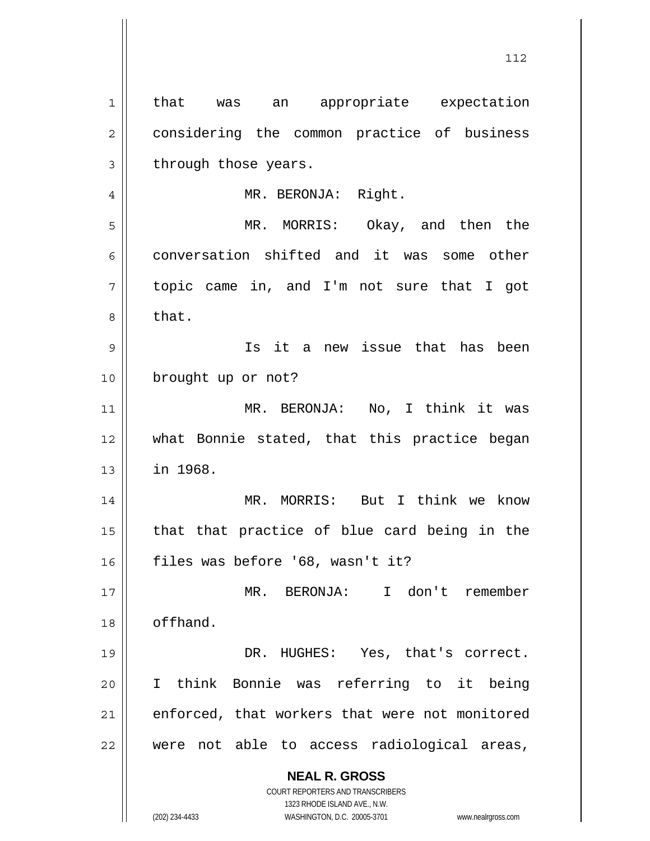**NEAL R. GROSS** COURT REPORTERS AND TRANSCRIBERS 1323 RHODE ISLAND AVE., N.W. (202) 234-4433 WASHINGTON, D.C. 20005-3701 www.nealrgross.com 1 2 3 4 5 6 7 8 9 10 11 12 13 14 15 16 17 18 19 20 21 22 that was an appropriate expectation considering the common practice of business through those years. MR. BERONJA: Right. MR. MORRIS: Okay, and then the conversation shifted and it was some other topic came in, and I'm not sure that I got that. Is it a new issue that has been brought up or not? MR. BERONJA: No, I think it was what Bonnie stated, that this practice began in 1968. MR. MORRIS: But I think we know that that practice of blue card being in the files was before '68, wasn't it? MR. BERONJA: I don't remember offhand. DR. HUGHES: Yes, that's correct. I think Bonnie was referring to it being enforced, that workers that were not monitored were not able to access radiological areas,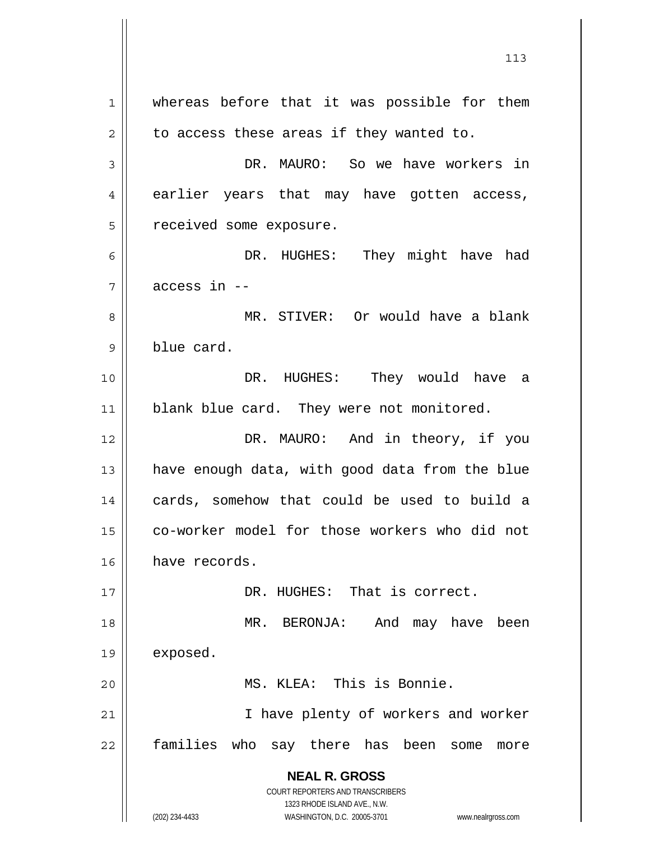**NEAL R. GROSS** COURT REPORTERS AND TRANSCRIBERS 1323 RHODE ISLAND AVE., N.W. (202) 234-4433 WASHINGTON, D.C. 20005-3701 www.nealrgross.com 1 2 3 4 5 6 7 8 9 10 11 12 13 14 15 16 17 18 19 20 21 22 whereas before that it was possible for them to access these areas if they wanted to. DR. MAURO: So we have workers in earlier years that may have gotten access, received some exposure. DR. HUGHES: They might have had access in -- MR. STIVER: Or would have a blank blue card. DR. HUGHES: They would have a blank blue card. They were not monitored. DR. MAURO: And in theory, if you have enough data, with good data from the blue cards, somehow that could be used to build a co-worker model for those workers who did not have records. DR. HUGHES: That is correct. MR. BERONJA: And may have been exposed. MS. KLEA: This is Bonnie. I have plenty of workers and worker families who say there has been some more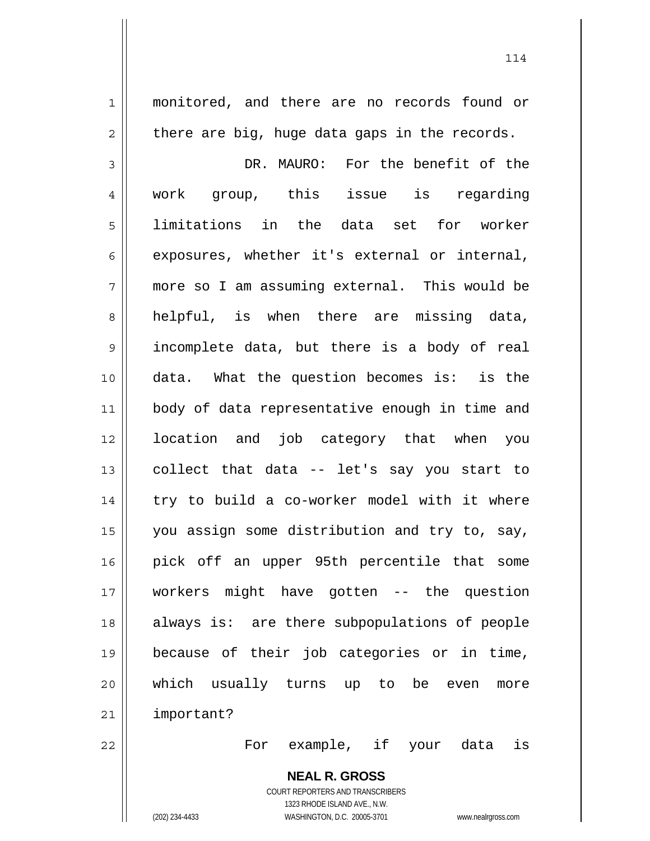1 2 3 4 5 6 7 8 9 10 11 12 13 14 15 16 17 18 19 20 21 22 monitored, and there are no records found or there are big, huge data gaps in the records. DR. MAURO: For the benefit of the work group, this issue is regarding limitations in the data set for worker exposures, whether it's external or internal, more so I am assuming external. This would be helpful, is when there are missing data, incomplete data, but there is a body of real data. What the question becomes is: is the body of data representative enough in time and location and job category that when you collect that data -- let's say you start to try to build a co-worker model with it where you assign some distribution and try to, say, pick off an upper 95th percentile that some workers might have gotten -- the question always is: are there subpopulations of people because of their job categories or in time, which usually turns up to be even more important? For example, if your data is

> **NEAL R. GROSS** COURT REPORTERS AND TRANSCRIBERS 1323 RHODE ISLAND AVE., N.W.

(202) 234-4433 WASHINGTON, D.C. 20005-3701 www.nealrgross.com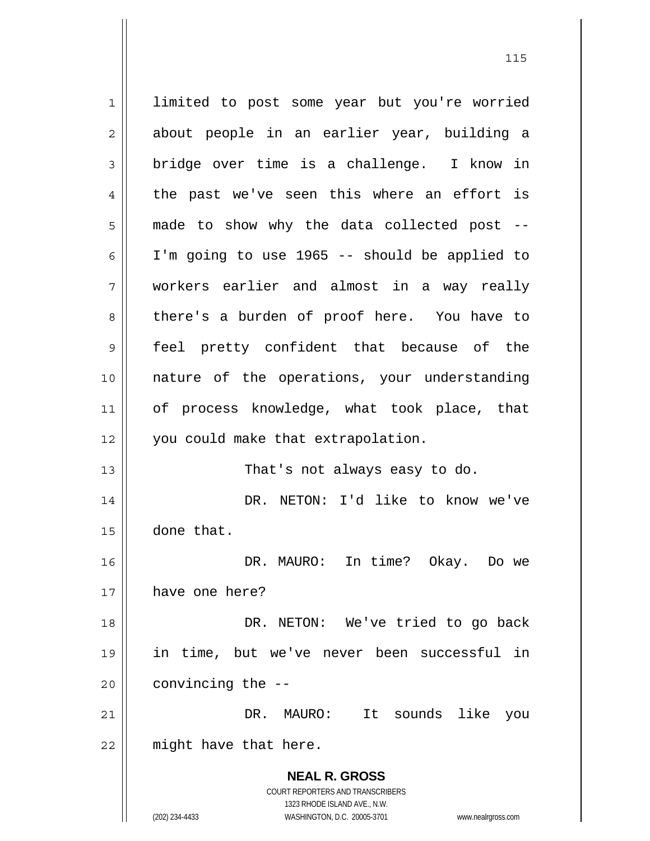**NEAL R. GROSS** COURT REPORTERS AND TRANSCRIBERS 1323 RHODE ISLAND AVE., N.W. 1 2 3 4 5 6 7 8 9 10 11 12 13 14 15 16 17 18 19 20 21 22 limited to post some year but you're worried about people in an earlier year, building a bridge over time is a challenge. I know in the past we've seen this where an effort is made to show why the data collected post -- I'm going to use 1965 -- should be applied to workers earlier and almost in a way really there's a burden of proof here. You have to feel pretty confident that because of the nature of the operations, your understanding of process knowledge, what took place, that you could make that extrapolation. That's not always easy to do. DR. NETON: I'd like to know we've done that. DR. MAURO: In time? Okay. Do we have one here? DR. NETON: We've tried to go back in time, but we've never been successful in convincing the -- DR. MAURO: It sounds like you might have that here.

(202) 234-4433 WASHINGTON, D.C. 20005-3701 www.nealrgross.com

<u>115</u>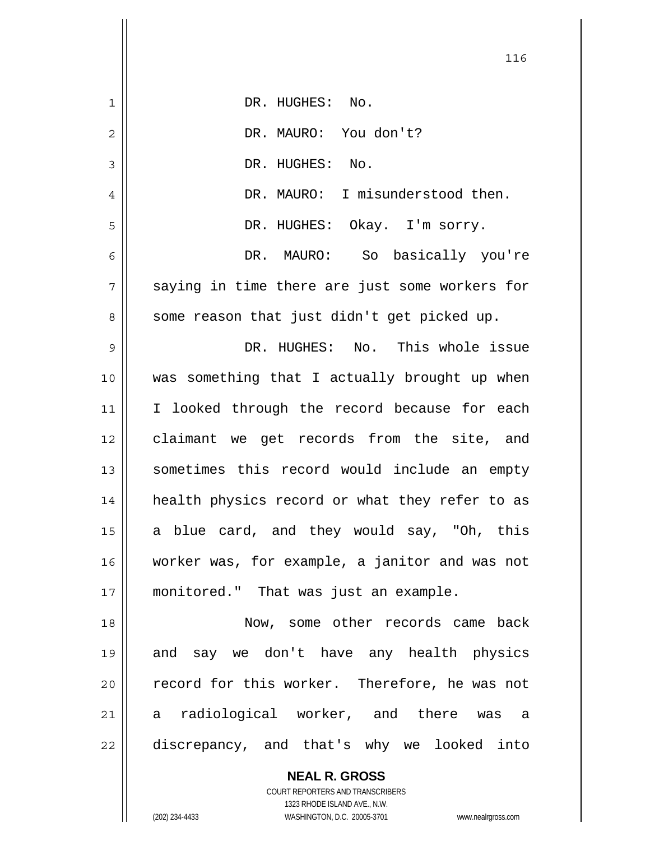| 1  | DR. HUGHES: No.                                |
|----|------------------------------------------------|
| 2  | DR. MAURO: You don't?                          |
| 3  | DR. HUGHES: No.                                |
| 4  | DR. MAURO: I misunderstood then.               |
| 5  | DR. HUGHES: Okay. I'm sorry.                   |
| 6  | DR. MAURO: So basically you're                 |
| 7  | saying in time there are just some workers for |
| 8  | some reason that just didn't get picked up.    |
| 9  | DR. HUGHES: No. This whole issue               |
| 10 | was something that I actually brought up when  |
| 11 | I looked through the record because for each   |
| 12 | claimant we get records from the site, and     |
| 13 | sometimes this record would include an empty   |
| 14 | health physics record or what they refer to as |
| 15 | a blue card, and they would say, "Oh, this     |
| 16 | worker was, for example, a janitor and was not |
| 17 | monitored." That was just an example.          |
| 18 | Now, some other records came back              |
| 19 | and say we don't have any health physics       |
| 20 | record for this worker. Therefore, he was not  |
| 21 | a radiological worker, and there was a         |
| 22 | discrepancy, and that's why we looked into     |
|    | <b>NEAL R. GROSS</b>                           |

<u>116</u>

COURT REPORTERS AND TRANSCRIBERS 1323 RHODE ISLAND AVE., N.W.

 $\prod$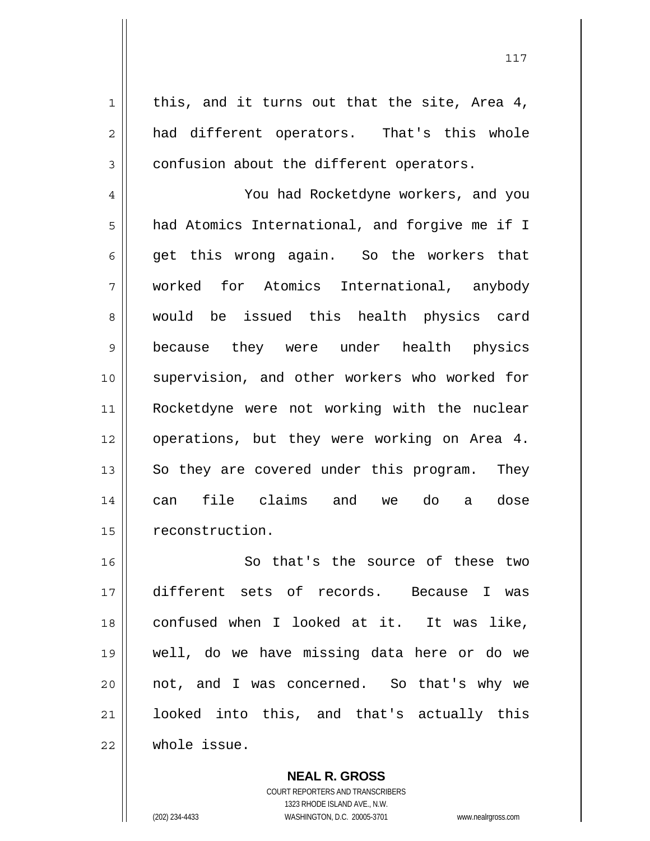this, and it turns out that the site, Area 4, had different operators. That's this whole confusion about the different operators.

4 5 6 7 8 9 10 11 12 13 14 15 You had Rocketdyne workers, and you had Atomics International, and forgive me if I get this wrong again. So the workers that worked for Atomics International, anybody would be issued this health physics card because they were under health physics supervision, and other workers who worked for Rocketdyne were not working with the nuclear operations, but they were working on Area 4. So they are covered under this program. They can file claims and we do a dose reconstruction.

16 17 18 19 20 21 22 So that's the source of these two different sets of records. Because I was confused when I looked at it. It was like, well, do we have missing data here or do we not, and I was concerned. So that's why we looked into this, and that's actually this whole issue.

> **NEAL R. GROSS** COURT REPORTERS AND TRANSCRIBERS 1323 RHODE ISLAND AVE., N.W. (202) 234-4433 WASHINGTON, D.C. 20005-3701 www.nealrgross.com

1

2

3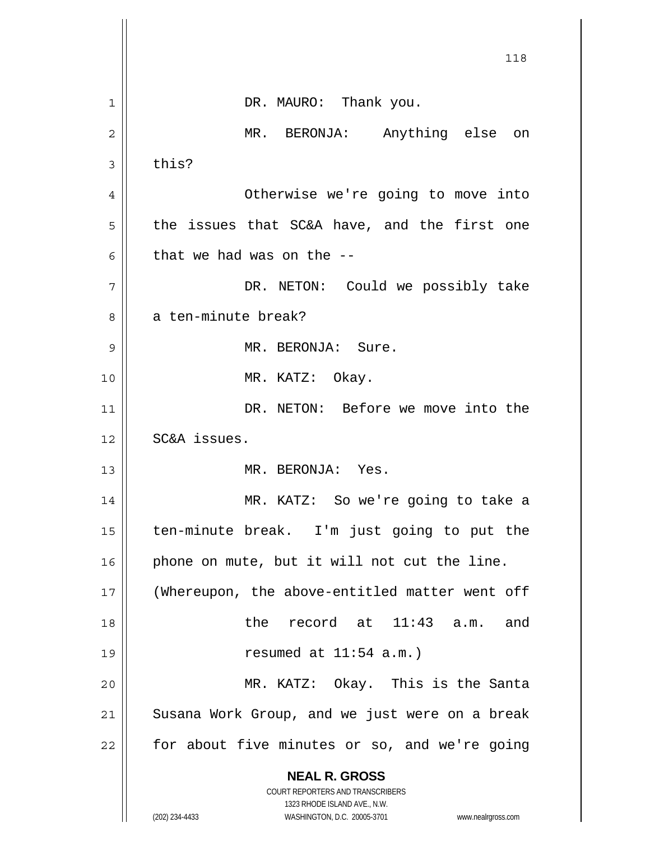|    | 118                                                                     |
|----|-------------------------------------------------------------------------|
| 1  | DR. MAURO: Thank you.                                                   |
| 2  | MR. BERONJA: Anything else on                                           |
| 3  | this?                                                                   |
| 4  | Otherwise we're going to move into                                      |
| 5  | the issues that SC&A have, and the first one                            |
| 6  | that we had was on the --                                               |
| 7  | DR. NETON: Could we possibly take                                       |
| 8  | a ten-minute break?                                                     |
| 9  | MR. BERONJA: Sure.                                                      |
| 10 | MR. KATZ: Okay.                                                         |
| 11 | DR. NETON: Before we move into the                                      |
| 12 | SC&A issues.                                                            |
| 13 | MR. BERONJA: Yes.                                                       |
| 14 | MR. KATZ: So we're going to take a                                      |
| 15 | ten-minute break. I'm just going to put the                             |
| 16 | phone on mute, but it will not cut the line.                            |
| 17 | (Whereupon, the above-entitled matter went off                          |
| 18 | the record at 11:43 a.m.<br>and                                         |
| 19 | resumed at $11:54$ a.m.)                                                |
| 20 | MR. KATZ: Okay. This is the Santa                                       |
| 21 | Susana Work Group, and we just were on a break                          |
| 22 | for about five minutes or so, and we're going                           |
|    | <b>NEAL R. GROSS</b>                                                    |
|    | <b>COURT REPORTERS AND TRANSCRIBERS</b><br>1323 RHODE ISLAND AVE., N.W. |
|    | (202) 234-4433<br>WASHINGTON, D.C. 20005-3701<br>www.nealrgross.com     |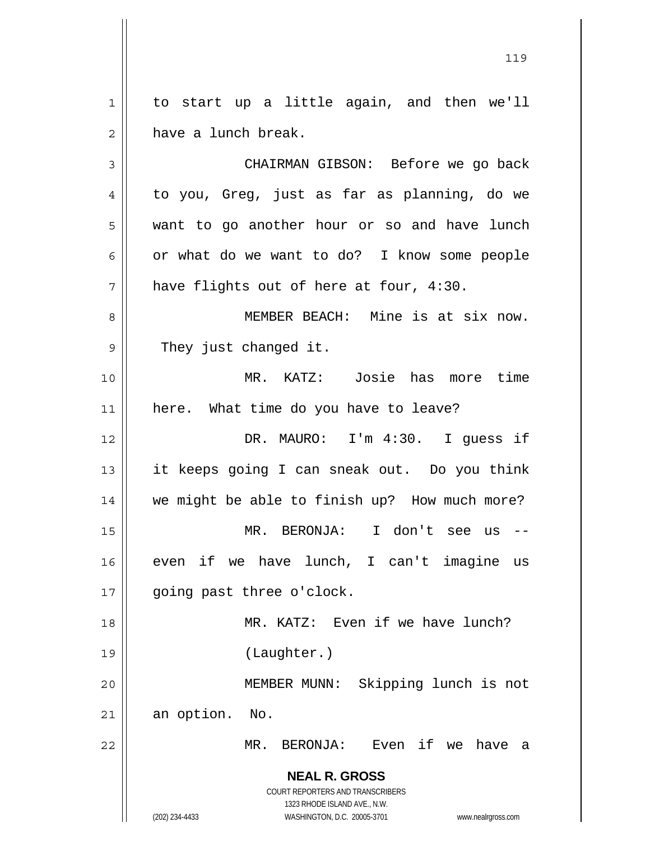1 2 3 4 5 6 7 8 9 to start up a little again, and then we'll have a lunch break. CHAIRMAN GIBSON: Before we go back to you, Greg, just as far as planning, do we want to go another hour or so and have lunch or what do we want to do? I know some people have flights out of here at four, 4:30. MEMBER BEACH: Mine is at six now. They just changed it.

119

10 11 MR. KATZ: Josie has more time here. What time do you have to leave?

12 13 14 15 16 17 DR. MAURO: I'm 4:30. I guess if it keeps going I can sneak out. Do you think we might be able to finish up? How much more? MR. BERONJA: I don't see us - even if we have lunch, I can't imagine us going past three o'clock.

18 19 20 MR. KATZ: Even if we have lunch? (Laughter.) MEMBER MUNN: Skipping lunch is not

an option. No.

21

22

MR. BERONJA: Even if we have a

**NEAL R. GROSS** COURT REPORTERS AND TRANSCRIBERS 1323 RHODE ISLAND AVE., N.W.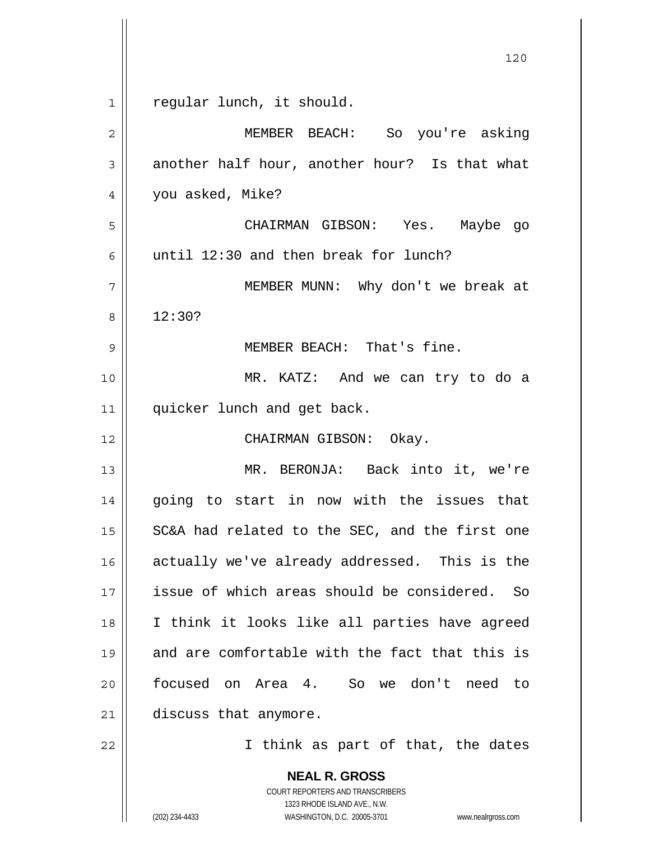|              | 120                                                                 |
|--------------|---------------------------------------------------------------------|
| 1            | regular lunch, it should.                                           |
| $\mathbf{2}$ | MEMBER BEACH: So you're asking                                      |
| 3            | another half hour, another hour? Is that what                       |
|              | you asked, Mike?                                                    |
| 4            |                                                                     |
| 5            | CHAIRMAN GIBSON: Yes. Maybe go                                      |
| 6            | until 12:30 and then break for lunch?                               |
| 7            | MEMBER MUNN: Why don't we break at                                  |
| 8            | 12:30?                                                              |
| 9            | MEMBER BEACH: That's fine.                                          |
| 10           | MR. KATZ: And we can try to do a                                    |
| 11           | quicker lunch and get back.                                         |
| 12           | CHAIRMAN GIBSON: Okay.                                              |
| 13           | MR. BERONJA: Back into it, we're                                    |
| 14           | going to start in now with the issues that                          |
| 15           | SC&A had related to the SEC, and the first one                      |
| 16           | actually we've already addressed. This is the                       |
| 17           | issue of which areas should be considered. So                       |
| 18           | I think it looks like all parties have agreed                       |
| 19           | and are comfortable with the fact that this is                      |
| 20           | focused on Area 4. So we don't need to                              |
| 21           | discuss that anymore.                                               |
| 22           | I think as part of that, the dates                                  |
|              | <b>NEAL R. GROSS</b>                                                |
|              | COURT REPORTERS AND TRANSCRIBERS<br>1323 RHODE ISLAND AVE., N.W.    |
|              | WASHINGTON, D.C. 20005-3701<br>(202) 234-4433<br>www.nealrgross.com |

 $\overline{\phantom{a}}$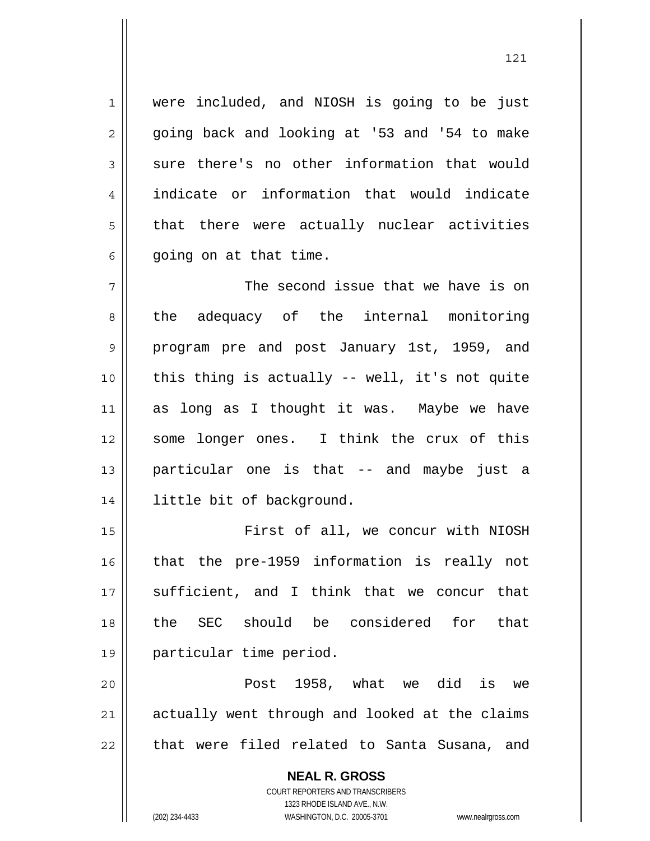were included, and NIOSH is going to be just going back and looking at '53 and '54 to make sure there's no other information that would indicate or information that would indicate that there were actually nuclear activities going on at that time.

7 8 9 10 11 12 13 14 The second issue that we have is on the adequacy of the internal monitoring program pre and post January 1st, 1959, and this thing is actually -- well, it's not quite as long as I thought it was. Maybe we have some longer ones. I think the crux of this particular one is that -- and maybe just a little bit of background.

15 16 17 18 19 First of all, we concur with NIOSH that the pre-1959 information is really not sufficient, and I think that we concur that the SEC should be considered for that particular time period.

20 21 22 Post 1958, what we did is we actually went through and looked at the claims that were filed related to Santa Susana, and

> **NEAL R. GROSS** COURT REPORTERS AND TRANSCRIBERS 1323 RHODE ISLAND AVE., N.W. (202) 234-4433 WASHINGTON, D.C. 20005-3701 www.nealrgross.com

1

2

3

4

5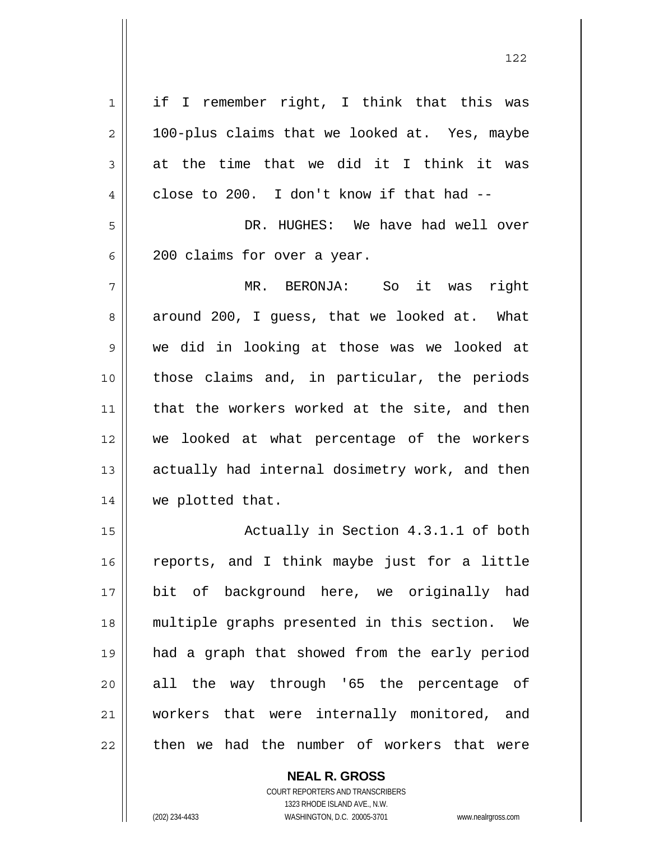| $\mathbf 1$ | if I remember right, I think that this was       |
|-------------|--------------------------------------------------|
| $\mathbf 2$ | 100-plus claims that we looked at. Yes, maybe    |
| 3           | at the time that we did it I think it was        |
| 4           | close to 200. I don't know if that had --        |
| 5           | DR. HUGHES: We have had well over                |
| 6           | 200 claims for over a year.                      |
| 7           | MR. BERONJA: So it was right                     |
| 8           | around 200, I guess, that we looked at. What     |
| 9           | we did in looking at those was we looked at      |
| 10          | those claims and, in particular, the periods     |
| 11          | that the workers worked at the site, and then    |
| 12          | we looked at what percentage of the workers      |
| 13          | actually had internal dosimetry work, and then   |
| 14          | we plotted that.                                 |
| 15          | Actually in Section 4.3.1.1 of both              |
| 16          | reports, and I think maybe just for a little     |
| 17          | bit of background here, we originally had        |
| 18          | multiple graphs presented in this section.<br>We |
| 19          | had a graph that showed from the early period    |
| 20          | all the way through '65 the percentage of        |
| 21          | workers that were internally monitored, and      |
| 22          | then we had the number of workers that were      |

COURT REPORTERS AND TRANSCRIBERS 1323 RHODE ISLAND AVE., N.W. (202) 234-4433 WASHINGTON, D.C. 20005-3701 www.nealrgross.com

**NEAL R. GROSS**

 $\mathsf{II}$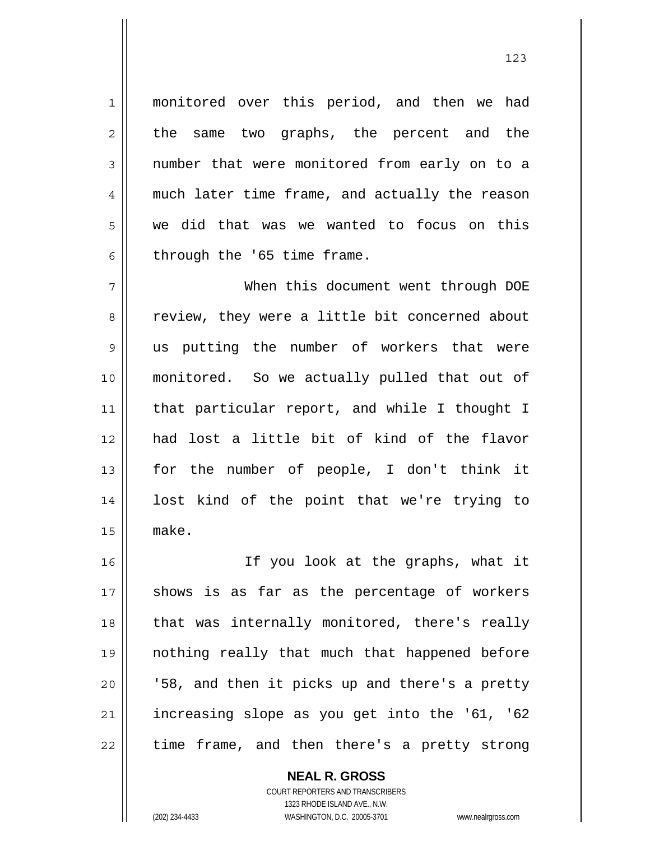monitored over this period, and then we had the same two graphs, the percent and the number that were monitored from early on to a much later time frame, and actually the reason we did that was we wanted to focus on this through the '65 time frame.

1

2

3

4

5

6

7 8 9 10 11 12 13 14 15 When this document went through DOE review, they were a little bit concerned about us putting the number of workers that were monitored. So we actually pulled that out of that particular report, and while I thought I had lost a little bit of kind of the flavor for the number of people, I don't think it lost kind of the point that we're trying to make.

16 17 18 19 20 21 22 If you look at the graphs, what it shows is as far as the percentage of workers that was internally monitored, there's really nothing really that much that happened before '58, and then it picks up and there's a pretty increasing slope as you get into the '61, '62 time frame, and then there's a pretty strong

> **NEAL R. GROSS** COURT REPORTERS AND TRANSCRIBERS 1323 RHODE ISLAND AVE., N.W. (202) 234-4433 WASHINGTON, D.C. 20005-3701 www.nealrgross.com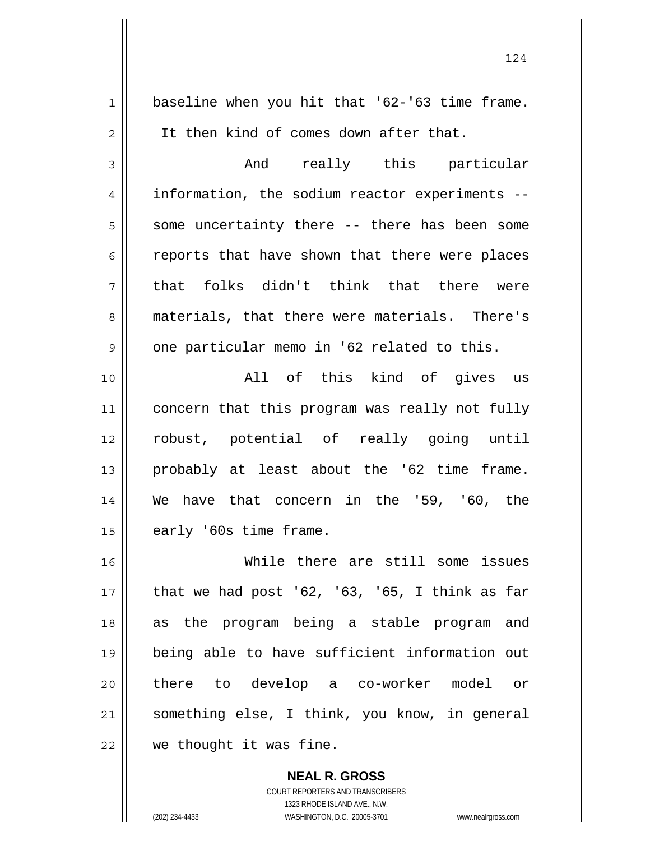1 2 3 4 5 6 7 8 9 10 11 12 13 14 15 16 17 18 19 20 21 22 baseline when you hit that '62-'63 time frame. It then kind of comes down after that. And really this particular information, the sodium reactor experiments - some uncertainty there -- there has been some reports that have shown that there were places that folks didn't think that there were materials, that there were materials. There's one particular memo in '62 related to this. All of this kind of gives us concern that this program was really not fully robust, potential of really going until probably at least about the '62 time frame. We have that concern in the '59, '60, the early '60s time frame. While there are still some issues that we had post '62, '63, '65, I think as far as the program being a stable program and being able to have sufficient information out there to develop a co-worker model or something else, I think, you know, in general we thought it was fine.

124

**NEAL R. GROSS** COURT REPORTERS AND TRANSCRIBERS 1323 RHODE ISLAND AVE., N.W. (202) 234-4433 WASHINGTON, D.C. 20005-3701 www.nealrgross.com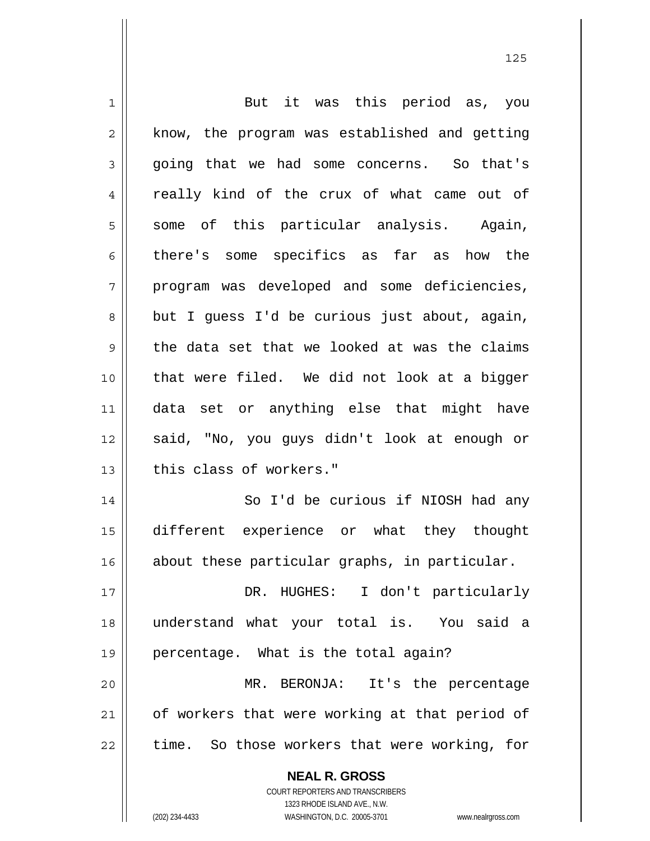| 1              | But it was this period as, you                                                                  |
|----------------|-------------------------------------------------------------------------------------------------|
| $\overline{2}$ | know, the program was established and getting                                                   |
| 3              | going that we had some concerns. So that's                                                      |
| 4              | really kind of the crux of what came out of                                                     |
| 5              | some of this particular analysis. Again,                                                        |
| 6              | there's some specifics as far as how the                                                        |
| 7              | program was developed and some deficiencies,                                                    |
| 8              | but I guess I'd be curious just about, again,                                                   |
| 9              | the data set that we looked at was the claims                                                   |
| 10             | that were filed. We did not look at a bigger                                                    |
| 11             | data set or anything else that might have                                                       |
| 12             | said, "No, you guys didn't look at enough or                                                    |
| 13             | this class of workers."                                                                         |
| 14             | So I'd be curious if NIOSH had any                                                              |
| 15             | different experience or what they thought                                                       |
| 16             | about these particular graphs, in particular.                                                   |
| 17             | DR. HUGHES: I don't particularly                                                                |
| 18             | understand what your total is. You said a                                                       |
| 19             | percentage. What is the total again?                                                            |
| 20             | MR. BERONJA: It's the percentage                                                                |
| 21             | of workers that were working at that period of                                                  |
| 22             | time. So those workers that were working, for                                                   |
|                | <b>NEAL R. GROSS</b><br><b>COURT REPORTERS AND TRANSCRIBERS</b><br>1323 RHODE ISLAND AVE., N.W. |

1323 RHODE ISLAND AVE., N.W.

<u>125</u>

 $\prod_{i=1}^{n}$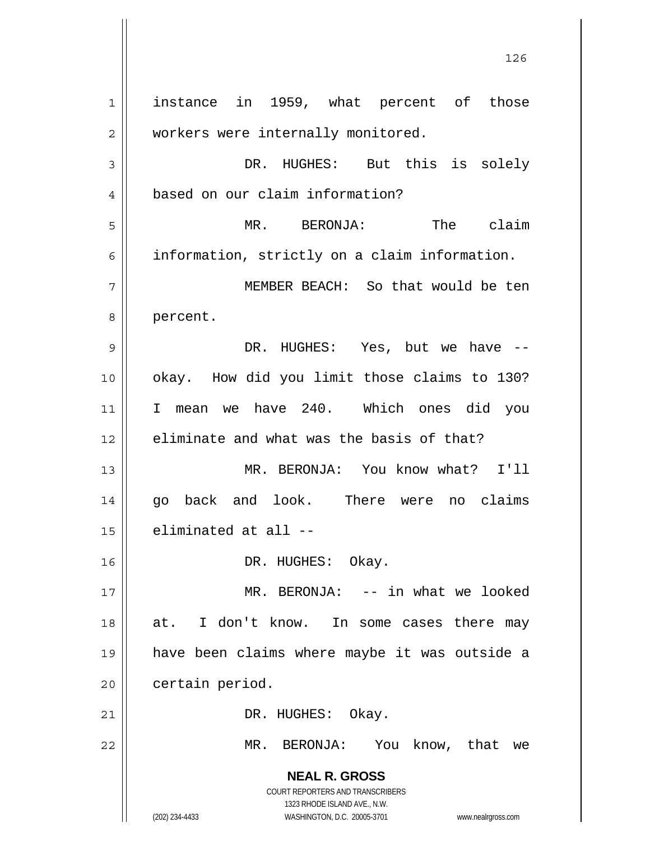**NEAL R. GROSS** COURT REPORTERS AND TRANSCRIBERS 1323 RHODE ISLAND AVE., N.W. (202) 234-4433 WASHINGTON, D.C. 20005-3701 www.nealrgross.com 1 2 3 4 5 6 7 8 9 10 11 12 13 14 15 16 17 18 19 20 21 22 instance in 1959, what percent of those workers were internally monitored. DR. HUGHES: But this is solely based on our claim information? MR. BERONJA: The claim information, strictly on a claim information. MEMBER BEACH: So that would be ten percent. DR. HUGHES: Yes, but we have - okay. How did you limit those claims to 130? I mean we have 240. Which ones did you eliminate and what was the basis of that? MR. BERONJA: You know what? I'll go back and look. There were no claims eliminated at all -- DR. HUGHES: Okay. MR. BERONJA: -- in what we looked at. I don't know. In some cases there may have been claims where maybe it was outside a certain period. DR. HUGHES: Okay. MR. BERONJA: You know, that we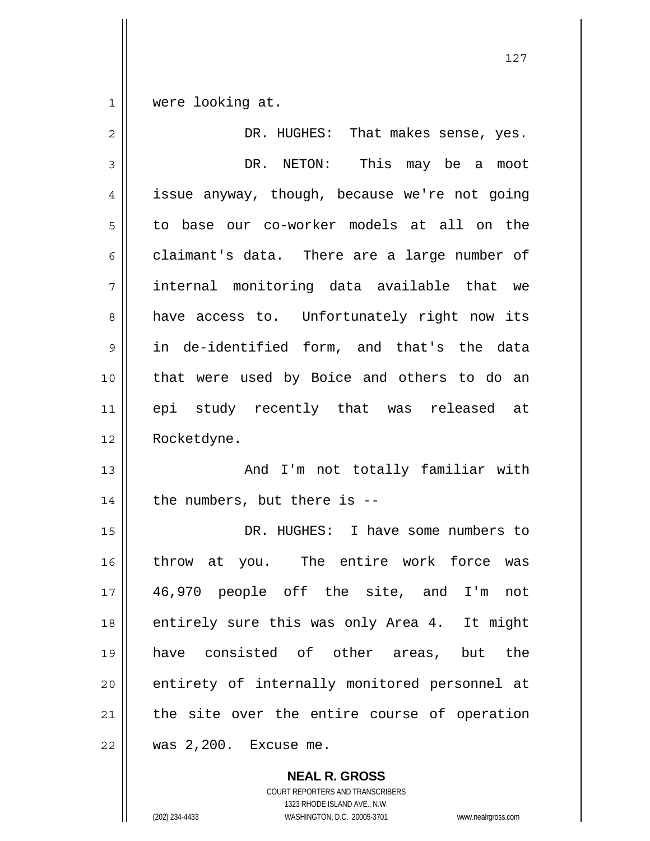1 were looking at.

| $\overline{2}$ | DR. HUGHES: That makes sense, yes.            |
|----------------|-----------------------------------------------|
| 3              | DR. NETON: This may be a moot                 |
| 4              | issue anyway, though, because we're not going |
| 5              | to base our co-worker models at all on the    |
| 6              | claimant's data. There are a large number of  |
| 7              | internal monitoring data available that we    |
| 8              | have access to. Unfortunately right now its   |
| $\mathsf 9$    | in de-identified form, and that's the data    |
| 10             | that were used by Boice and others to do an   |
| 11             | epi study recently that was released at       |
| 12             | Rocketdyne.                                   |
| 13             | And I'm not totally familiar with             |
| 14             | the numbers, but there is $-$ -               |
| 15             | DR. HUGHES: I have some numbers to            |
| 16             | throw at you. The entire work force was       |
| 17             | 46,970 people off the site, and I'm<br>not    |
| 18             | entirely sure this was only Area 4. It might  |
| 19             | have consisted of other areas, but<br>the     |
| 20             | entirety of internally monitored personnel at |
| 21             | the site over the entire course of operation  |
| 22             | was 2,200. Excuse me.                         |

**NEAL R. GROSS** COURT REPORTERS AND TRANSCRIBERS 1323 RHODE ISLAND AVE., N.W. (202) 234-4433 WASHINGTON, D.C. 20005-3701 www.nealrgross.com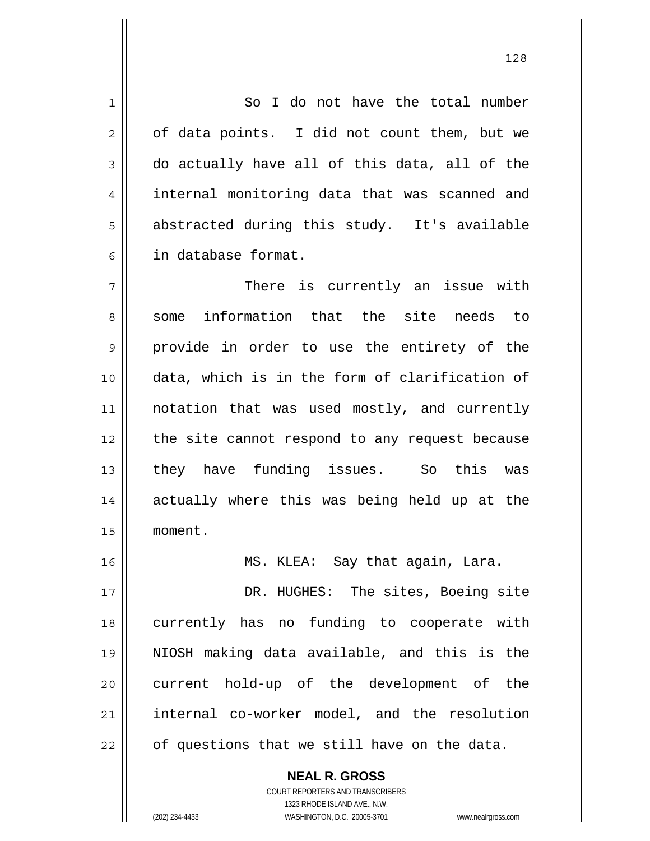1 2 3 4 5 6 7 So I do not have the total number of data points. I did not count them, but we do actually have all of this data, all of the internal monitoring data that was scanned and abstracted during this study. It's available in database format. There is currently an issue with

8 9 10 11 12 13 14 15 some information that the site needs to provide in order to use the entirety of the data, which is in the form of clarification of notation that was used mostly, and currently the site cannot respond to any request because they have funding issues. So this was actually where this was being held up at the moment.

16 17 18 19 20 21 22 MS. KLEA: Say that again, Lara. DR. HUGHES: The sites, Boeing site currently has no funding to cooperate with NIOSH making data available, and this is the current hold-up of the development of the internal co-worker model, and the resolution of questions that we still have on the data.

> COURT REPORTERS AND TRANSCRIBERS 1323 RHODE ISLAND AVE., N.W. (202) 234-4433 WASHINGTON, D.C. 20005-3701 www.nealrgross.com

**NEAL R. GROSS**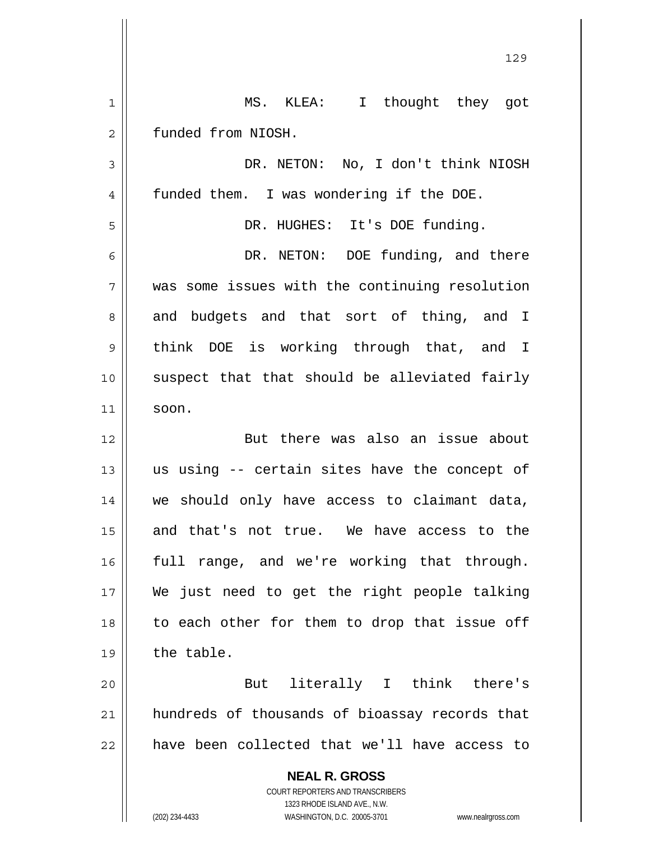|                | 129                                                                 |
|----------------|---------------------------------------------------------------------|
| 1              | MS. KLEA: I thought they got                                        |
| $\overline{2}$ | funded from NIOSH.                                                  |
| 3              | DR. NETON: No, I don't think NIOSH                                  |
| 4              | funded them. I was wondering if the DOE.                            |
| 5              | DR. HUGHES: It's DOE funding.                                       |
| 6              | DR. NETON: DOE funding, and there                                   |
| 7              | was some issues with the continuing resolution                      |
| 8              | and budgets and that sort of thing, and I                           |
| 9              | think DOE is working through that, and I                            |
| 10             | suspect that that should be alleviated fairly                       |
| 11             | soon.                                                               |
| 12             | But there was also an issue about                                   |
| 13             | us using -- certain sites have the concept of                       |
| 14             | we should only have access to claimant data,                        |
| 15             | and that's not true. We have access to the                          |
| 16             | full range, and we're working that through.                         |
| 17             | We just need to get the right people talking                        |
| 18             | to each other for them to drop that issue off                       |
| 19             | the table.                                                          |
| 20             | But literally I think there's                                       |
| 21             | hundreds of thousands of bioassay records that                      |
| 22             | have been collected that we'll have access to                       |
|                | <b>NEAL R. GROSS</b><br>COURT REPORTERS AND TRANSCRIBERS            |
|                | 1323 RHODE ISLAND AVE., N.W.                                        |
|                | (202) 234-4433<br>WASHINGTON, D.C. 20005-3701<br>www.nealrgross.com |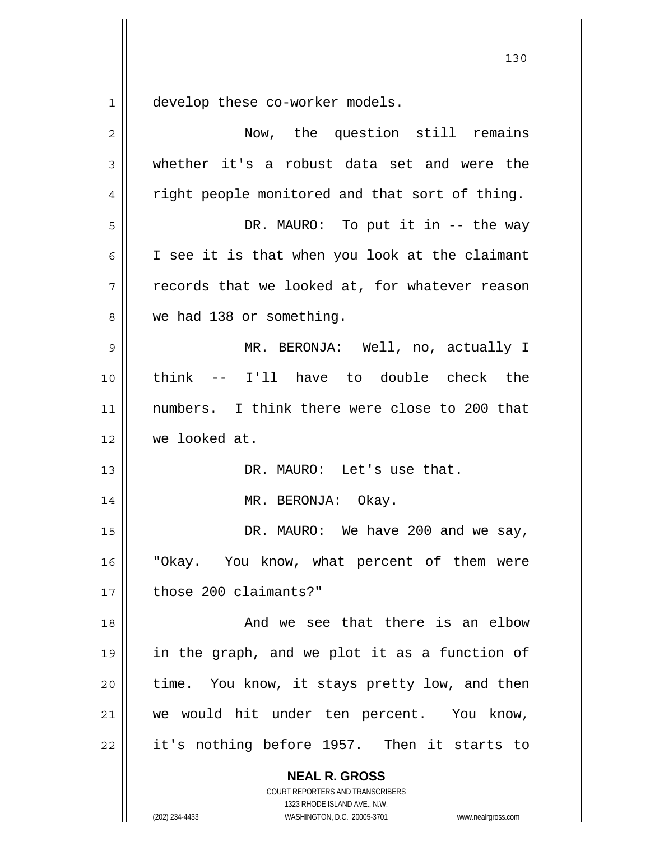$1$ develop these co-worker models.

| 2  | Now, the question still remains                                                                                                                                 |
|----|-----------------------------------------------------------------------------------------------------------------------------------------------------------------|
| 3  | whether it's a robust data set and were the                                                                                                                     |
| 4  | right people monitored and that sort of thing.                                                                                                                  |
| 5  | DR. MAURO: To put it in $-$ the way                                                                                                                             |
| 6  | I see it is that when you look at the claimant                                                                                                                  |
| 7  | records that we looked at, for whatever reason                                                                                                                  |
| 8  | we had 138 or something.                                                                                                                                        |
| 9  | MR. BERONJA: Well, no, actually I                                                                                                                               |
| 10 | think -- I'll have to double check the                                                                                                                          |
| 11 | numbers. I think there were close to 200 that                                                                                                                   |
| 12 | we looked at.                                                                                                                                                   |
| 13 | DR. MAURO: Let's use that.                                                                                                                                      |
| 14 | MR. BERONJA: Okay.                                                                                                                                              |
| 15 | DR. MAURO: We have 200 and we say,                                                                                                                              |
| 16 | "Okay. You know, what percent of them were                                                                                                                      |
| 17 | those 200 claimants?"                                                                                                                                           |
| 18 | And we see that there is an elbow                                                                                                                               |
| 19 | in the graph, and we plot it as a function of                                                                                                                   |
| 20 | time. You know, it stays pretty low, and then                                                                                                                   |
| 21 | we would hit under ten percent. You know,                                                                                                                       |
| 22 | it's nothing before 1957. Then it starts to                                                                                                                     |
|    | <b>NEAL R. GROSS</b><br>COURT REPORTERS AND TRANSCRIBERS<br>1323 RHODE ISLAND AVE., N.W.<br>(202) 234-4433<br>WASHINGTON, D.C. 20005-3701<br>www.nealrgross.com |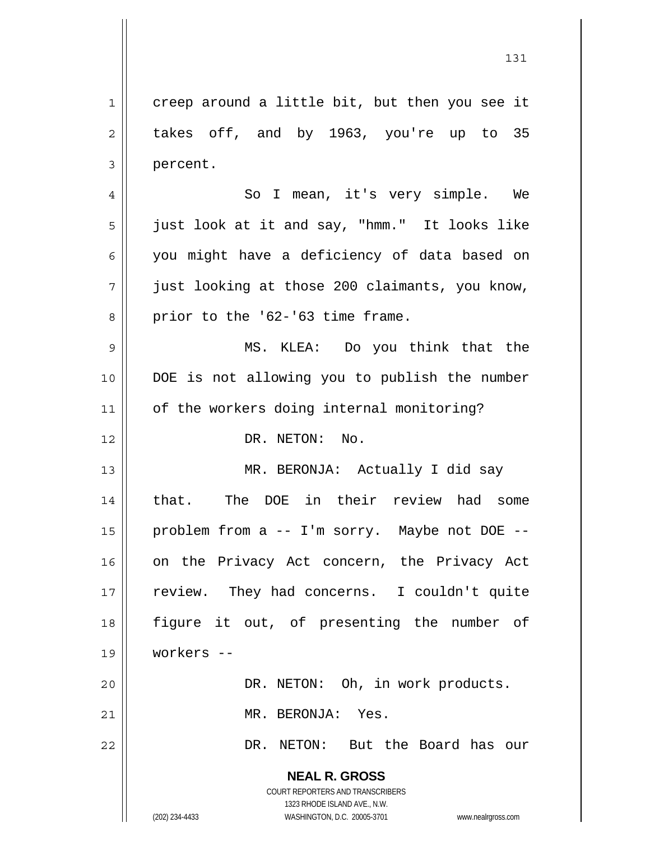**NEAL R. GROSS** COURT REPORTERS AND TRANSCRIBERS 1323 RHODE ISLAND AVE., N.W. 1 2 3 4 5 6 7 8 9 10 11 12 13 14 15 16 17 18 19 20 21 22 creep around a little bit, but then you see it takes off, and by 1963, you're up to 35 percent. So I mean, it's very simple. We just look at it and say, "hmm." It looks like you might have a deficiency of data based on just looking at those 200 claimants, you know, prior to the '62-'63 time frame. MS. KLEA: Do you think that the DOE is not allowing you to publish the number of the workers doing internal monitoring? DR. NETON: No. MR. BERONJA: Actually I did say that. The DOE in their review had some problem from a -- I'm sorry. Maybe not DOE - on the Privacy Act concern, the Privacy Act review. They had concerns. I couldn't quite figure it out, of presenting the number of workers -- DR. NETON: Oh, in work products. MR. BERONJA: Yes. DR. NETON: But the Board has our

131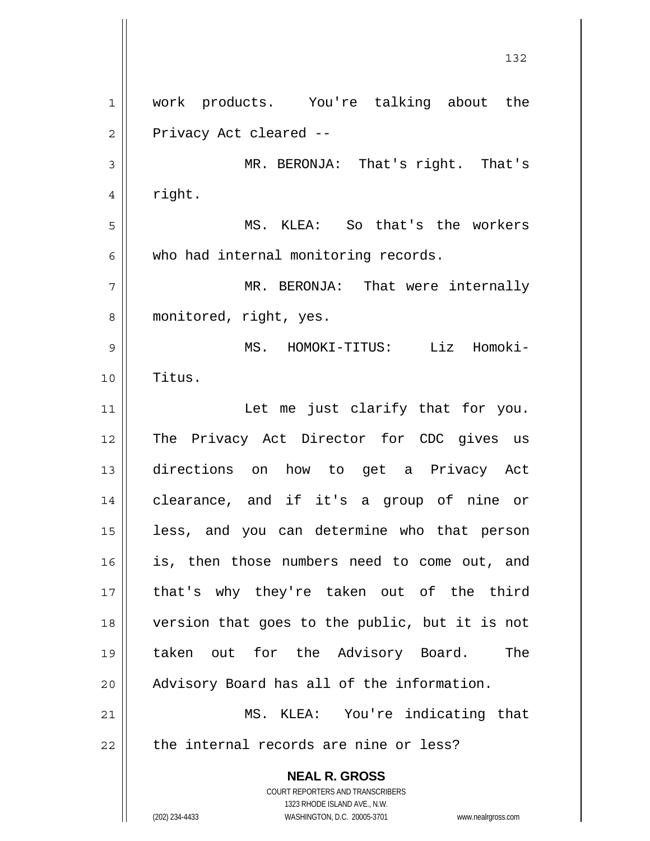**NEAL R. GROSS** COURT REPORTERS AND TRANSCRIBERS 1323 RHODE ISLAND AVE., N.W. (202) 234-4433 WASHINGTON, D.C. 20005-3701 www.nealrgross.com 1 2 3 4 5 6 7 8 9 10 11 12 13 14 15 16 17 18 19 20 21 22 work products. You're talking about the Privacy Act cleared -- MR. BERONJA: That's right. That's right. MS. KLEA: So that's the workers who had internal monitoring records. MR. BERONJA: That were internally monitored, right, yes. MS. HOMOKI-TITUS: Liz Homoki-Titus. Let me just clarify that for you. The Privacy Act Director for CDC gives us directions on how to get a Privacy Act clearance, and if it's a group of nine or less, and you can determine who that person is, then those numbers need to come out, and that's why they're taken out of the third version that goes to the public, but it is not taken out for the Advisory Board. The Advisory Board has all of the information. MS. KLEA: You're indicating that the internal records are nine or less?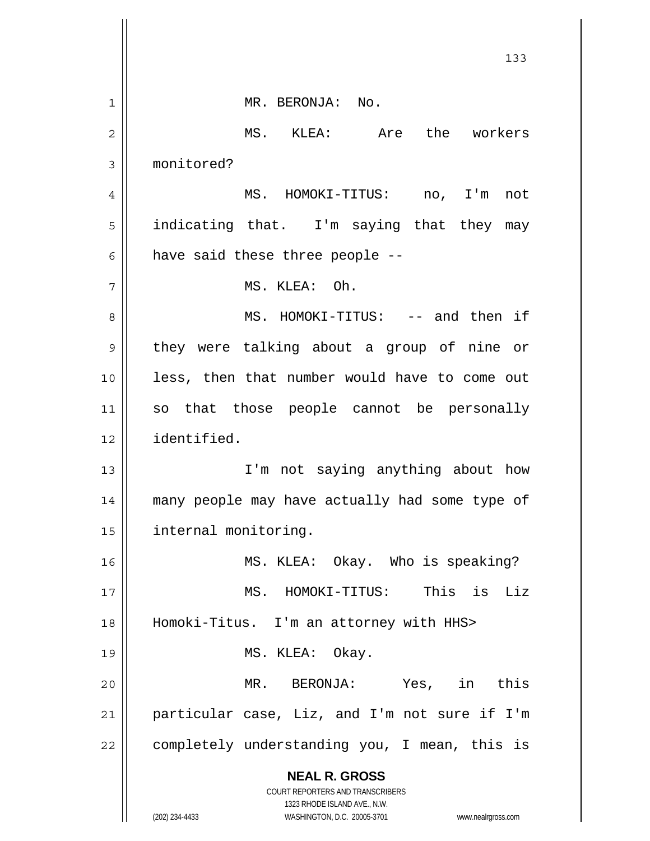|                | 133                                                                                                 |
|----------------|-----------------------------------------------------------------------------------------------------|
| 1              | MR. BERONJA: No.                                                                                    |
| $\overline{2}$ | MS. KLEA: Are the workers                                                                           |
| 3              | monitored?                                                                                          |
| 4              | MS. HOMOKI-TITUS: no, I'm<br>not                                                                    |
| 5              | indicating that. I'm saying that they may                                                           |
| 6              | have said these three people --                                                                     |
| 7              | MS. KLEA: Oh.                                                                                       |
| 8              | MS. HOMOKI-TITUS: -- and then if                                                                    |
| 9              | they were talking about a group of nine or                                                          |
| 10             | less, then that number would have to come out                                                       |
| 11             | so that those people cannot be personally                                                           |
| 12             | identified.                                                                                         |
| 13             | I'm not saying anything about how                                                                   |
| 14             | many people may have actually had some type of                                                      |
| 15             | internal monitoring.                                                                                |
| 16             | MS. KLEA: Okay. Who is speaking?                                                                    |
| 17             | MS. HOMOKI-TITUS: This is Liz                                                                       |
| 18             | Homoki-Titus. I'm an attorney with HHS>                                                             |
| 19             | MS. KLEA: Okay.                                                                                     |
| 20             | MR. BERONJA: Yes, in this                                                                           |
| 21             | particular case, Liz, and I'm not sure if I'm                                                       |
| 22             | completely understanding you, I mean, this is                                                       |
|                | <b>NEAL R. GROSS</b>                                                                                |
|                | COURT REPORTERS AND TRANSCRIBERS                                                                    |
|                | 1323 RHODE ISLAND AVE., N.W.<br>(202) 234-4433<br>WASHINGTON, D.C. 20005-3701<br>www.nealrgross.com |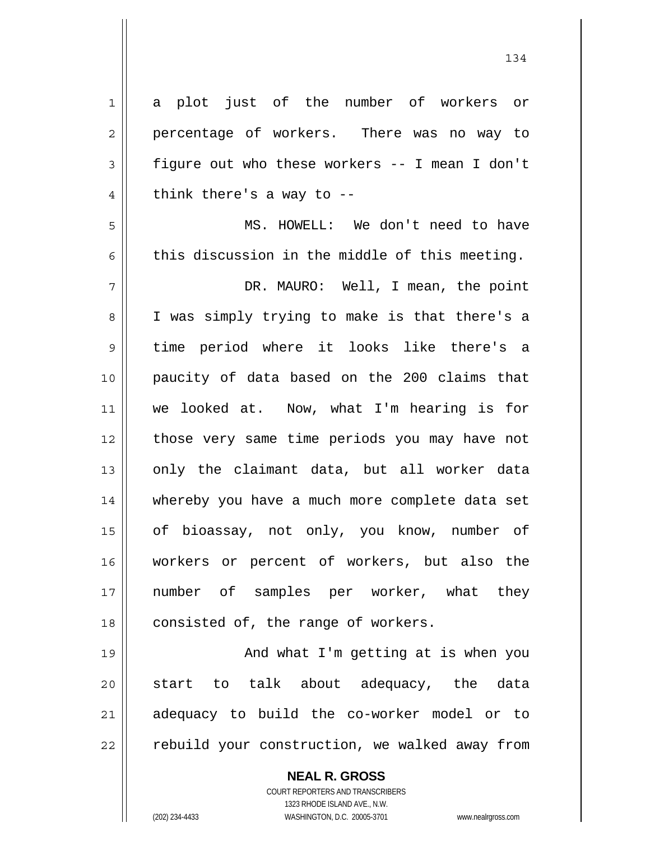a plot just of the number of workers or percentage of workers. There was no way to figure out who these workers -- I mean I don't think there's a way to -- MS. HOWELL: We don't need to have this discussion in the middle of this meeting. DR. MAURO: Well, I mean, the point I was simply trying to make is that there's a time period where it looks like there's a paucity of data based on the 200 claims that we looked at. Now, what I'm hearing is for those very same time periods you may have not only the claimant data, but all worker data whereby you have a much more complete data set of bioassay, not only, you know, number of workers or percent of workers, but also the number of samples per worker, what they consisted of, the range of workers. And what I'm getting at is when you start to talk about adequacy, the data

21 22 adequacy to build the co-worker model or to rebuild your construction, we walked away from

> COURT REPORTERS AND TRANSCRIBERS 1323 RHODE ISLAND AVE., N.W. (202) 234-4433 WASHINGTON, D.C. 20005-3701 www.nealrgross.com

**NEAL R. GROSS**

1

2

3

4

5

6

7

8

9

10

11

12

13

14

15

16

17

18

19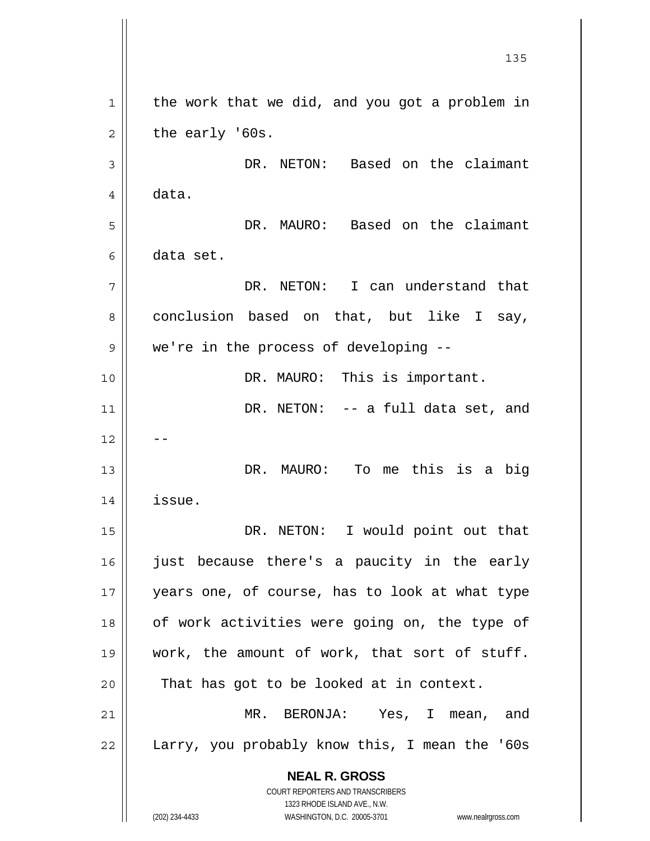**NEAL R. GROSS** COURT REPORTERS AND TRANSCRIBERS 1323 RHODE ISLAND AVE., N.W. (202) 234-4433 WASHINGTON, D.C. 20005-3701 www.nealrgross.com <u>135</u> 1 2 3 4 5 6 7 8 9 10 11 12 13 14 15 16 17 18 19 20 21 22 the work that we did, and you got a problem in the early '60s. DR. NETON: Based on the claimant data. DR. MAURO: Based on the claimant data set. DR. NETON: I can understand that conclusion based on that, but like I say, we're in the process of developing -- DR. MAURO: This is important. DR. NETON: -- a full data set, and -- DR. MAURO: To me this is a big issue. DR. NETON: I would point out that just because there's a paucity in the early years one, of course, has to look at what type of work activities were going on, the type of work, the amount of work, that sort of stuff. That has got to be looked at in context. MR. BERONJA: Yes, I mean, and Larry, you probably know this, I mean the '60s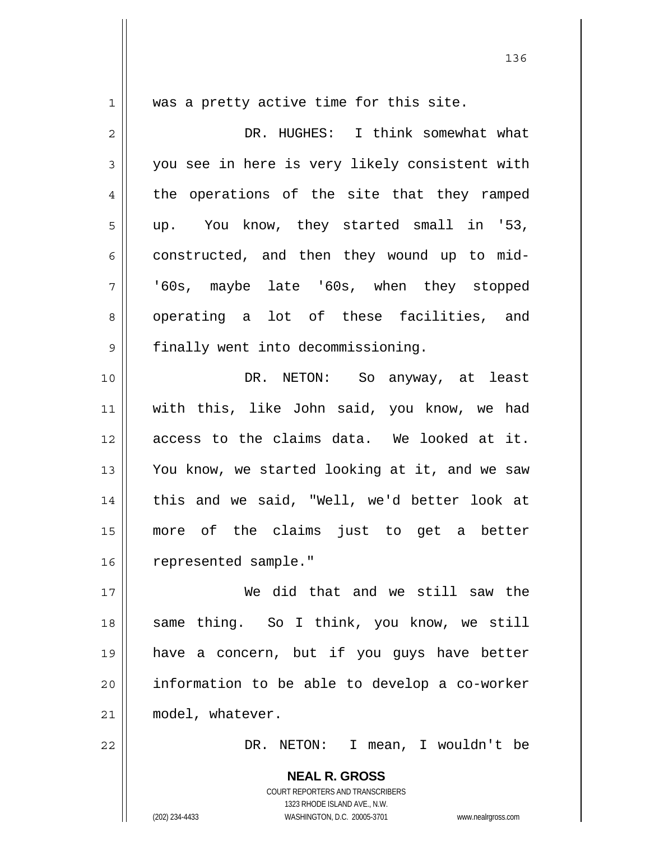1

was a pretty active time for this site.

2 3 4 5 6 7 8 9 DR. HUGHES: I think somewhat what you see in here is very likely consistent with the operations of the site that they ramped up. You know, they started small in '53, constructed, and then they wound up to mid- '60s, maybe late '60s, when they stopped operating a lot of these facilities, and finally went into decommissioning.

10 11 12 13 14 15 16 DR. NETON: So anyway, at least with this, like John said, you know, we had access to the claims data. We looked at it. You know, we started looking at it, and we saw this and we said, "Well, we'd better look at more of the claims just to get a better represented sample."

17 18 19 20 21 We did that and we still saw the same thing. So I think, you know, we still have a concern, but if you guys have better information to be able to develop a co-worker model, whatever.

DR. NETON: I mean, I wouldn't be

COURT REPORTERS AND TRANSCRIBERS 1323 RHODE ISLAND AVE., N.W. (202) 234-4433 WASHINGTON, D.C. 20005-3701 www.nealrgross.com

**NEAL R. GROSS**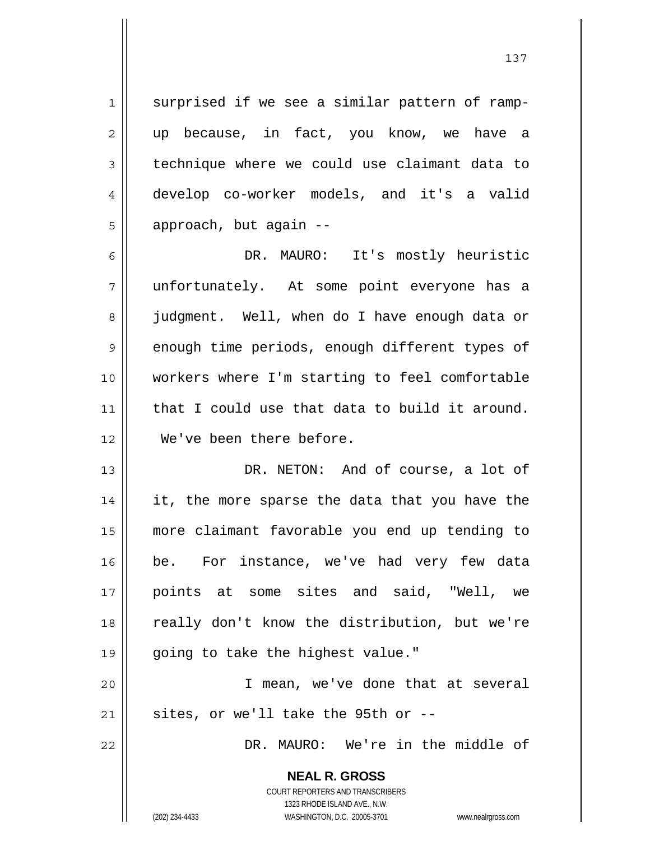surprised if we see a similar pattern of rampup because, in fact, you know, we have a technique where we could use claimant data to develop co-worker models, and it's a valid approach, but again --

6 7 8 9 10 11 12 DR. MAURO: It's mostly heuristic unfortunately. At some point everyone has a judgment. Well, when do I have enough data or enough time periods, enough different types of workers where I'm starting to feel comfortable that I could use that data to build it around. We've been there before.

13 14 15 16 17 18 19 DR. NETON: And of course, a lot of it, the more sparse the data that you have the more claimant favorable you end up tending to be. For instance, we've had very few data points at some sites and said, "Well, we really don't know the distribution, but we're going to take the highest value."

20 21 I mean, we've done that at several sites, or we'll take the 95th or --

DR. MAURO: We're in the middle of

**NEAL R. GROSS** COURT REPORTERS AND TRANSCRIBERS 1323 RHODE ISLAND AVE., N.W.

22

1

2

3

4

5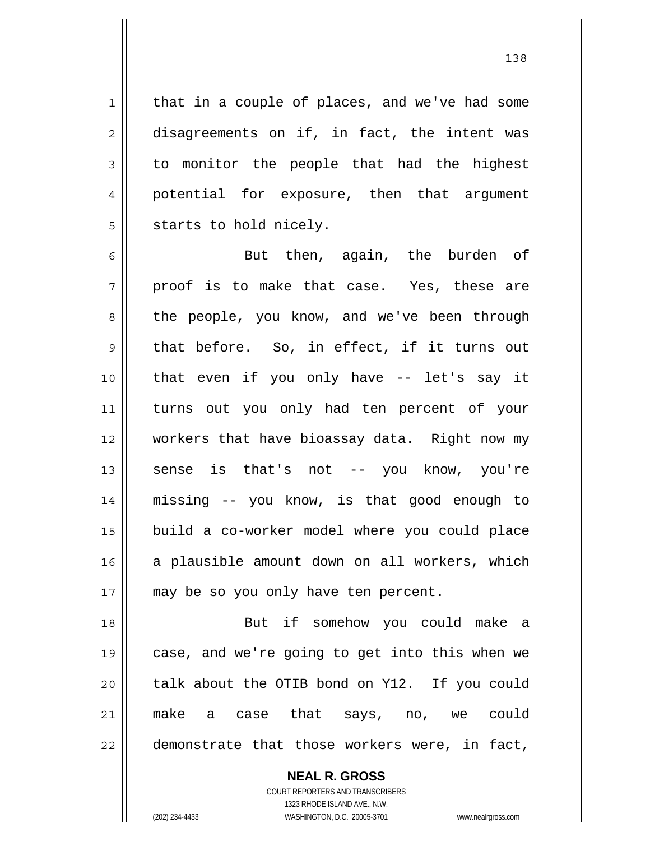that in a couple of places, and we've had some disagreements on if, in fact, the intent was to monitor the people that had the highest potential for exposure, then that argument starts to hold nicely.

6 7 8 9 10 11 12 13 14 15 16 17 But then, again, the burden of proof is to make that case. Yes, these are the people, you know, and we've been through that before. So, in effect, if it turns out that even if you only have -- let's say it turns out you only had ten percent of your workers that have bioassay data. Right now my sense is that's not -- you know, you're missing -- you know, is that good enough to build a co-worker model where you could place a plausible amount down on all workers, which may be so you only have ten percent.

18 19 20 21 22 But if somehow you could make a case, and we're going to get into this when we talk about the OTIB bond on Y12. If you could make a case that says, no, we could demonstrate that those workers were, in fact,

> **NEAL R. GROSS** COURT REPORTERS AND TRANSCRIBERS 1323 RHODE ISLAND AVE., N.W.

1

2

3

4

5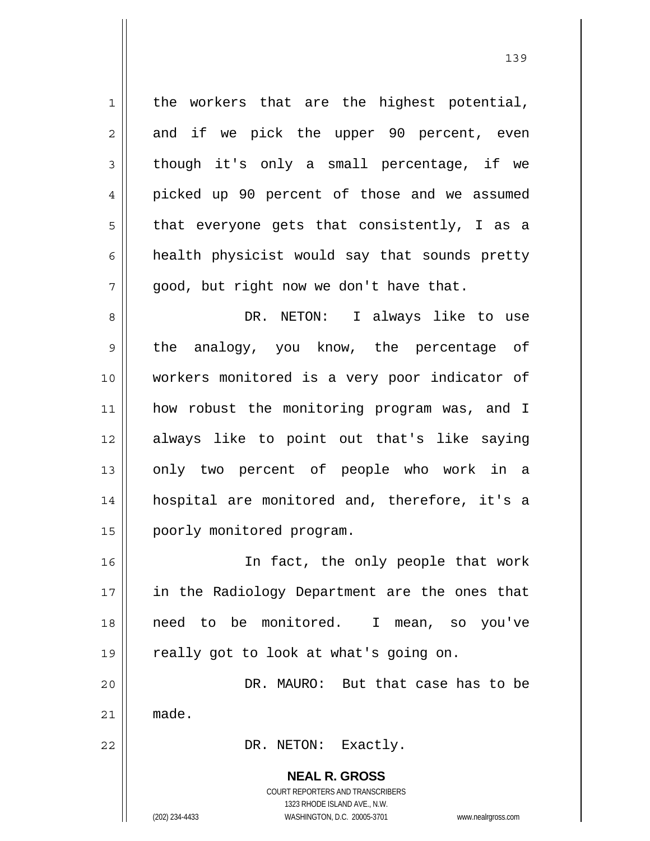1 2 3 4 5 6 7 8 9 10 11 12 13 14 15 16 17 18 19 20 21 22 the workers that are the highest potential, and if we pick the upper 90 percent, even though it's only a small percentage, if we picked up 90 percent of those and we assumed that everyone gets that consistently, I as a health physicist would say that sounds pretty good, but right now we don't have that. DR. NETON: I always like to use the analogy, you know, the percentage of workers monitored is a very poor indicator of how robust the monitoring program was, and I always like to point out that's like saying only two percent of people who work in a hospital are monitored and, therefore, it's a poorly monitored program. In fact, the only people that work in the Radiology Department are the ones that need to be monitored. I mean, so you've really got to look at what's going on. DR. MAURO: But that case has to be made. DR. NETON: Exactly.

> **NEAL R. GROSS** COURT REPORTERS AND TRANSCRIBERS 1323 RHODE ISLAND AVE., N.W.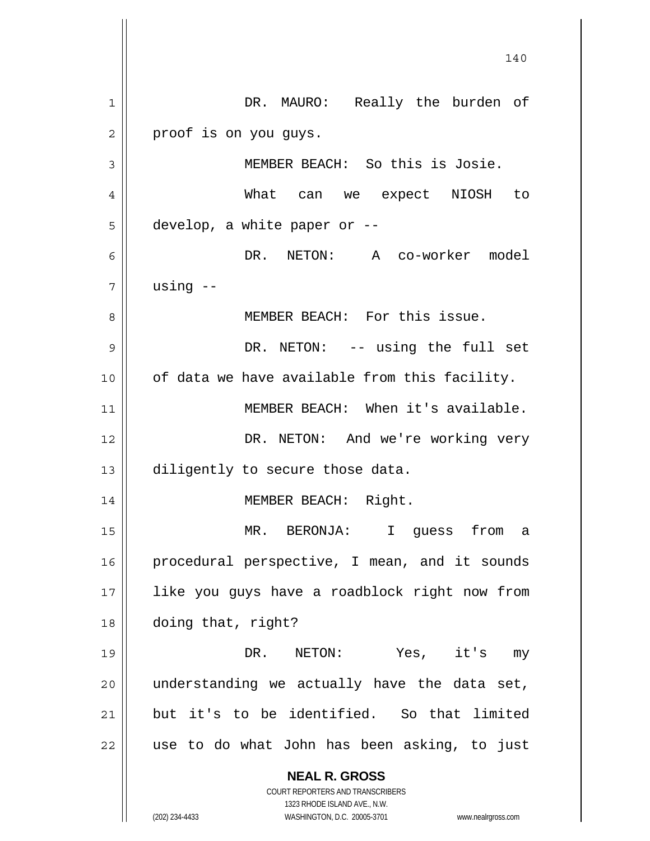**NEAL R. GROSS** COURT REPORTERS AND TRANSCRIBERS 1323 RHODE ISLAND AVE., N.W. (202) 234-4433 WASHINGTON, D.C. 20005-3701 www.nealrgross.com 140 1 2 3 4 5 6 7 8 9 10 11 12 13 14 15 16 17 18 19 20 21 22 DR. MAURO: Really the burden of proof is on you guys. MEMBER BEACH: So this is Josie. What can we expect NIOSH to develop, a white paper or -- DR. NETON: A co-worker model using -- MEMBER BEACH: For this issue. DR. NETON: -- using the full set of data we have available from this facility. MEMBER BEACH: When it's available. DR. NETON: And we're working very diligently to secure those data. MEMBER BEACH: Right. MR. BERONJA: I guess from a procedural perspective, I mean, and it sounds like you guys have a roadblock right now from doing that, right? DR. NETON: Yes, it's my understanding we actually have the data set, but it's to be identified. So that limited use to do what John has been asking, to just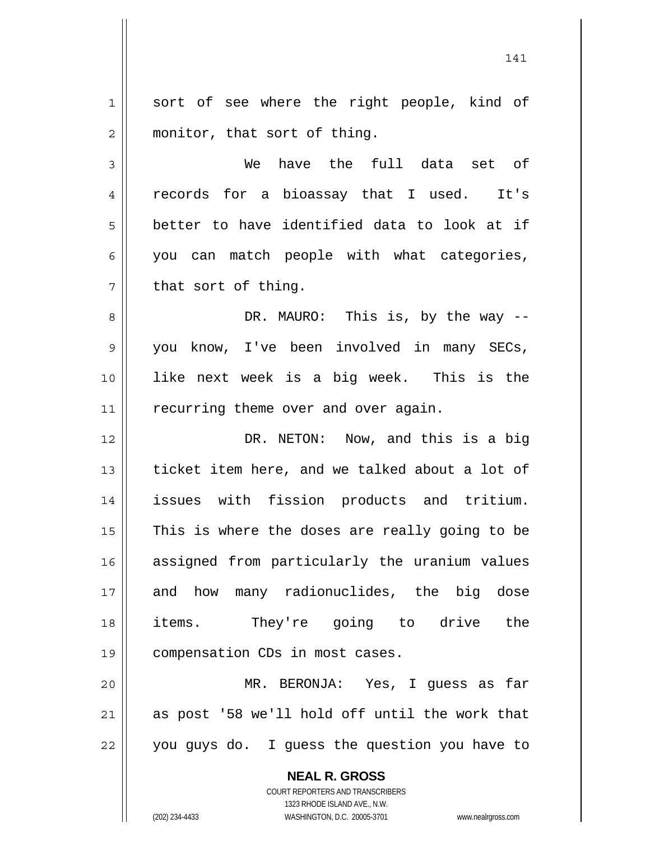1 2 sort of see where the right people, kind of monitor, that sort of thing.

3 4 5 6 7 We have the full data set of records for a bioassay that I used. It's better to have identified data to look at if you can match people with what categories, that sort of thing.

8 9 10 11 DR. MAURO: This is, by the way -you know, I've been involved in many SECs, like next week is a big week. This is the recurring theme over and over again.

12 13 14 15 16 17 18 19 DR. NETON: Now, and this is a big ticket item here, and we talked about a lot of issues with fission products and tritium. This is where the doses are really going to be assigned from particularly the uranium values and how many radionuclides, the big dose items. They're going to drive the compensation CDs in most cases.

20 21 22 MR. BERONJA: Yes, I guess as far as post '58 we'll hold off until the work that you guys do. I guess the question you have to

> **NEAL R. GROSS** COURT REPORTERS AND TRANSCRIBERS 1323 RHODE ISLAND AVE., N.W. (202) 234-4433 WASHINGTON, D.C. 20005-3701 www.nealrgross.com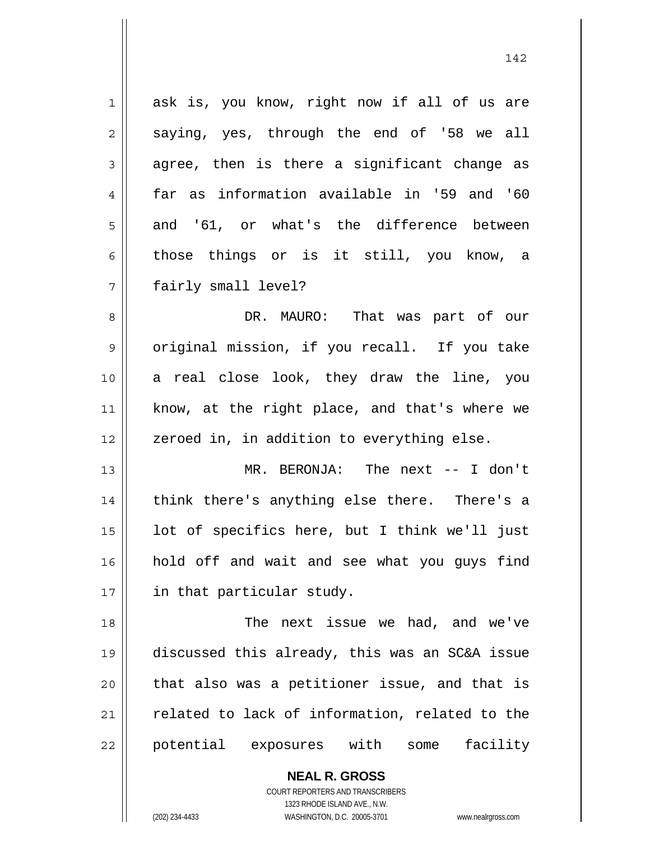1 2 3 4 5 6 7 8 9 10 11 12 ask is, you know, right now if all of us are saying, yes, through the end of '58 we all agree, then is there a significant change as far as information available in '59 and '60 and '61, or what's the difference between those things or is it still, you know, a fairly small level? DR. MAURO: That was part of our original mission, if you recall. If you take a real close look, they draw the line, you know, at the right place, and that's where we zeroed in, in addition to everything else.

13 14 15 16 17 MR. BERONJA: The next -- I don't think there's anything else there. There's a lot of specifics here, but I think we'll just hold off and wait and see what you guys find in that particular study.

18 19 20 21 22 The next issue we had, and we've discussed this already, this was an SC&A issue that also was a petitioner issue, and that is related to lack of information, related to the potential exposures with some facility

> **NEAL R. GROSS** COURT REPORTERS AND TRANSCRIBERS 1323 RHODE ISLAND AVE., N.W. (202) 234-4433 WASHINGTON, D.C. 20005-3701 www.nealrgross.com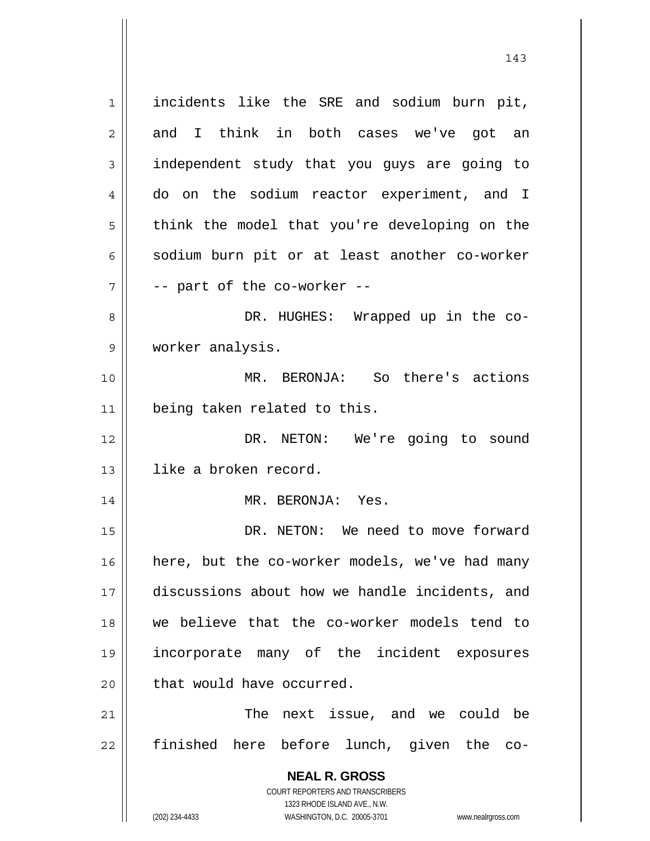**NEAL R. GROSS** COURT REPORTERS AND TRANSCRIBERS 1323 RHODE ISLAND AVE., N.W. 1 2 3 4 5 6 7 8 9 10 11 12 13 14 15 16 17 18 19 20 21 22 incidents like the SRE and sodium burn pit, and I think in both cases we've got an independent study that you guys are going to do on the sodium reactor experiment, and I think the model that you're developing on the sodium burn pit or at least another co-worker -- part of the co-worker -- DR. HUGHES: Wrapped up in the coworker analysis. MR. BERONJA: So there's actions being taken related to this. DR. NETON: We're going to sound like a broken record. MR. BERONJA: Yes. DR. NETON: We need to move forward here, but the co-worker models, we've had many discussions about how we handle incidents, and we believe that the co-worker models tend to incorporate many of the incident exposures that would have occurred. The next issue, and we could be finished here before lunch, given the co-

(202) 234-4433 WASHINGTON, D.C. 20005-3701 www.nealrgross.com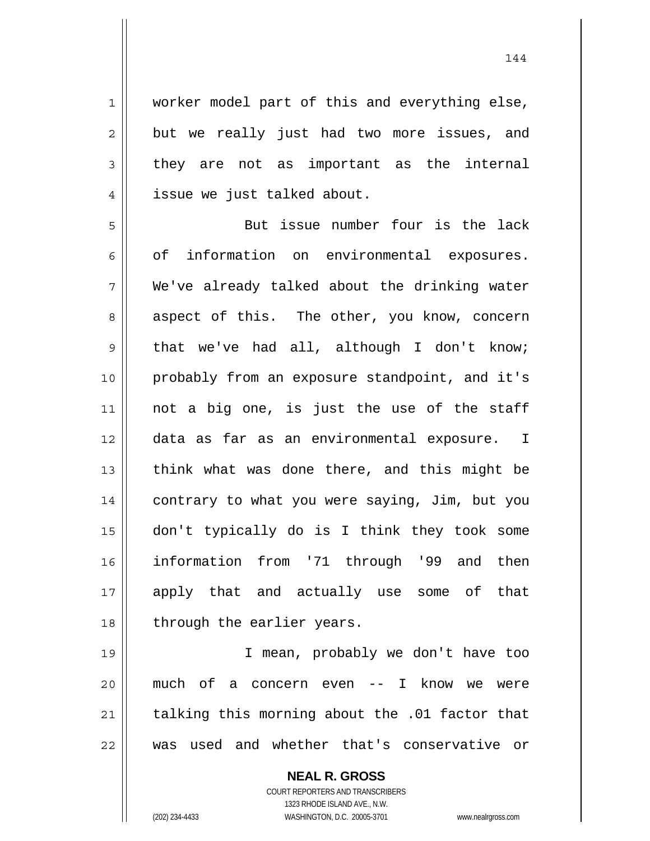worker model part of this and everything else, but we really just had two more issues, and they are not as important as the internal issue we just talked about.

5 6 7 8 9 10 11 12 13 14 15 16 17 18 But issue number four is the lack of information on environmental exposures. We've already talked about the drinking water aspect of this. The other, you know, concern that we've had all, although I don't know; probably from an exposure standpoint, and it's not a big one, is just the use of the staff data as far as an environmental exposure. I think what was done there, and this might be contrary to what you were saying, Jim, but you don't typically do is I think they took some information from '71 through '99 and then apply that and actually use some of that through the earlier years.

19 20 21 22 I mean, probably we don't have too much of a concern even -- I know we were talking this morning about the .01 factor that was used and whether that's conservative or

> **NEAL R. GROSS** COURT REPORTERS AND TRANSCRIBERS 1323 RHODE ISLAND AVE., N.W. (202) 234-4433 WASHINGTON, D.C. 20005-3701 www.nealrgross.com

1

2

3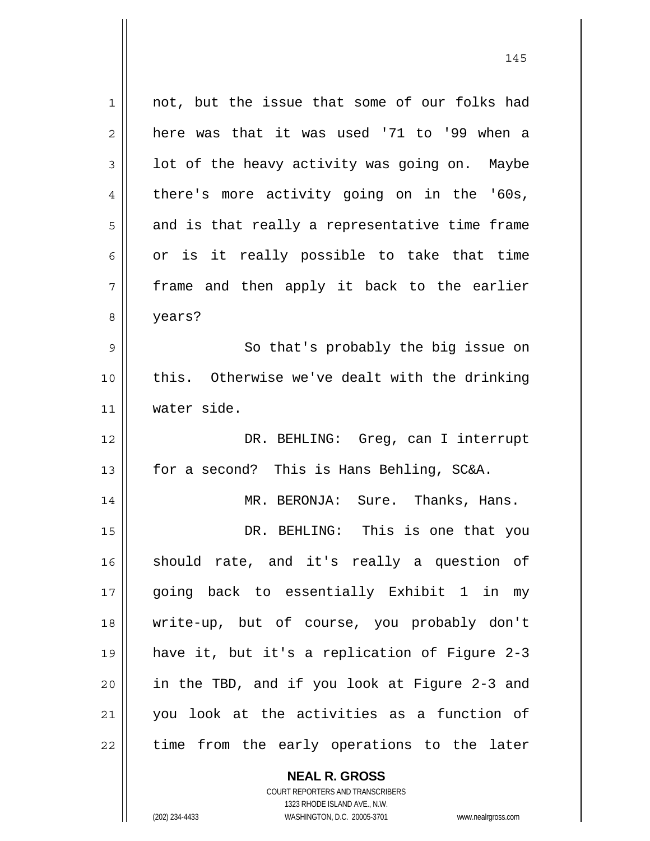1 2 3 4 5 6 7 8 9 10 11 12 13 14 15 16 17 18 19 20 21 22 not, but the issue that some of our folks had here was that it was used '71 to '99 when a lot of the heavy activity was going on. Maybe there's more activity going on in the '60s, and is that really a representative time frame or is it really possible to take that time frame and then apply it back to the earlier years? So that's probably the big issue on this. Otherwise we've dealt with the drinking water side. DR. BEHLING: Greg, can I interrupt for a second? This is Hans Behling, SC&A. MR. BERONJA: Sure. Thanks, Hans. DR. BEHLING: This is one that you should rate, and it's really a question of going back to essentially Exhibit 1 in my write-up, but of course, you probably don't have it, but it's a replication of Figure 2-3 in the TBD, and if you look at Figure 2-3 and you look at the activities as a function of time from the early operations to the later

145

**NEAL R. GROSS** COURT REPORTERS AND TRANSCRIBERS

1323 RHODE ISLAND AVE., N.W. (202) 234-4433 WASHINGTON, D.C. 20005-3701 www.nealrgross.com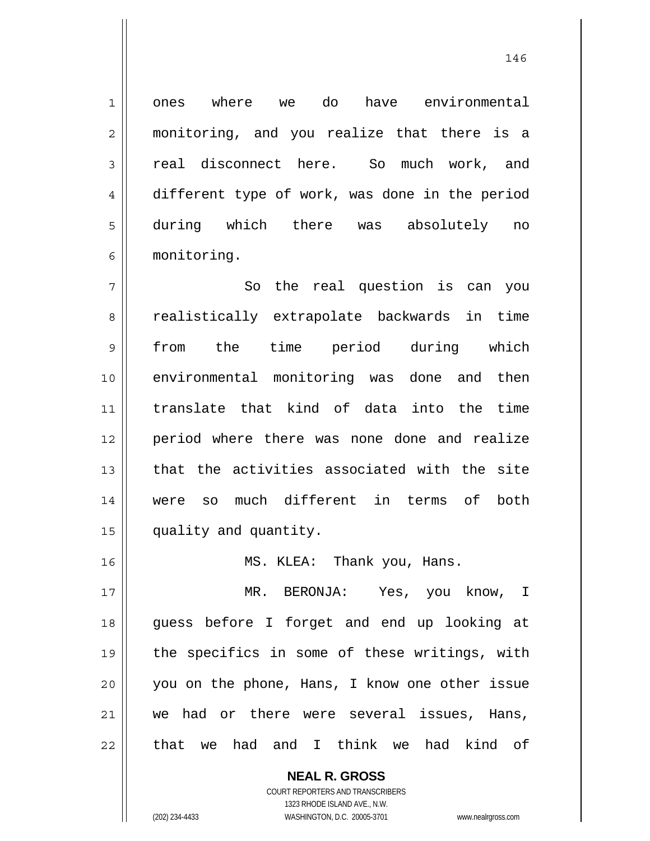ones where we do have environmental monitoring, and you realize that there is a real disconnect here. So much work, and different type of work, was done in the period during which there was absolutely no monitoring.

1

2

3

4

5

6

16

7 8 9 10 11 12 13 14 15 So the real question is can you realistically extrapolate backwards in time from the time period during which environmental monitoring was done and then translate that kind of data into the time period where there was none done and realize that the activities associated with the site were so much different in terms of both quality and quantity.

MS. KLEA: Thank you, Hans.

17 18 19 20 21 22 MR. BERONJA: Yes, you know, I guess before I forget and end up looking at the specifics in some of these writings, with you on the phone, Hans, I know one other issue we had or there were several issues, Hans, that we had and I think we had kind of

> COURT REPORTERS AND TRANSCRIBERS 1323 RHODE ISLAND AVE., N.W. (202) 234-4433 WASHINGTON, D.C. 20005-3701 www.nealrgross.com

**NEAL R. GROSS**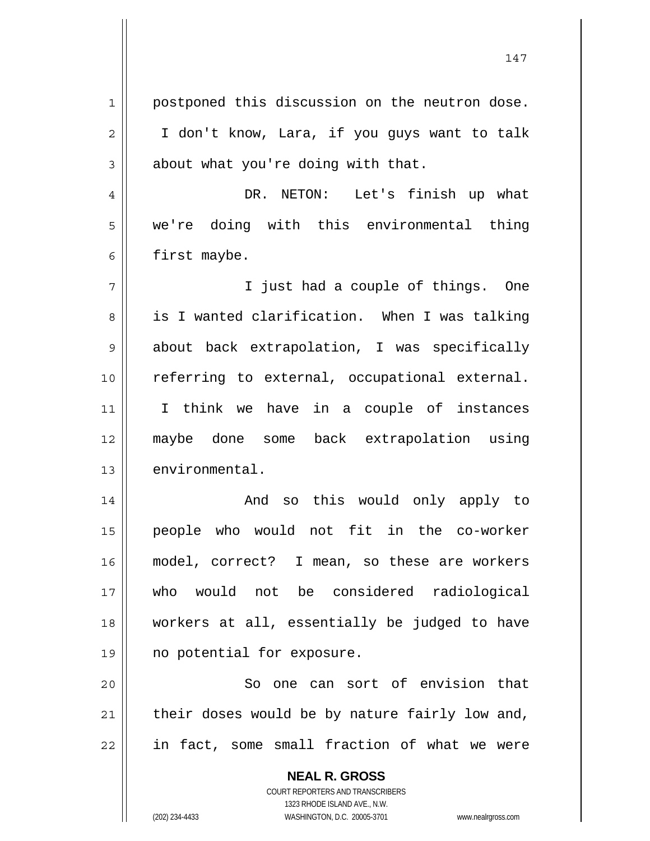| $\mathbf 1$    | postponed this discussion on the neutron dose.                                                      |
|----------------|-----------------------------------------------------------------------------------------------------|
| $\overline{c}$ | I don't know, Lara, if you guys want to talk                                                        |
| 3              | about what you're doing with that.                                                                  |
| 4              | DR. NETON: Let's finish up what                                                                     |
| 5              | we're doing with this environmental thing                                                           |
| 6              | first maybe.                                                                                        |
| 7              | I just had a couple of things. One                                                                  |
| 8              | is I wanted clarification. When I was talking                                                       |
| $\mathsf 9$    | about back extrapolation, I was specifically                                                        |
| 10             | referring to external, occupational external.                                                       |
| 11             | I think we have in a couple of instances                                                            |
| 12             | maybe done some back extrapolation using                                                            |
| 13             | environmental.                                                                                      |
| 14             | And so this would only apply to                                                                     |
| 15             | people who would not fit in the co-worker                                                           |
| 16             | model, correct? I mean, so these are workers                                                        |
| 17             | would not be considered radiological<br>who                                                         |
| 18             | workers at all, essentially be judged to have                                                       |
| 19             | no potential for exposure.                                                                          |
| 20             | So one can sort of envision that                                                                    |
| 21             | their doses would be by nature fairly low and,                                                      |
| 22             | in fact, some small fraction of what we were                                                        |
|                | <b>NEAL R. GROSS</b>                                                                                |
|                | COURT REPORTERS AND TRANSCRIBERS                                                                    |
|                | 1323 RHODE ISLAND AVE., N.W.<br>WASHINGTON, D.C. 20005-3701<br>(202) 234-4433<br>www.nealrgross.com |
|                |                                                                                                     |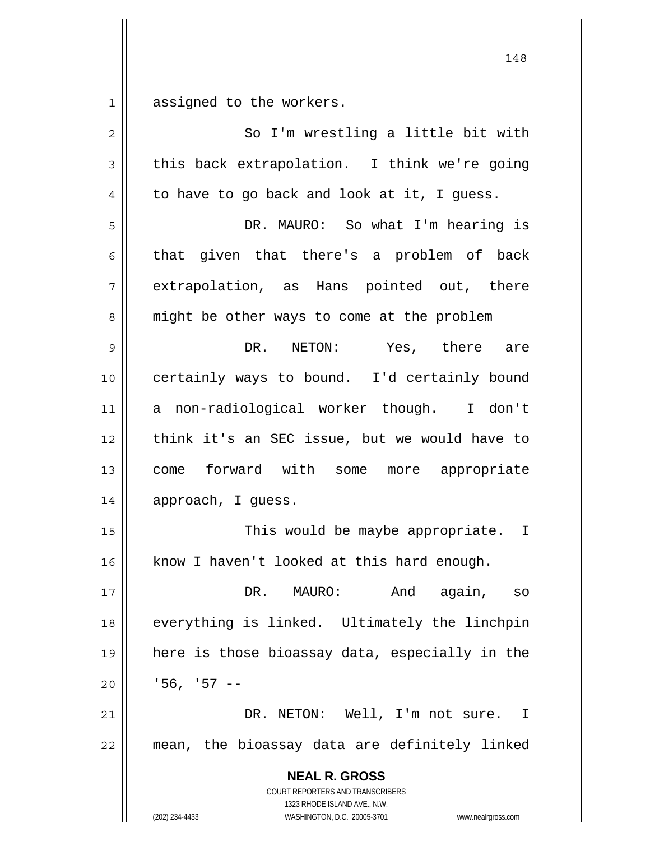1 assigned to the workers.

| $\overline{2}$ | So I'm wrestling a little bit with                                                                                                                              |
|----------------|-----------------------------------------------------------------------------------------------------------------------------------------------------------------|
| $\mathfrak{Z}$ | this back extrapolation. I think we're going                                                                                                                    |
| $\overline{4}$ | to have to go back and look at it, I guess.                                                                                                                     |
| 5              | DR. MAURO: So what I'm hearing is                                                                                                                               |
| 6              | that given that there's a problem of back                                                                                                                       |
| 7              | extrapolation, as Hans pointed out, there                                                                                                                       |
| 8              | might be other ways to come at the problem                                                                                                                      |
| 9              | DR. NETON: Yes, there are                                                                                                                                       |
| 10             | certainly ways to bound. I'd certainly bound                                                                                                                    |
| 11             | a non-radiological worker though. I don't                                                                                                                       |
| 12             | think it's an SEC issue, but we would have to                                                                                                                   |
| 13             | come forward with some more appropriate                                                                                                                         |
| 14             | approach, I guess.                                                                                                                                              |
| 15             | This would be maybe appropriate. I                                                                                                                              |
| 16             | know I haven't looked at this hard enough.                                                                                                                      |
| 17             | And<br>DR. MAURO:<br>again,<br>SO                                                                                                                               |
| 18             | everything is linked. Ultimately the linchpin                                                                                                                   |
| 19             | here is those bioassay data, especially in the                                                                                                                  |
| 20             | $156, 157 -$                                                                                                                                                    |
| 21             | DR. NETON: Well, I'm not sure. I                                                                                                                                |
| 22             | mean, the bioassay data are definitely linked                                                                                                                   |
|                | <b>NEAL R. GROSS</b><br>COURT REPORTERS AND TRANSCRIBERS<br>1323 RHODE ISLAND AVE., N.W.<br>(202) 234-4433<br>WASHINGTON, D.C. 20005-3701<br>www.nealrgross.com |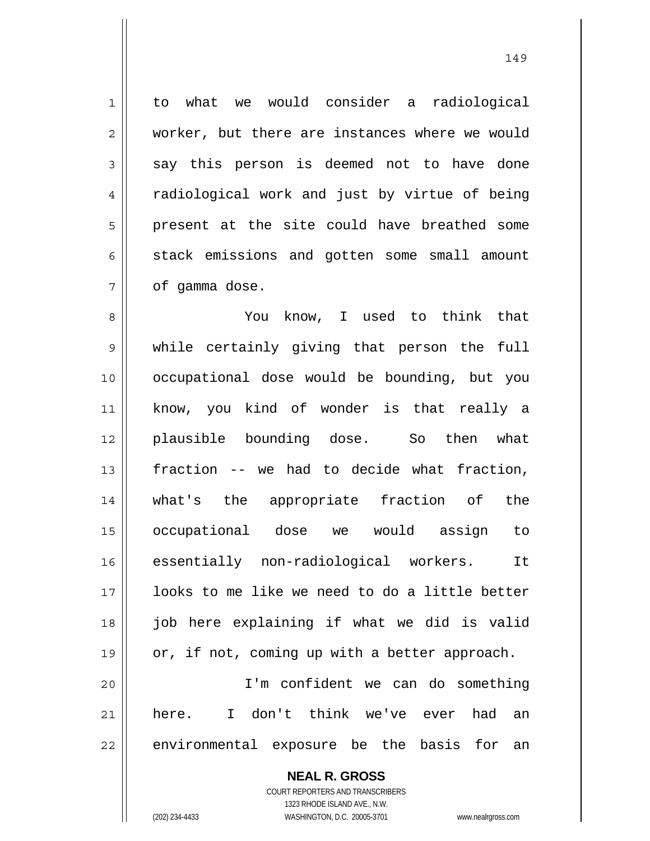to what we would consider a radiological worker, but there are instances where we would say this person is deemed not to have done radiological work and just by virtue of being present at the site could have breathed some stack emissions and gotten some small amount of gamma dose.

8 9 10 11 12 13 14 15 16 17 18 19 20 21 You know, I used to think that while certainly giving that person the full occupational dose would be bounding, but you know, you kind of wonder is that really a plausible bounding dose. So then what fraction -- we had to decide what fraction, what's the appropriate fraction of the occupational dose we would assign to essentially non-radiological workers. It looks to me like we need to do a little better job here explaining if what we did is valid or, if not, coming up with a better approach. I'm confident we can do something here. I don't think we've ever had an

22 environmental exposure be the basis for an

> **NEAL R. GROSS** COURT REPORTERS AND TRANSCRIBERS

1

2

3

4

5

6

7

1323 RHODE ISLAND AVE., N.W. (202) 234-4433 WASHINGTON, D.C. 20005-3701 www.nealrgross.com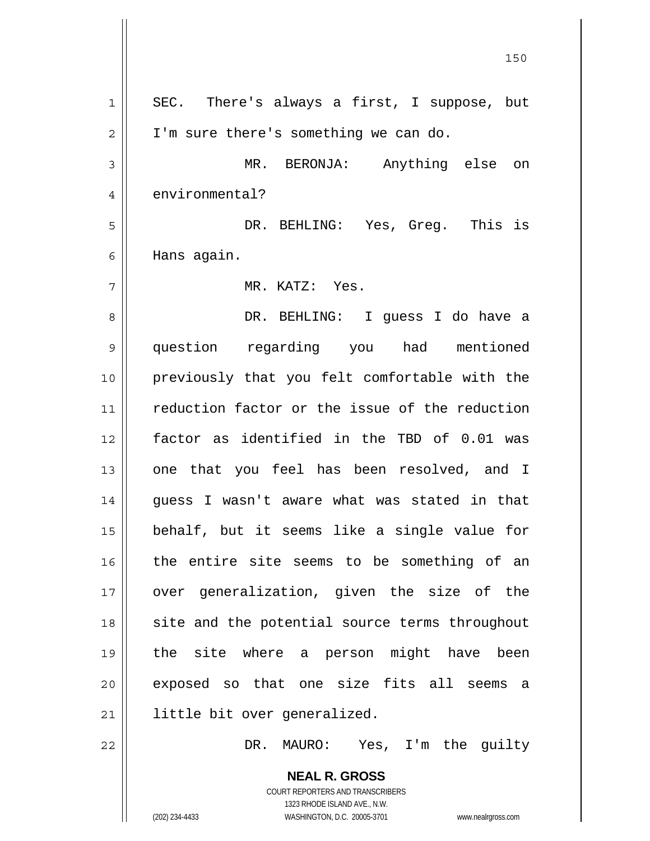1 2 3 4 5 6 7 8 9 10 11 12 13 14 15 16 17 18 19 20 21 22 SEC. There's always a first, I suppose, but I'm sure there's something we can do. MR. BERONJA: Anything else on environmental? DR. BEHLING: Yes, Greg. This is Hans again. MR. KATZ: Yes. DR. BEHLING: I guess I do have a question regarding you had mentioned previously that you felt comfortable with the reduction factor or the issue of the reduction factor as identified in the TBD of 0.01 was one that you feel has been resolved, and I guess I wasn't aware what was stated in that behalf, but it seems like a single value for the entire site seems to be something of an over generalization, given the size of the site and the potential source terms throughout the site where a person might have been exposed so that one size fits all seems a little bit over generalized. DR. MAURO: Yes, I'm the guilty

> COURT REPORTERS AND TRANSCRIBERS 1323 RHODE ISLAND AVE., N.W. (202) 234-4433 WASHINGTON, D.C. 20005-3701 www.nealrgross.com

**NEAL R. GROSS**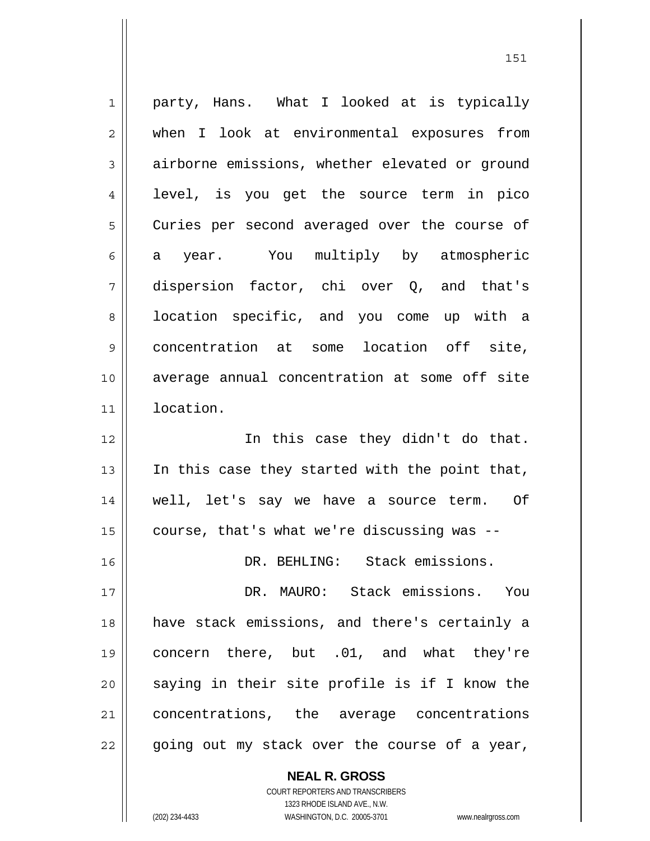1 2 3 4 5 6 7 8 9 10 11 12 13 14 15 16 17 18 19 20 21 22 party, Hans. What I looked at is typically when I look at environmental exposures from airborne emissions, whether elevated or ground level, is you get the source term in pico Curies per second averaged over the course of a year. You multiply by atmospheric dispersion factor, chi over Q, and that's location specific, and you come up with a concentration at some location off site, average annual concentration at some off site location. In this case they didn't do that. In this case they started with the point that, well, let's say we have a source term. Of course, that's what we're discussing was -- DR. BEHLING: Stack emissions. DR. MAURO: Stack emissions. You have stack emissions, and there's certainly a concern there, but .01, and what they're saying in their site profile is if I know the concentrations, the average concentrations going out my stack over the course of a year,

151

COURT REPORTERS AND TRANSCRIBERS 1323 RHODE ISLAND AVE., N.W. (202) 234-4433 WASHINGTON, D.C. 20005-3701 www.nealrgross.com

**NEAL R. GROSS**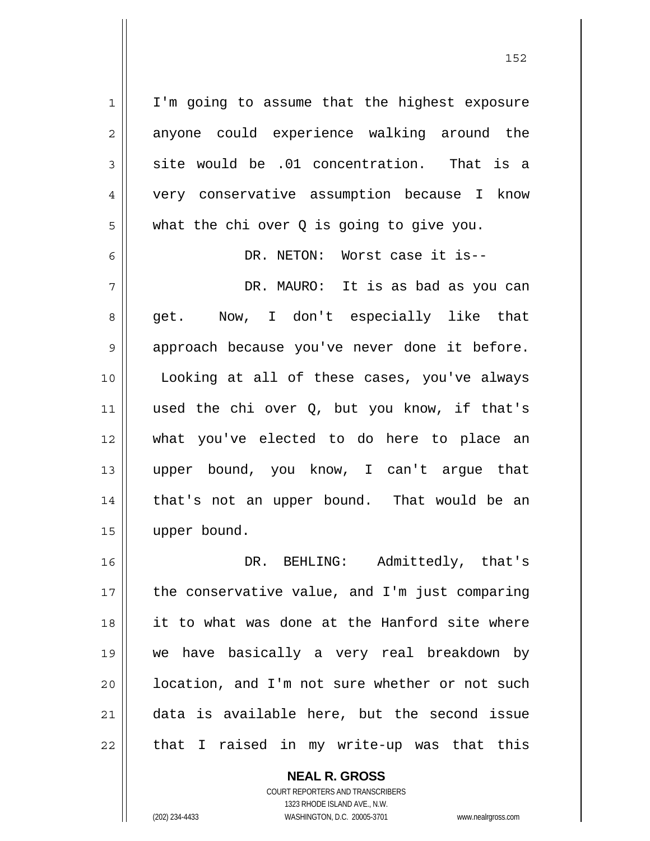1 2 3 4 5 6 7 8 9 10 11 12 13 14 15 16 I'm going to assume that the highest exposure anyone could experience walking around the site would be .01 concentration. That is a very conservative assumption because I know what the chi over Q is going to give you. DR. NETON: Worst case it is-- DR. MAURO: It is as bad as you can get. Now, I don't especially like that approach because you've never done it before. Looking at all of these cases, you've always used the chi over Q, but you know, if that's what you've elected to do here to place an upper bound, you know, I can't argue that that's not an upper bound. That would be an upper bound. DR. BEHLING: Admittedly, that's

17 18 19 20 21 22 the conservative value, and I'm just comparing it to what was done at the Hanford site where we have basically a very real breakdown by location, and I'm not sure whether or not such data is available here, but the second issue that I raised in my write-up was that this

> COURT REPORTERS AND TRANSCRIBERS 1323 RHODE ISLAND AVE., N.W. (202) 234-4433 WASHINGTON, D.C. 20005-3701 www.nealrgross.com

**NEAL R. GROSS**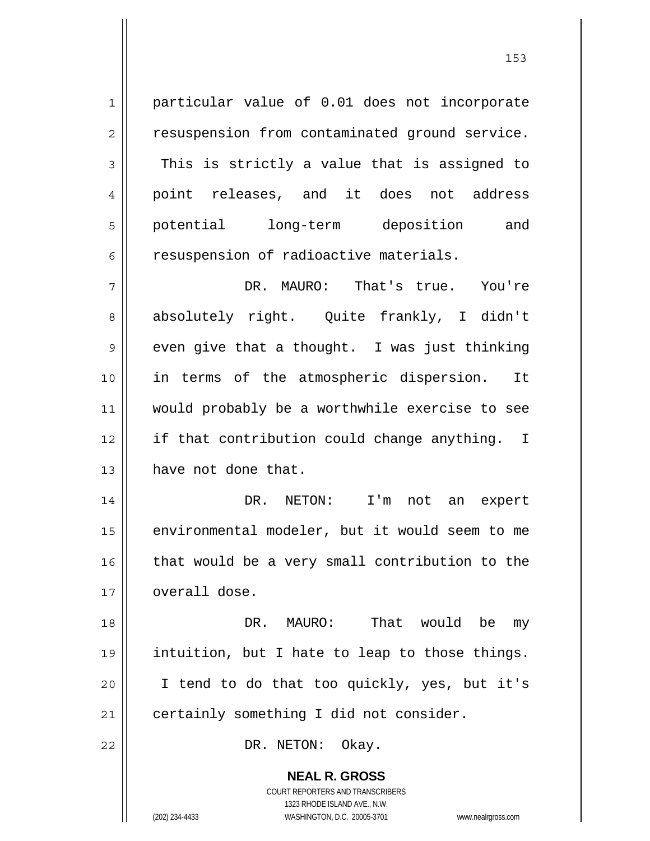particular value of 0.01 does not incorporate resuspension from contaminated ground service. This is strictly a value that is assigned to point releases, and it does not address potential long-term deposition and resuspension of radioactive materials.

7 8 9 10 11 12 13 DR. MAURO: That's true. You're absolutely right. Quite frankly, I didn't even give that a thought. I was just thinking in terms of the atmospheric dispersion. It would probably be a worthwhile exercise to see if that contribution could change anything. I have not done that.

14 15 16 17 DR. NETON: I'm not an expert environmental modeler, but it would seem to me that would be a very small contribution to the overall dose.

18 19 20 21 DR. MAURO: That would be my intuition, but I hate to leap to those things. I tend to do that too quickly, yes, but it's certainly something I did not consider.

DR. NETON: Okay.

**NEAL R. GROSS** COURT REPORTERS AND TRANSCRIBERS 1323 RHODE ISLAND AVE., N.W.

22

1

2

3

4

5

6

(202) 234-4433 WASHINGTON, D.C. 20005-3701 www.nealrgross.com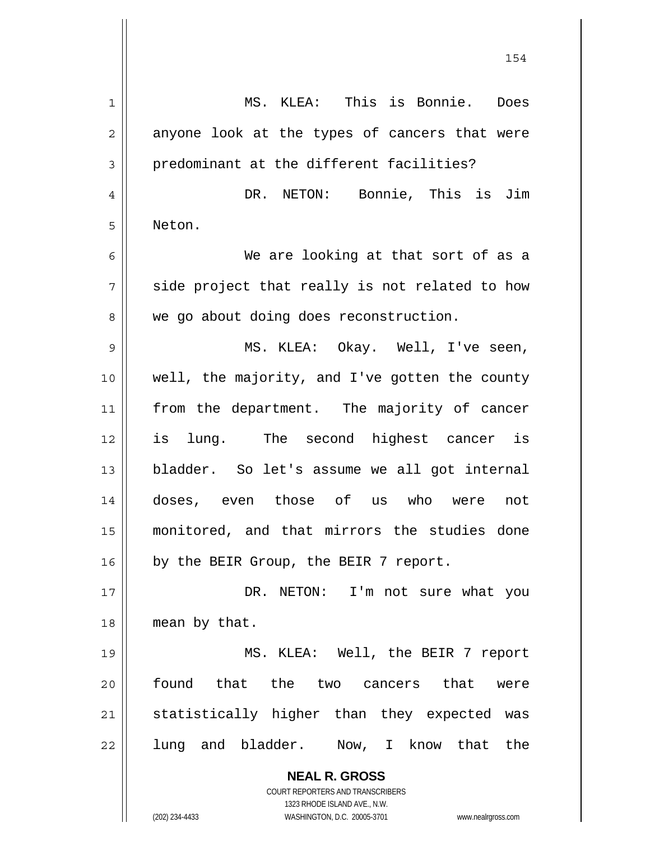| $\mathbf 1$    | MS. KLEA: This is Bonnie. Does                                      |
|----------------|---------------------------------------------------------------------|
| $\overline{2}$ | anyone look at the types of cancers that were                       |
| 3              | predominant at the different facilities?                            |
| $\overline{4}$ | DR. NETON: Bonnie, This is Jim                                      |
| 5              | Neton.                                                              |
| 6              | We are looking at that sort of as a                                 |
| 7              | side project that really is not related to how                      |
| 8              | we go about doing does reconstruction.                              |
| $\mathcal{G}$  | MS. KLEA: Okay. Well, I've seen,                                    |
| 10             | well, the majority, and I've gotten the county                      |
| 11             | from the department. The majority of cancer                         |
|                |                                                                     |
| 12             | is lung. The second highest cancer is                               |
| 13             | bladder. So let's assume we all got internal                        |
| 14             | doses, even those of us who were not                                |
| 15             | monitored, and that mirrors the studies done                        |
| 16             | by the BEIR Group, the BEIR 7 report.                               |
| 17             | DR. NETON: I'm not sure what you                                    |
| 18             | mean by that.                                                       |
| 19             | MS. KLEA: Well, the BEIR 7 report                                   |
| 20             | found that the two cancers that<br>were                             |
| 21             | statistically higher than they expected was                         |
| 22             | lung and bladder. Now, I know that the                              |
|                |                                                                     |
|                | <b>NEAL R. GROSS</b><br>COURT REPORTERS AND TRANSCRIBERS            |
|                | 1323 RHODE ISLAND AVE., N.W.                                        |
|                | (202) 234-4433<br>WASHINGTON, D.C. 20005-3701<br>www.nealrgross.com |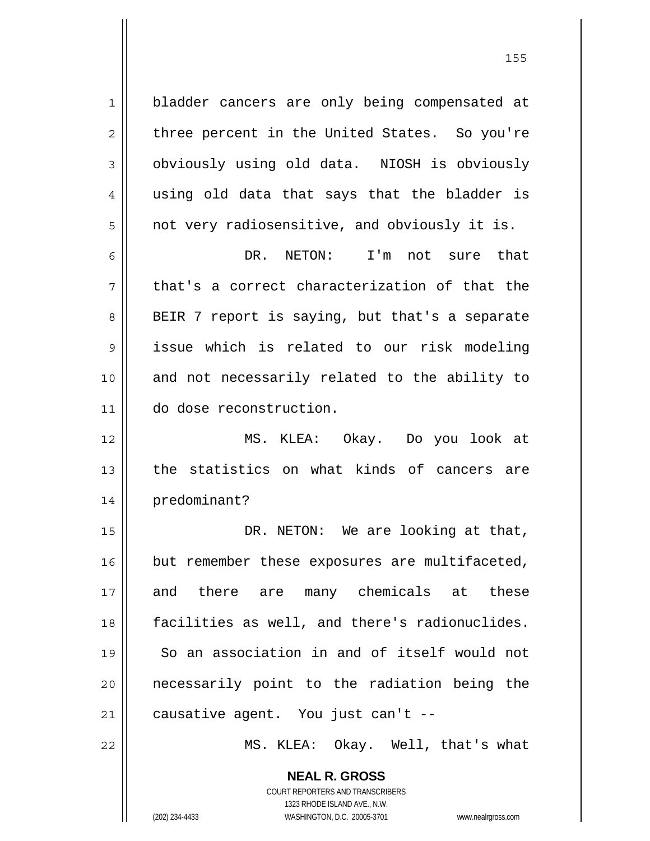bladder cancers are only being compensated at three percent in the United States. So you're obviously using old data. NIOSH is obviously using old data that says that the bladder is not very radiosensitive, and obviously it is.

6 7 8 9 10 11 DR. NETON: I'm not sure that that's a correct characterization of that the BEIR 7 report is saying, but that's a separate issue which is related to our risk modeling and not necessarily related to the ability to do dose reconstruction.

12 13 14 MS. KLEA: Okay. Do you look at the statistics on what kinds of cancers are predominant?

15 16 17 18 19 20 21 DR. NETON: We are looking at that, but remember these exposures are multifaceted, and there are many chemicals at these facilities as well, and there's radionuclides. So an association in and of itself would not necessarily point to the radiation being the causative agent. You just can't --

MS. KLEA: Okay. Well, that's what

**NEAL R. GROSS** COURT REPORTERS AND TRANSCRIBERS 1323 RHODE ISLAND AVE., N.W. (202) 234-4433 WASHINGTON, D.C. 20005-3701 www.nealrgross.com

22

1

2

3

4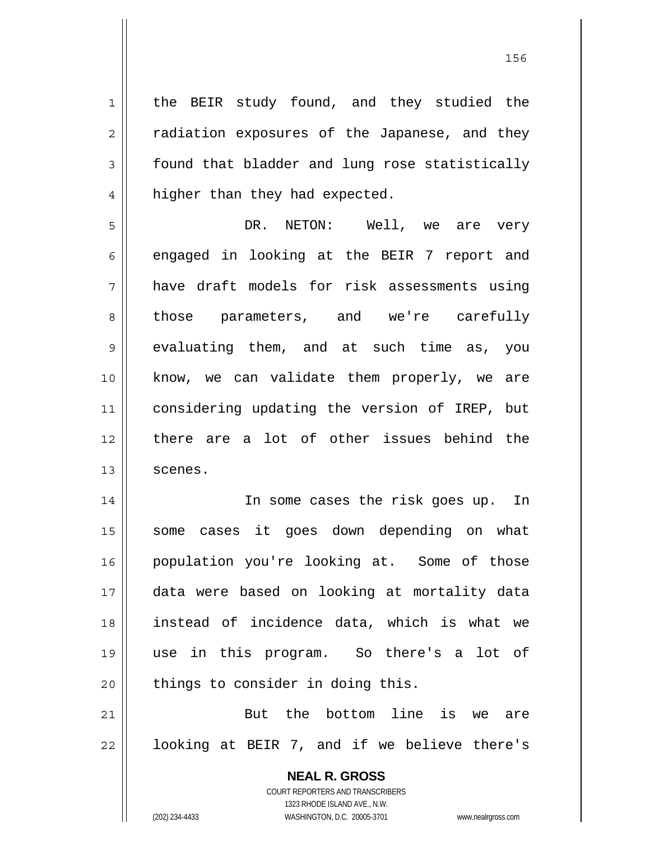1 the BEIR study found, and they studied the radiation exposures of the Japanese, and they found that bladder and lung rose statistically higher than they had expected.

5 6 7 8 9 10 11 12 13 DR. NETON: Well, we are very engaged in looking at the BEIR 7 report and have draft models for risk assessments using those parameters, and we're carefully evaluating them, and at such time as, you know, we can validate them properly, we are considering updating the version of IREP, but there are a lot of other issues behind the scenes.

14 15 16 17 18 19 20 In some cases the risk goes up. In some cases it goes down depending on what population you're looking at. Some of those data were based on looking at mortality data instead of incidence data, which is what we use in this program. So there's a lot of things to consider in doing this.

21 22 But the bottom line is we are looking at BEIR 7, and if we believe there's

> **NEAL R. GROSS** COURT REPORTERS AND TRANSCRIBERS 1323 RHODE ISLAND AVE., N.W. (202) 234-4433 WASHINGTON, D.C. 20005-3701 www.nealrgross.com

2

3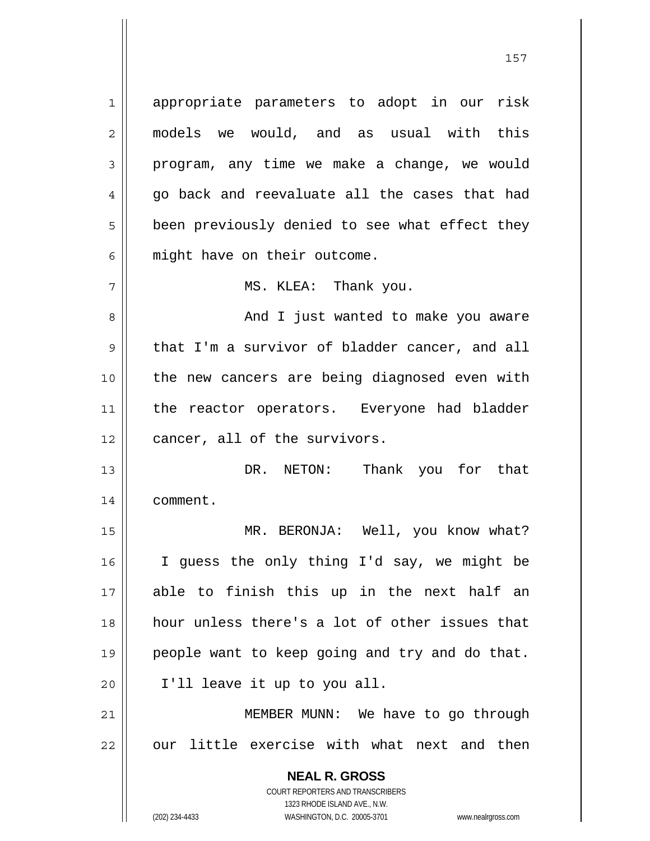1 2 3 4 5 6 7 appropriate parameters to adopt in our risk models we would, and as usual with this program, any time we make a change, we would go back and reevaluate all the cases that had been previously denied to see what effect they might have on their outcome.

157

MS. KLEA: Thank you.

8 9 10 11 12 And I just wanted to make you aware that I'm a survivor of bladder cancer, and all the new cancers are being diagnosed even with the reactor operators. Everyone had bladder cancer, all of the survivors.

13 14 DR. NETON: Thank you for that comment.

15 16 17 18 19 20 MR. BERONJA: Well, you know what? I guess the only thing I'd say, we might be able to finish this up in the next half an hour unless there's a lot of other issues that people want to keep going and try and do that. I'll leave it up to you all.

21 22 MEMBER MUNN: We have to go through our little exercise with what next and then

> **NEAL R. GROSS** COURT REPORTERS AND TRANSCRIBERS 1323 RHODE ISLAND AVE., N.W. (202) 234-4433 WASHINGTON, D.C. 20005-3701 www.nealrgross.com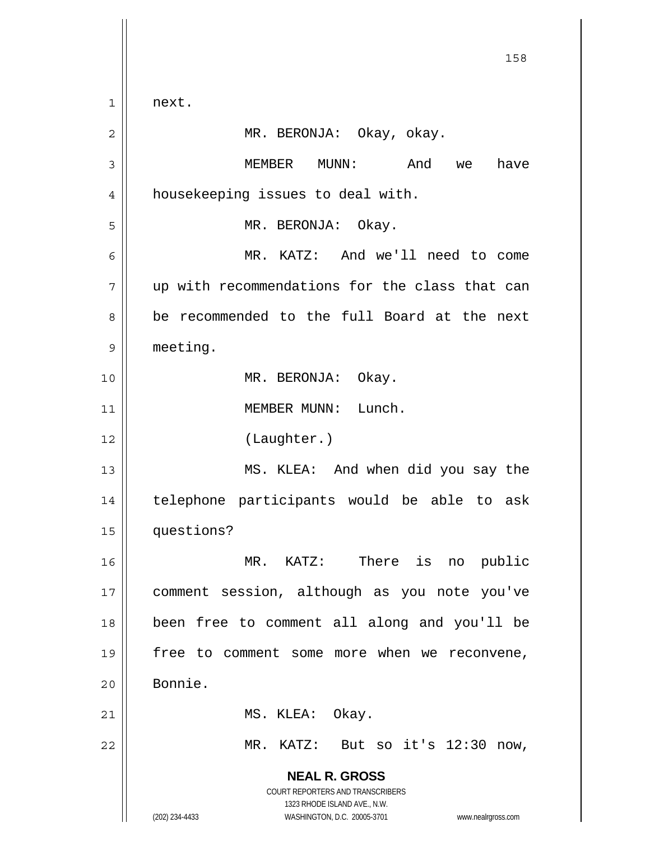**NEAL R. GROSS** COURT REPORTERS AND TRANSCRIBERS 1323 RHODE ISLAND AVE., N.W. (202) 234-4433 WASHINGTON, D.C. 20005-3701 www.nealrgross.com 158 1 2 3 4 5 6 7 8 9 10 11 12 13 14 15 16 17 18 19 20 21 22 next. MR. BERONJA: Okay, okay. MEMBER MUNN: And we have housekeeping issues to deal with. MR. BERONJA: Okay. MR. KATZ: And we'll need to come up with recommendations for the class that can be recommended to the full Board at the next meeting. MR. BERONJA: Okay. MEMBER MUNN: Lunch. (Laughter.) MS. KLEA: And when did you say the telephone participants would be able to ask questions? MR. KATZ: There is no public comment session, although as you note you've been free to comment all along and you'll be free to comment some more when we reconvene, Bonnie. MS. KLEA: Okay. MR. KATZ: But so it's 12:30 now,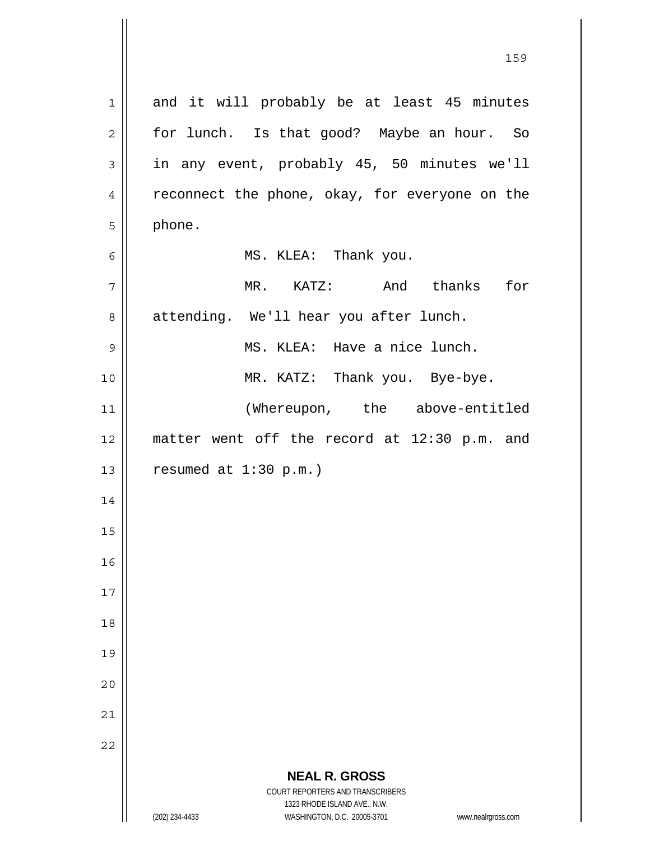| 1              | and it will probably be at least 45 minutes                                                         |
|----------------|-----------------------------------------------------------------------------------------------------|
| $\mathbf 2$    | for lunch. Is that good? Maybe an hour. So                                                          |
| 3              | in any event, probably 45, 50 minutes we'll                                                         |
| $\overline{4}$ | reconnect the phone, okay, for everyone on the                                                      |
| 5              | phone.                                                                                              |
| 6              | MS. KLEA: Thank you.                                                                                |
| 7              | MR. KATZ: And thanks for                                                                            |
| 8              | attending. We'll hear you after lunch.                                                              |
| $\mathsf 9$    | MS. KLEA: Have a nice lunch.                                                                        |
| 10             | MR. KATZ: Thank you. Bye-bye.                                                                       |
| 11             | (Whereupon, the above-entitled                                                                      |
| 12             | matter went off the record at 12:30 p.m. and                                                        |
| 13             | resumed at $1:30$ p.m.)                                                                             |
| 14             |                                                                                                     |
| 15             |                                                                                                     |
| 16             |                                                                                                     |
| 17             |                                                                                                     |
| 18             |                                                                                                     |
| 19             |                                                                                                     |
| 20             |                                                                                                     |
| 21             |                                                                                                     |
| 22             |                                                                                                     |
|                | <b>NEAL R. GROSS</b><br><b>COURT REPORTERS AND TRANSCRIBERS</b>                                     |
|                | 1323 RHODE ISLAND AVE., N.W.<br>WASHINGTON, D.C. 20005-3701<br>(202) 234-4433<br>www.nealrgross.com |

Ш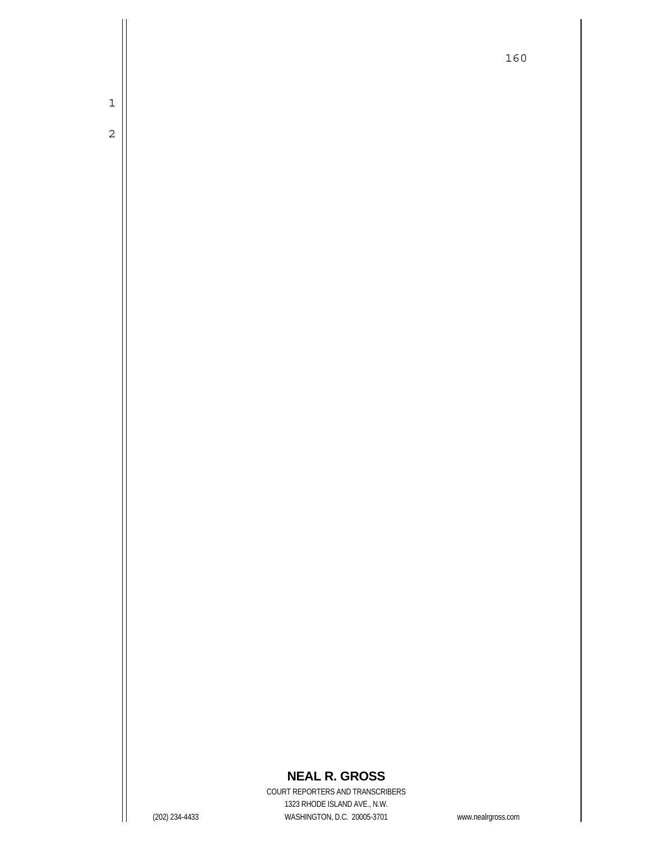1

## 2

## **NEAL R. GROSS**

COURT REPORTERS AND TRANSCRIBERS 1323 RHODE ISLAND AVE., N.W. (202) 234-4433 WASHINGTON, D.C. 20005-3701 www.nealrgross.com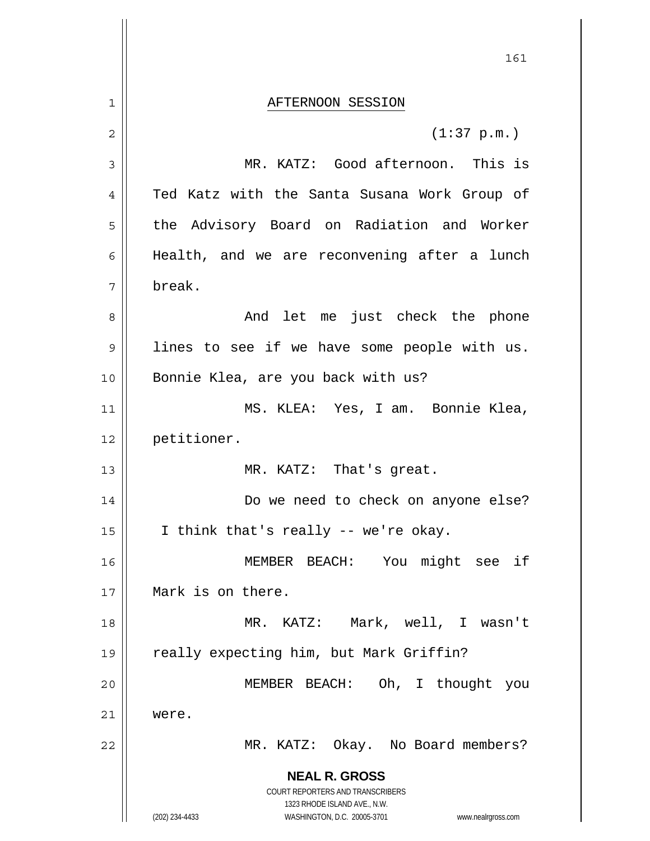**NEAL R. GROSS** COURT REPORTERS AND TRANSCRIBERS 1323 RHODE ISLAND AVE., N.W. (202) 234-4433 WASHINGTON, D.C. 20005-3701 www.nealrgross.com 161 1 AFTERNOON SESSION 2 3 4 5 6 7 8 9 10 11 12 13 14 15 16 17 18 19 20 21 22 (1:37 p.m.) MR. KATZ: Good afternoon. This is Ted Katz with the Santa Susana Work Group of the Advisory Board on Radiation and Worker Health, and we are reconvening after a lunch break. And let me just check the phone lines to see if we have some people with us. Bonnie Klea, are you back with us? MS. KLEA: Yes, I am. Bonnie Klea, petitioner. MR. KATZ: That's great. Do we need to check on anyone else? I think that's really -- we're okay. MEMBER BEACH: You might see if Mark is on there. MR. KATZ: Mark, well, I wasn't really expecting him, but Mark Griffin? MEMBER BEACH: Oh, I thought you were. MR. KATZ: Okay. No Board members?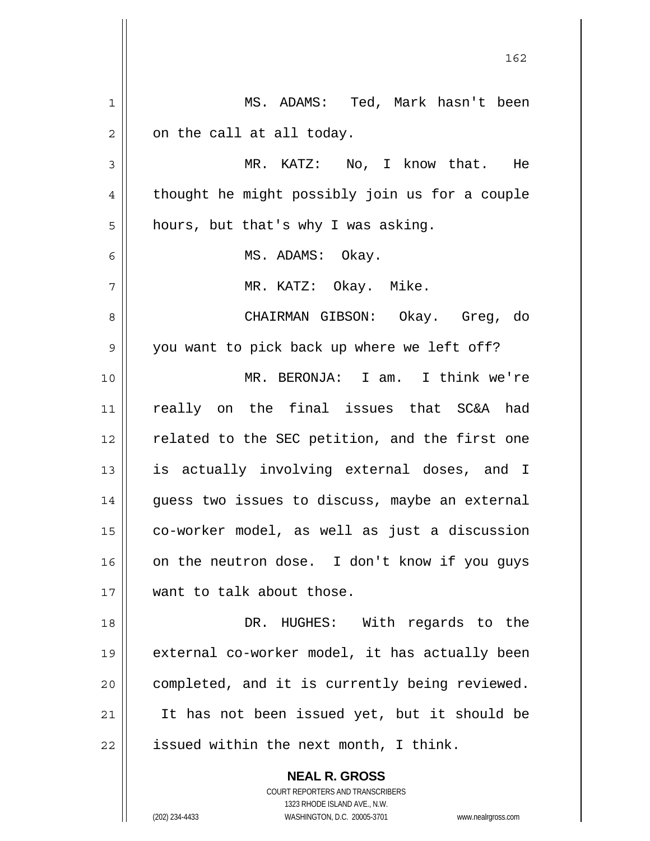|                | 162                                                      |
|----------------|----------------------------------------------------------|
| $1\,$          | MS. ADAMS: Ted, Mark hasn't been                         |
| $\overline{2}$ | on the call at all today.                                |
| $\mathsf 3$    | MR. KATZ: No, I know that. He                            |
| $\overline{4}$ | thought he might possibly join us for a couple           |
| 5              | hours, but that's why I was asking.                      |
| 6              | MS. ADAMS: Okay.                                         |
| 7              | MR. KATZ: Okay. Mike.                                    |
| 8              | CHAIRMAN GIBSON: Okay. Greg, do                          |
| 9              | you want to pick back up where we left off?              |
| 10             | MR. BERONJA: I am. I think we're                         |
| 11             | really on the final issues that SC&A had                 |
| 12             | related to the SEC petition, and the first one           |
| 13             | is actually involving external doses, and I              |
| 14             | guess two issues to discuss, maybe an external           |
| 15             | co-worker model, as well as just a discussion            |
| 16             | on the neutron dose. I don't know if you guys            |
| 17             | want to talk about those.                                |
| 18             | DR. HUGHES: With regards to the                          |
| 19             | external co-worker model, it has actually been           |
| 20             | completed, and it is currently being reviewed.           |
| 21             | It has not been issued yet, but it should be             |
| 22             | issued within the next month, I think.                   |
|                | <b>NEAL R. GROSS</b><br>COURT REPORTERS AND TRANSCRIBERS |

1323 RHODE ISLAND AVE., N.W.

 $\prod$ 

(202) 234-4433 WASHINGTON, D.C. 20005-3701 www.nealrgross.com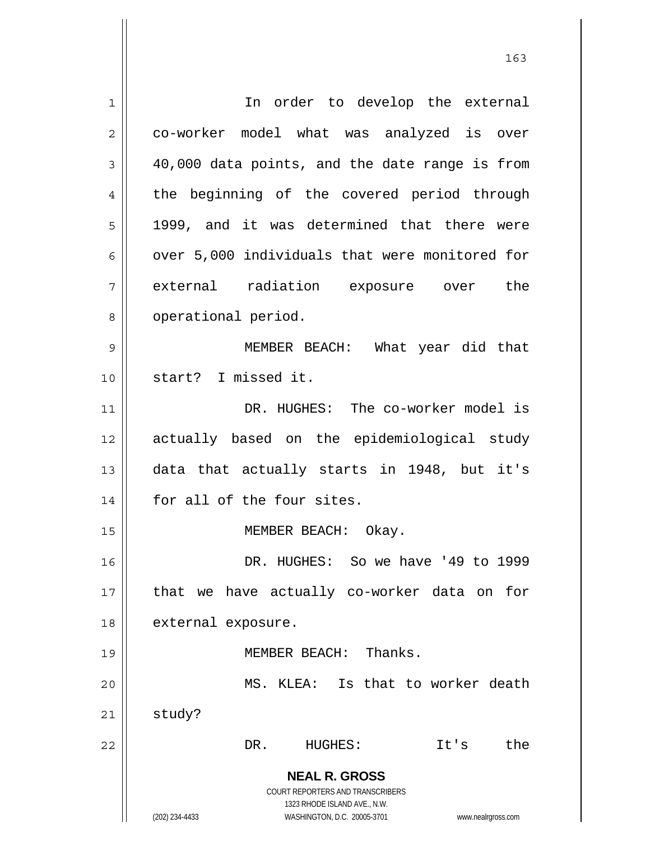**NEAL R. GROSS** COURT REPORTERS AND TRANSCRIBERS 1323 RHODE ISLAND AVE., N.W. (202) 234-4433 WASHINGTON, D.C. 20005-3701 www.nealrgross.com 1 2 3 4 5 6 7 8 9 10 11 12 13 14 15 16 17 18 19 20 21 22 In order to develop the external co-worker model what was analyzed is over 40,000 data points, and the date range is from the beginning of the covered period through 1999, and it was determined that there were over 5,000 individuals that were monitored for external radiation exposure over the operational period. MEMBER BEACH: What year did that start? I missed it. DR. HUGHES: The co-worker model is actually based on the epidemiological study data that actually starts in 1948, but it's for all of the four sites. MEMBER BEACH: Okay. DR. HUGHES: So we have '49 to 1999 that we have actually co-worker data on for external exposure. MEMBER BEACH: Thanks. MS. KLEA: Is that to worker death study? DR. HUGHES: It's the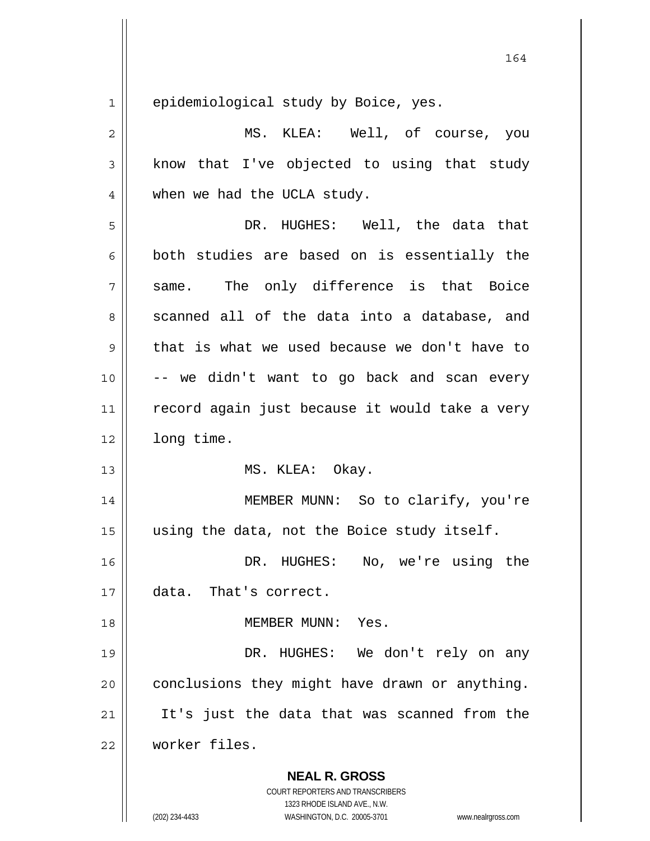$1 \parallel$ 

epidemiological study by Boice, yes.

| $\overline{c}$ | MS. KLEA: Well, of course, you                           |
|----------------|----------------------------------------------------------|
| 3              | know that I've objected to using that study              |
| $\overline{4}$ | when we had the UCLA study.                              |
| 5              | DR. HUGHES: Well, the data that                          |
| 6              | both studies are based on is essentially the             |
| 7              | same. The only difference is that Boice                  |
| 8              | scanned all of the data into a database, and             |
| 9              | that is what we used because we don't have to            |
| 10             | -- we didn't want to go back and scan every              |
| 11             | record again just because it would take a very           |
| 12             | long time.                                               |
| 13             | MS. KLEA: Okay.                                          |
| 14             | MEMBER MUNN: So to clarify, you're                       |
| 15             | using the data, not the Boice study itself.              |
| 16             | DR. HUGHES: No, we're using the                          |
| 17             | data. That's correct.                                    |
| 18             | Yes.<br>MEMBER MUNN:                                     |
| 19             | DR. HUGHES: We don't rely on any                         |
| 20             | conclusions they might have drawn or anything.           |
| 21             | It's just the data that was scanned from the             |
| 22             | worker files.                                            |
|                | <b>NEAL R. GROSS</b><br>COURT REPORTERS AND TRANSCRIBERS |

1323 RHODE ISLAND AVE., N.W.

 $\mathop{\text{||}}$ 

(202) 234-4433 WASHINGTON, D.C. 20005-3701 www.nealrgross.com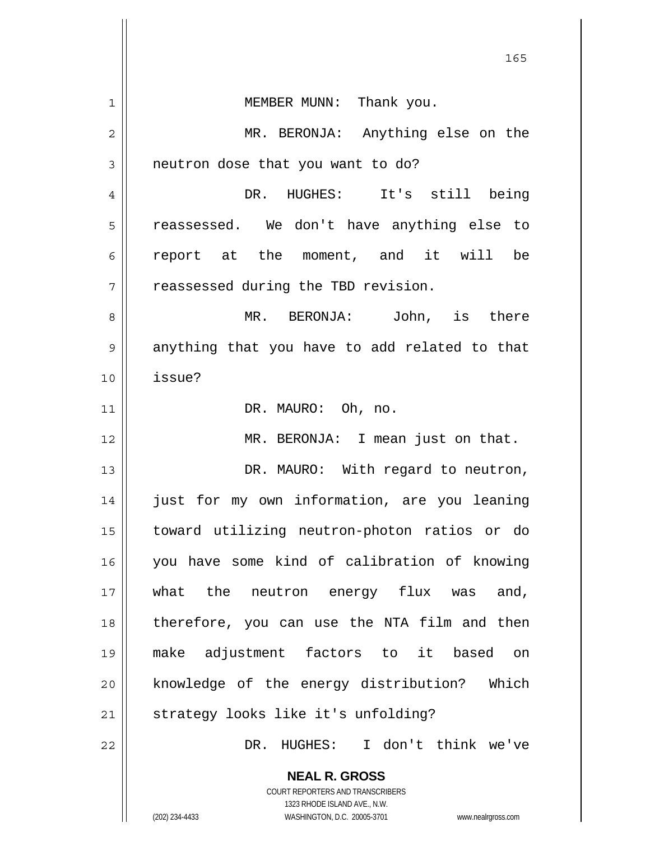|    | 165                                                                                                 |
|----|-----------------------------------------------------------------------------------------------------|
| 1  | MEMBER MUNN: Thank you.                                                                             |
| 2  | MR. BERONJA: Anything else on the                                                                   |
| 3  | neutron dose that you want to do?                                                                   |
| 4  | DR. HUGHES: It's still being                                                                        |
| 5  | reassessed. We don't have anything else to                                                          |
| 6  | report at the moment, and it will be                                                                |
| 7  | reassessed during the TBD revision.                                                                 |
| 8  | MR. BERONJA: John, is there                                                                         |
| 9  | anything that you have to add related to that                                                       |
| 10 | issue?                                                                                              |
| 11 | DR. MAURO: Oh, no.                                                                                  |
| 12 | MR. BERONJA: I mean just on that.                                                                   |
| 13 | DR. MAURO: With regard to neutron,                                                                  |
| 14 | just for my own information, are you leaning                                                        |
| 15 | toward utilizing neutron-photon ratios or do                                                        |
| 16 | you have some kind of calibration of knowing                                                        |
| 17 | what the neutron energy flux was<br>and,                                                            |
| 18 | therefore, you can use the NTA film and then                                                        |
| 19 | make adjustment factors to it based on                                                              |
| 20 | knowledge of the energy distribution? Which                                                         |
| 21 | strategy looks like it's unfolding?                                                                 |
| 22 | DR. HUGHES: I don't think we've                                                                     |
|    | <b>NEAL R. GROSS</b>                                                                                |
|    | COURT REPORTERS AND TRANSCRIBERS                                                                    |
|    | 1323 RHODE ISLAND AVE., N.W.<br>(202) 234-4433<br>WASHINGTON, D.C. 20005-3701<br>www.nealrgross.com |

 $\mathsf{I}$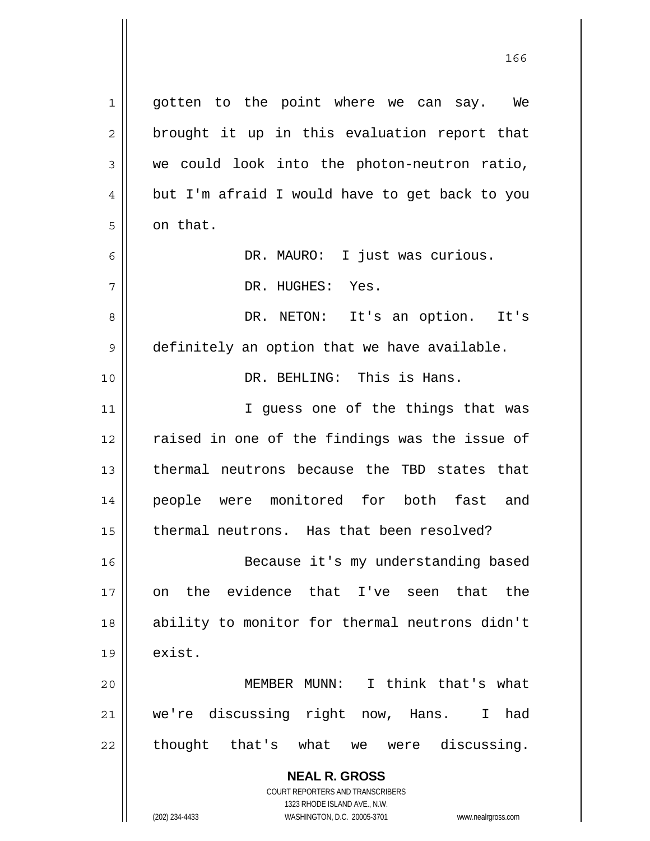**NEAL R. GROSS** COURT REPORTERS AND TRANSCRIBERS 1323 RHODE ISLAND AVE., N.W. 1 2 3 4 5 6 7 8 9 10 11 12 13 14 15 16 17 18 19 20 21 22 gotten to the point where we can say. We brought it up in this evaluation report that we could look into the photon-neutron ratio, but I'm afraid I would have to get back to you on that. DR. MAURO: I just was curious. DR. HUGHES: Yes. DR. NETON: It's an option. It's definitely an option that we have available. DR. BEHLING: This is Hans. I guess one of the things that was raised in one of the findings was the issue of thermal neutrons because the TBD states that people were monitored for both fast and thermal neutrons. Has that been resolved? Because it's my understanding based on the evidence that I've seen that the ability to monitor for thermal neutrons didn't exist. MEMBER MUNN: I think that's what we're discussing right now, Hans. I had thought that's what we were discussing.

<u>166</u>

(202) 234-4433 WASHINGTON, D.C. 20005-3701 www.nealrgross.com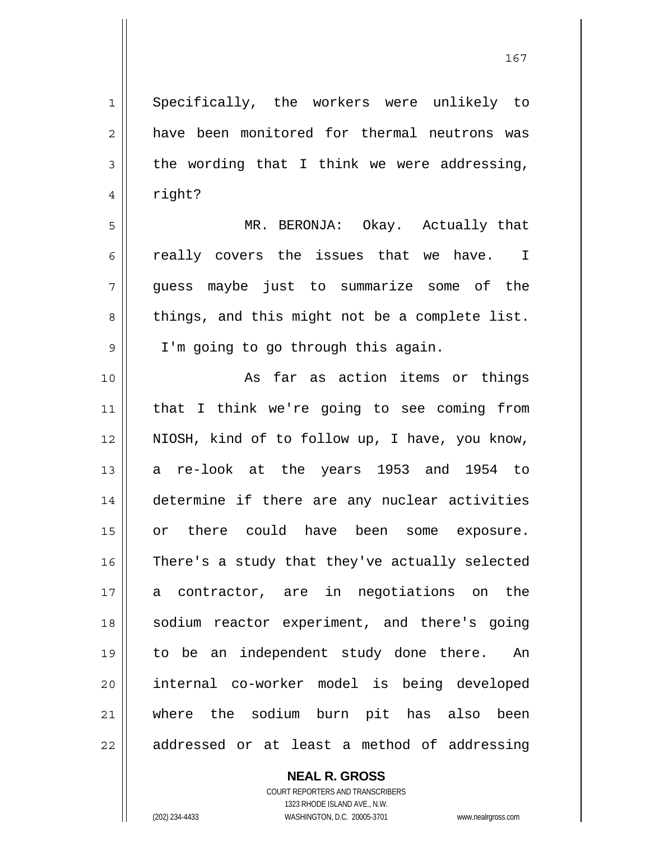1 2 3 4 5 6 7 8 9 10 11 12 13 14 15 16 17 18 19 20 21 22 Specifically, the workers were unlikely to have been monitored for thermal neutrons was the wording that I think we were addressing, right? MR. BERONJA: Okay. Actually that really covers the issues that we have. I guess maybe just to summarize some of the things, and this might not be a complete list. I'm going to go through this again. As far as action items or things that I think we're going to see coming from NIOSH, kind of to follow up, I have, you know, a re-look at the years 1953 and 1954 to determine if there are any nuclear activities or there could have been some exposure. There's a study that they've actually selected a contractor, are in negotiations on the sodium reactor experiment, and there's going to be an independent study done there. An internal co-worker model is being developed where the sodium burn pit has also been addressed or at least a method of addressing

167

**NEAL R. GROSS** COURT REPORTERS AND TRANSCRIBERS

1323 RHODE ISLAND AVE., N.W. (202) 234-4433 WASHINGTON, D.C. 20005-3701 www.nealrgross.com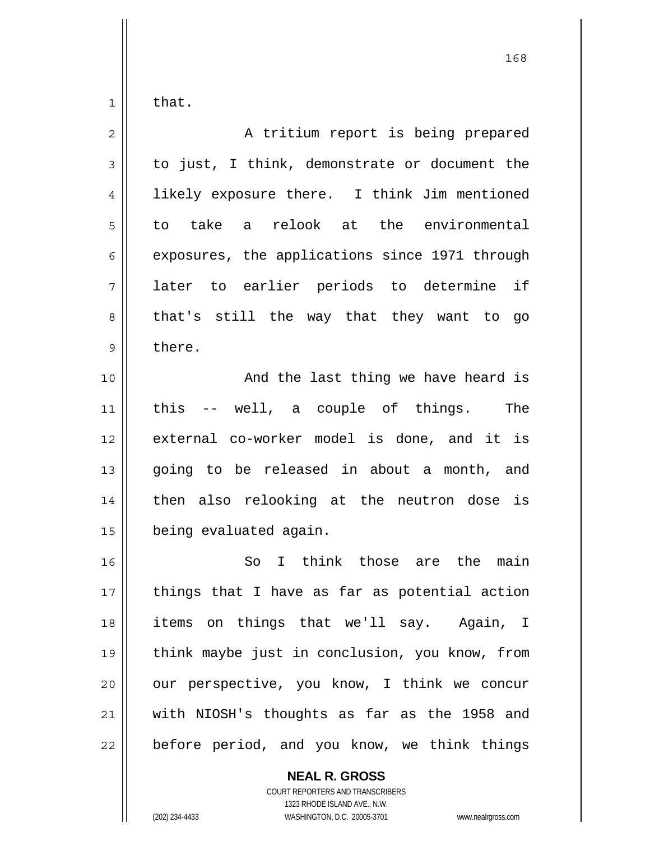1 that.

| $\overline{2}$ | A tritium report is being prepared               |
|----------------|--------------------------------------------------|
| 3              | to just, I think, demonstrate or document the    |
| 4              | likely exposure there. I think Jim mentioned     |
| 5              | take<br>relook at the environmental<br>to<br>a a |
| 6              | exposures, the applications since 1971 through   |
| 7              | later to earlier periods to determine if         |
| 8              | that's still the way that they want to go        |
| 9              | there.                                           |
| 10             | And the last thing we have heard is              |
| 11             | this<br>-- well, a couple of things. The         |
| 12             | external co-worker model is done, and it is      |
| 13             | going to be released in about a month, and       |
| 14             | then also relooking at the neutron dose is       |
| 15             | being evaluated again.                           |
| 16             | So<br>think those are the<br>main<br>$\mathbf I$ |
| 17             | things that I have as far as potential action    |
| 18             | items on things that we'll say. Again, I         |
| 19             | think maybe just in conclusion, you know, from   |
| 20             | our perspective, you know, I think we concur     |
| 21             | with NIOSH's thoughts as far as the 1958 and     |
| 22             | before period, and you know, we think things     |

**NEAL R. GROSS** COURT REPORTERS AND TRANSCRIBERS 1323 RHODE ISLAND AVE., N.W. (202) 234-4433 WASHINGTON, D.C. 20005-3701 www.nealrgross.com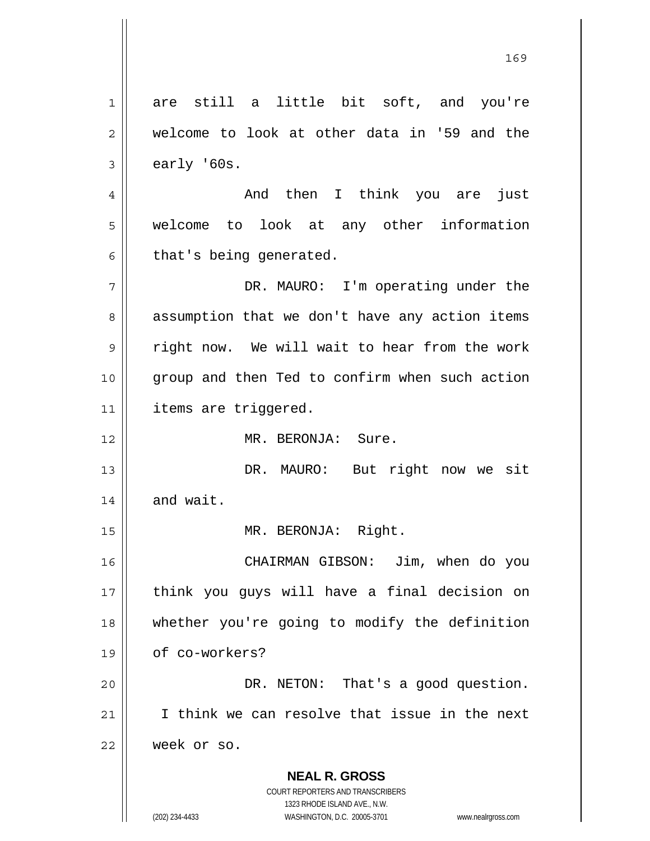**NEAL R. GROSS** COURT REPORTERS AND TRANSCRIBERS 1 2 3 4 5 6 7 8 9 10 11 12 13 14 15 16 17 18 19 20 21 22 are still a little bit soft, and you're welcome to look at other data in '59 and the early '60s. And then I think you are just welcome to look at any other information that's being generated. DR. MAURO: I'm operating under the assumption that we don't have any action items right now. We will wait to hear from the work group and then Ted to confirm when such action items are triggered. MR. BERONJA: Sure. DR. MAURO: But right now we sit and wait. MR. BERONJA: Right. CHAIRMAN GIBSON: Jim, when do you think you guys will have a final decision on whether you're going to modify the definition of co-workers? DR. NETON: That's a good question. I think we can resolve that issue in the next week or so.

169

1323 RHODE ISLAND AVE., N.W.

(202) 234-4433 WASHINGTON, D.C. 20005-3701 www.nealrgross.com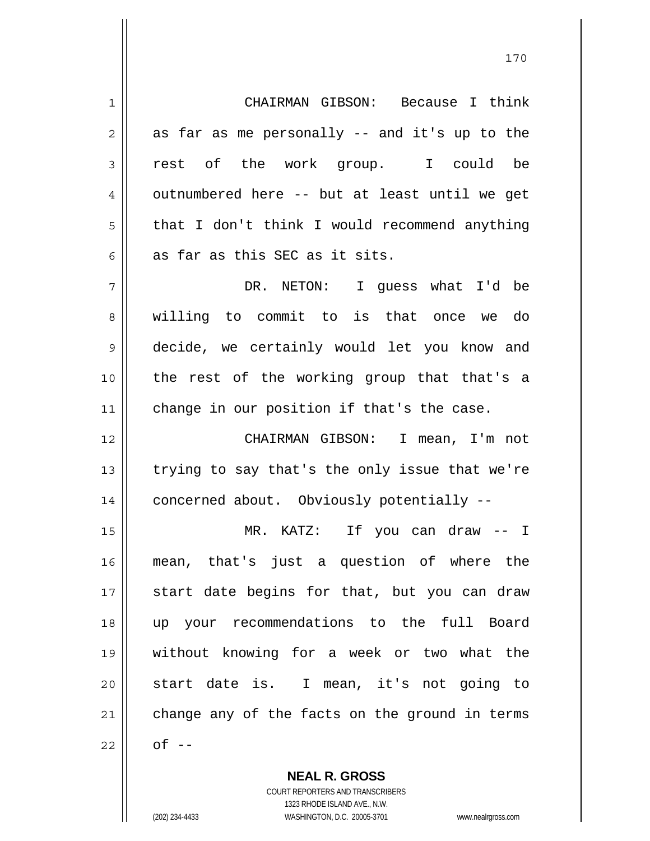1 2 3 4 5 6 7 8 9 10 11 12 13 14 15 16 17 18 19 20 21 22 CHAIRMAN GIBSON: Because I think as far as me personally -- and it's up to the rest of the work group. I could be outnumbered here -- but at least until we get that I don't think I would recommend anything as far as this SEC as it sits. DR. NETON: I guess what I'd be willing to commit to is that once we do decide, we certainly would let you know and the rest of the working group that that's a change in our position if that's the case. CHAIRMAN GIBSON: I mean, I'm not trying to say that's the only issue that we're concerned about. Obviously potentially -- MR. KATZ: If you can draw -- I mean, that's just a question of where the start date begins for that, but you can draw up your recommendations to the full Board without knowing for a week or two what the start date is. I mean, it's not going to change any of the facts on the ground in terms  $of$   $-$ 

> **NEAL R. GROSS** COURT REPORTERS AND TRANSCRIBERS 1323 RHODE ISLAND AVE., N.W.

(202) 234-4433 WASHINGTON, D.C. 20005-3701 www.nealrgross.com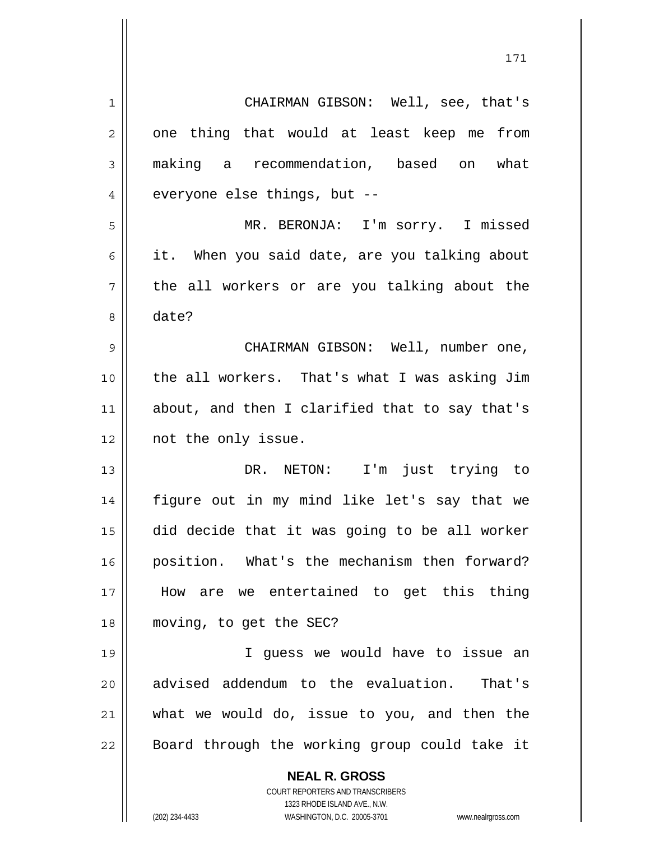| $\mathbf 1$    | CHAIRMAN GIBSON: Well, see, that's                                                                  |
|----------------|-----------------------------------------------------------------------------------------------------|
| $\overline{2}$ | one thing that would at least keep me from                                                          |
| 3              | making a recommendation, based on what                                                              |
| $\overline{4}$ | everyone else things, but --                                                                        |
| 5              | MR. BERONJA: I'm sorry. I missed                                                                    |
| 6              | it. When you said date, are you talking about                                                       |
| 7              | the all workers or are you talking about the                                                        |
| 8              | date?                                                                                               |
| 9              | CHAIRMAN GIBSON: Well, number one,                                                                  |
| 10             | the all workers. That's what I was asking Jim                                                       |
| 11             | about, and then I clarified that to say that's                                                      |
| 12             | not the only issue.                                                                                 |
| 13             | DR. NETON: I'm just trying to                                                                       |
| 14             | figure out in my mind like let's say that we                                                        |
| 15             | did decide that it was going to be all worker                                                       |
| 16             | position. What's the mechanism then forward?                                                        |
| 17             | How are we entertained to get this thing                                                            |
| 18             | moving, to get the SEC?                                                                             |
| 19             | I guess we would have to issue an                                                                   |
| 20             | advised addendum to the evaluation. That's                                                          |
| 21             | what we would do, issue to you, and then the                                                        |
| 22             | Board through the working group could take it                                                       |
|                | <b>NEAL R. GROSS</b>                                                                                |
|                | COURT REPORTERS AND TRANSCRIBERS                                                                    |
|                | 1323 RHODE ISLAND AVE., N.W.<br>WASHINGTON, D.C. 20005-3701<br>(202) 234-4433<br>www.nealrgross.com |
|                |                                                                                                     |

 $\mathsf{I}$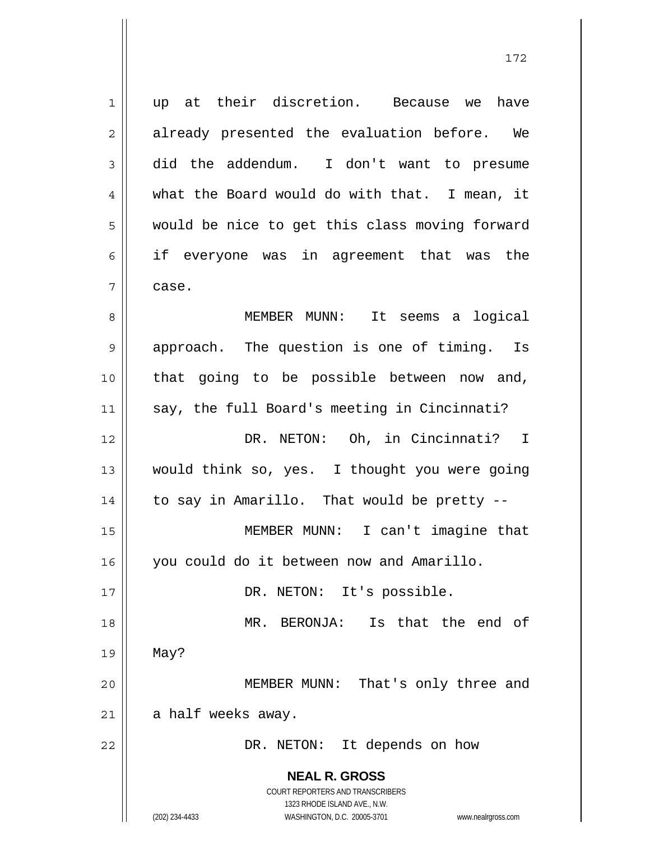**NEAL R. GROSS** COURT REPORTERS AND TRANSCRIBERS 1323 RHODE ISLAND AVE., N.W. (202) 234-4433 WASHINGTON, D.C. 20005-3701 www.nealrgross.com 1 2 3 4 5 6 7 8 9 10 11 12 13 14 15 16 17 18 19 20 21 22 up at their discretion. Because we have already presented the evaluation before. We did the addendum. I don't want to presume what the Board would do with that. I mean, it would be nice to get this class moving forward if everyone was in agreement that was the case. MEMBER MUNN: It seems a logical approach. The question is one of timing. Is that going to be possible between now and, say, the full Board's meeting in Cincinnati? DR. NETON: Oh, in Cincinnati? I would think so, yes. I thought you were going to say in Amarillo. That would be pretty -- MEMBER MUNN: I can't imagine that you could do it between now and Amarillo. DR. NETON: It's possible. MR. BERONJA: Is that the end of May? MEMBER MUNN: That's only three and a half weeks away. DR. NETON: It depends on how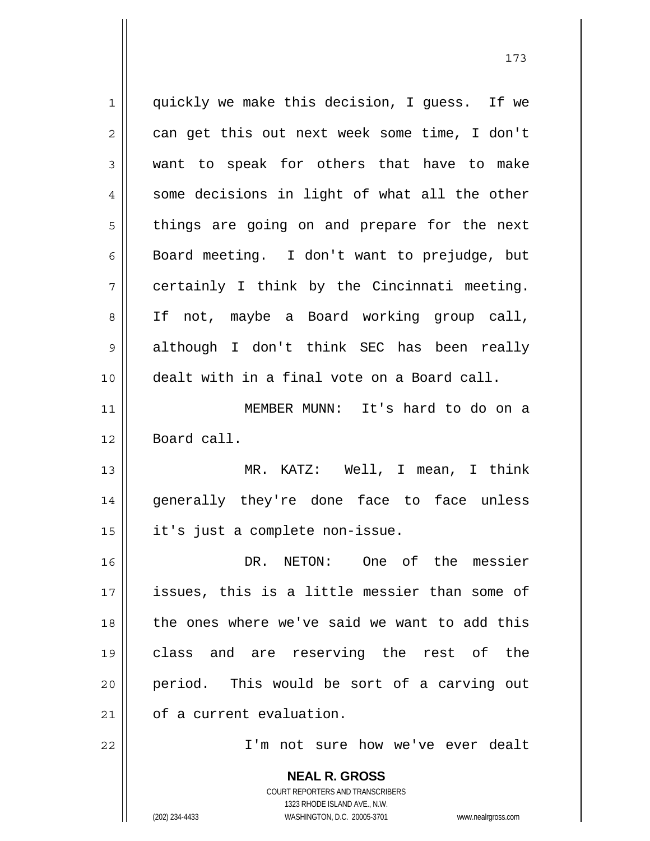**NEAL R. GROSS** 1 2 3 4 5 6 7 8 9 10 11 12 13 14 15 16 17 18 19 20 21 22 quickly we make this decision, I guess. If we can get this out next week some time, I don't want to speak for others that have to make some decisions in light of what all the other things are going on and prepare for the next Board meeting. I don't want to prejudge, but certainly I think by the Cincinnati meeting. If not, maybe a Board working group call, although I don't think SEC has been really dealt with in a final vote on a Board call. MEMBER MUNN: It's hard to do on a Board call. MR. KATZ: Well, I mean, I think generally they're done face to face unless it's just a complete non-issue. DR. NETON: One of the messier issues, this is a little messier than some of the ones where we've said we want to add this class and are reserving the rest of the period. This would be sort of a carving out of a current evaluation. I'm not sure how we've ever dealt

> COURT REPORTERS AND TRANSCRIBERS 1323 RHODE ISLAND AVE., N.W.

(202) 234-4433 WASHINGTON, D.C. 20005-3701 www.nealrgross.com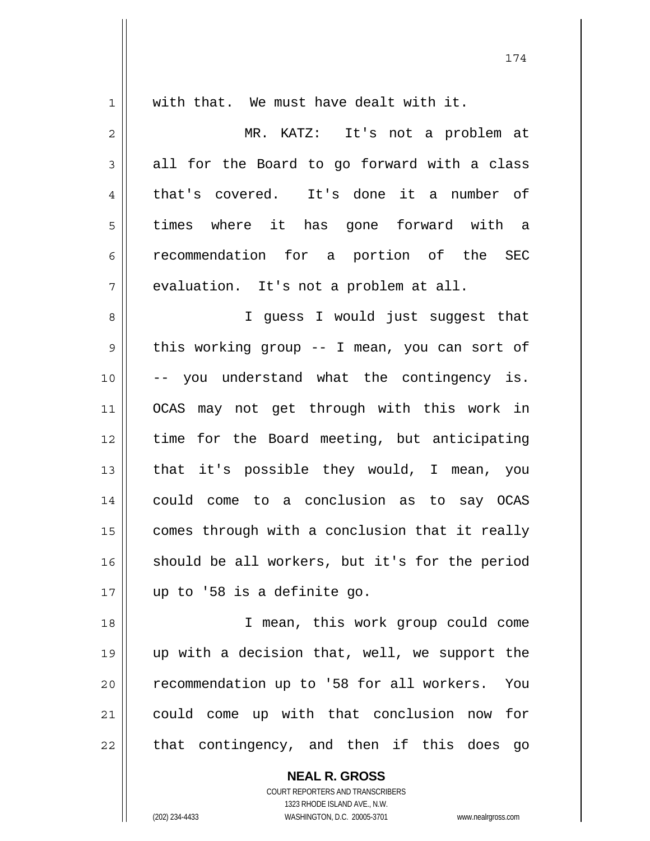| $\mathbf 1$    | with that. We must have dealt with it.           |
|----------------|--------------------------------------------------|
| $\sqrt{2}$     | MR. KATZ: It's not a problem at                  |
| 3              | all for the Board to go forward with a class     |
| $\overline{4}$ | that's covered. It's done it a number of         |
| 5              | times where it has gone forward with a           |
| 6              | recommendation for a portion of the SEC          |
| 7              | evaluation. It's not a problem at all.           |
| 8              | I guess I would just suggest that                |
| $\mathsf 9$    | this working group -- I mean, you can sort of    |
| 10             | -- you understand what the contingency is.       |
| 11             | OCAS may not get through with this work in       |
| 12             | time for the Board meeting, but anticipating     |
| 13             | that it's possible they would, I mean, you       |
| 14             | could come to a conclusion as to say OCAS        |
| 15             | comes through with a conclusion that it really   |
| 16             | should be all workers, but it's for the period   |
| 17             | up to '58 is a definite go.                      |
| 18             | I mean, this work group could come               |
| 19             | up with a decision that, well, we support the    |
| 20             | recommendation up to '58 for all workers.<br>You |
| 21             | could come up with that conclusion now for       |
| 22             | that contingency, and then if this does go       |
|                | <b>NEAL R. GROSS</b>                             |

COURT REPORTERS AND TRANSCRIBERS 1323 RHODE ISLAND AVE., N.W.

 $\mathsf{l}\mathsf{l}$ 

(202) 234-4433 WASHINGTON, D.C. 20005-3701 www.nealrgross.com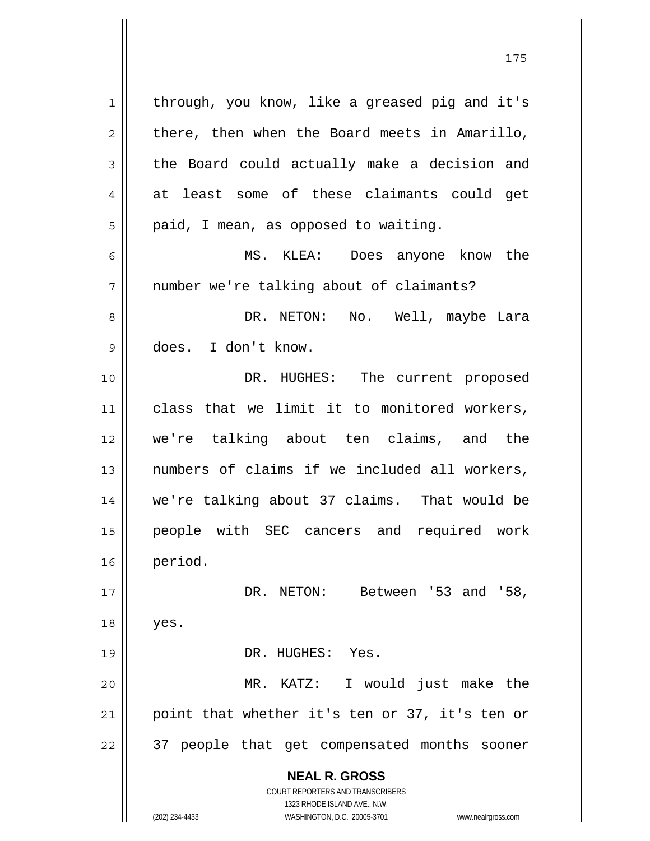**NEAL R. GROSS** COURT REPORTERS AND TRANSCRIBERS 1323 RHODE ISLAND AVE., N.W. 1 2 3 4 5 6 7 8 9 10 11 12 13 14 15 16 17 18 19 20 21 22 through, you know, like a greased pig and it's there, then when the Board meets in Amarillo, the Board could actually make a decision and at least some of these claimants could get paid, I mean, as opposed to waiting. MS. KLEA: Does anyone know the number we're talking about of claimants? DR. NETON: No. Well, maybe Lara does. I don't know. DR. HUGHES: The current proposed class that we limit it to monitored workers, we're talking about ten claims, and the numbers of claims if we included all workers, we're talking about 37 claims. That would be people with SEC cancers and required work period. DR. NETON: Between '53 and '58, yes. DR. HUGHES: Yes. MR. KATZ: I would just make the point that whether it's ten or 37, it's ten or 37 people that get compensated months sooner

(202) 234-4433 WASHINGTON, D.C. 20005-3701 www.nealrgross.com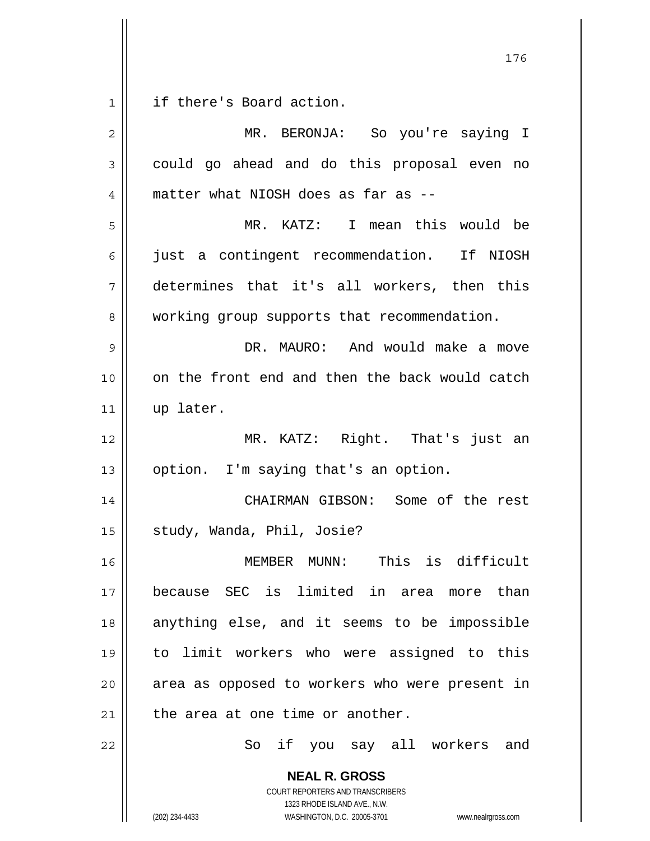$\begin{array}{c|c|c|c} 1 & 1 \end{array}$ if there's Board action.

| $\overline{c}$ | MR. BERONJA: So you're saying I                                                                                                                                 |
|----------------|-----------------------------------------------------------------------------------------------------------------------------------------------------------------|
| 3              | could go ahead and do this proposal even no                                                                                                                     |
| $\overline{4}$ | matter what NIOSH does as far as --                                                                                                                             |
| 5              | MR. KATZ: I mean this would be                                                                                                                                  |
| 6              | a contingent recommendation. If NIOSH<br>just                                                                                                                   |
| 7              | determines that it's all workers, then this                                                                                                                     |
| 8              | working group supports that recommendation.                                                                                                                     |
| $\mathcal{G}$  | DR. MAURO: And would make a move                                                                                                                                |
| 10             | on the front end and then the back would catch                                                                                                                  |
| 11             | up later.                                                                                                                                                       |
| 12             | MR. KATZ: Right. That's just an                                                                                                                                 |
| 13             | option. I'm saying that's an option.                                                                                                                            |
| 14             | CHAIRMAN GIBSON: Some of the rest                                                                                                                               |
| 15             | study, Wanda, Phil, Josie?                                                                                                                                      |
| 16             | MEMBER MUNN: This is difficult                                                                                                                                  |
| 17             | because SEC is limited in area more than                                                                                                                        |
| 18             | anything else, and it seems to be impossible                                                                                                                    |
| 19             | to limit workers who were assigned to this                                                                                                                      |
| 20             | area as opposed to workers who were present in                                                                                                                  |
| 21             | the area at one time or another.                                                                                                                                |
| 22             | So if you say all workers and                                                                                                                                   |
|                | <b>NEAL R. GROSS</b><br>COURT REPORTERS AND TRANSCRIBERS<br>1323 RHODE ISLAND AVE., N.W.<br>(202) 234-4433<br>WASHINGTON, D.C. 20005-3701<br>www.nealrgross.com |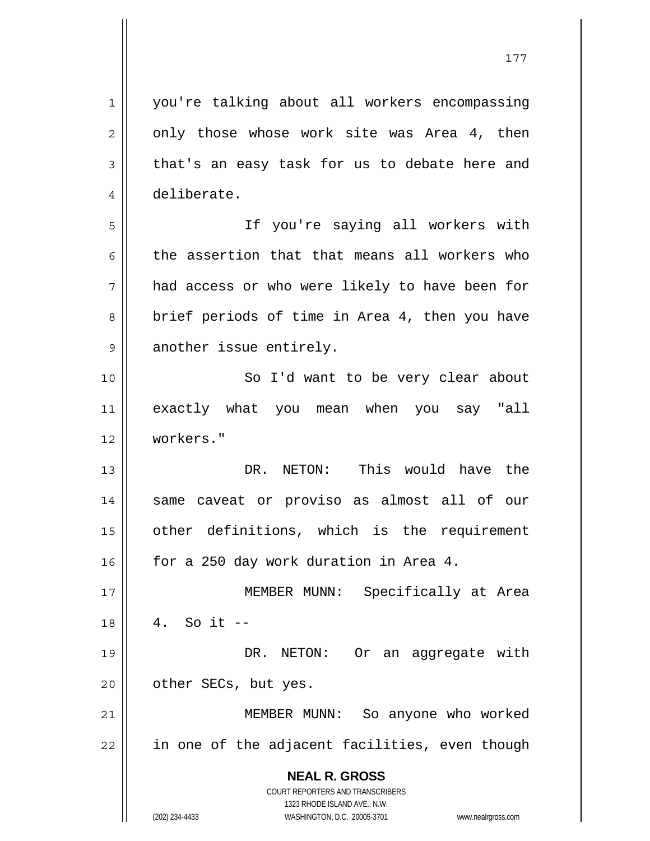**NEAL R. GROSS** COURT REPORTERS AND TRANSCRIBERS you're talking about all workers encompassing only those whose work site was Area 4, then that's an easy task for us to debate here and deliberate. If you're saying all workers with the assertion that that means all workers who had access or who were likely to have been for brief periods of time in Area 4, then you have another issue entirely. So I'd want to be very clear about exactly what you mean when you say "all workers." DR. NETON: This would have the same caveat or proviso as almost all of our other definitions, which is the requirement for a 250 day work duration in Area 4. MEMBER MUNN: Specifically at Area 4. So it -- DR. NETON: Or an aggregate with other SECs, but yes. MEMBER MUNN: So anyone who worked in one of the adjacent facilities, even though

1323 RHODE ISLAND AVE., N.W.

1

2

3

4

5

6

7

8

9

10

11

12

13

14

15

16

17

18

19

20

21

22

(202) 234-4433 WASHINGTON, D.C. 20005-3701 www.nealrgross.com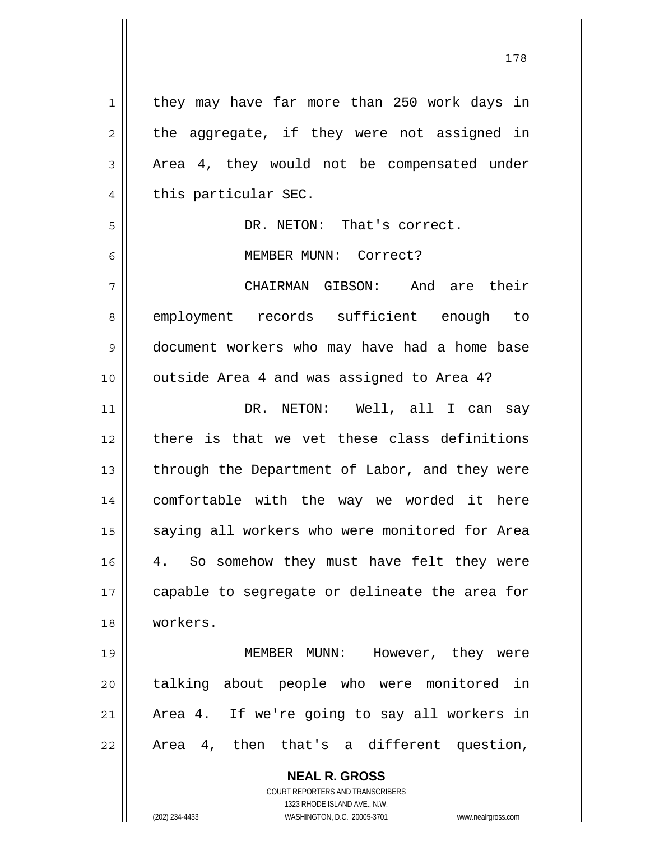**NEAL R. GROSS** COURT REPORTERS AND TRANSCRIBERS 1 2 3 4 5 6 7 8 9 10 11 12 13 14 15 16 17 18 19 20 21 22 they may have far more than 250 work days in the aggregate, if they were not assigned in Area 4, they would not be compensated under this particular SEC. DR. NETON: That's correct. MEMBER MUNN: Correct? CHAIRMAN GIBSON: And are their employment records sufficient enough to document workers who may have had a home base outside Area 4 and was assigned to Area 4? DR. NETON: Well, all I can say there is that we vet these class definitions through the Department of Labor, and they were comfortable with the way we worded it here saying all workers who were monitored for Area 4. So somehow they must have felt they were capable to segregate or delineate the area for workers. MEMBER MUNN: However, they were talking about people who were monitored in Area 4. If we're going to say all workers in Area 4, then that's a different question,

178

1323 RHODE ISLAND AVE., N.W.

(202) 234-4433 WASHINGTON, D.C. 20005-3701 www.nealrgross.com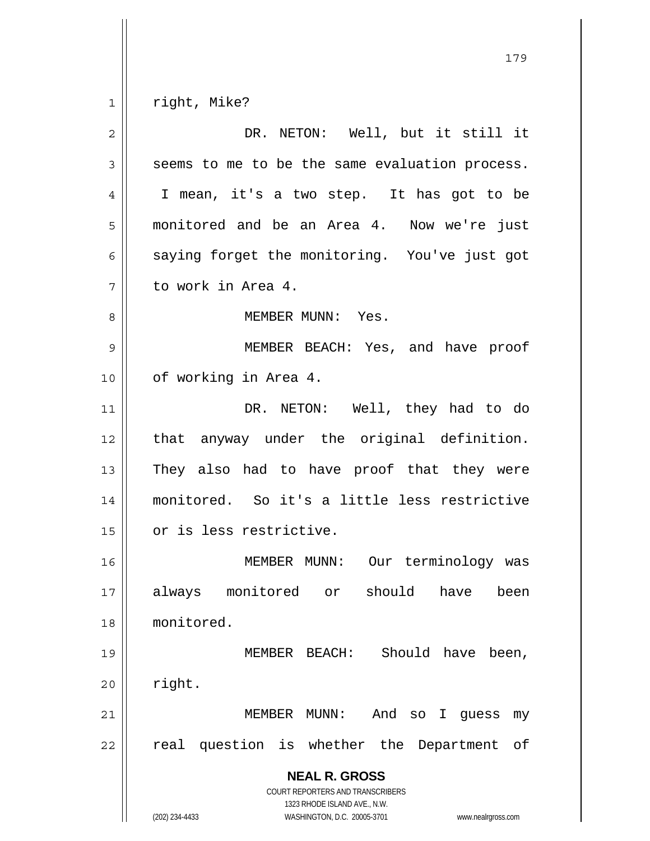$1$ right, Mike?

| $\overline{2}$ | DR. NETON: Well, but it still it                                    |
|----------------|---------------------------------------------------------------------|
| 3              | seems to me to be the same evaluation process.                      |
| 4              | I mean, it's a two step. It has got to be                           |
| 5              | monitored and be an Area 4. Now we're just                          |
| 6              | saying forget the monitoring. You've just got                       |
| 7              | to work in Area 4.                                                  |
| 8              | MEMBER MUNN: Yes.                                                   |
| 9              | MEMBER BEACH: Yes, and have proof                                   |
| 10             | of working in Area 4.                                               |
| 11             | DR. NETON: Well, they had to do                                     |
| 12             | that anyway under the original definition.                          |
| 13             | They also had to have proof that they were                          |
| 14             | monitored. So it's a little less restrictive                        |
| 15             | or is less restrictive.                                             |
| 16             | MEMBER MUNN: Our terminology was                                    |
| 17             | always monitored or should have been                                |
| 18             | monitored.                                                          |
| 19             | Should have been,<br>MEMBER BEACH:                                  |
| 20             | right.                                                              |
| 21             | And so I guess<br>MEMBER MUNN:<br>my                                |
| 22             | real question is whether the Department<br>оf                       |
|                | <b>NEAL R. GROSS</b>                                                |
|                | COURT REPORTERS AND TRANSCRIBERS                                    |
|                | 1323 RHODE ISLAND AVE., N.W.                                        |
|                | (202) 234-4433<br>WASHINGTON, D.C. 20005-3701<br>www.nealrgross.com |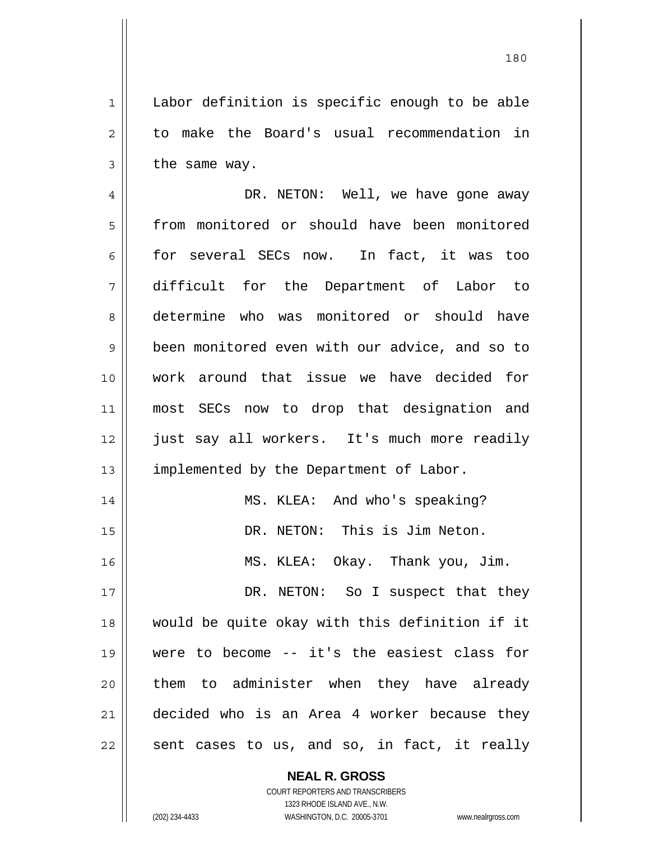180

1 2 3 4 Labor definition is specific enough to be able to make the Board's usual recommendation in the same way. DR. NETON: Well, we have gone away

5 6 7 8 9 10 11 12 13 from monitored or should have been monitored for several SECs now. In fact, it was too difficult for the Department of Labor to determine who was monitored or should have been monitored even with our advice, and so to work around that issue we have decided for most SECs now to drop that designation and just say all workers. It's much more readily implemented by the Department of Labor.

14 15 16 MS. KLEA: And who's speaking? DR. NETON: This is Jim Neton. MS. KLEA: Okay. Thank you, Jim.

17 18 19 20 21 22 DR. NETON: So I suspect that they would be quite okay with this definition if it were to become -- it's the easiest class for them to administer when they have already decided who is an Area 4 worker because they sent cases to us, and so, in fact, it really

> **NEAL R. GROSS** COURT REPORTERS AND TRANSCRIBERS

1323 RHODE ISLAND AVE., N.W. (202) 234-4433 WASHINGTON, D.C. 20005-3701 www.nealrgross.com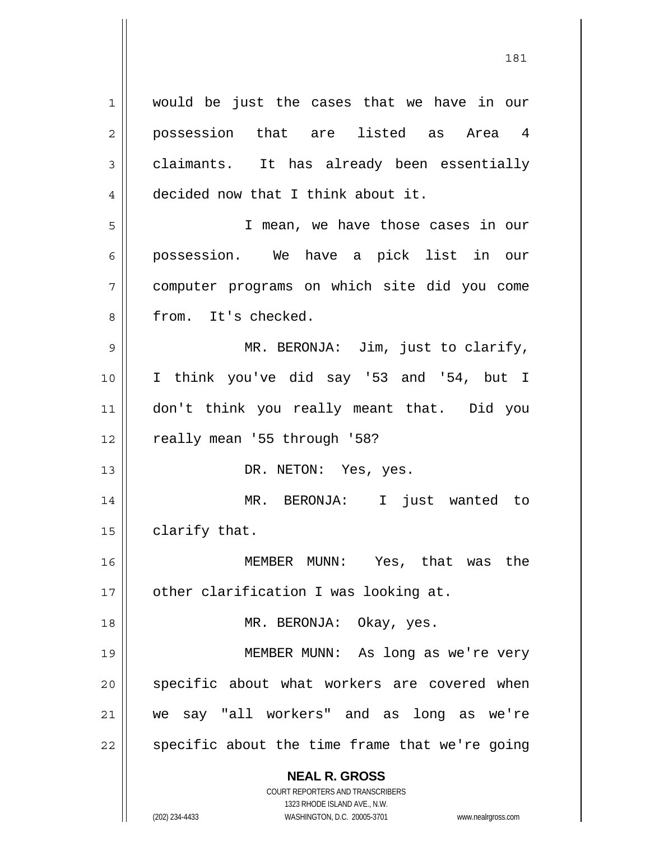**NEAL R. GROSS** COURT REPORTERS AND TRANSCRIBERS 1 2 3 4 5 6 7 8 9 10 11 12 13 14 15 16 17 18 19 20 21 22 would be just the cases that we have in our possession that are listed as Area 4 claimants. It has already been essentially decided now that I think about it. I mean, we have those cases in our possession. We have a pick list in our computer programs on which site did you come from. It's checked. MR. BERONJA: Jim, just to clarify, I think you've did say '53 and '54, but I don't think you really meant that. Did you really mean '55 through '58? DR. NETON: Yes, yes. MR. BERONJA: I just wanted to clarify that. MEMBER MUNN: Yes, that was the other clarification I was looking at. MR. BERONJA: Okay, yes. MEMBER MUNN: As long as we're very specific about what workers are covered when we say "all workers" and as long as we're specific about the time frame that we're going

181

1323 RHODE ISLAND AVE., N.W. (202) 234-4433 WASHINGTON, D.C. 20005-3701 www.nealrgross.com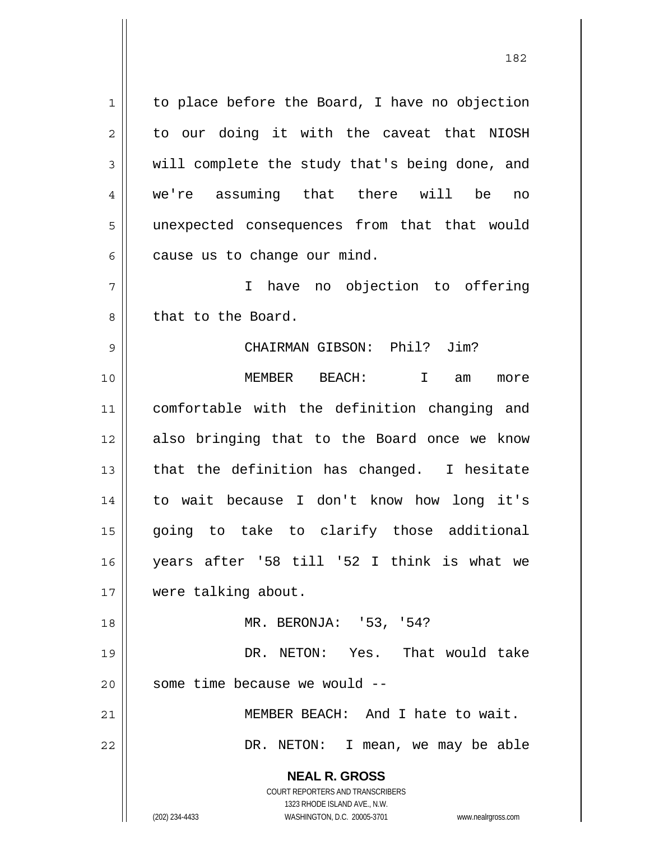**NEAL R. GROSS** COURT REPORTERS AND TRANSCRIBERS 1323 RHODE ISLAND AVE., N.W. (202) 234-4433 WASHINGTON, D.C. 20005-3701 www.nealrgross.com 1 2 3 4 5 6 7 8 9 10 11 12 13 14 15 16 17 18 19 20 21 22 to place before the Board, I have no objection to our doing it with the caveat that NIOSH will complete the study that's being done, and we're assuming that there will be no unexpected consequences from that that would cause us to change our mind. I have no objection to offering that to the Board. CHAIRMAN GIBSON: Phil? Jim? MEMBER BEACH: I am more comfortable with the definition changing and also bringing that to the Board once we know that the definition has changed. I hesitate to wait because I don't know how long it's going to take to clarify those additional years after '58 till '52 I think is what we were talking about. MR. BERONJA: '53, '54? DR. NETON: Yes. That would take some time because we would -- MEMBER BEACH: And I hate to wait. DR. NETON: I mean, we may be able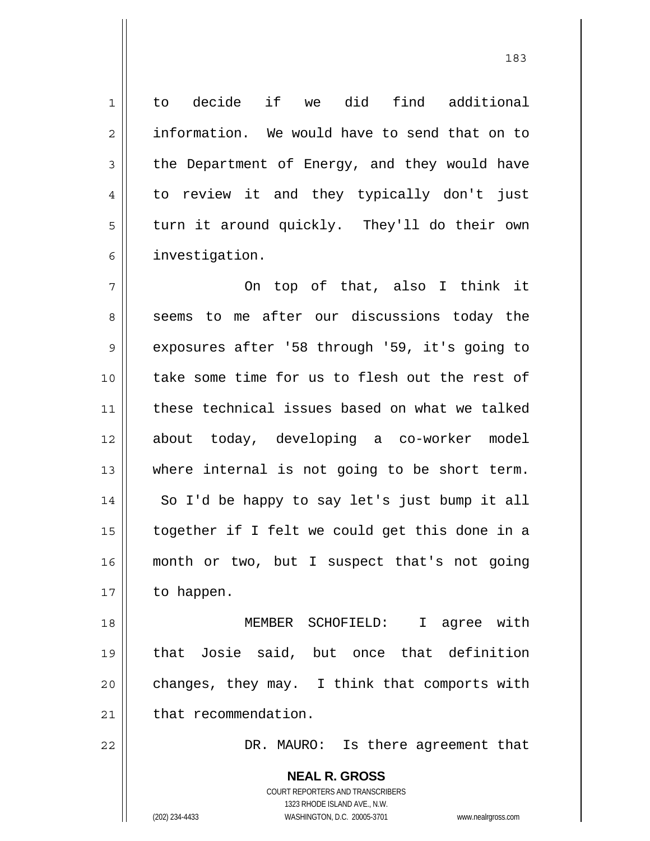to decide if we did find additional information. We would have to send that on to the Department of Energy, and they would have to review it and they typically don't just turn it around quickly. They'll do their own investigation.

7 8 9 10 11 12 13 14 15 16 17 On top of that, also I think it seems to me after our discussions today the exposures after '58 through '59, it's going to take some time for us to flesh out the rest of these technical issues based on what we talked about today, developing a co-worker model where internal is not going to be short term. So I'd be happy to say let's just bump it all together if I felt we could get this done in a month or two, but I suspect that's not going to happen.

18 19 20 21 MEMBER SCHOFIELD: I agree with that Josie said, but once that definition changes, they may. I think that comports with that recommendation.

DR. MAURO: Is there agreement that

**NEAL R. GROSS** COURT REPORTERS AND TRANSCRIBERS 1323 RHODE ISLAND AVE., N.W. (202) 234-4433 WASHINGTON, D.C. 20005-3701 www.nealrgross.com

22

1

2

3

4

5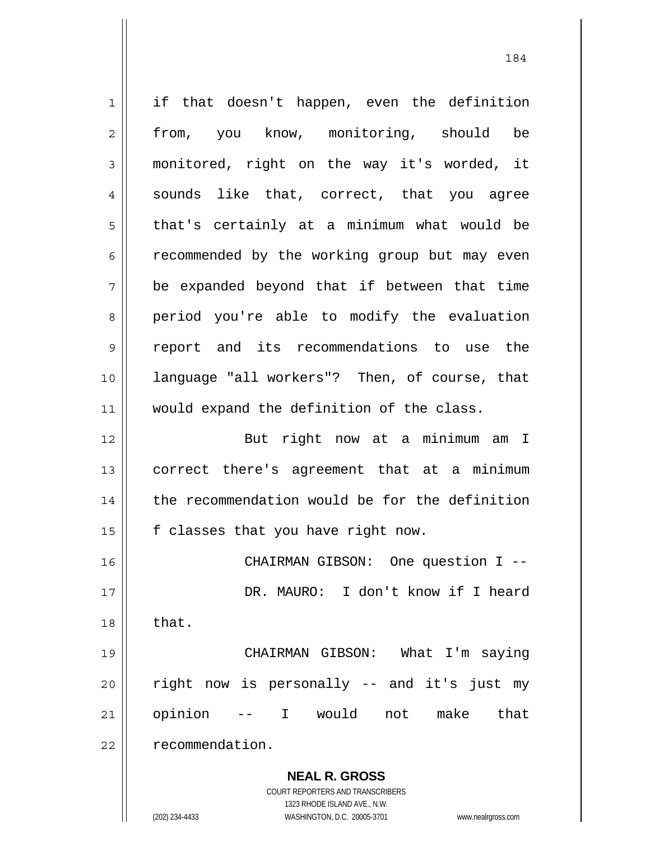| $\mathbf 1$<br>if that doesn't happen, even the definition<br>from, you know, monitoring, should be<br>$\overline{2}$<br>3<br>monitored, right on the way it's worded, it<br>sounds like that, correct, that you agree<br>$\overline{4}$<br>that's certainly at a minimum what would be<br>5<br>recommended by the working group but may even<br>6<br>be expanded beyond that if between that time<br>7<br>8<br>period you're able to modify the evaluation<br>$\mathsf 9$<br>report and its recommendations to use the<br>language "all workers"? Then, of course, that<br>10<br>would expand the definition of the class.<br>11 |      |
|-----------------------------------------------------------------------------------------------------------------------------------------------------------------------------------------------------------------------------------------------------------------------------------------------------------------------------------------------------------------------------------------------------------------------------------------------------------------------------------------------------------------------------------------------------------------------------------------------------------------------------------|------|
|                                                                                                                                                                                                                                                                                                                                                                                                                                                                                                                                                                                                                                   |      |
|                                                                                                                                                                                                                                                                                                                                                                                                                                                                                                                                                                                                                                   |      |
|                                                                                                                                                                                                                                                                                                                                                                                                                                                                                                                                                                                                                                   |      |
|                                                                                                                                                                                                                                                                                                                                                                                                                                                                                                                                                                                                                                   |      |
|                                                                                                                                                                                                                                                                                                                                                                                                                                                                                                                                                                                                                                   |      |
|                                                                                                                                                                                                                                                                                                                                                                                                                                                                                                                                                                                                                                   |      |
|                                                                                                                                                                                                                                                                                                                                                                                                                                                                                                                                                                                                                                   |      |
|                                                                                                                                                                                                                                                                                                                                                                                                                                                                                                                                                                                                                                   |      |
|                                                                                                                                                                                                                                                                                                                                                                                                                                                                                                                                                                                                                                   |      |
|                                                                                                                                                                                                                                                                                                                                                                                                                                                                                                                                                                                                                                   |      |
|                                                                                                                                                                                                                                                                                                                                                                                                                                                                                                                                                                                                                                   |      |
| But right now at a minimum am I<br>12                                                                                                                                                                                                                                                                                                                                                                                                                                                                                                                                                                                             |      |
| correct there's agreement that at a minimum<br>13                                                                                                                                                                                                                                                                                                                                                                                                                                                                                                                                                                                 |      |
| the recommendation would be for the definition<br>14                                                                                                                                                                                                                                                                                                                                                                                                                                                                                                                                                                              |      |
| 15<br>f classes that you have right now.                                                                                                                                                                                                                                                                                                                                                                                                                                                                                                                                                                                          |      |
| CHAIRMAN GIBSON: One question I --<br>16                                                                                                                                                                                                                                                                                                                                                                                                                                                                                                                                                                                          |      |
| DR. MAURO: I don't know if I heard<br>17                                                                                                                                                                                                                                                                                                                                                                                                                                                                                                                                                                                          |      |
| that.<br>18                                                                                                                                                                                                                                                                                                                                                                                                                                                                                                                                                                                                                       |      |
| CHAIRMAN GIBSON: What I'm saying<br>19                                                                                                                                                                                                                                                                                                                                                                                                                                                                                                                                                                                            |      |
| right now is personally -- and it's just my<br>20                                                                                                                                                                                                                                                                                                                                                                                                                                                                                                                                                                                 |      |
| -- I would not make<br>opinion<br>21                                                                                                                                                                                                                                                                                                                                                                                                                                                                                                                                                                                              | that |
| 22<br>recommendation.                                                                                                                                                                                                                                                                                                                                                                                                                                                                                                                                                                                                             |      |
|                                                                                                                                                                                                                                                                                                                                                                                                                                                                                                                                                                                                                                   |      |
| <b>NEAL R. GROSS</b><br>COURT REPORTERS AND TRANSCRIBERS                                                                                                                                                                                                                                                                                                                                                                                                                                                                                                                                                                          |      |
| 1323 RHODE ISLAND AVE., N.W.                                                                                                                                                                                                                                                                                                                                                                                                                                                                                                                                                                                                      |      |
| (202) 234-4433<br>WASHINGTON, D.C. 20005-3701<br>www.nealrgross.com                                                                                                                                                                                                                                                                                                                                                                                                                                                                                                                                                               |      |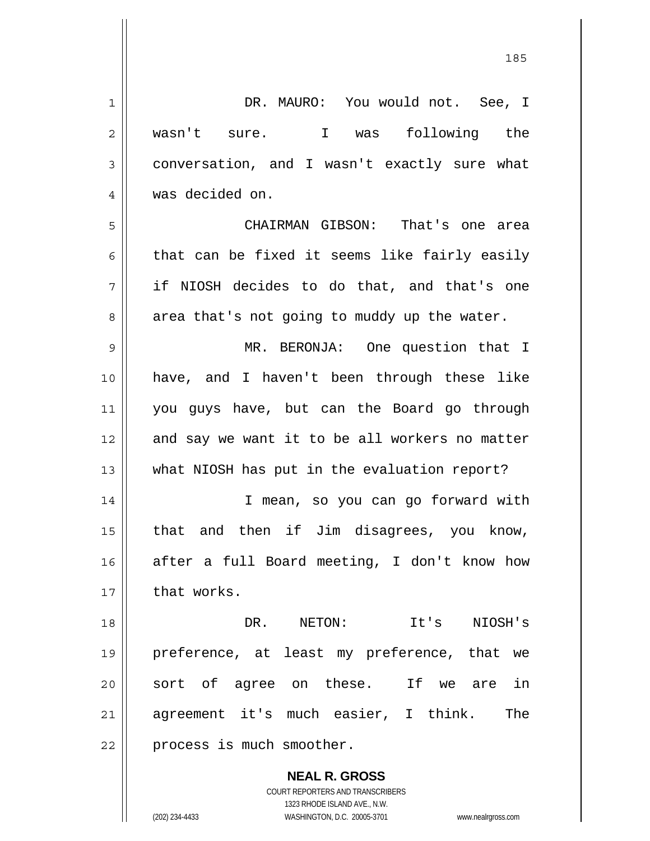**NEAL R. GROSS** COURT REPORTERS AND TRANSCRIBERS 1 2 3 4 5 6 7 8 9 10 11 12 13 14 15 16 17 18 19 20 21 22 DR. MAURO: You would not. See, I wasn't sure. I was following the conversation, and I wasn't exactly sure what was decided on. CHAIRMAN GIBSON: That's one area that can be fixed it seems like fairly easily if NIOSH decides to do that, and that's one area that's not going to muddy up the water. MR. BERONJA: One question that I have, and I haven't been through these like you guys have, but can the Board go through and say we want it to be all workers no matter what NIOSH has put in the evaluation report? I mean, so you can go forward with that and then if Jim disagrees, you know, after a full Board meeting, I don't know how that works. DR. NETON: It's NIOSH's preference, at least my preference, that we sort of agree on these. If we are in agreement it's much easier, I think. The process is much smoother.

1323 RHODE ISLAND AVE., N.W.

(202) 234-4433 WASHINGTON, D.C. 20005-3701 www.nealrgross.com

<u>185</u>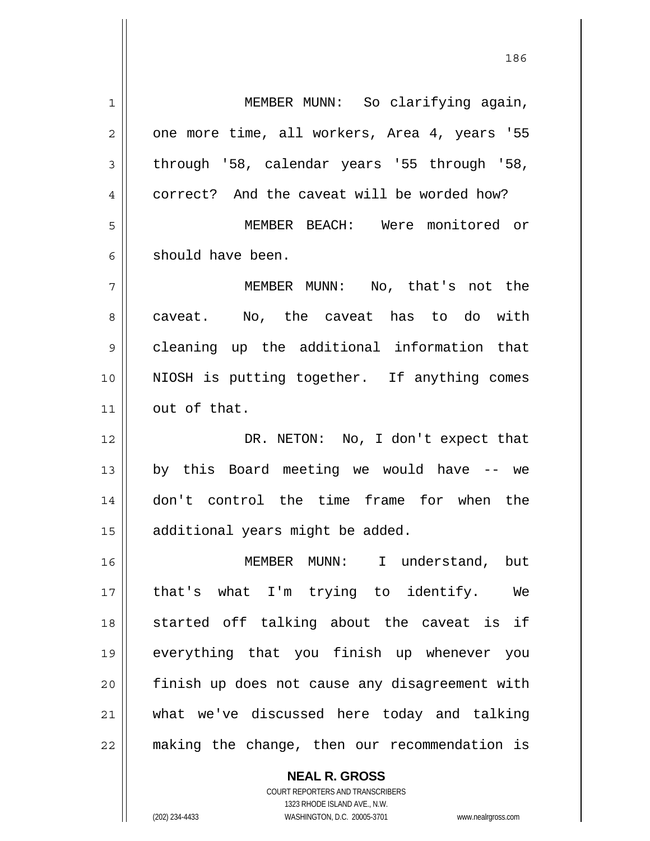1 2 3 4 5 6 7 8 9 10 11 12 13 14 15 16 17 18 19 20 21 22 MEMBER MUNN: So clarifying again, one more time, all workers, Area 4, years '55 through '58, calendar years '55 through '58, correct? And the caveat will be worded how? MEMBER BEACH: Were monitored or should have been. MEMBER MUNN: No, that's not the caveat. No, the caveat has to do with cleaning up the additional information that NIOSH is putting together. If anything comes out of that. DR. NETON: No, I don't expect that by this Board meeting we would have -- we don't control the time frame for when the additional years might be added. MEMBER MUNN: I understand, but that's what I'm trying to identify. We started off talking about the caveat is if everything that you finish up whenever you finish up does not cause any disagreement with what we've discussed here today and talking making the change, then our recommendation is

> COURT REPORTERS AND TRANSCRIBERS 1323 RHODE ISLAND AVE., N.W. (202) 234-4433 WASHINGTON, D.C. 20005-3701 www.nealrgross.com

**NEAL R. GROSS**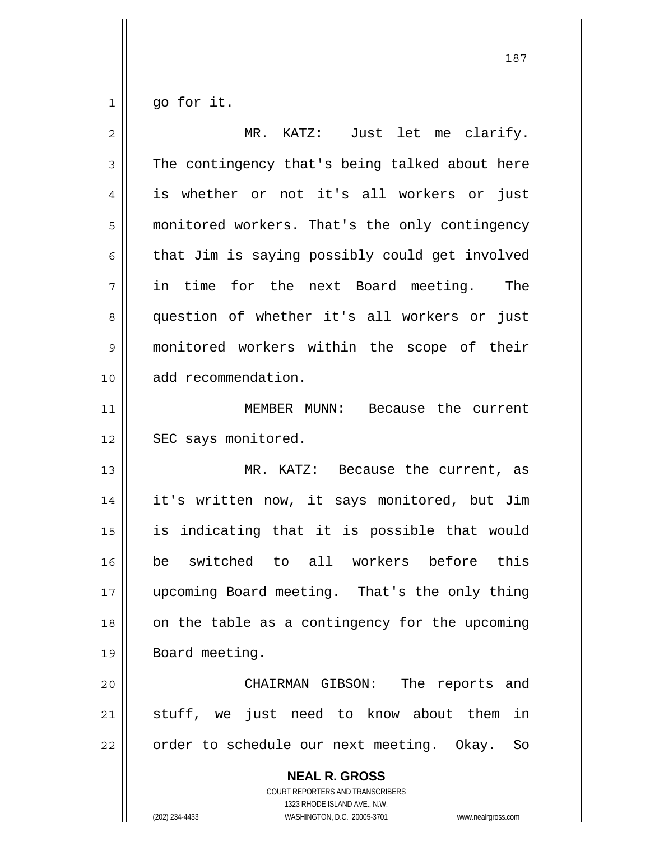1 go for it.

| $\overline{c}$ | MR.<br>KATZ: Just let me clarify.                                                                                                                               |
|----------------|-----------------------------------------------------------------------------------------------------------------------------------------------------------------|
| 3              | The contingency that's being talked about here                                                                                                                  |
| 4              | is whether or not it's all workers or just                                                                                                                      |
| 5              | monitored workers. That's the only contingency                                                                                                                  |
| 6              | that Jim is saying possibly could get involved                                                                                                                  |
| 7              | in time for the next Board meeting. The                                                                                                                         |
| 8              | question of whether it's all workers or just                                                                                                                    |
| 9              | monitored workers within the scope of their                                                                                                                     |
| 10             | add recommendation.                                                                                                                                             |
| 11             | MEMBER MUNN: Because the current                                                                                                                                |
| 12             | SEC says monitored.                                                                                                                                             |
| 13             | MR. KATZ: Because the current, as                                                                                                                               |
| 14             | it's written now, it says monitored, but Jim                                                                                                                    |
| 15             | is indicating that it is possible that would                                                                                                                    |
| 16             | switched to all workers before this<br>be                                                                                                                       |
| 17             | upcoming Board meeting. That's the only thing                                                                                                                   |
| 18             | on the table as a contingency for the upcoming                                                                                                                  |
| 19             | Board meeting.                                                                                                                                                  |
| 20             | The<br>reports and<br>CHAIRMAN GIBSON:                                                                                                                          |
| 21             | stuff, we just need to know about them<br>in                                                                                                                    |
| 22             | order to schedule our next meeting. Okay.<br>So                                                                                                                 |
|                | <b>NEAL R. GROSS</b><br>COURT REPORTERS AND TRANSCRIBERS<br>1323 RHODE ISLAND AVE., N.W.<br>(202) 234-4433<br>WASHINGTON, D.C. 20005-3701<br>www.nealrgross.com |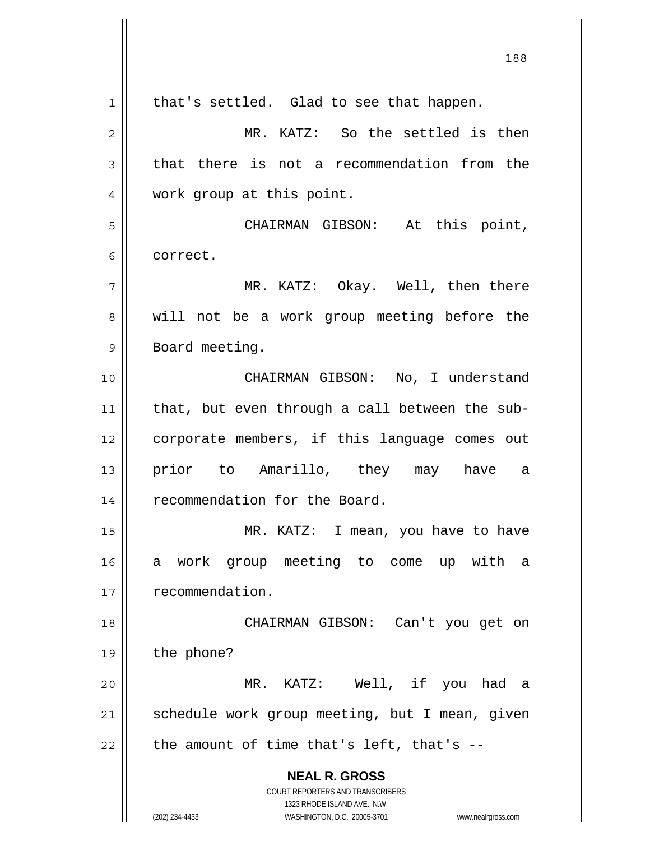**NEAL R. GROSS** COURT REPORTERS AND TRANSCRIBERS 1323 RHODE ISLAND AVE., N.W. (202) 234-4433 WASHINGTON, D.C. 20005-3701 www.nealrgross.com 188 1 2 3 4 5 6 7 8 9 10 11 12 13 14 15 16 17 18 19 20 21 22 that's settled. Glad to see that happen. MR. KATZ: So the settled is then that there is not a recommendation from the work group at this point. CHAIRMAN GIBSON: At this point, correct. MR. KATZ: Okay. Well, then there will not be a work group meeting before the Board meeting. CHAIRMAN GIBSON: No, I understand that, but even through a call between the subcorporate members, if this language comes out prior to Amarillo, they may have a recommendation for the Board. MR. KATZ: I mean, you have to have a work group meeting to come up with a recommendation. CHAIRMAN GIBSON: Can't you get on the phone? MR. KATZ: Well, if you had a schedule work group meeting, but I mean, given the amount of time that's left, that's --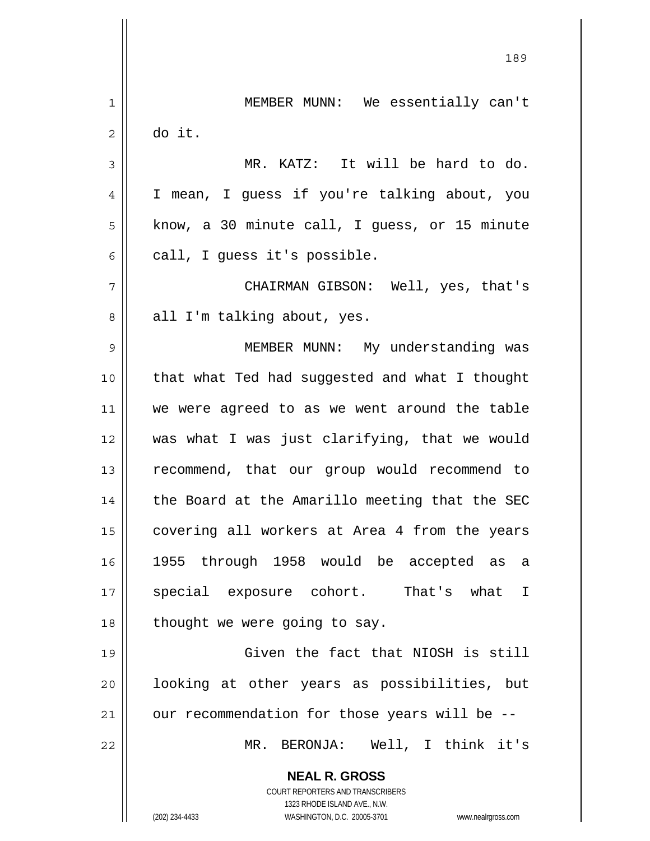|                | 189                                                                                                 |
|----------------|-----------------------------------------------------------------------------------------------------|
| $\mathbf 1$    | MEMBER MUNN: We essentially can't                                                                   |
| $\overline{c}$ | do it.                                                                                              |
| 3              | MR. KATZ: It will be hard to do.                                                                    |
| 4              | I mean, I guess if you're talking about, you                                                        |
| 5              | know, a 30 minute call, I guess, or 15 minute                                                       |
| 6              | call, I guess it's possible.                                                                        |
| 7              | CHAIRMAN GIBSON: Well, yes, that's                                                                  |
| 8              | all I'm talking about, yes.                                                                         |
| 9              | MEMBER MUNN: My understanding was                                                                   |
| 10             | that what Ted had suggested and what I thought                                                      |
| 11             | we were agreed to as we went around the table                                                       |
| 12             | was what I was just clarifying, that we would                                                       |
| 13             | recommend, that our group would recommend to                                                        |
| 14             | the Board at the Amarillo meeting that the SEC                                                      |
| 15             | covering all workers at Area 4 from the years                                                       |
| 16             | 1955 through 1958 would be accepted as a                                                            |
| 17             | special exposure cohort. That's what I                                                              |
| 18             | thought we were going to say.                                                                       |
| 19             | Given the fact that NIOSH is still                                                                  |
| 20             | looking at other years as possibilities, but                                                        |
| 21             | our recommendation for those years will be --                                                       |
| 22             | MR. BERONJA: Well, I think it's                                                                     |
|                | <b>NEAL R. GROSS</b>                                                                                |
|                | COURT REPORTERS AND TRANSCRIBERS                                                                    |
|                | 1323 RHODE ISLAND AVE., N.W.<br>(202) 234-4433<br>WASHINGTON, D.C. 20005-3701<br>www.nealrgross.com |

 $\mathsf{I}$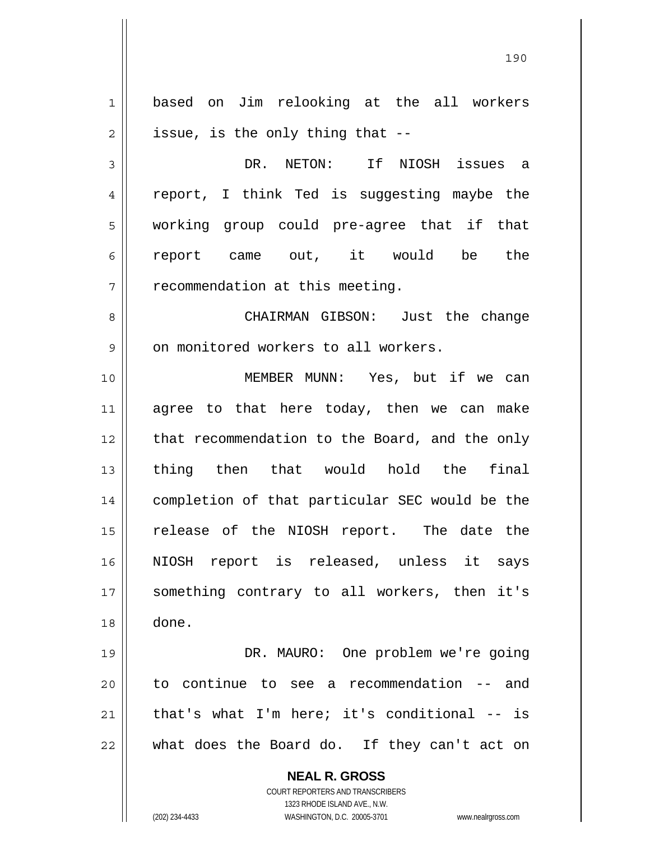**NEAL R. GROSS** COURT REPORTERS AND TRANSCRIBERS 1323 RHODE ISLAND AVE., N.W. (202) 234-4433 WASHINGTON, D.C. 20005-3701 www.nealrgross.com 1 2 3 4 5 6 7 8 9 10 11 12 13 14 15 16 17 18 19 20 21 22 based on Jim relooking at the all workers issue, is the only thing that -- DR. NETON: If NIOSH issues a report, I think Ted is suggesting maybe the working group could pre-agree that if that report came out, it would be the recommendation at this meeting. CHAIRMAN GIBSON: Just the change on monitored workers to all workers. MEMBER MUNN: Yes, but if we can agree to that here today, then we can make that recommendation to the Board, and the only thing then that would hold the final completion of that particular SEC would be the release of the NIOSH report. The date the NIOSH report is released, unless it says something contrary to all workers, then it's done. DR. MAURO: One problem we're going to continue to see a recommendation -- and that's what I'm here; it's conditional -- is what does the Board do. If they can't act on

<u>190</u>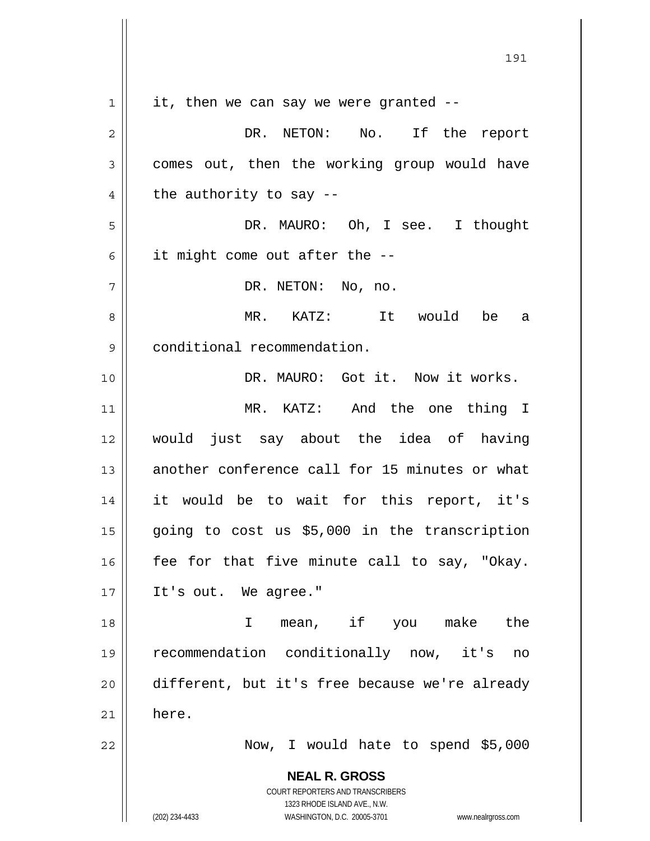**NEAL R. GROSS** COURT REPORTERS AND TRANSCRIBERS 1323 RHODE ISLAND AVE., N.W. (202) 234-4433 WASHINGTON, D.C. 20005-3701 www.nealrgross.com 1 2 3 4 5 6 7 8 9 10 11 12 13 14 15 16 17 18 19 20 21 22 it, then we can say we were granted -- DR. NETON: No. If the report comes out, then the working group would have the authority to say -- DR. MAURO: Oh, I see. I thought it might come out after the -- DR. NETON: No, no. MR. KATZ: It would be a conditional recommendation. DR. MAURO: Got it. Now it works. MR. KATZ: And the one thing I would just say about the idea of having another conference call for 15 minutes or what it would be to wait for this report, it's going to cost us \$5,000 in the transcription fee for that five minute call to say, "Okay. It's out. We agree." I mean, if you make the recommendation conditionally now, it's no different, but it's free because we're already here. Now, I would hate to spend \$5,000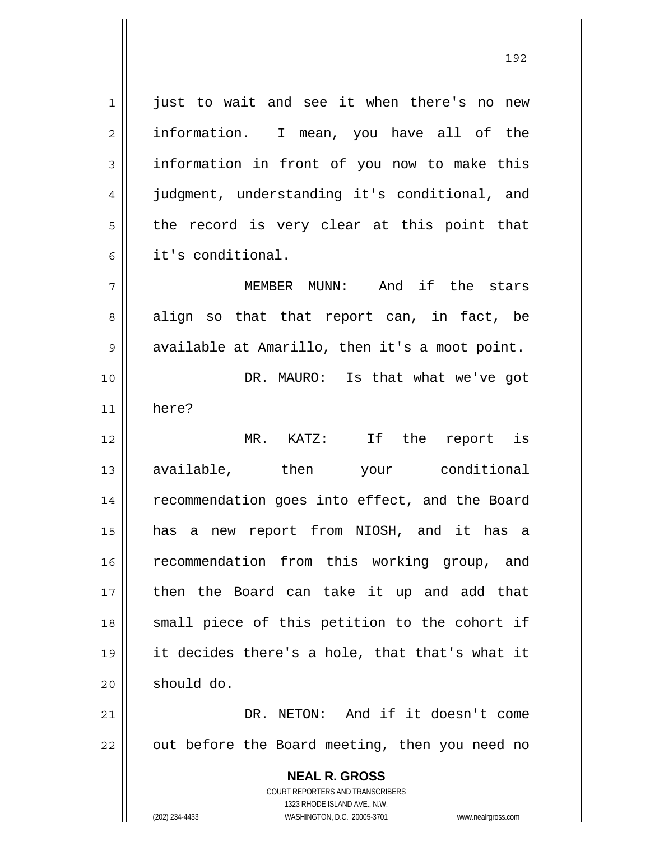just to wait and see it when there's no new information. I mean, you have all of the information in front of you now to make this judgment, understanding it's conditional, and the record is very clear at this point that it's conditional.

7 11 MEMBER MUNN: And if the stars align so that that report can, in fact, be available at Amarillo, then it's a moot point. DR. MAURO: Is that what we've got here?

12 13 14 15 16 17 18 19 20 MR. KATZ: If the report is available, then your conditional recommendation goes into effect, and the Board has a new report from NIOSH, and it has a recommendation from this working group, and then the Board can take it up and add that small piece of this petition to the cohort if it decides there's a hole, that that's what it should do.

21 22 DR. NETON: And if it doesn't come out before the Board meeting, then you need no

> **NEAL R. GROSS** COURT REPORTERS AND TRANSCRIBERS 1323 RHODE ISLAND AVE., N.W. (202) 234-4433 WASHINGTON, D.C. 20005-3701 www.nealrgross.com

1

2

3

4

5

6

8

9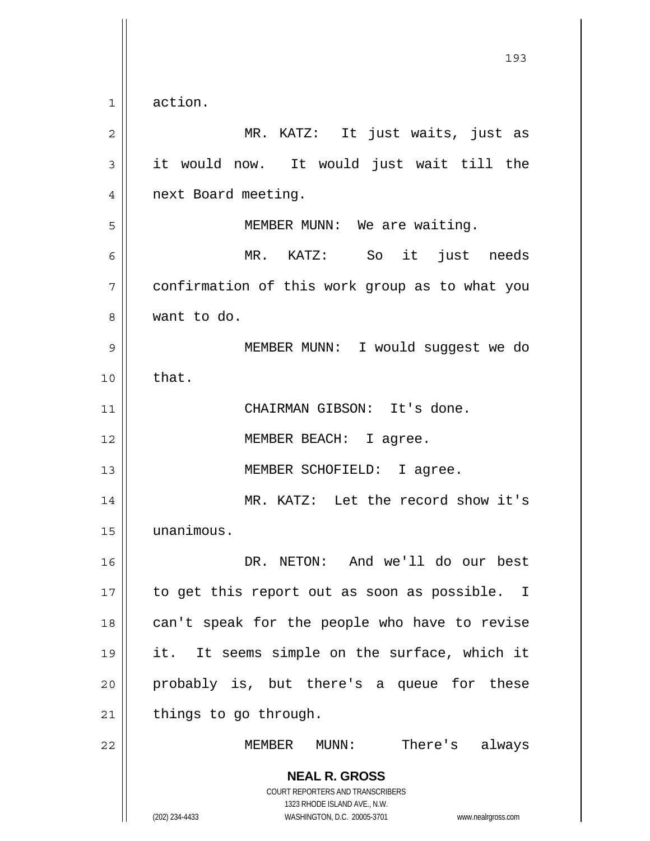**NEAL R. GROSS** COURT REPORTERS AND TRANSCRIBERS 1323 RHODE ISLAND AVE., N.W. (202) 234-4433 WASHINGTON, D.C. 20005-3701 www.nealrgross.com 193 1 2 3 4 5 6 7 8 9 10 11 12 13 14 15 16 17 18 19 20 21 22 action. MR. KATZ: It just waits, just as it would now. It would just wait till the next Board meeting. MEMBER MUNN: We are waiting. MR. KATZ: So it just needs confirmation of this work group as to what you want to do. MEMBER MUNN: I would suggest we do that. CHAIRMAN GIBSON: It's done. MEMBER BEACH: I agree. MEMBER SCHOFIELD: I agree. MR. KATZ: Let the record show it's unanimous. DR. NETON: And we'll do our best to get this report out as soon as possible. I can't speak for the people who have to revise it. It seems simple on the surface, which it probably is, but there's a queue for these things to go through. MEMBER MUNN: There's always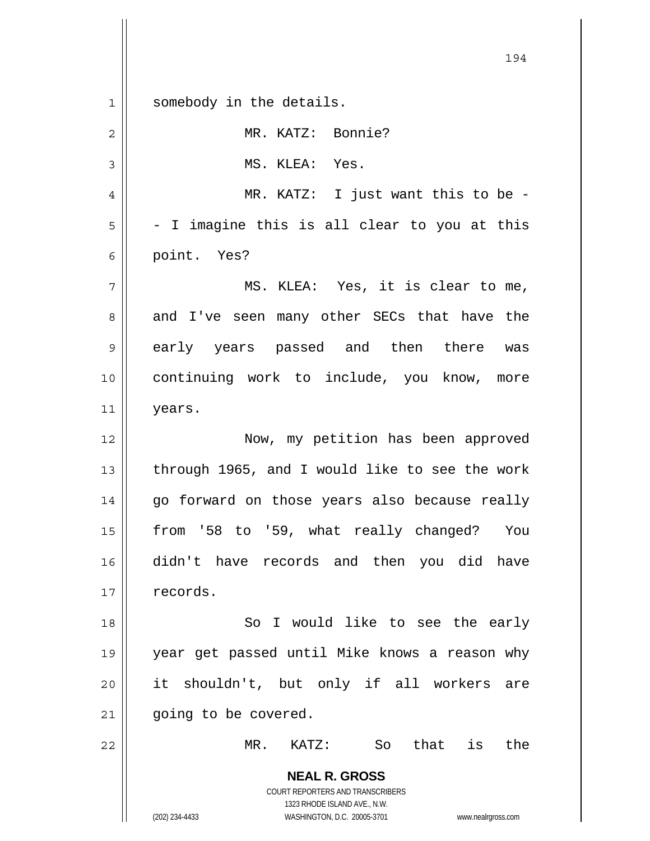**NEAL R. GROSS** COURT REPORTERS AND TRANSCRIBERS 1323 RHODE ISLAND AVE., N.W. (202) 234-4433 WASHINGTON, D.C. 20005-3701 www.nealrgross.com 1 2 3 4 5 6 7 8 9 10 11 12 13 14 15 16 17 18 19 20 21 22 somebody in the details. MR. KATZ: Bonnie? MS. KLEA: Yes. MR. KATZ: I just want this to be - - I imagine this is all clear to you at this point. Yes? MS. KLEA: Yes, it is clear to me, and I've seen many other SECs that have the early years passed and then there was continuing work to include, you know, more years. Now, my petition has been approved through 1965, and I would like to see the work go forward on those years also because really from '58 to '59, what really changed? You didn't have records and then you did have records. So I would like to see the early year get passed until Mike knows a reason why it shouldn't, but only if all workers are going to be covered. MR. KATZ: So that is the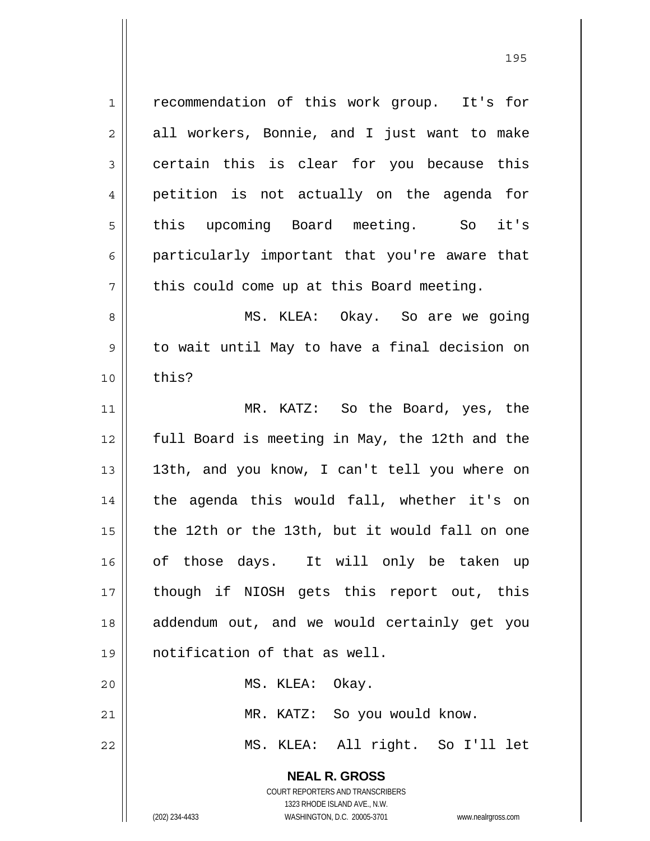**NEAL R. GROSS** COURT REPORTERS AND TRANSCRIBERS 1323 RHODE ISLAND AVE., N.W. 1 2 3 4 5 6 7 8 9 10 11 12 13 14 15 16 17 18 19 20 21 22 recommendation of this work group. It's for all workers, Bonnie, and I just want to make certain this is clear for you because this petition is not actually on the agenda for this upcoming Board meeting. So it's particularly important that you're aware that this could come up at this Board meeting. MS. KLEA: Okay. So are we going to wait until May to have a final decision on this? MR. KATZ: So the Board, yes, the full Board is meeting in May, the 12th and the 13th, and you know, I can't tell you where on the agenda this would fall, whether it's on the 12th or the 13th, but it would fall on one of those days. It will only be taken up though if NIOSH gets this report out, this addendum out, and we would certainly get you notification of that as well. MS. KLEA: Okay. MR. KATZ: So you would know. MS. KLEA: All right. So I'll let

<u>195</u>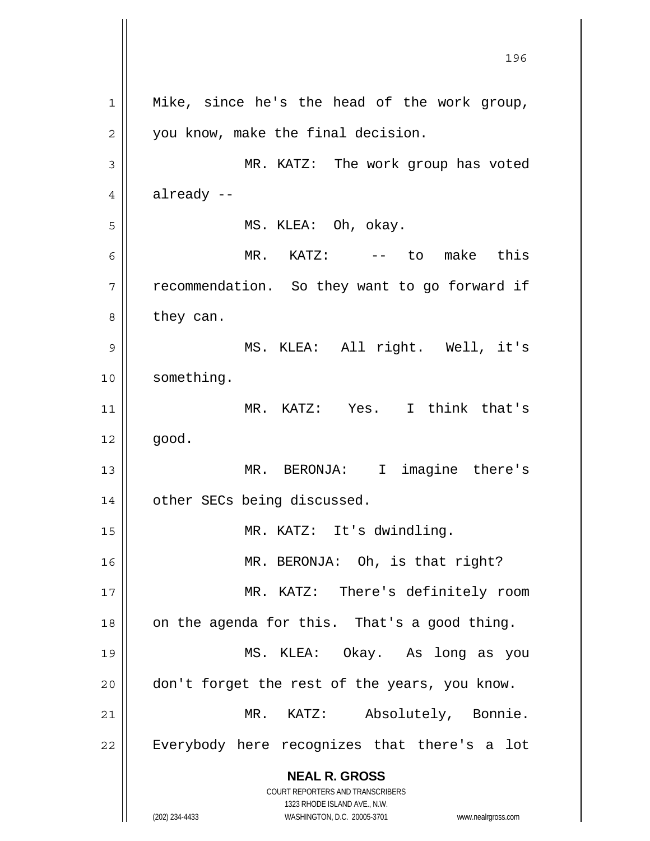**NEAL R. GROSS** COURT REPORTERS AND TRANSCRIBERS 1323 RHODE ISLAND AVE., N.W. (202) 234-4433 WASHINGTON, D.C. 20005-3701 www.nealrgross.com <u>1962 - Johann Stein, Amerikaansk politiker (</u>† 196 1 2 3 4 5 6 7 8 9 10 11 12 13 14 15 16 17 18 19 20 21 22 Mike, since he's the head of the work group, you know, make the final decision. MR. KATZ: The work group has voted already -- MS. KLEA: Oh, okay. MR. KATZ: -- to make this recommendation. So they want to go forward if they can. MS. KLEA: All right. Well, it's something. MR. KATZ: Yes. I think that's good. MR. BERONJA: I imagine there's other SECs being discussed. MR. KATZ: It's dwindling. MR. BERONJA: Oh, is that right? MR. KATZ: There's definitely room on the agenda for this. That's a good thing. MS. KLEA: Okay. As long as you don't forget the rest of the years, you know. MR. KATZ: Absolutely, Bonnie. Everybody here recognizes that there's a lot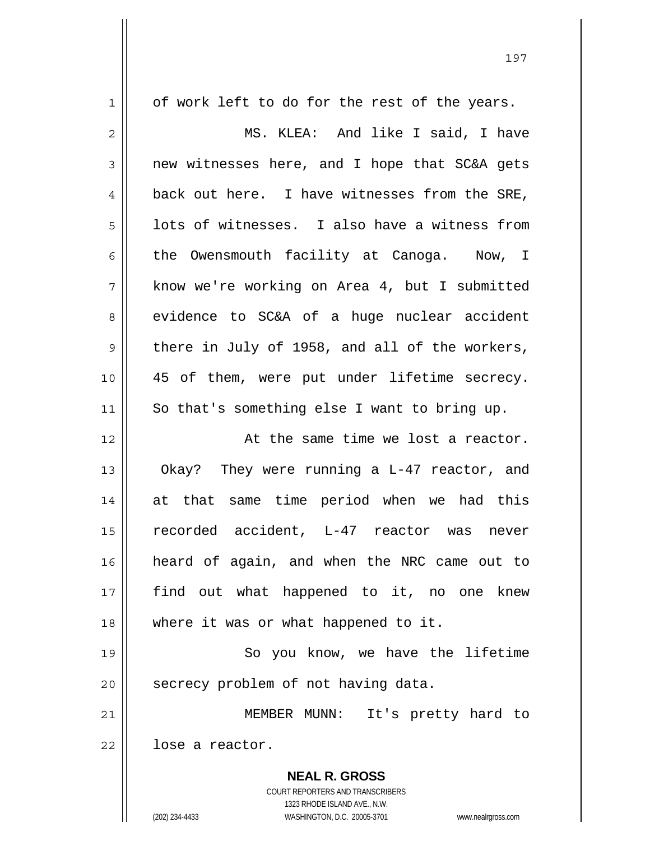| 1            | of work left to do for the rest of the years.                       |
|--------------|---------------------------------------------------------------------|
| $\mathbf{2}$ | MS. KLEA: And like I said, I have                                   |
| 3            | new witnesses here, and I hope that SC&A gets                       |
| 4            | back out here. I have witnesses from the SRE,                       |
| 5            | lots of witnesses. I also have a witness from                       |
| 6            | the Owensmouth facility at Canoga. Now, I                           |
| 7            | know we're working on Area 4, but I submitted                       |
| 8            | evidence to SC&A of a huge nuclear accident                         |
| $\mathsf 9$  | there in July of 1958, and all of the workers,                      |
| 10           | 45 of them, were put under lifetime secrecy.                        |
| 11           | So that's something else I want to bring up.                        |
| 12           | At the same time we lost a reactor.                                 |
| 13           | Okay? They were running a L-47 reactor, and                         |
|              |                                                                     |
| 14           | at that same time period when we had this                           |
| 15           | recorded accident, L-47 reactor was never                           |
| 16           | heard of again, and when the NRC came out to                        |
| 17           | find out what happened to it, no one knew                           |
| 18           | where it was or what happened to it.                                |
| 19           | So you know, we have the lifetime                                   |
| 20           | secrecy problem of not having data.                                 |
| 21           | MEMBER MUNN: It's pretty hard to                                    |
| 22           | lose a reactor.                                                     |
|              | <b>NEAL R. GROSS</b>                                                |
|              | COURT REPORTERS AND TRANSCRIBERS                                    |
|              | 1323 RHODE ISLAND AVE., N.W.                                        |
|              | (202) 234-4433<br>WASHINGTON, D.C. 20005-3701<br>www.nealrgross.com |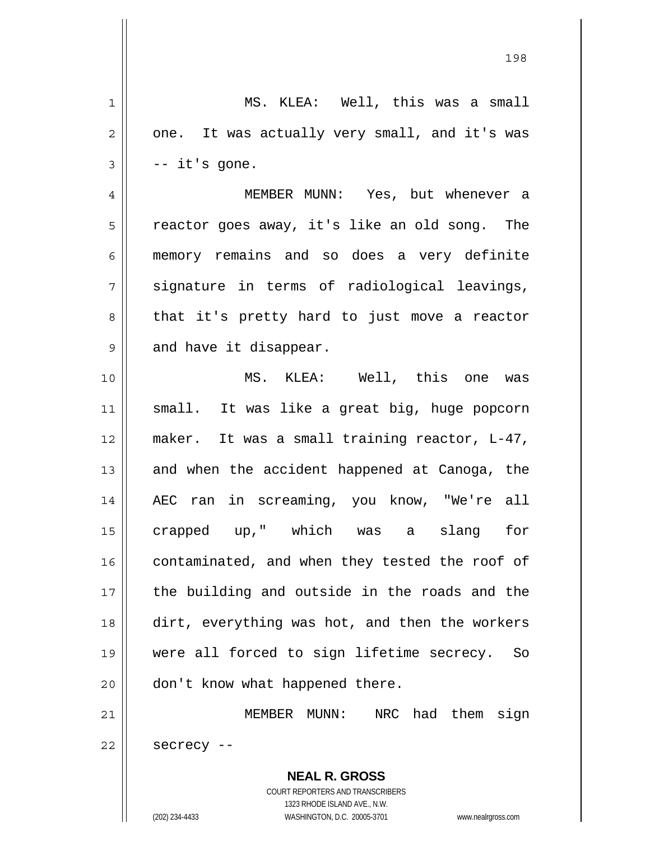| 1              | MS. KLEA: Well, this was a small                         |
|----------------|----------------------------------------------------------|
| $\overline{2}$ | one. It was actually very small, and it's was            |
| 3              | -- it's gone.                                            |
| 4              | MEMBER MUNN: Yes, but whenever a                         |
| 5              | reactor goes away, it's like an old song. The            |
| 6              | memory remains and so does a very definite               |
| 7              | signature in terms of radiological leavings,             |
| 8              | that it's pretty hard to just move a reactor             |
| $\mathsf 9$    | and have it disappear.                                   |
| 10             | MS. KLEA: Well, this one was                             |
| 11             | small. It was like a great big, huge popcorn             |
| 12             | maker. It was a small training reactor, L-47,            |
| 13             | and when the accident happened at Canoga, the            |
| 14             | AEC ran in screaming, you know, "We're all               |
| 15             | crapped up," which was a slang for                       |
| 16             | contaminated, and when they tested the roof of           |
| 17             | the building and outside in the roads and the            |
| 18             | dirt, everything was hot, and then the workers           |
| 19             | were all forced to sign lifetime secrecy.<br>So          |
| 20             | don't know what happened there.                          |
| 21             | MEMBER MUNN:<br>NRC<br>had them<br>sign                  |
| 22             | secrecy --                                               |
|                | <b>NEAL R. GROSS</b><br>COURT REPORTERS AND TRANSCRIBERS |

198

1323 RHODE ISLAND AVE., N.W.

 $\prod$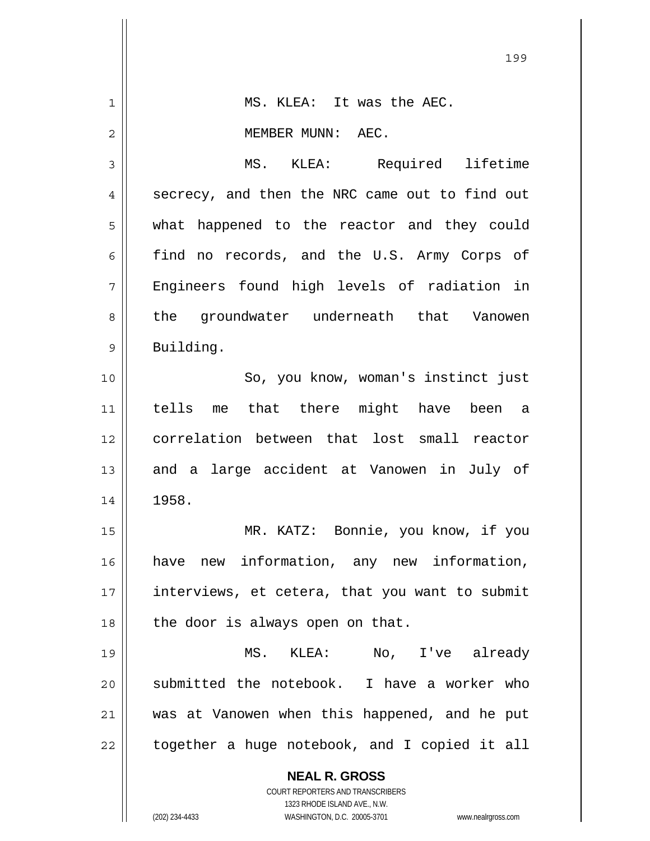|              | 199                                                                 |
|--------------|---------------------------------------------------------------------|
| $\mathbf{1}$ | MS. KLEA: It was the AEC.                                           |
| 2            | MEMBER MUNN: AEC.                                                   |
| 3            | MS. KLEA: Required lifetime                                         |
| 4            | secrecy, and then the NRC came out to find out                      |
| 5            | what happened to the reactor and they could                         |
| 6            | find no records, and the U.S. Army Corps of                         |
| 7            | Engineers found high levels of radiation in                         |
| 8            | the groundwater underneath that Vanowen                             |
| 9            | Building.                                                           |
| 10           | So, you know, woman's instinct just                                 |
| 11           | tells me that there might have been a                               |
| 12           | correlation between that lost small reactor                         |
| 13           | and a large accident at Vanowen in July of                          |
| 14           | 1958.                                                               |
| 15           | MR. KATZ: Bonnie, you know, if you                                  |
| 16           | have new information, any new information,                          |
| 17           | interviews, et cetera, that you want to submit                      |
| 18           | the door is always open on that.                                    |
| 19           | MS. KLEA:<br>No, I've already                                       |
| 20           | submitted the notebook. I have a worker who                         |
| 21           | was at Vanowen when this happened, and he put                       |
| 22           | together a huge notebook, and I copied it all                       |
|              | <b>NEAL R. GROSS</b><br>COURT REPORTERS AND TRANSCRIBERS            |
|              | 1323 RHODE ISLAND AVE., N.W.                                        |
|              | (202) 234-4433<br>WASHINGTON, D.C. 20005-3701<br>www.nealrgross.com |

 $\mathsf{l}$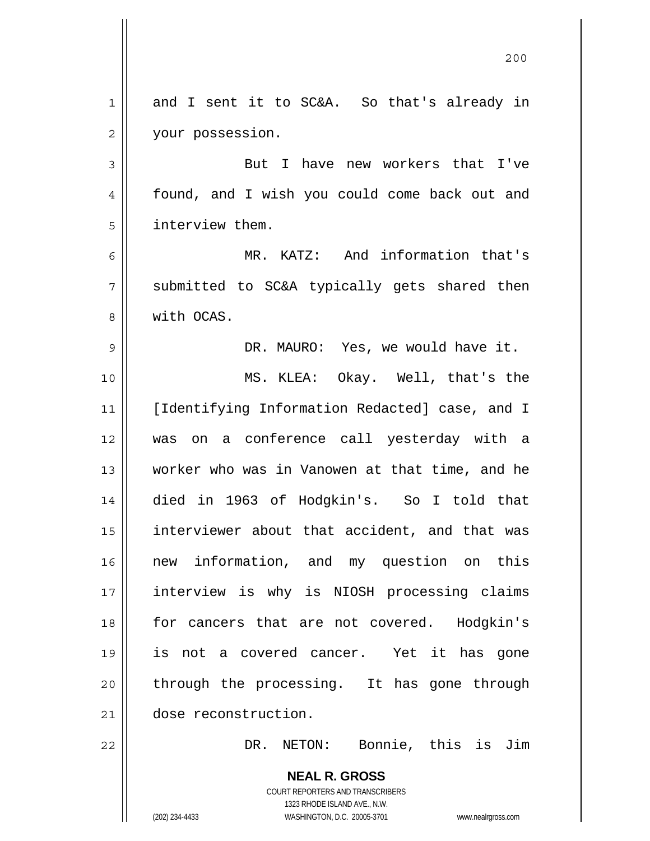**NEAL R. GROSS** COURT REPORTERS AND TRANSCRIBERS 1323 RHODE ISLAND AVE., N.W. 200 1 2 3 4 5 6 7 8 9 10 11 12 13 14 15 16 17 18 19 20 21 22 and I sent it to SC&A. So that's already in your possession. But I have new workers that I've found, and I wish you could come back out and interview them. MR. KATZ: And information that's submitted to SC&A typically gets shared then with OCAS. DR. MAURO: Yes, we would have it. MS. KLEA: Okay. Well, that's the [Identifying Information Redacted] case, and I was on a conference call yesterday with a worker who was in Vanowen at that time, and he died in 1963 of Hodgkin's. So I told that interviewer about that accident, and that was new information, and my question on this interview is why is NIOSH processing claims for cancers that are not covered. Hodgkin's is not a covered cancer. Yet it has gone through the processing. It has gone through dose reconstruction. DR. NETON: Bonnie, this is Jim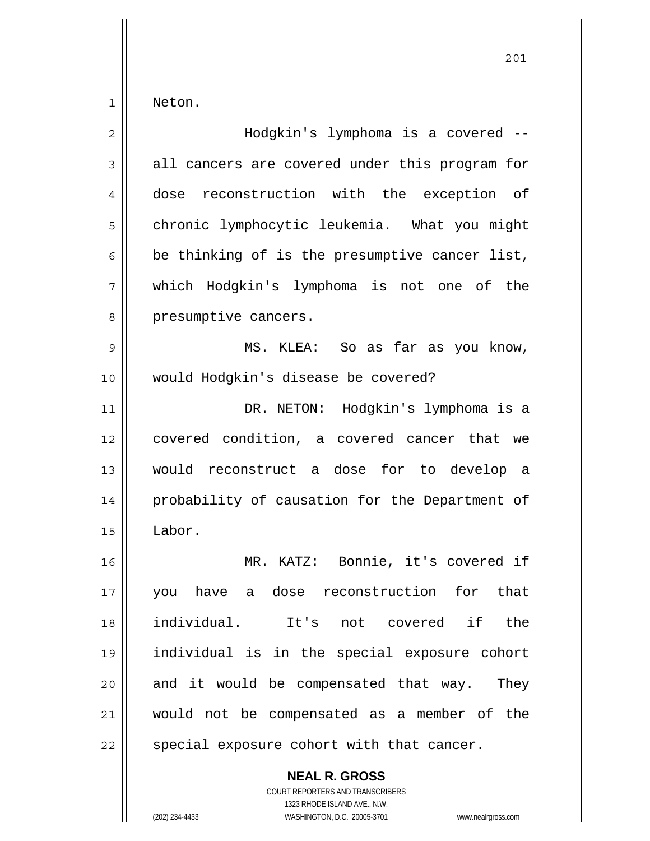1 Neton.

| $\overline{2}$ | Hodgkin's lymphoma is a covered --             |
|----------------|------------------------------------------------|
| 3              | all cancers are covered under this program for |
| 4              | dose reconstruction with the exception of      |
| 5              | chronic lymphocytic leukemia. What you might   |
| 6              | be thinking of is the presumptive cancer list, |
| 7              | which Hodgkin's lymphoma is not one of the     |
| 8              | presumptive cancers.                           |
| 9              | MS. KLEA: So as far as you know,               |
| 10             | would Hodgkin's disease be covered?            |
| 11             | DR. NETON: Hodgkin's lymphoma is a             |
| 12             | covered condition, a covered cancer that we    |
| 13             | would reconstruct a dose for to develop a      |
| 14             | probability of causation for the Department of |
| 15             | Labor.                                         |
| 16             | MR. KATZ: Bonnie, it's covered if              |
| 17             | a dose reconstruction for that<br>have<br>you  |
| 18             | individual. It's not covered if the            |
| 19             | individual is in the special exposure cohort   |
| 20             | and it would be compensated that way. They     |
| 21             | would not be compensated as a member of the    |
| 22             | special exposure cohort with that cancer.      |

**NEAL R. GROSS** COURT REPORTERS AND TRANSCRIBERS

1323 RHODE ISLAND AVE., N.W.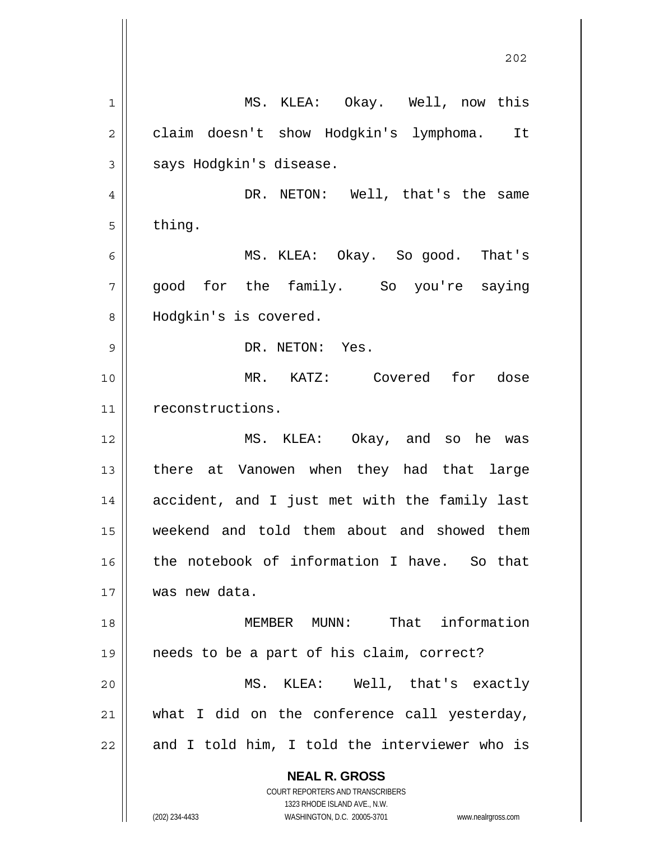**NEAL R. GROSS** COURT REPORTERS AND TRANSCRIBERS 202 1 2 3 4 5 6 7 8 9 10 11 12 13 14 15 16 17 18 19 20 21 22 MS. KLEA: Okay. Well, now this claim doesn't show Hodgkin's lymphoma. It says Hodgkin's disease. DR. NETON: Well, that's the same thing. MS. KLEA: Okay. So good. That's good for the family. So you're saying Hodgkin's is covered. DR. NETON: Yes. MR. KATZ: Covered for dose reconstructions. MS. KLEA: Okay, and so he was there at Vanowen when they had that large accident, and I just met with the family last weekend and told them about and showed them the notebook of information I have. So that was new data. MEMBER MUNN: That information needs to be a part of his claim, correct? MS. KLEA: Well, that's exactly what I did on the conference call yesterday, and I told him, I told the interviewer who is

1323 RHODE ISLAND AVE., N.W.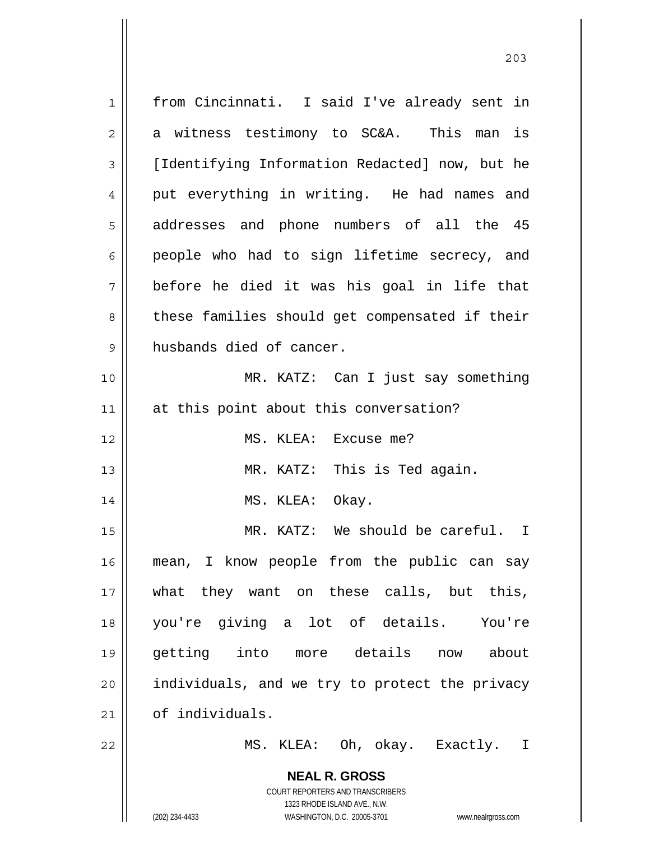**NEAL R. GROSS** COURT REPORTERS AND TRANSCRIBERS 1323 RHODE ISLAND AVE., N.W. (202) 234-4433 WASHINGTON, D.C. 20005-3701 www.nealrgross.com 1 2 3 4 5 6 7 8 9 10 11 12 13 14 15 16 17 18 19 20 21 22 from Cincinnati. I said I've already sent in a witness testimony to SC&A. This man is [Identifying Information Redacted] now, but he put everything in writing. He had names and addresses and phone numbers of all the 45 people who had to sign lifetime secrecy, and before he died it was his goal in life that these families should get compensated if their husbands died of cancer. MR. KATZ: Can I just say something at this point about this conversation? MS. KLEA: Excuse me? MR. KATZ: This is Ted again. MS. KLEA: Okay. MR. KATZ: We should be careful. I mean, I know people from the public can say what they want on these calls, but this, you're giving a lot of details. You're getting into more details now about individuals, and we try to protect the privacy of individuals. MS. KLEA: Oh, okay. Exactly. I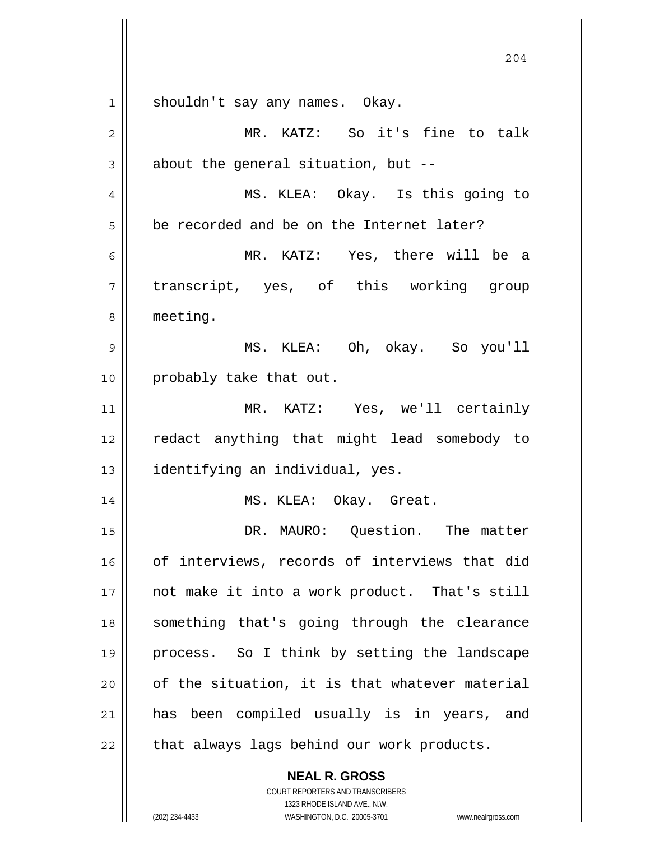**NEAL R. GROSS** 204 1 2 3 4 5 6 7 8 9 10 11 12 13 14 15 16 17 18 19 20 21 22 shouldn't say any names. Okay. MR. KATZ: So it's fine to talk about the general situation, but -- MS. KLEA: Okay. Is this going to be recorded and be on the Internet later? MR. KATZ: Yes, there will be a transcript, yes, of this working group meeting. MS. KLEA: Oh, okay. So you'll probably take that out. MR. KATZ: Yes, we'll certainly redact anything that might lead somebody to identifying an individual, yes. MS. KLEA: Okay. Great. DR. MAURO: Question. The matter of interviews, records of interviews that did not make it into a work product. That's still something that's going through the clearance process. So I think by setting the landscape of the situation, it is that whatever material has been compiled usually is in years, and that always lags behind our work products.

> COURT REPORTERS AND TRANSCRIBERS 1323 RHODE ISLAND AVE., N.W.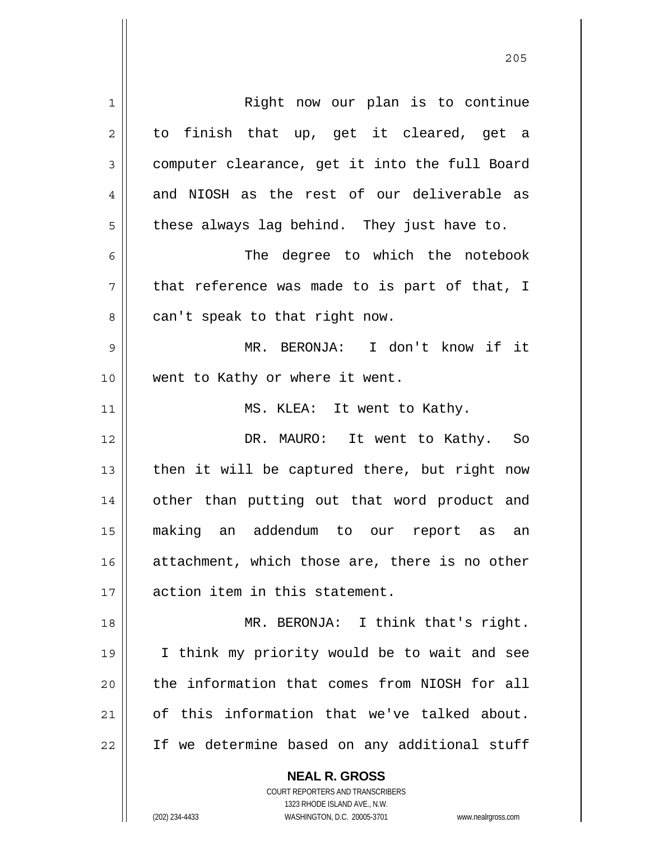**NEAL R. GROSS** 1 2 3 4 5 6 7 8 9 10 11 12 13 14 15 16 17 18 19 20 21 22 Right now our plan is to continue to finish that up, get it cleared, get a computer clearance, get it into the full Board and NIOSH as the rest of our deliverable as these always lag behind. They just have to. The degree to which the notebook that reference was made to is part of that, I can't speak to that right now. MR. BERONJA: I don't know if it went to Kathy or where it went. MS. KLEA: It went to Kathy. DR. MAURO: It went to Kathy. So then it will be captured there, but right now other than putting out that word product and making an addendum to our report as an attachment, which those are, there is no other action item in this statement. MR. BERONJA: I think that's right. I think my priority would be to wait and see the information that comes from NIOSH for all of this information that we've talked about. If we determine based on any additional stuff

<u>205</u>

1323 RHODE ISLAND AVE., N.W. (202) 234-4433 WASHINGTON, D.C. 20005-3701 www.nealrgross.com

COURT REPORTERS AND TRANSCRIBERS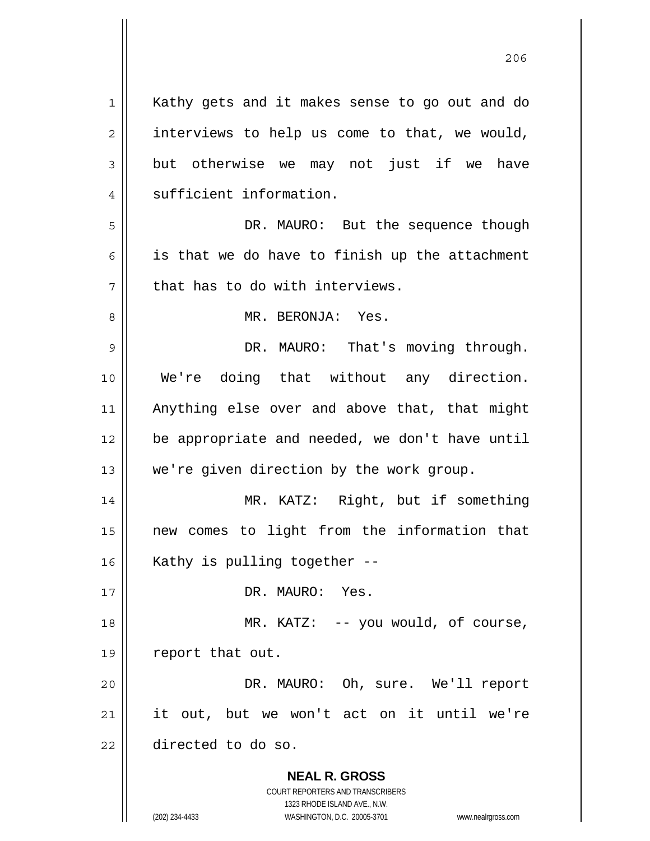**NEAL R. GROSS** COURT REPORTERS AND TRANSCRIBERS 1323 RHODE ISLAND AVE., N.W. 1 2 3 4 5 6 7 8 9 10 11 12 13 14 15 16 17 18 19 20 21 22 Kathy gets and it makes sense to go out and do interviews to help us come to that, we would, but otherwise we may not just if we have sufficient information. DR. MAURO: But the sequence though is that we do have to finish up the attachment that has to do with interviews. MR. BERONJA: Yes. DR. MAURO: That's moving through. We're doing that without any direction. Anything else over and above that, that might be appropriate and needed, we don't have until we're given direction by the work group. MR. KATZ: Right, but if something new comes to light from the information that Kathy is pulling together -- DR. MAURO: Yes. MR. KATZ: -- you would, of course, report that out. DR. MAURO: Oh, sure. We'll report it out, but we won't act on it until we're directed to do so.

206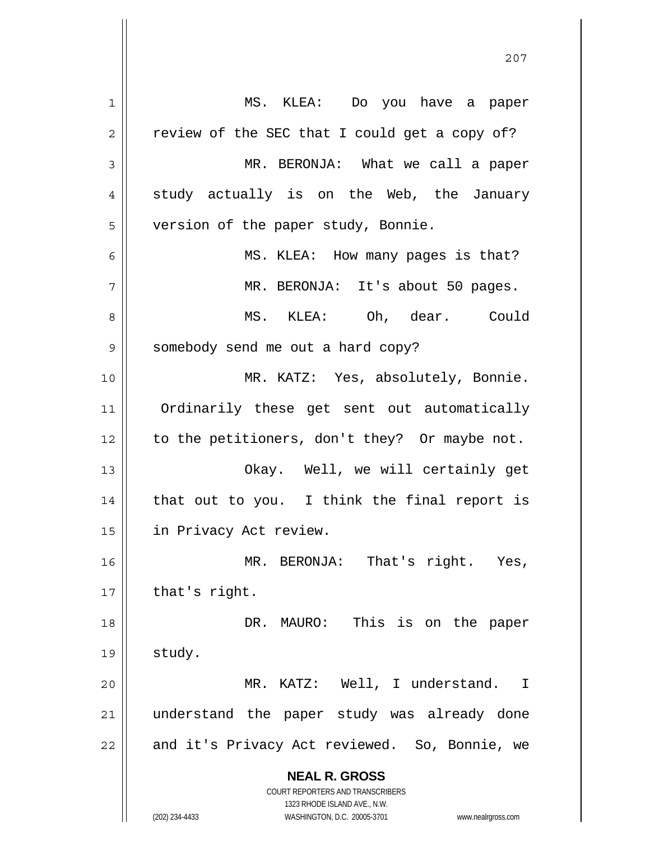**NEAL R. GROSS** COURT REPORTERS AND TRANSCRIBERS 1323 RHODE ISLAND AVE., N.W. (202) 234-4433 WASHINGTON, D.C. 20005-3701 www.nealrgross.com 1 2 3 4 5 6 7 8 9 10 11 12 13 14 15 16 17 18 19 20 21 22 MS. KLEA: Do you have a paper review of the SEC that I could get a copy of? MR. BERONJA: What we call a paper study actually is on the Web, the January version of the paper study, Bonnie. MS. KLEA: How many pages is that? MR. BERONJA: It's about 50 pages. MS. KLEA: Oh, dear. Could somebody send me out a hard copy? MR. KATZ: Yes, absolutely, Bonnie. Ordinarily these get sent out automatically to the petitioners, don't they? Or maybe not. Okay. Well, we will certainly get that out to you. I think the final report is in Privacy Act review. MR. BERONJA: That's right. Yes, that's right. DR. MAURO: This is on the paper study. MR. KATZ: Well, I understand. I understand the paper study was already done and it's Privacy Act reviewed. So, Bonnie, we

<u>207</u>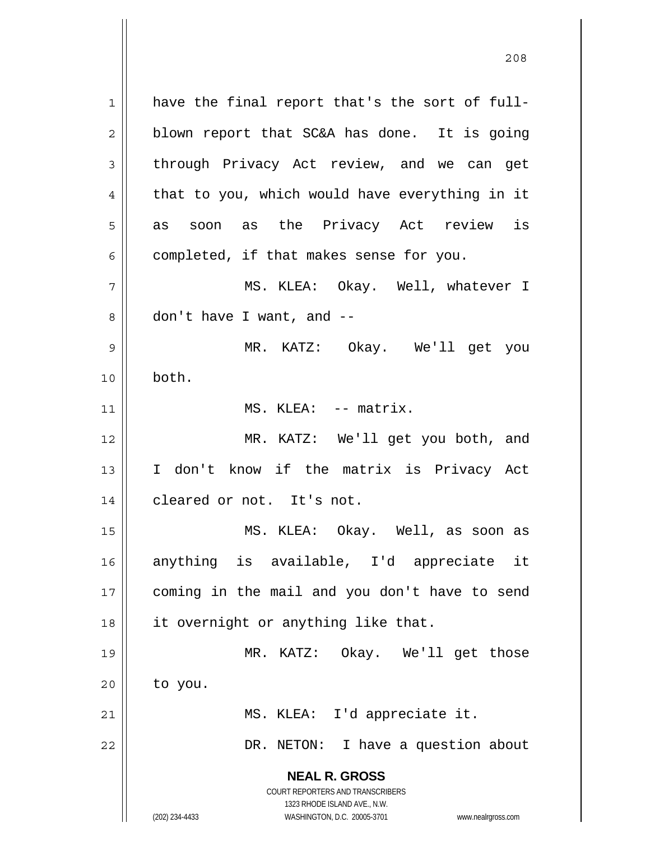**NEAL R. GROSS** COURT REPORTERS AND TRANSCRIBERS 1323 RHODE ISLAND AVE., N.W. 1 2 3 4 5 6 7 8 9 10 11 12 13 14 15 16 17 18 19 20 21 22 have the final report that's the sort of fullblown report that SC&A has done. It is going through Privacy Act review, and we can get that to you, which would have everything in it as soon as the Privacy Act review is completed, if that makes sense for you. MS. KLEA: Okay. Well, whatever I don't have I want, and -- MR. KATZ: Okay. We'll get you both. MS. KLEA: -- matrix. MR. KATZ: We'll get you both, and I don't know if the matrix is Privacy Act cleared or not. It's not. MS. KLEA: Okay. Well, as soon as anything is available, I'd appreciate it coming in the mail and you don't have to send it overnight or anything like that. MR. KATZ: Okay. We'll get those to you. MS. KLEA: I'd appreciate it. DR. NETON: I have a question about

(202) 234-4433 WASHINGTON, D.C. 20005-3701 www.nealrgross.com

<u>208</u>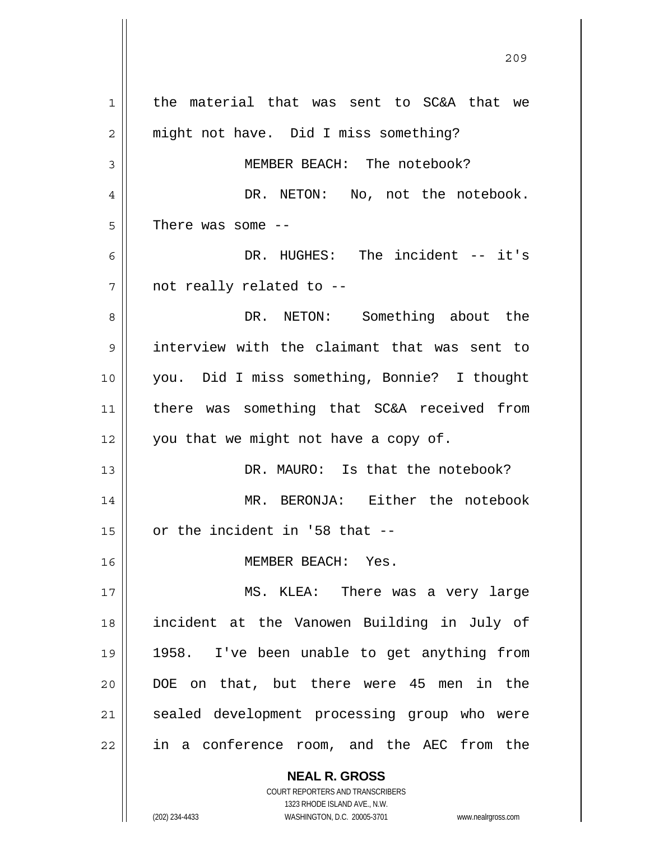**NEAL R. GROSS** COURT REPORTERS AND TRANSCRIBERS 1 2 3 4 5 6 7 8 9 10 11 12 13 14 15 16 17 18 19 20 21 22 the material that was sent to SC&A that we might not have. Did I miss something? MEMBER BEACH: The notebook? DR. NETON: No, not the notebook. There was some  $-$ DR. HUGHES: The incident -- it's not really related to -- DR. NETON: Something about the interview with the claimant that was sent to you. Did I miss something, Bonnie? I thought there was something that SC&A received from you that we might not have a copy of. DR. MAURO: Is that the notebook? MR. BERONJA: Either the notebook or the incident in '58 that -- MEMBER BEACH: Yes. MS. KLEA: There was a very large incident at the Vanowen Building in July of 1958. I've been unable to get anything from DOE on that, but there were 45 men in the sealed development processing group who were in a conference room, and the AEC from the

<u>209</u>

1323 RHODE ISLAND AVE., N.W.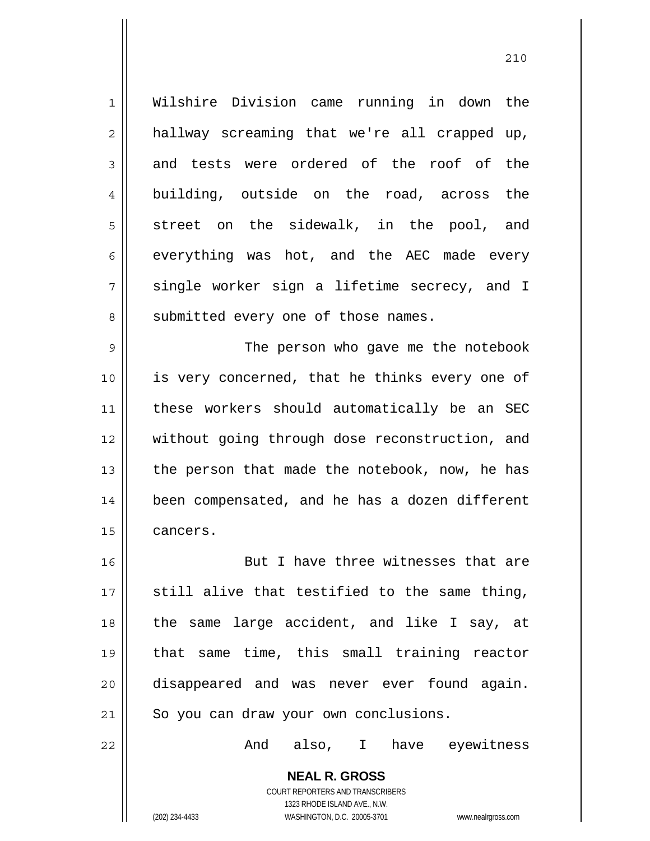1 2 3 4 5 6 7 8 Wilshire Division came running in down the hallway screaming that we're all crapped up, and tests were ordered of the roof of the building, outside on the road, across the street on the sidewalk, in the pool, and everything was hot, and the AEC made every single worker sign a lifetime secrecy, and I submitted every one of those names.

9 10 11 12 13 14 15 The person who gave me the notebook is very concerned, that he thinks every one of these workers should automatically be an SEC without going through dose reconstruction, and the person that made the notebook, now, he has been compensated, and he has a dozen different cancers.

16 17 18 19 20 21 But I have three witnesses that are still alive that testified to the same thing, the same large accident, and like I say, at that same time, this small training reactor disappeared and was never ever found again. So you can draw your own conclusions.

And also, I have eyewitness

**NEAL R. GROSS** COURT REPORTERS AND TRANSCRIBERS 1323 RHODE ISLAND AVE., N.W. (202) 234-4433 WASHINGTON, D.C. 20005-3701 www.nealrgross.com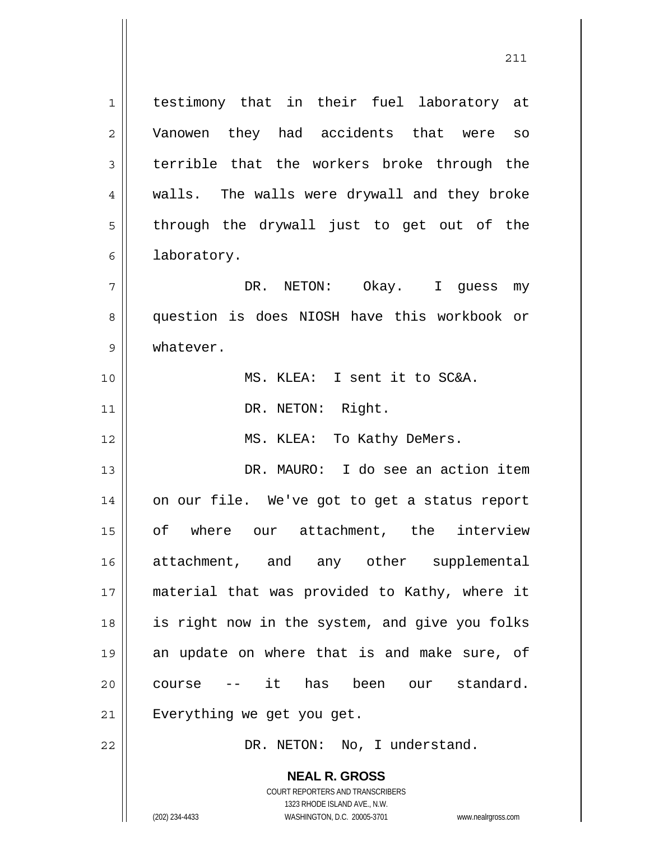**NEAL R. GROSS** COURT REPORTERS AND TRANSCRIBERS 1323 RHODE ISLAND AVE., N.W. 1 2 3 4 5 6 7 8 9 10 11 12 13 14 15 16 17 18 19 20 21 22 testimony that in their fuel laboratory at Vanowen they had accidents that were so terrible that the workers broke through the walls. The walls were drywall and they broke through the drywall just to get out of the laboratory. DR. NETON: Okay. I guess my question is does NIOSH have this workbook or whatever. MS. KLEA: I sent it to SC&A. DR. NETON: Right. MS. KLEA: To Kathy DeMers. DR. MAURO: I do see an action item on our file. We've got to get a status report of where our attachment, the interview attachment, and any other supplemental material that was provided to Kathy, where it is right now in the system, and give you folks an update on where that is and make sure, of course -- it has been our standard. Everything we get you get. DR. NETON: No, I understand.

211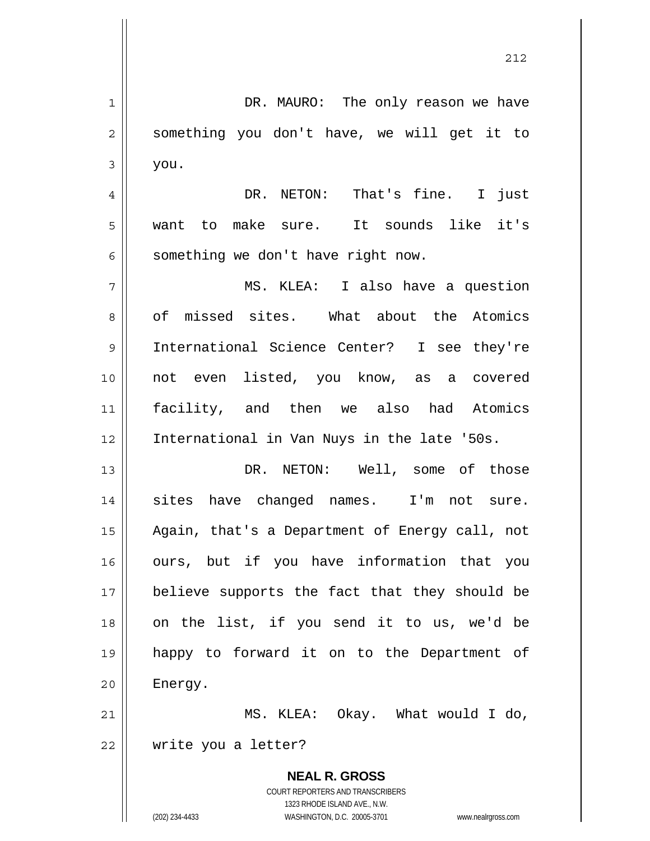**NEAL R. GROSS** COURT REPORTERS AND TRANSCRIBERS 1323 RHODE ISLAND AVE., N.W. 1 2 3 4 5 6 7 8 9 10 11 12 13 14 15 16 17 18 19 20 21 22 DR. MAURO: The only reason we have something you don't have, we will get it to you. DR. NETON: That's fine. I just want to make sure. It sounds like it's something we don't have right now. MS. KLEA: I also have a question of missed sites. What about the Atomics International Science Center? I see they're not even listed, you know, as a covered facility, and then we also had Atomics International in Van Nuys in the late '50s. DR. NETON: Well, some of those sites have changed names. I'm not sure. Again, that's a Department of Energy call, not ours, but if you have information that you believe supports the fact that they should be on the list, if you send it to us, we'd be happy to forward it on to the Department of Energy. MS. KLEA: Okay. What would I do, write you a letter?

<u>212</u>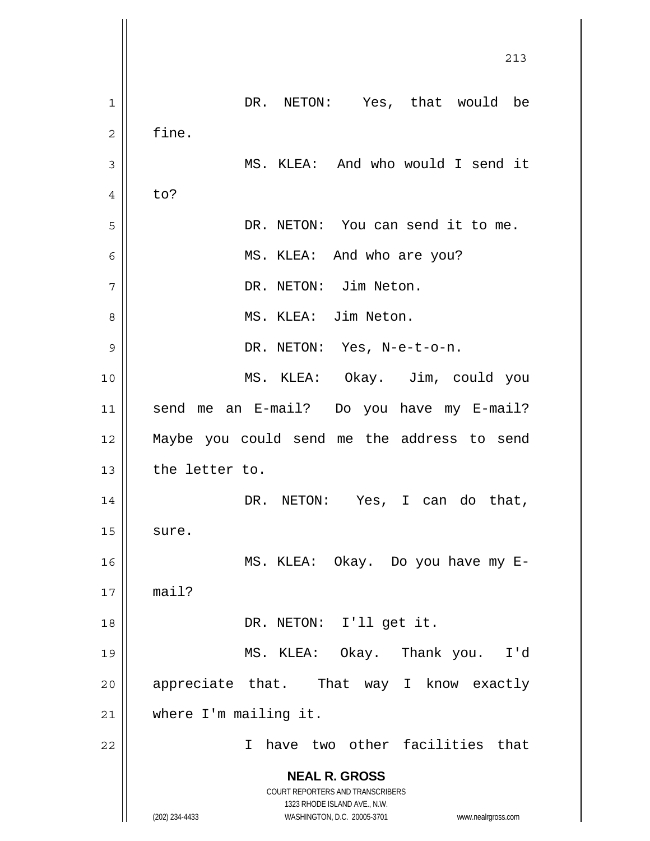|             | 213                                                                                                 |
|-------------|-----------------------------------------------------------------------------------------------------|
| 1           | DR. NETON: Yes, that would be                                                                       |
| $\mathbf 2$ | fine.                                                                                               |
| 3           | MS. KLEA: And who would I send it                                                                   |
| 4           | to?                                                                                                 |
| 5           | DR. NETON: You can send it to me.                                                                   |
| 6           | MS. KLEA: And who are you?                                                                          |
| 7           | DR. NETON: Jim Neton.                                                                               |
| 8           | MS. KLEA: Jim Neton.                                                                                |
| 9           | DR. NETON: Yes, N-e-t-o-n.                                                                          |
| 10          | MS. KLEA: Okay. Jim, could you                                                                      |
| 11          | send me an E-mail? Do you have my E-mail?                                                           |
| 12          | Maybe you could send me the address to send                                                         |
| 13          | the letter to.                                                                                      |
| 14          | DR. NETON: Yes, I can do that,                                                                      |
| 15          | sure.                                                                                               |
| 16          | MS. KLEA: Okay. Do you have my E-                                                                   |
| 17          | main?                                                                                               |
| 18          | DR. NETON: I'll get it.                                                                             |
| 19          | MS. KLEA: Okay. Thank you. I'd                                                                      |
| 20          | appreciate that. That way I know exactly                                                            |
| 21          | where I'm mailing it.                                                                               |
| 22          | have two other facilities that<br>T.                                                                |
|             | <b>NEAL R. GROSS</b><br>COURT REPORTERS AND TRANSCRIBERS                                            |
|             | 1323 RHODE ISLAND AVE., N.W.<br>(202) 234-4433<br>WASHINGTON, D.C. 20005-3701<br>www.nealrgross.com |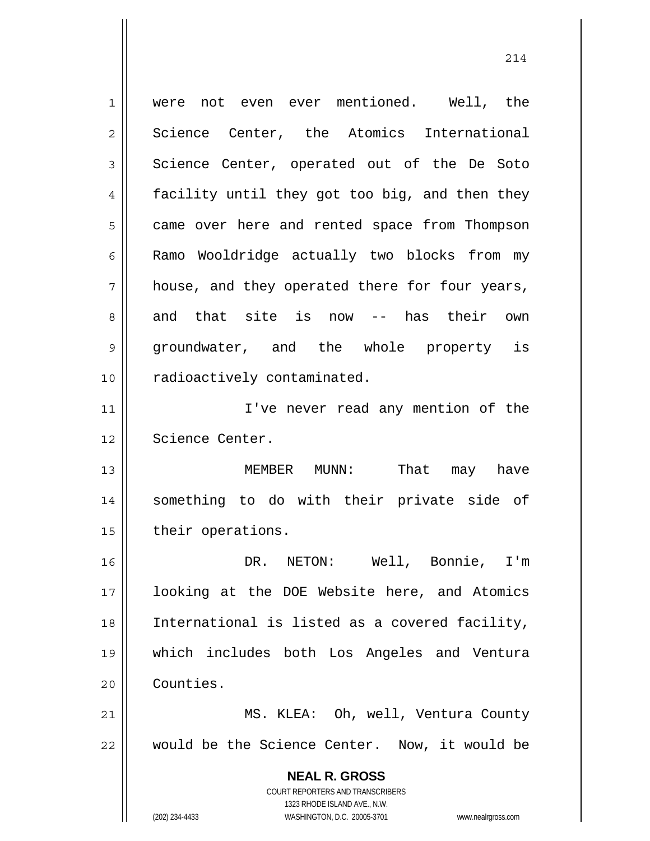**NEAL R. GROSS** COURT REPORTERS AND TRANSCRIBERS 1323 RHODE ISLAND AVE., N.W. (202) 234-4433 WASHINGTON, D.C. 20005-3701 www.nealrgross.com 1 2 3 4 5 6 7 8 9 10 11 12 13 14 15 16 17 18 19 20 21 22 were not even ever mentioned. Well, the Science Center, the Atomics International Science Center, operated out of the De Soto facility until they got too big, and then they came over here and rented space from Thompson Ramo Wooldridge actually two blocks from my house, and they operated there for four years, and that site is now -- has their own groundwater, and the whole property is radioactively contaminated. I've never read any mention of the Science Center. MEMBER MUNN: That may have something to do with their private side of their operations. DR. NETON: Well, Bonnie, I'm looking at the DOE Website here, and Atomics International is listed as a covered facility, which includes both Los Angeles and Ventura Counties. MS. KLEA: Oh, well, Ventura County would be the Science Center. Now, it would be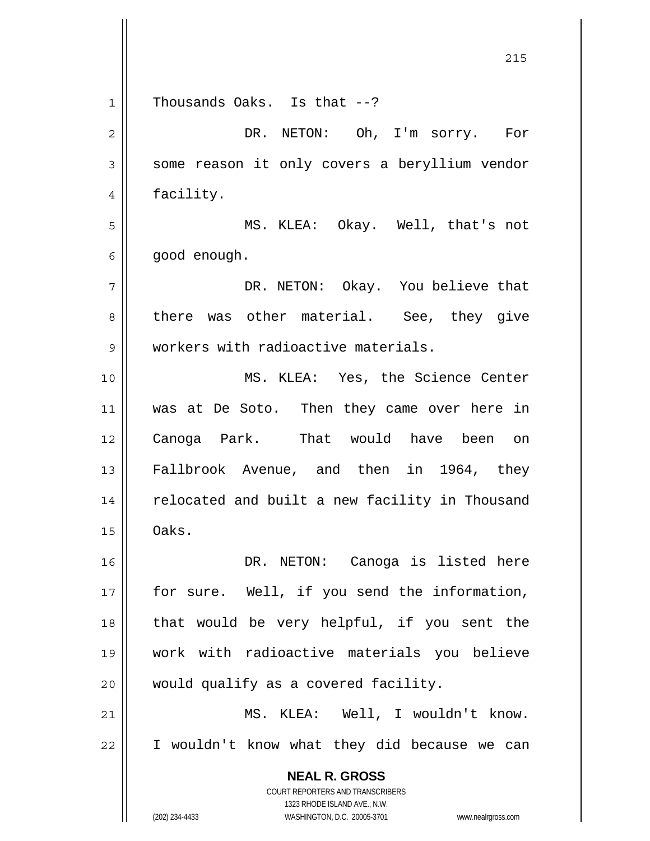|              | 215                                                                                                 |
|--------------|-----------------------------------------------------------------------------------------------------|
|              |                                                                                                     |
| 1            | Thousands Oaks. Is that $--?$                                                                       |
| $\mathbf{2}$ | DR. NETON: Oh, I'm sorry. For                                                                       |
| 3            | some reason it only covers a beryllium vendor                                                       |
| 4            | facility.                                                                                           |
| 5            | MS. KLEA: Okay. Well, that's not                                                                    |
| 6            | good enough.                                                                                        |
| 7            | DR. NETON: Okay. You believe that                                                                   |
| 8            | there was other material. See, they give                                                            |
| 9            | workers with radioactive materials.                                                                 |
| 10           | MS. KLEA: Yes, the Science Center                                                                   |
| 11           | was at De Soto. Then they came over here in                                                         |
| 12           | Canoga Park. That would have been on                                                                |
| 13           | Fallbrook Avenue, and then in 1964, they                                                            |
| 14           | relocated and built a new facility in Thousand                                                      |
| 15           | Oaks.                                                                                               |
| 16           | DR. NETON: Canoga is listed here                                                                    |
| 17           | for sure. Well, if you send the information,                                                        |
| 18           | that would be very helpful, if you sent the                                                         |
| 19           | work with radioactive materials you believe                                                         |
| 20           | would qualify as a covered facility.                                                                |
| 21           | MS. KLEA: Well, I wouldn't know.                                                                    |
| 22           | I wouldn't know what they did because we can                                                        |
|              | <b>NEAL R. GROSS</b>                                                                                |
|              | COURT REPORTERS AND TRANSCRIBERS                                                                    |
|              | 1323 RHODE ISLAND AVE., N.W.<br>(202) 234-4433<br>WASHINGTON, D.C. 20005-3701<br>www.nealrgross.com |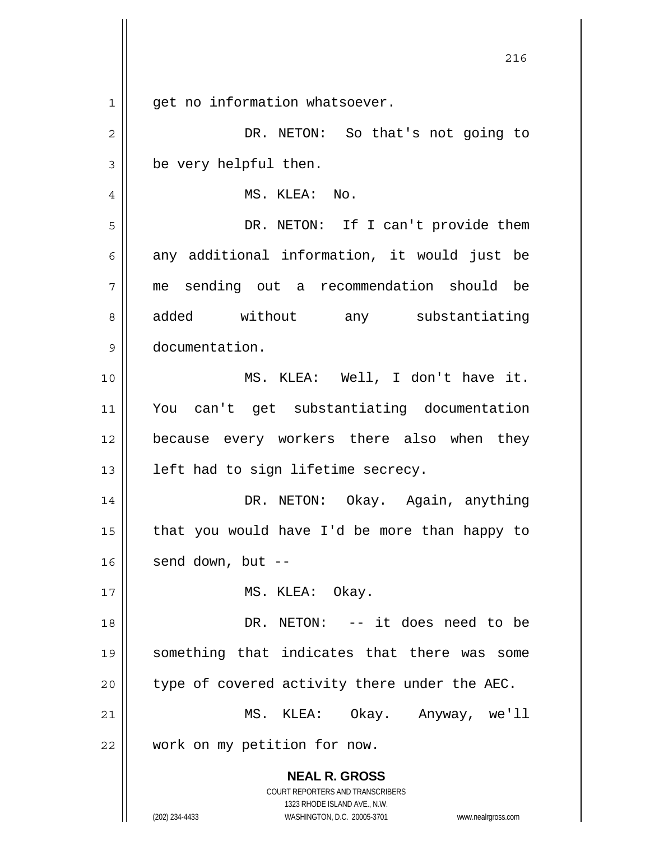| 1  | get no information whatsoever.                                                                      |
|----|-----------------------------------------------------------------------------------------------------|
| 2  | DR. NETON: So that's not going to                                                                   |
| 3  | be very helpful then.                                                                               |
| 4  | MS. KLEA: No.                                                                                       |
| 5  | DR. NETON: If I can't provide them                                                                  |
| 6  | any additional information, it would just be                                                        |
| 7  | me sending out a recommendation should be                                                           |
| 8  | added without any substantiating                                                                    |
| 9  | documentation.                                                                                      |
| 10 | MS. KLEA: Well, I don't have it.                                                                    |
| 11 | You can't get substantiating documentation                                                          |
| 12 | because every workers there also when they                                                          |
| 13 | left had to sign lifetime secrecy.                                                                  |
| 14 | DR. NETON: Okay. Again, anything                                                                    |
| 15 | that you would have I'd be more than happy to                                                       |
| 16 | send down, but --                                                                                   |
| 17 | MS. KLEA: Okay.                                                                                     |
| 18 | DR. NETON: -- it does need to be                                                                    |
| 19 | something that indicates that there was<br>some                                                     |
| 20 | type of covered activity there under the AEC.                                                       |
| 21 | MS. KLEA: Okay.<br>Anyway, we'll                                                                    |
| 22 | work on my petition for now.                                                                        |
|    | <b>NEAL R. GROSS</b>                                                                                |
|    | <b>COURT REPORTERS AND TRANSCRIBERS</b>                                                             |
|    | 1323 RHODE ISLAND AVE., N.W.<br>(202) 234-4433<br>WASHINGTON, D.C. 20005-3701<br>www.nealrgross.com |
|    |                                                                                                     |

<u>216</u>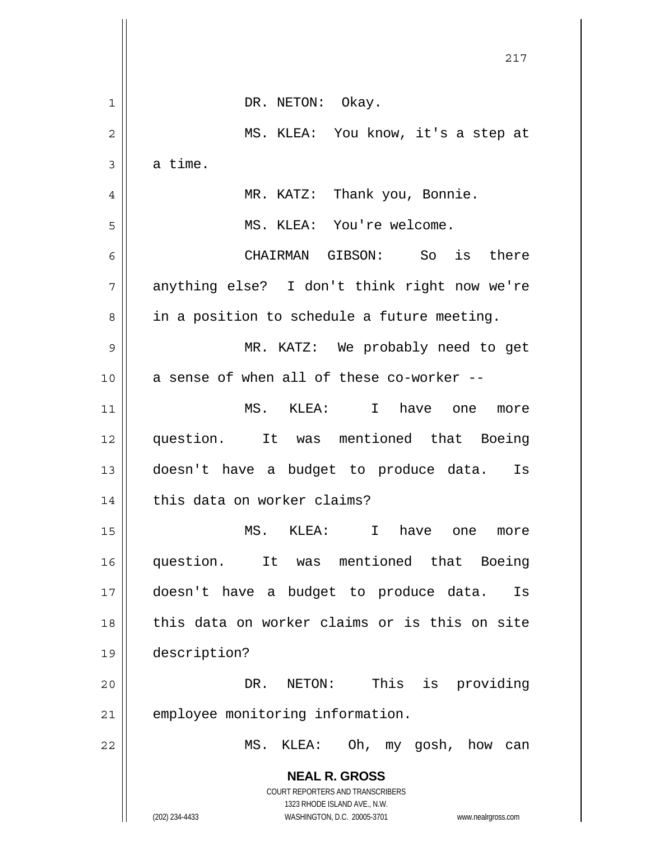|                | 217                                                                                                 |
|----------------|-----------------------------------------------------------------------------------------------------|
| 1              | DR. NETON: Okay.                                                                                    |
| $\overline{2}$ | MS. KLEA: You know, it's a step at                                                                  |
| 3              | a time.                                                                                             |
| 4              | MR. KATZ: Thank you, Bonnie.                                                                        |
| 5              | MS. KLEA: You're welcome.                                                                           |
| 6              | CHAIRMAN GIBSON: So is there                                                                        |
| 7              | anything else? I don't think right now we're                                                        |
| 8              | in a position to schedule a future meeting.                                                         |
| 9              | MR. KATZ: We probably need to get                                                                   |
| 10             | a sense of when all of these co-worker --                                                           |
| 11             | MS.<br>KLEA: I have one<br>more                                                                     |
| 12             | question. It was mentioned that Boeing                                                              |
| 13             | doesn't have a budget to produce data.<br>Is                                                        |
| 14             | this data on worker claims?                                                                         |
| 15             | MS.<br>KLEA:<br>$\mathbf I$<br>have<br>one<br>more                                                  |
| 16             | It was mentioned that<br>question.<br>Boeing                                                        |
| 17             | doesn't have a budget to produce data.<br>Is                                                        |
| 18             | this data on worker claims or is this on site                                                       |
| 19             | description?                                                                                        |
| 20             | This<br>DR.<br>NETON:<br>is<br>providing                                                            |
| 21             | employee monitoring information.                                                                    |
| 22             | KLEA:<br>Oh, my gosh, how<br>MS.<br>can                                                             |
|                | <b>NEAL R. GROSS</b>                                                                                |
|                | COURT REPORTERS AND TRANSCRIBERS                                                                    |
|                | 1323 RHODE ISLAND AVE., N.W.<br>(202) 234-4433<br>WASHINGTON, D.C. 20005-3701<br>www.nealrgross.com |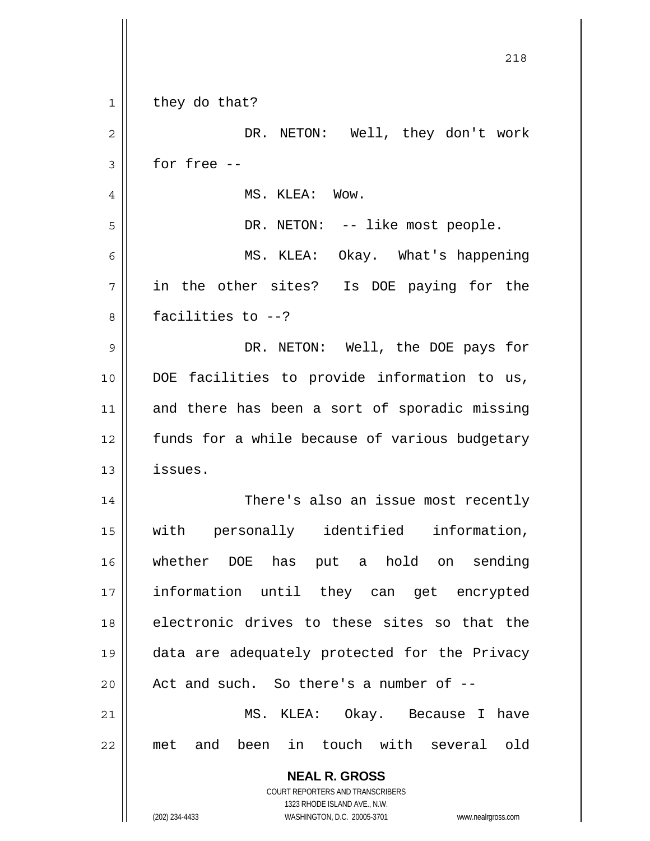|              | 218                                                                                                 |
|--------------|-----------------------------------------------------------------------------------------------------|
| 1            | they do that?                                                                                       |
| $\mathbf{2}$ | DR. NETON: Well, they don't work                                                                    |
| 3            | for free --                                                                                         |
| 4            | MS. KLEA: Wow.                                                                                      |
| 5            | DR. NETON: -- like most people.                                                                     |
| 6            | MS. KLEA: Okay. What's happening                                                                    |
| 7            | in the other sites? Is DOE paying for the                                                           |
| 8            | facilities to --?                                                                                   |
| 9            | DR. NETON: Well, the DOE pays for                                                                   |
| 10           | DOE facilities to provide information to us,                                                        |
| 11           | and there has been a sort of sporadic missing                                                       |
| 12           | funds for a while because of various budgetary                                                      |
| 13           | issues.                                                                                             |
| 14           | There's also an issue most recently                                                                 |
| 15           | personally identified information,<br>with                                                          |
| 16           | whether DOE has put a hold on<br>sending                                                            |
| 17           | information until they can get encrypted                                                            |
| 18           | electronic drives to these sites so that the                                                        |
| 19           | data are adequately protected for the Privacy                                                       |
| 20           | Act and such. So there's a number of --                                                             |
| 21           | MS. KLEA: Okay. Because I have                                                                      |
| 22           | met and been in touch with several old                                                              |
|              | <b>NEAL R. GROSS</b>                                                                                |
|              | COURT REPORTERS AND TRANSCRIBERS                                                                    |
|              | 1323 RHODE ISLAND AVE., N.W.<br>(202) 234-4433<br>WASHINGTON, D.C. 20005-3701<br>www.nealrgross.com |

Ħ  $\overline{\phantom{a}}$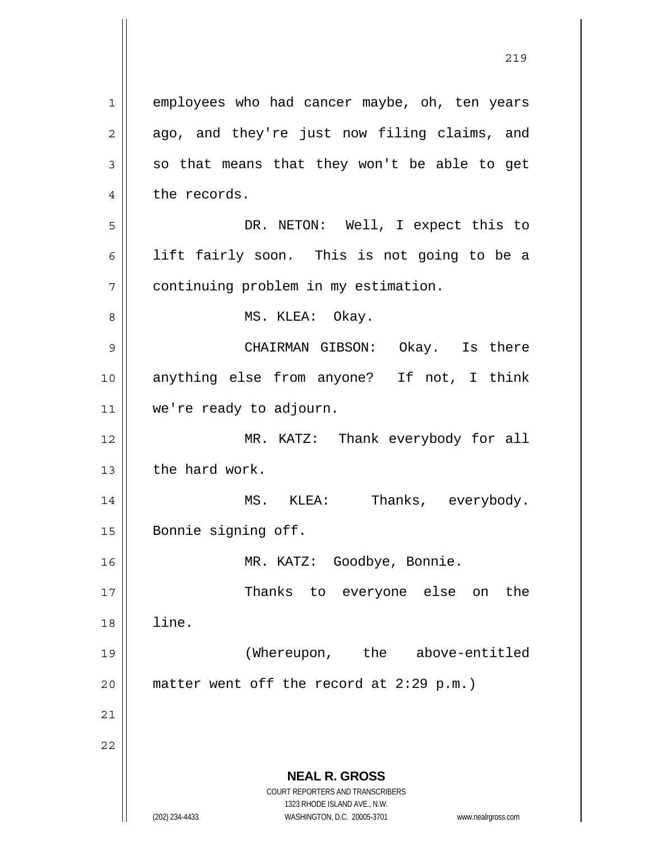**NEAL R. GROSS** COURT REPORTERS AND TRANSCRIBERS 1323 RHODE ISLAND AVE., N.W. (202) 234-4433 WASHINGTON, D.C. 20005-3701 www.nealrgross.com 1 2 3 4 5 6 7 8 9 10 11 12 13 14 15 16 17 18 19 20 21 22 employees who had cancer maybe, oh, ten years ago, and they're just now filing claims, and so that means that they won't be able to get the records. DR. NETON: Well, I expect this to lift fairly soon. This is not going to be a continuing problem in my estimation. MS. KLEA: Okay. CHAIRMAN GIBSON: Okay. Is there anything else from anyone? If not, I think we're ready to adjourn. MR. KATZ: Thank everybody for all the hard work. MS. KLEA: Thanks, everybody. Bonnie signing off. MR. KATZ: Goodbye, Bonnie. Thanks to everyone else on the line. (Whereupon, the above-entitled matter went off the record at 2:29 p.m.)

<u>219</u>